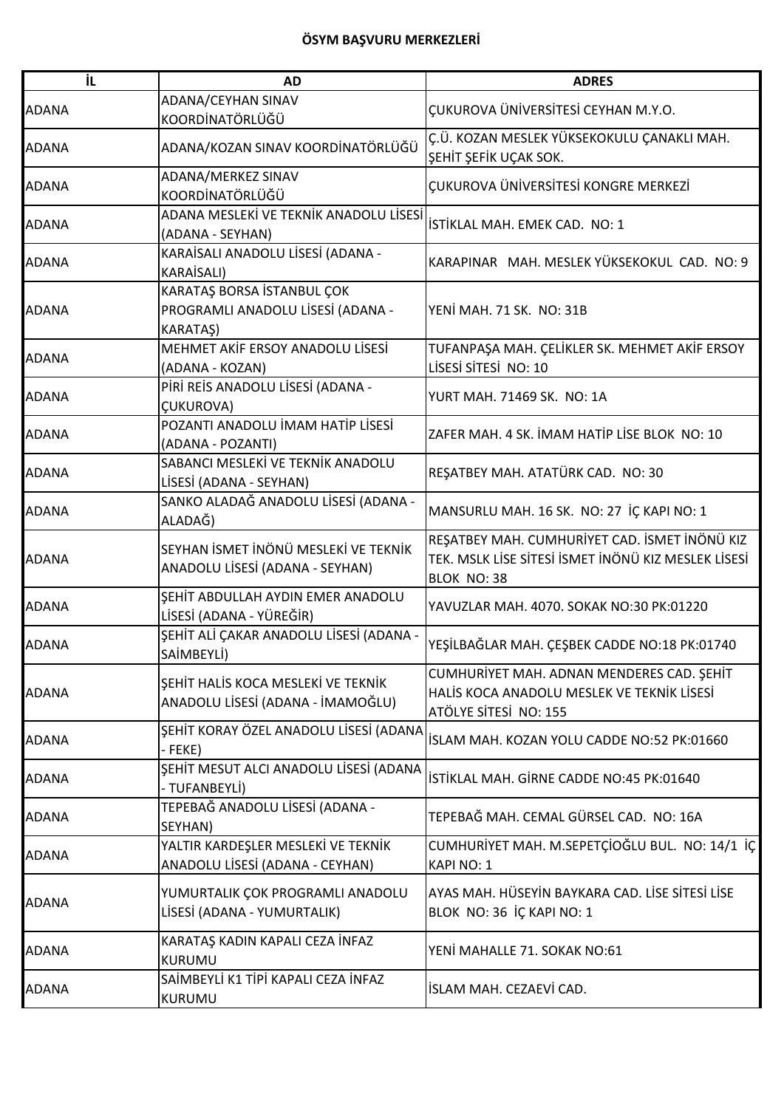| İL           | <b>AD</b>                                                                          | <b>ADRES</b>                                                                                                        |
|--------------|------------------------------------------------------------------------------------|---------------------------------------------------------------------------------------------------------------------|
| <b>ADANA</b> | ADANA/CEYHAN SINAV<br>KOORDİNATÖRLÜĞÜ                                              | <b>CUKUROVA ÜNİVERSİTESİ CEYHAN M.Y.O.</b>                                                                          |
| <b>ADANA</b> | ADANA/KOZAN SINAV KOORDİNATÖRLÜĞÜ                                                  | Ç.Ü. KOZAN MESLEK YÜKSEKOKULU ÇANAKLI MAH.<br>ŞEHİT ŞEFİK UÇAK SOK.                                                 |
| <b>ADANA</b> | ADANA/MERKEZ SINAV<br>KOORDİNATÖRLÜĞÜ                                              | ÇUKUROVA ÜNİVERSİTESİ KONGRE MERKEZİ                                                                                |
| <b>ADANA</b> | ADANA MESLEKİ VE TEKNİK ANADOLU LİSESİ<br>(ADANA - SEYHAN)                         | İSTİKLAL MAH. EMEK CAD. NO: 1                                                                                       |
| <b>ADANA</b> | KARAİSALI ANADOLU LİSESİ (ADANA -<br><b>KARAİSALI)</b>                             | KARAPINAR MAH. MESLEK YÜKSEKOKUL CAD. NO: 9                                                                         |
| <b>ADANA</b> | KARATAŞ BORSA İSTANBUL ÇOK<br>PROGRAMLI ANADOLU LİSESİ (ADANA -<br><b>KARATAŞ)</b> | YENİ MAH. 71 SK. NO: 31B                                                                                            |
| <b>ADANA</b> | MEHMET AKİF ERSOY ANADOLU LİSESİ<br>(ADANA - KOZAN)                                | TUFANPAŞA MAH. ÇELİKLER SK. MEHMET AKİF ERSOY<br>LISESI SITESI NO: 10                                               |
| <b>ADANA</b> | PİRİ REİS ANADOLU LİSESİ (ADANA -<br><b>ÇUKUROVA)</b>                              | YURT MAH. 71469 SK. NO: 1A                                                                                          |
| <b>ADANA</b> | POZANTI ANADOLU İMAM HATİP LİSESİ<br>(ADANA - POZANTI)                             | ZAFER MAH. 4 SK. İMAM HATİP LİSE BLOK NO: 10                                                                        |
| <b>ADANA</b> | SABANCI MESLEKİ VE TEKNİK ANADOLU<br>LİSESİ (ADANA - SEYHAN)                       | REŞATBEY MAH. ATATÜRK CAD. NO: 30                                                                                   |
| <b>ADANA</b> | SANKO ALADAĞ ANADOLU LİSESİ (ADANA -<br>ALADAĞ)                                    | MANSURLU MAH. 16 SK. NO: 27 İÇ KAPI NO: 1                                                                           |
| <b>ADANA</b> | SEYHAN İSMET İNÖNÜ MESLEKİ VE TEKNİK<br>ANADOLU LİSESİ (ADANA - SEYHAN)            | REŞATBEY MAH. CUMHURİYET CAD. İSMET İNÖNÜ KIZ<br>TEK. MSLK LİSE SİTESİ İSMET İNÖNÜ KIZ MESLEK LİSESİ<br>BLOK NO: 38 |
| <b>ADANA</b> | SEHİT ABDULLAH AYDIN EMER ANADOLU<br>LİSESİ (ADANA - YÜREĞİR)                      | YAVUZLAR MAH. 4070. SOKAK NO:30 PK:01220                                                                            |
| <b>ADANA</b> | ŞEHİT ALİ ÇAKAR ANADOLU LİSESİ (ADANA -<br>SAİMBEYLİ)                              | YEŞİLBAĞLAR MAH. ÇEŞBEK CADDE NO:18 PK:01740                                                                        |
| <b>ADANA</b> | SEHIT HALIS KOCA MESLEKI VE TEKNIK<br>ANADOLU LİSESİ (ADANA - İMAMOĞLU)            | CUMHURİYET MAH. ADNAN MENDERES CAD. ŞEHİT<br>HALIS KOCA ANADOLU MESLEK VE TEKNIK LISESI<br>ATÖLYE SİTESİ NO: 155    |
| <b>ADANA</b> | ŞEHİT KORAY ÖZEL ANADOLU LİSESİ (ADANA<br>- FEKE)                                  | İSLAM MAH. KOZAN YOLU CADDE NO:52 PK:01660                                                                          |
| <b>ADANA</b> | ŞEHİT MESUT ALCI ANADOLU LİSESİ (ADANA<br>- TUFANBEYLİ)                            | İSTİKLAL MAH. GİRNE CADDE NO:45 PK:01640                                                                            |
| <b>ADANA</b> | TEPEBAĞ ANADOLU LİSESİ (ADANA -<br>SEYHAN)                                         | TEPEBAĞ MAH. CEMAL GÜRSEL CAD. NO: 16A                                                                              |
| <b>ADANA</b> | YALTIR KARDEŞLER MESLEKİ VE TEKNİK<br>ANADOLU LİSESİ (ADANA - CEYHAN)              | CUMHURİYET MAH. M.SEPETÇİOĞLU BUL. NO: 14/1 İÇ<br>KAPI NO: 1                                                        |
| <b>ADANA</b> | YUMURTALIK ÇOK PROGRAMLI ANADOLU<br>LİSESİ (ADANA - YUMURTALIK)                    | AYAS MAH. HÜSEYİN BAYKARA CAD. LİSE SİTESİ LİSE<br>BLOK NO: 36 İÇ KAPI NO: 1                                        |
| <b>ADANA</b> | KARATAŞ KADIN KAPALI CEZA İNFAZ<br><b>KURUMU</b>                                   | YENİ MAHALLE 71. SOKAK NO:61                                                                                        |
| <b>ADANA</b> | SAİMBEYLİ K1 TİPİ KAPALI CEZA İNFAZ<br>KURUMU                                      | İSLAM MAH. CEZAEVİ CAD.                                                                                             |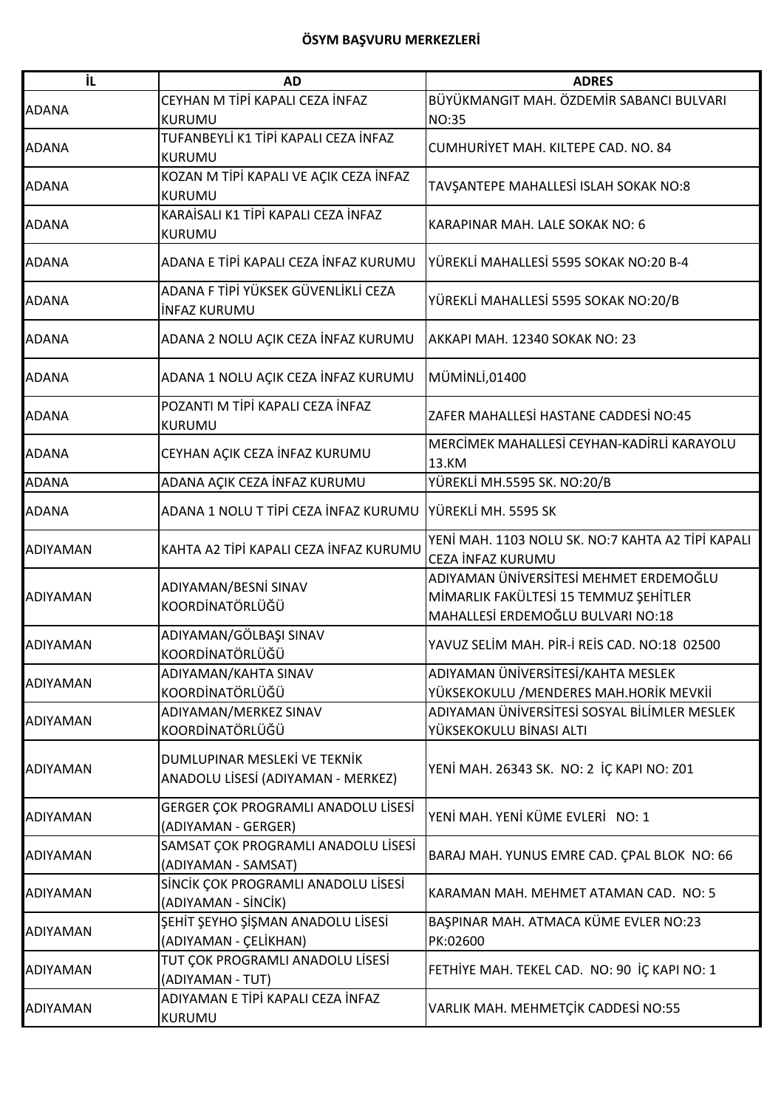| İL.             | <b>AD</b>                                                          | <b>ADRES</b>                                                                                                         |
|-----------------|--------------------------------------------------------------------|----------------------------------------------------------------------------------------------------------------------|
| <b>ADANA</b>    | CEYHAN M TİPİ KAPALI CEZA İNFAZ<br>KURUMU                          | BÜYÜKMANGIT MAH. ÖZDEMİR SABANCI BULVARI<br><b>NO:35</b>                                                             |
| <b>ADANA</b>    | TUFANBEYLİ K1 TİPİ KAPALI CEZA İNFAZ<br><b>KURUMU</b>              | CUMHURİYET MAH. KILTEPE CAD. NO. 84                                                                                  |
| <b>ADANA</b>    | KOZAN M TİPİ KAPALI VE AÇIK CEZA İNFAZ<br>KURUMU                   | TAVŞANTEPE MAHALLESİ ISLAH SOKAK NO:8                                                                                |
| <b>ADANA</b>    | KARAİSALI K1 TİPİ KAPALI CEZA İNFAZ<br>KURUMU                      | KARAPINAR MAH. LALE SOKAK NO: 6                                                                                      |
| <b>ADANA</b>    | ADANA E TİPİ KAPALI CEZA İNFAZ KURUMU                              | YÜREKLİ MAHALLESİ 5595 SOKAK NO:20 B-4                                                                               |
| <b>ADANA</b>    | ADANA F TİPİ YÜKSEK GÜVENLİKLİ CEZA<br><b>INFAZ KURUMU</b>         | YÜREKLİ MAHALLESİ 5595 SOKAK NO:20/B                                                                                 |
| <b>ADANA</b>    | ADANA 2 NOLU AÇIK CEZA İNFAZ KURUMU                                | AKKAPI MAH. 12340 SOKAK NO: 23                                                                                       |
| <b>ADANA</b>    | ADANA 1 NOLU AÇIK CEZA İNFAZ KURUMU                                | MÜMİNLİ,01400                                                                                                        |
| <b>ADANA</b>    | POZANTI M TİPİ KAPALI CEZA İNFAZ<br>KURUMU                         | ZAFER MAHALLESİ HASTANE CADDESİ NO:45                                                                                |
| <b>ADANA</b>    | CEYHAN AÇIK CEZA İNFAZ KURUMU                                      | MERCİMEK MAHALLESİ CEYHAN-KADİRLİ KARAYOLU<br>13.KM                                                                  |
| <b>ADANA</b>    | ADANA AÇIK CEZA İNFAZ KURUMU                                       | YÜREKLİ MH.5595 SK. NO:20/B                                                                                          |
| <b>ADANA</b>    | ADANA 1 NOLU T TİPİ CEZA İNFAZ KURUMU                              | YÜREKLİ MH. 5595 SK                                                                                                  |
| ADIYAMAN        | KAHTA A2 TİPİ KAPALI CEZA İNFAZ KURUMU                             | YENİ MAH. 1103 NOLU SK. NO:7 KAHTA A2 TİPİ KAPALI<br>CEZA İNFAZ KURUMU                                               |
| <b>ADIYAMAN</b> | ADIYAMAN/BESNİ SINAV<br>KOORDİNATÖRLÜĞÜ                            | ADIYAMAN ÜNİVERSİTESİ MEHMET ERDEMOĞLU<br>MİMARLIK FAKÜLTESİ 15 TEMMUZ ŞEHİTLER<br>MAHALLESİ ERDEMOĞLU BULVARI NO:18 |
| <b>ADIYAMAN</b> | ADIYAMAN/GÖLBAŞI SINAV<br>KOORDİNATÖRLÜĞÜ                          | YAVUZ SELİM MAH. PİR-İ REİS CAD. NO:18 02500                                                                         |
| <b>ADIYAMAN</b> | ADIYAMAN/KAHTA SINAV<br>KOORDİNATÖRLÜĞÜ                            | ADIYAMAN ÜNİVERSİTESİ/KAHTA MESLEK<br>YÜKSEKOKULU / MENDERES MAH.HORİK MEVKİİ                                        |
| <b>ADIYAMAN</b> | ADIYAMAN/MERKEZ SINAV<br>KOORDİNATÖRLÜĞÜ                           | ADIYAMAN ÜNİVERSİTESİ SOSYAL BİLİMLER MESLEK<br>YÜKSEKOKULU BİNASI ALTI                                              |
| <b>ADIYAMAN</b> | DUMLUPINAR MESLEKİ VE TEKNİK<br>ANADOLU LİSESİ (ADIYAMAN - MERKEZ) | YENİ MAH. 26343 SK. NO: 2 İÇ KAPI NO: Z01                                                                            |
| ADIYAMAN        | GERGER ÇOK PROGRAMLI ANADOLU LİSESİ<br>(ADIYAMAN - GERGER)         | YENİ MAH. YENİ KÜME EVLERİ NO: 1                                                                                     |
| <b>ADIYAMAN</b> | SAMSAT ÇOK PROGRAMLI ANADOLU LİSESİ<br>(ADIYAMAN - SAMSAT)         | BARAJ MAH. YUNUS EMRE CAD. ÇPAL BLOK NO: 66                                                                          |
| <b>ADIYAMAN</b> | SİNCİK ÇOK PROGRAMLI ANADOLU LİSESİ<br>(ADIYAMAN - SİNCİK)         | KARAMAN MAH. MEHMET ATAMAN CAD. NO: 5                                                                                |
| <b>ADIYAMAN</b> | ŞEHİT ŞEYHO ŞİŞMAN ANADOLU LİSESİ<br>(ADIYAMAN - ÇELİKHAN)         | BAŞPINAR MAH. ATMACA KÜME EVLER NO:23<br>PK:02600                                                                    |
| <b>ADIYAMAN</b> | TUT ÇOK PROGRAMLI ANADOLU LİSESİ<br>(ADIYAMAN - TUT)               | FETHIYE MAH. TEKEL CAD. NO: 90 IÇ KAPI NO: 1                                                                         |
| <b>ADIYAMAN</b> | ADIYAMAN E TİPİ KAPALI CEZA İNFAZ<br>KURUMU                        | VARLIK MAH. MEHMETÇİK CADDESİ NO:55                                                                                  |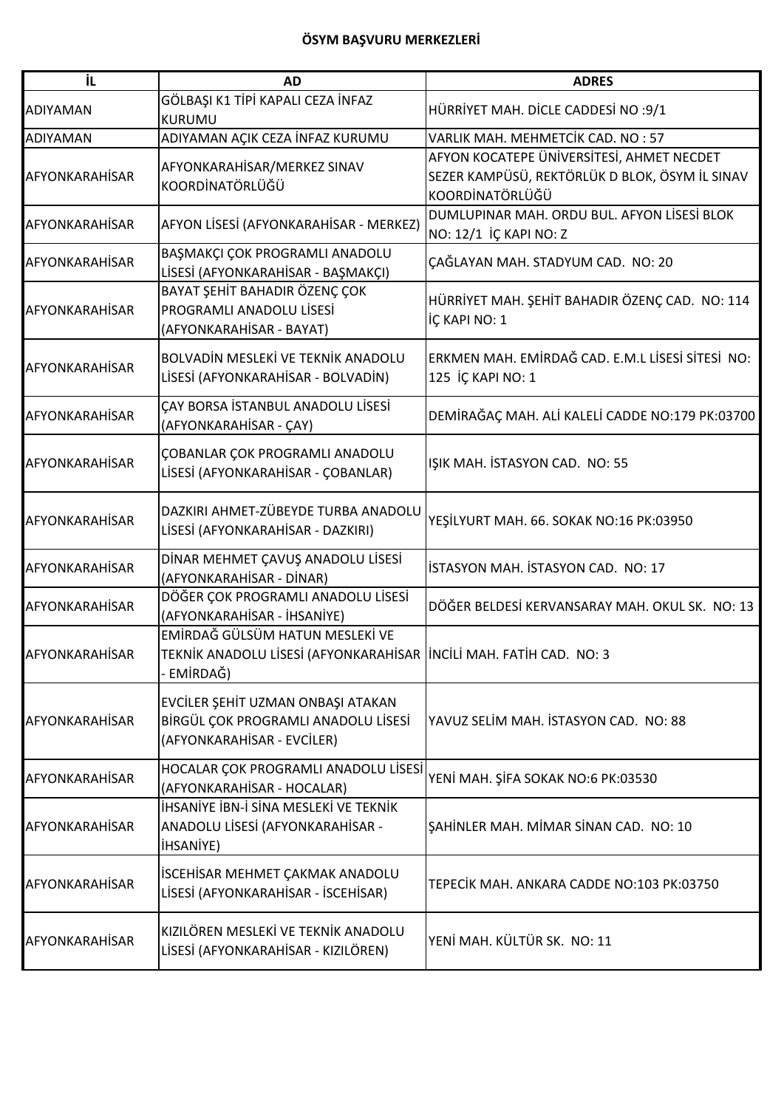| iL.                   | <b>AD</b>                                                                                                           | <b>ADRES</b>                                                                                                   |
|-----------------------|---------------------------------------------------------------------------------------------------------------------|----------------------------------------------------------------------------------------------------------------|
| <b>ADIYAMAN</b>       | GÖLBAŞI K1 TİPİ KAPALI CEZA İNFAZ<br>KURUMU                                                                         | HÜRRİYET MAH. DİCLE CADDESİ NO :9/1                                                                            |
| <b>ADIYAMAN</b>       | ADIYAMAN AÇIK CEZA İNFAZ KURUMU                                                                                     | VARLIK MAH. MEHMETCİK CAD. NO : 57                                                                             |
| <b>AFYONKARAHİSAR</b> | AFYONKARAHİSAR/MERKEZ SINAV<br>KOORDİNATÖRLÜĞÜ                                                                      | AFYON KOCATEPE ÜNIVERSITESI, AHMET NECDET<br>SEZER KAMPÜSÜ, REKTÖRLÜK D BLOK, ÖSYM İL SINAV<br>KOORDİNATÖRLÜĞÜ |
| AFYONKARAHİSAR        | AFYON LİSESİ (AFYONKARAHİSAR - MERKEZ)                                                                              | DUMLUPINAR MAH. ORDU BUL. AFYON LİSESİ BLOK<br>NO: 12/1 İÇ KAPI NO: Z                                          |
| <b>AFYONKARAHİSAR</b> | BAŞMAKÇI ÇOK PROGRAMLI ANADOLU<br>LİSESİ (AFYONKARAHİSAR - BAŞMAKÇI)                                                | ÇAĞLAYAN MAH. STADYUM CAD. NO: 20                                                                              |
| AFYONKARAHİSAR        | BAYAT ŞEHİT BAHADIR ÖZENÇ ÇOK<br>PROGRAMLI ANADOLU LİSESİ<br>(AFYONKARAHİSAR - BAYAT)                               | HÜRRİYET MAH. ŞEHİT BAHADIR ÖZENÇ CAD. NO: 114<br>İÇ KAPI NO: 1                                                |
| <b>AFYONKARAHİSAR</b> | BOLVADİN MESLEKİ VE TEKNİK ANADOLU<br>LİSESİ (AFYONKARAHİSAR - BOLVADİN)                                            | ERKMEN MAH. EMİRDAĞ CAD. E.M.L LİSESİ SİTESİ NO:<br>125 İÇ KAPI NO: 1                                          |
| <b>AFYONKARAHİSAR</b> | ÇAY BORSA İSTANBUL ANADOLU LİSESİ<br>(AFYONKARAHİSAR - ÇAY)                                                         | DEMİRAĞAÇ MAH. ALİ KALELİ CADDE NO:179 PK:03700                                                                |
| AFYONKARAHİSAR        | <b>COBANLAR COK PROGRAMLI ANADOLU</b><br>LİSESİ (AFYONKARAHİSAR - ÇOBANLAR)                                         | IŞIK MAH. İSTASYON CAD. NO: 55                                                                                 |
| AFYONKARAHİSAR        | DAZKIRI AHMET-ZÜBEYDE TURBA ANADOLU<br>LİSESİ (AFYONKARAHİSAR - DAZKIRI)                                            | YEŞİLYURT MAH. 66. SOKAK NO:16 PK:03950                                                                        |
| AFYONKARAHİSAR        | DİNAR MEHMET ÇAVUŞ ANADOLU LİSESİ<br>(AFYONKARAHİSAR - DİNAR)                                                       | İSTASYON MAH. İSTASYON CAD. NO: 17                                                                             |
| <b>AFYONKARAHİSAR</b> | DÖĞER ÇOK PROGRAMLI ANADOLU LİSESİ<br>(AFYONKARAHİSAR - İHSANİYE)                                                   | DÖĞER BELDESİ KERVANSARAY MAH. OKUL SK. NO: 13                                                                 |
| AFYONKARAHİSAR        | EMİRDAĞ GÜLSÜM HATUN MESLEKİ VE<br>TEKNİK ANADOLU LİSESİ (AFYONKARAHİSAR İNCİLİ MAH. FATİH CAD. NO: 3<br>- EMİRDAĞ) |                                                                                                                |
| AFYONKARAHİSAR        | EVCİLER ŞEHİT UZMAN ONBAŞI ATAKAN<br>BİRGÜL ÇOK PROGRAMLI ANADOLU LİSESİ<br>(AFYONKARAHİSAR - EVCİLER)              | YAVUZ SELİM MAH. İSTASYON CAD. NO: 88                                                                          |
| <b>AFYONKARAHİSAR</b> | HOCALAR ÇOK PROGRAMLI ANADOLU LİSESİ<br>(AFYONKARAHİSAR - HOCALAR)                                                  | YENİ MAH. ŞİFA SOKAK NO:6 PK:03530                                                                             |
| AFYONKARAHİSAR        | İHSANİYE İBN-İ SİNA MESLEKİ VE TEKNİK<br>ANADOLU LİSESİ (AFYONKARAHİSAR -<br><b>IHSANIYE)</b>                       | SAHİNLER MAH. MİMAR SİNAN CAD. NO: 10                                                                          |
| <b>AFYONKARAHİSAR</b> | İSCEHİSAR MEHMET ÇAKMAK ANADOLU<br>LİSESİ (AFYONKARAHİSAR - İSCEHİSAR)                                              | TEPECIK MAH. ANKARA CADDE NO:103 PK:03750                                                                      |
| <b>AFYONKARAHİSAR</b> | KIZILÖREN MESLEKİ VE TEKNİK ANADOLU<br>LİSESİ (AFYONKARAHİSAR - KIZILÖREN)                                          | YENİ MAH. KÜLTÜR SK. NO: 11                                                                                    |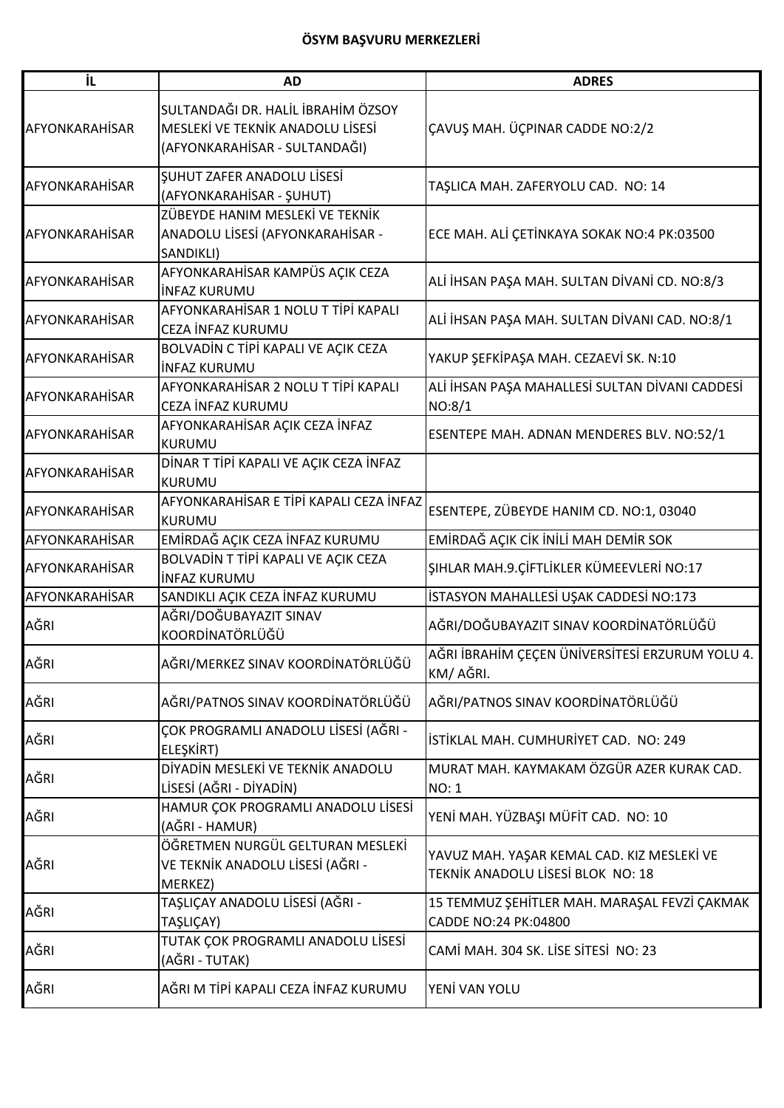| İL                    | <b>AD</b>                                                                                               | <b>ADRES</b>                                                                    |
|-----------------------|---------------------------------------------------------------------------------------------------------|---------------------------------------------------------------------------------|
| AFYONKARAHİSAR        | SULTANDAĞI DR. HALİL İBRAHİM ÖZSOY<br>MESLEKİ VE TEKNİK ANADOLU LİSESİ<br>(AFYONKARAHİSAR - SULTANDAĞI) | ÇAVUŞ MAH. ÜÇPINAR CADDE NO:2/2                                                 |
| AFYONKARAHİSAR        | <b>SUHUT ZAFER ANADOLU LISESI</b><br>(AFYONKARAHİSAR - ŞUHUT)                                           | TAŞLICA MAH. ZAFERYOLU CAD. NO: 14                                              |
| AFYONKARAHİSAR        | ZÜBEYDE HANIM MESLEKİ VE TEKNİK<br>ANADOLU LİSESİ (AFYONKARAHİSAR -<br>SANDIKLI)                        | ECE MAH. ALİ ÇETİNKAYA SOKAK NO:4 PK:03500                                      |
| <b>AFYONKARAHİSAR</b> | AFYONKARAHİSAR KAMPÜS AÇIK CEZA<br><b>INFAZ KURUMU</b>                                                  | ALİ İHSAN PAŞA MAH. SULTAN DİVANİ CD. NO:8/3                                    |
| <b>AFYONKARAHİSAR</b> | AFYONKARAHİSAR 1 NOLU T TİPİ KAPALI<br>CEZA İNFAZ KURUMU                                                | ALİ İHSAN PAŞA MAH. SULTAN DİVANI CAD. NO:8/1                                   |
| AFYONKARAHİSAR        | BOLVADİN C TİPİ KAPALI VE AÇIK CEZA<br><b>INFAZ KURUMU</b>                                              | YAKUP ŞEFKİPAŞA MAH. CEZAEVİ SK. N:10                                           |
| AFYONKARAHİSAR        | AFYONKARAHİSAR 2 NOLU T TİPİ KAPALI<br>CEZA İNFAZ KURUMU                                                | ALİ İHSAN PAŞA MAHALLESİ SULTAN DİVANI CADDESİ<br>NO:8/1                        |
| <b>AFYONKARAHİSAR</b> | AFYONKARAHİSAR AÇIK CEZA İNFAZ<br>KURUMU                                                                | ESENTEPE MAH. ADNAN MENDERES BLV. NO:52/1                                       |
| <b>AFYONKARAHİSAR</b> | DİNAR T TİPİ KAPALI VE AÇIK CEZA İNFAZ<br><b>KURUMU</b>                                                 |                                                                                 |
| <b>AFYONKARAHİSAR</b> | AFYONKARAHİSAR E TİPİ KAPALI CEZA İNFAZ<br><b>KURUMU</b>                                                | ESENTEPE, ZÜBEYDE HANIM CD. NO:1, 03040                                         |
| AFYONKARAHİSAR        | EMİRDAĞ AÇIK CEZA İNFAZ KURUMU                                                                          | EMİRDAĞ AÇIK CİK İNİLİ MAH DEMİR SOK                                            |
| <b>AFYONKARAHİSAR</b> | BOLVADİN T TİPİ KAPALI VE AÇIK CEZA<br><b>INFAZ KURUMU</b>                                              | ŞIHLAR MAH.9.ÇİFTLİKLER KÜMEEVLERİ NO:17                                        |
| AFYONKARAHİSAR        | SANDIKLI AÇIK CEZA İNFAZ KURUMU                                                                         | İSTASYON MAHALLESİ UŞAK CADDESİ NO:173                                          |
| AĞRI                  | AĞRI/DOĞUBAYAZIT SINAV<br>KOORDİNATÖRLÜĞÜ                                                               | AĞRI/DOĞUBAYAZIT SINAV KOORDİNATÖRLÜĞÜ                                          |
| AĞRI                  | AĞRI/MERKEZ SINAV KOORDİNATÖRLÜĞÜ                                                                       | AĞRI İBRAHİM ÇEÇEN ÜNİVERSİTESİ ERZURUM YOLU 4.<br>KM/ AĞRI.                    |
| AĞRI                  | AĞRI/PATNOS SINAV KOORDİNATÖRLÜĞÜ                                                                       | AĞRI/PATNOS SINAV KOORDİNATÖRLÜĞÜ                                               |
| AĞRI                  | ÇOK PROGRAMLI ANADOLU LİSESİ (AĞRI -<br>ELEŞKİRT)                                                       | İSTİKLAL MAH. CUMHURİYET CAD. NO: 249                                           |
| AĞRI                  | DİYADİN MESLEKİ VE TEKNİK ANADOLU<br>LİSESİ (AĞRI - DİYADİN)                                            | MURAT MAH. KAYMAKAM ÖZGÜR AZER KURAK CAD.<br>NO: 1                              |
| AĞRI                  | HAMUR ÇOK PROGRAMLI ANADOLU LİSESİ<br>(AĞRI - HAMUR)                                                    | YENİ MAH. YÜZBAŞI MÜFİT CAD. NO: 10                                             |
| AĞRI                  | ÖĞRETMEN NURGÜL GELTURAN MESLEKİ<br>VE TEKNİK ANADOLU LİSESİ (AĞRI -<br>MERKEZ)                         | YAVUZ MAH. YAŞAR KEMAL CAD. KIZ MESLEKİ VE<br>TEKNİK ANADOLU LİSESİ BLOK NO: 18 |
| AĞRI                  | TAŞLIÇAY ANADOLU LİSESİ (AĞRI -<br>TAŞLIÇAY)                                                            | 15 TEMMUZ ŞEHİTLER MAH. MARAŞAL FEVZİ ÇAKMAK<br>CADDE NO:24 PK:04800            |
| AĞRI                  | TUTAK ÇOK PROGRAMLI ANADOLU LİSESİ<br>(AĞRI - TUTAK)                                                    | CAMİ MAH. 304 SK. LİSE SİTESİ NO: 23                                            |
| AĞRI                  | AĞRI M TİPİ KAPALI CEZA İNFAZ KURUMU                                                                    | YENİ VAN YOLU                                                                   |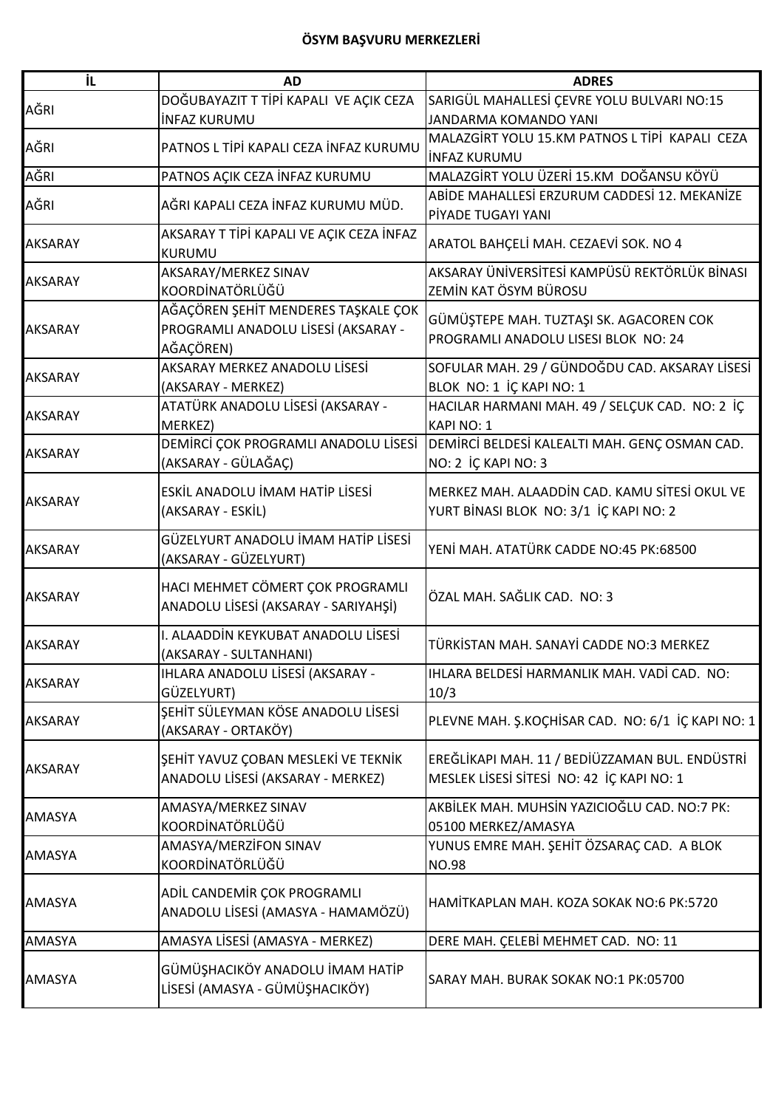| iL.            | <b>AD</b>                                                                               | <b>ADRES</b>                                                                                |
|----------------|-----------------------------------------------------------------------------------------|---------------------------------------------------------------------------------------------|
| AĞRI           | DOĞUBAYAZIT T TİPİ KAPALI VE AÇIK CEZA                                                  | SARIGÜL MAHALLESİ ÇEVRE YOLU BULVARI NO:15                                                  |
|                | <b>INFAZ KURUMU</b>                                                                     | <b>JANDARMA KOMANDO YANI</b>                                                                |
| AĞRI           | PATNOS L TİPİ KAPALI CEZA İNFAZ KURUMU                                                  | MALAZGİRT YOLU 15.KM PATNOS L TİPİ KAPALI CEZA                                              |
|                |                                                                                         | <b>INFAZ KURUMU</b>                                                                         |
| AĞRI           | PATNOS AÇIK CEZA İNFAZ KURUMU                                                           | MALAZGİRT YOLU ÜZERİ 15.KM DOĞANSU KÖYÜ                                                     |
| AĞRI           | AĞRI KAPALI CEZA İNFAZ KURUMU MÜD.                                                      | ABİDE MAHALLESİ ERZURUM CADDESİ 12. MEKANİZE<br>PİYADE TUGAYI YANI                          |
| <b>AKSARAY</b> | AKSARAY T TİPİ KAPALI VE AÇIK CEZA İNFAZ<br>KURUMU                                      | ARATOL BAHÇELİ MAH. CEZAEVİ SOK. NO 4                                                       |
| AKSARAY        | AKSARAY/MERKEZ SINAV<br>KOORDİNATÖRLÜĞÜ                                                 | AKSARAY ÜNİVERSİTESİ KAMPÜSÜ REKTÖRLÜK BİNASI<br>ZEMİN KAT ÖSYM BÜROSU                      |
| <b>AKSARAY</b> | AĞAÇÖREN ŞEHİT MENDERES TAŞKALE ÇOK<br>PROGRAMLI ANADOLU LİSESİ (AKSARAY -<br>AĞAÇÖREN) | GÜMÜŞTEPE MAH. TUZTAŞI SK. AGACOREN COK<br>PROGRAMLI ANADOLU LISESI BLOK NO: 24             |
| <b>AKSARAY</b> | AKSARAY MERKEZ ANADOLU LİSESİ<br>(AKSARAY - MERKEZ)                                     | SOFULAR MAH. 29 / GÜNDOĞDU CAD. AKSARAY LİSESİ<br>BLOK NO: 1 İÇ KAPI NO: 1                  |
| <b>AKSARAY</b> | ATATÜRK ANADOLU LİSESİ (AKSARAY -<br>MERKEZ)                                            | HACILAR HARMANI MAH. 49 / SELÇUK CAD. NO: 2 İÇ<br><b>KAPI NO: 1</b>                         |
| AKSARAY        | DEMİRCİ ÇOK PROGRAMLI ANADOLU LİSESİ<br>(AKSARAY - GÜLAĞAÇ)                             | DEMIRCI BELDESI KALEALTI MAH. GENÇ OSMAN CAD.<br>NO: 2 İÇ KAPI NO: 3                        |
| AKSARAY        | ESKİL ANADOLU İMAM HATİP LİSESİ<br>(AKSARAY - ESKİL)                                    | MERKEZ MAH. ALAADDİN CAD. KAMU SİTESİ OKUL VE<br>YURT BİNASI BLOK NO: 3/1 İÇ KAPI NO: 2     |
| <b>AKSARAY</b> | GÜZELYURT ANADOLU İMAM HATİP LİSESİ<br>(AKSARAY - GÜZELYURT)                            | YENİ MAH. ATATÜRK CADDE NO:45 PK:68500                                                      |
| <b>AKSARAY</b> | HACI MEHMET CÖMERT ÇOK PROGRAMLI<br>ANADOLU LİSESİ (AKSARAY - SARIYAHŞİ)                | ÖZAL MAH. SAĞLIK CAD. NO: 3                                                                 |
| <b>AKSARAY</b> | I. ALAADDİN KEYKUBAT ANADOLU LİSESİ<br>(AKSARAY - SULTANHANI)                           | TÜRKİSTAN MAH. SANAYİ CADDE NO:3 MERKEZ                                                     |
| AKSARAY        | IHLARA ANADOLU LİSESİ (AKSARAY -<br>GÜZELYURT)                                          | IHLARA BELDESİ HARMANLIK MAH. VADİ CAD. NO:<br>10/3                                         |
| <b>AKSARAY</b> | ŞEHİT SÜLEYMAN KÖSE ANADOLU LİSESİ<br>(AKSARAY - ORTAKÖY)                               | PLEVNE MAH. Ş.KOÇHİSAR CAD. NO: 6/1 İÇ KAPI NO: 1                                           |
| <b>AKSARAY</b> | ŞEHİT YAVUZ ÇOBAN MESLEKİ VE TEKNİK<br>ANADOLU LİSESİ (AKSARAY - MERKEZ)                | EREĞLİKAPI MAH. 11 / BEDİÜZZAMAN BUL. ENDÜSTRİ<br>MESLEK LİSESİ SİTESİ NO: 42 İÇ KAPI NO: 1 |
| <b>AMASYA</b>  | AMASYA/MERKEZ SINAV<br>KOORDİNATÖRLÜĞÜ                                                  | AKBİLEK MAH. MUHSİN YAZICIOĞLU CAD. NO:7 PK:<br>05100 MERKEZ/AMASYA                         |
| <b>AMASYA</b>  | AMASYA/MERZİFON SINAV<br>KOORDİNATÖRLÜĞÜ                                                | YUNUS EMRE MAH. ŞEHİT ÖZSARAÇ CAD.  A BLOK<br><b>NO.98</b>                                  |
| <b>AMASYA</b>  | ADİL CANDEMİR ÇOK PROGRAMLI<br>ANADOLU LİSESİ (AMASYA - HAMAMÖZÜ)                       | HAMITKAPLAN MAH. KOZA SOKAK NO:6 PK:5720                                                    |
| <b>AMASYA</b>  | AMASYA LİSESİ (AMASYA - MERKEZ)                                                         | DERE MAH. ÇELEBİ MEHMET CAD. NO: 11                                                         |
| <b>AMASYA</b>  | GÜMÜŞHACIKÖY ANADOLU İMAM HATİP<br>LİSESİ (AMASYA - GÜMÜŞHACIKÖY)                       | SARAY MAH. BURAK SOKAK NO:1 PK:05700                                                        |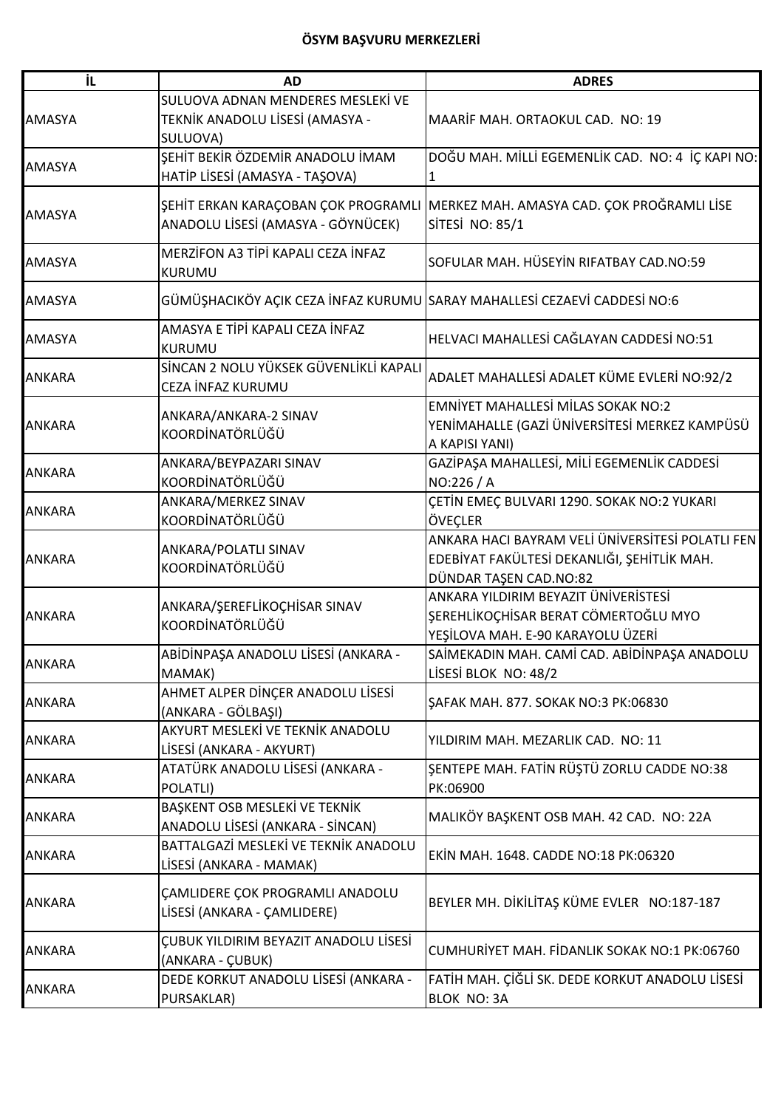| İL            | <b>AD</b>                                                                        | <b>ADRES</b>                                                                                                              |
|---------------|----------------------------------------------------------------------------------|---------------------------------------------------------------------------------------------------------------------------|
| <b>AMASYA</b> | SULUOVA ADNAN MENDERES MESLEKİ VE<br>TEKNİK ANADOLU LİSESİ (AMASYA -<br>SULUOVA) | MAARIF MAH. ORTAOKUL CAD. NO: 19                                                                                          |
| <b>AMASYA</b> | SEHİT BEKİR ÖZDEMİR ANADOLU İMAM<br>HATİP LİSESİ (AMASYA - TAŞOVA)               | DOĞU MAH. MİLLİ EGEMENLİK CAD. NO: 4 İÇ KAPI NO:                                                                          |
| <b>AMASYA</b> | ANADOLU LİSESİ (AMASYA - GÖYNÜCEK)                                               | ŞEHİT ERKAN KARAÇOBAN ÇOK PROGRAMLI MERKEZ MAH. AMASYA CAD. ÇOK PROĞRAMLI LİSE<br>SİTESİ NO: 85/1                         |
| <b>AMASYA</b> | MERZİFON A3 TİPİ KAPALI CEZA İNFAZ<br>KURUMU                                     | SOFULAR MAH. HÜSEYİN RIFATBAY CAD.NO:59                                                                                   |
| <b>AMASYA</b> | GÜMÜŞHACIKÖY AÇIK CEZA İNFAZ KURUMU SARAY MAHALLESİ CEZAEVİ CADDESİ NO:6         |                                                                                                                           |
| <b>AMASYA</b> | AMASYA E TİPİ KAPALI CEZA İNFAZ<br><b>KURUMU</b>                                 | HELVACI MAHALLESİ CAĞLAYAN CADDESİ NO:51                                                                                  |
| <b>ANKARA</b> | SİNCAN 2 NOLU YÜKSEK GÜVENLİKLİ KAPALI<br>CEZA İNFAZ KURUMU                      | ADALET MAHALLESİ ADALET KÜME EVLERİ NO:92/2                                                                               |
| <b>ANKARA</b> | ANKARA/ANKARA-2 SINAV<br>KOORDİNATÖRLÜĞÜ                                         | <b>EMNİYET MAHALLESİ MİLAS SOKAK NO:2</b><br>YENİMAHALLE (GAZİ ÜNİVERSİTESİ MERKEZ KAMPÜSÜ<br>A KAPISI YANI)              |
| <b>ANKARA</b> | ANKARA/BEYPAZARI SINAV<br>KOORDİNATÖRLÜĞÜ                                        | GAZİPAŞA MAHALLESİ, MİLİ EGEMENLİK CADDESİ<br>NO:226 / A                                                                  |
| <b>ANKARA</b> | ANKARA/MERKEZ SINAV<br>KOORDİNATÖRLÜĞÜ                                           | ÇETİN EMEÇ BULVARI 1290. SOKAK NO:2 YUKARI<br>ÖVEÇLER                                                                     |
| <b>ANKARA</b> | ANKARA/POLATLI SINAV<br>KOORDİNATÖRLÜĞÜ                                          | ANKARA HACI BAYRAM VELİ ÜNİVERSİTESİ POLATLI FEN<br>EDEBİYAT FAKÜLTESİ DEKANLIĞI, ŞEHİTLİK MAH.<br>DÜNDAR TAŞEN CAD.NO:82 |
| <b>ANKARA</b> | ANKARA/ŞEREFLİKOÇHİSAR SINAV<br>KOORDİNATÖRLÜĞÜ                                  | ANKARA YILDIRIM BEYAZIT ÜNİVERİSTESİ<br>ŞEREHLİKOÇHİSAR BERAT CÖMERTOĞLU MYO<br>YEŞİLOVA MAH. E-90 KARAYOLU ÜZERİ         |
| ANKARA        | ABİDİNPAŞA ANADOLU LİSESİ (ANKARA -<br>MAMAK)                                    | SAİMEKADIN MAH. CAMİ CAD. ABİDİNPAŞA ANADOLU<br>LİSESİ BLOK NO: 48/2                                                      |
| <b>ANKARA</b> | AHMET ALPER DİNÇER ANADOLU LİSESİ<br>(ANKARA - GÖLBAŞI)                          | <b>ŞAFAK MAH. 877. SOKAK NO:3 PK:06830</b>                                                                                |
| <b>ANKARA</b> | AKYURT MESLEKİ VE TEKNİK ANADOLU<br>LİSESİ (ANKARA - AKYURT)                     | YILDIRIM MAH. MEZARLIK CAD. NO: 11                                                                                        |
| <b>ANKARA</b> | ATATÜRK ANADOLU LİSESİ (ANKARA -<br>POLATLI)                                     | ŞENTEPE MAH. FATİN RÜŞTÜ ZORLU CADDE NO:38<br>PK:06900                                                                    |
| <b>ANKARA</b> | BAŞKENT OSB MESLEKİ VE TEKNİK<br>ANADOLU LİSESİ (ANKARA - SİNCAN)                | MALIKÖY BAŞKENT OSB MAH. 42 CAD. NO: 22A                                                                                  |
| <b>ANKARA</b> | BATTALGAZİ MESLEKİ VE TEKNİK ANADOLU<br>LİSESİ (ANKARA - MAMAK)                  | EKİN MAH. 1648. CADDE NO:18 PK:06320                                                                                      |
| <b>ANKARA</b> | ÇAMLIDERE ÇOK PROGRAMLI ANADOLU<br>LİSESİ (ANKARA - ÇAMLIDERE)                   | BEYLER MH. DİKİLİTAŞ KÜME EVLER NO:187-187                                                                                |
| <b>ANKARA</b> | ÇUBUK YILDIRIM BEYAZIT ANADOLU LİSESİ<br>(ANKARA - ÇUBUK)                        | CUMHURİYET MAH. FİDANLIK SOKAK NO:1 PK:06760                                                                              |
| <b>ANKARA</b> | DEDE KORKUT ANADOLU LİSESİ (ANKARA -<br>PURSAKLAR)                               | FATİH MAH. ÇİĞLİ SK. DEDE KORKUT ANADOLU LİSESİ<br><b>BLOK NO: 3A</b>                                                     |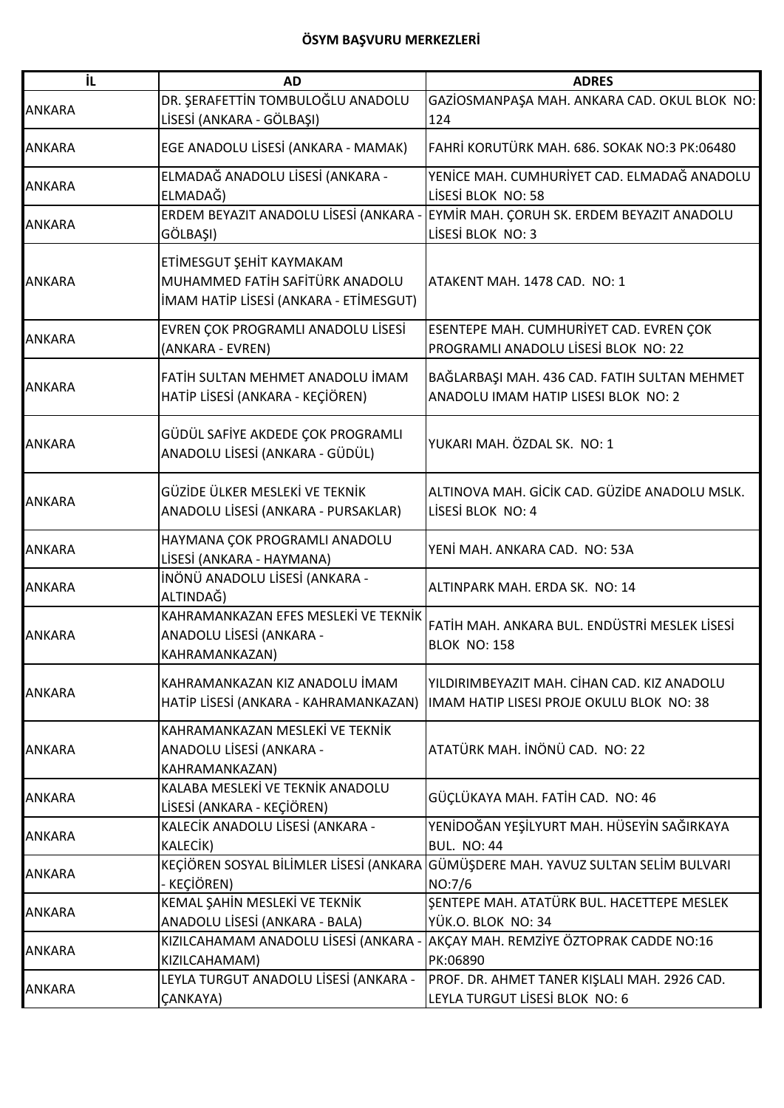| DR. ŞERAFETTİN TOMBULOĞLU ANADOLU<br>GAZİOSMANPAŞA MAH. ANKARA CAD. OKUL BLOK NO:<br>LİSESİ (ANKARA - GÖLBAŞI)<br>124<br>FAHRİ KORUTÜRK MAH. 686. SOKAK NO:3 PK:06480<br>EGE ANADOLU LİSESİ (ANKARA - MAMAK)<br>ELMADAĞ ANADOLU LİSESİ (ANKARA -<br>YENİCE MAH. CUMHURİYET CAD. ELMADAĞ ANADOLU<br><b>ANKARA</b><br>ELMADAĞ)<br>LİSESİ BLOK NO: 58<br>ERDEM BEYAZIT ANADOLU LİSESİ (ANKARA -<br>EYMİR MAH. ÇORUH SK. ERDEM BEYAZIT ANADOLU<br><b>ANKARA</b><br>GÖLBAŞI)<br>LİSESİ BLOK NO: 3<br>ETİMESGUT ŞEHİT KAYMAKAM<br>MUHAMMED FATİH SAFİTÜRK ANADOLU<br><b>ANKARA</b><br>ATAKENT MAH. 1478 CAD. NO: 1<br>İMAM HATİP LİSESİ (ANKARA - ETİMESGUT)<br>EVREN ÇOK PROGRAMLI ANADOLU LİSESİ<br>ESENTEPE MAH. CUMHURİYET CAD. EVREN ÇOK<br><b>ANKARA</b><br>PROGRAMLI ANADOLU LİSESİ BLOK NO: 22<br>(ANKARA - EVREN)<br>FATIH SULTAN MEHMET ANADOLU IMAM<br>BAĞLARBAŞI MAH. 436 CAD. FATIH SULTAN MEHMET<br>HATİP LİSESİ (ANKARA - KEÇİÖREN)<br>ANADOLU IMAM HATIP LISESI BLOK NO: 2<br>GÜDÜL SAFİYE AKDEDE ÇOK PROGRAMLI<br>YUKARI MAH. ÖZDAL SK. NO: 1<br><b>ANKARA</b><br>ANADOLU LİSESİ (ANKARA - GÜDÜL)<br>GÜZİDE ÜLKER MESLEKİ VE TEKNİK<br>ALTINOVA MAH. GİCİK CAD. GÜZİDE ANADOLU MSLK.<br><b>ANKARA</b><br>ANADOLU LİSESİ (ANKARA - PURSAKLAR)<br>LISESI BLOK NO: 4<br>HAYMANA ÇOK PROGRAMLI ANADOLU<br><b>ANKARA</b><br>YENİ MAH. ANKARA CAD.  NO: 53A<br>LİSESİ (ANKARA - HAYMANA)<br>İNÖNÜ ANADOLU LİSESİ (ANKARA -<br><b>ANKARA</b><br>ALTINPARK MAH. ERDA SK. NO: 14<br>ALTINDAĞ)<br>KAHRAMANKAZAN EFES MESLEKİ VE TEKNİK<br>FATİH MAH. ANKARA BUL. ENDÜSTRİ MESLEK LİSESİ<br>ANADOLU LİSESİ (ANKARA -<br><b>ANKARA</b><br><b>BLOK NO: 158</b><br>KAHRAMANKAZAN)<br>YILDIRIMBEYAZIT MAH. CİHAN CAD. KIZ ANADOLU<br>KAHRAMANKAZAN KIZ ANADOLU İMAM<br><b>ANKARA</b><br>HATİP LİSESİ (ANKARA - KAHRAMANKAZAN)<br>IMAM HATIP LISESI PROJE OKULU BLOK NO: 38<br>KAHRAMANKAZAN MESLEKİ VE TEKNİK<br>ATATÜRK MAH, İNÖNÜ CAD. NO: 22<br>ANADOLU LİSESİ (ANKARA -<br><b>ANKARA</b><br>KAHRAMANKAZAN)<br>KALABA MESLEKİ VE TEKNİK ANADOLU<br>GÜÇLÜKAYA MAH. FATİH CAD. NO: 46<br>LİSESİ (ANKARA - KEÇİÖREN)<br>KALECİK ANADOLU LİSESİ (ANKARA -<br>YENİDOĞAN YEŞİLYURT MAH. HÜSEYİN SAĞIRKAYA<br>KALECIK)<br><b>BUL. NO: 44</b><br>KEÇİÖREN SOSYAL BİLİMLER LİSESİ (ANKARA GÜMÜŞDERE MAH. YAVUZ SULTAN SELİM BULVARI<br>- KEÇİÖREN)<br>NO:7/6<br>KEMAL ŞAHİN MESLEKİ VE TEKNİK<br>ŞENTEPE MAH. ATATÜRK BUL. HACETTEPE MESLEK<br><b>ANKARA</b><br>ANADOLU LİSESİ (ANKARA - BALA)<br>YÜK.O. BLOK NO: 34<br>KIZILCAHAMAM ANADOLU LİSESİ (ANKARA<br>AKÇAY MAH. REMZİYE ÖZTOPRAK CADDE NO:16<br>KIZILCAHAMAM)<br>PK:06890<br>LEYLA TURGUT ANADOLU LİSESİ (ANKARA -<br>PROF. DR. AHMET TANER KIŞLALI MAH. 2926 CAD. | İL            | <b>AD</b> | <b>ADRES</b>                   |
|--------------------------------------------------------------------------------------------------------------------------------------------------------------------------------------------------------------------------------------------------------------------------------------------------------------------------------------------------------------------------------------------------------------------------------------------------------------------------------------------------------------------------------------------------------------------------------------------------------------------------------------------------------------------------------------------------------------------------------------------------------------------------------------------------------------------------------------------------------------------------------------------------------------------------------------------------------------------------------------------------------------------------------------------------------------------------------------------------------------------------------------------------------------------------------------------------------------------------------------------------------------------------------------------------------------------------------------------------------------------------------------------------------------------------------------------------------------------------------------------------------------------------------------------------------------------------------------------------------------------------------------------------------------------------------------------------------------------------------------------------------------------------------------------------------------------------------------------------------------------------------------------------------------------------------------------------------------------------------------------------------------------------------------------------------------------------------------------------------------------------------------------------------------------------------------------------------------------------------------------------------------------------------------------------------------------------------------------------------------------------------------------------------------------------------------------------------------------------------------------------------------------------------------------------------------------------------------------------------------------------------------------------------------------------------------------------------------------|---------------|-----------|--------------------------------|
|                                                                                                                                                                                                                                                                                                                                                                                                                                                                                                                                                                                                                                                                                                                                                                                                                                                                                                                                                                                                                                                                                                                                                                                                                                                                                                                                                                                                                                                                                                                                                                                                                                                                                                                                                                                                                                                                                                                                                                                                                                                                                                                                                                                                                                                                                                                                                                                                                                                                                                                                                                                                                                                                                                                    | <b>ANKARA</b> |           |                                |
|                                                                                                                                                                                                                                                                                                                                                                                                                                                                                                                                                                                                                                                                                                                                                                                                                                                                                                                                                                                                                                                                                                                                                                                                                                                                                                                                                                                                                                                                                                                                                                                                                                                                                                                                                                                                                                                                                                                                                                                                                                                                                                                                                                                                                                                                                                                                                                                                                                                                                                                                                                                                                                                                                                                    |               |           |                                |
|                                                                                                                                                                                                                                                                                                                                                                                                                                                                                                                                                                                                                                                                                                                                                                                                                                                                                                                                                                                                                                                                                                                                                                                                                                                                                                                                                                                                                                                                                                                                                                                                                                                                                                                                                                                                                                                                                                                                                                                                                                                                                                                                                                                                                                                                                                                                                                                                                                                                                                                                                                                                                                                                                                                    | <b>ANKARA</b> |           |                                |
|                                                                                                                                                                                                                                                                                                                                                                                                                                                                                                                                                                                                                                                                                                                                                                                                                                                                                                                                                                                                                                                                                                                                                                                                                                                                                                                                                                                                                                                                                                                                                                                                                                                                                                                                                                                                                                                                                                                                                                                                                                                                                                                                                                                                                                                                                                                                                                                                                                                                                                                                                                                                                                                                                                                    |               |           |                                |
|                                                                                                                                                                                                                                                                                                                                                                                                                                                                                                                                                                                                                                                                                                                                                                                                                                                                                                                                                                                                                                                                                                                                                                                                                                                                                                                                                                                                                                                                                                                                                                                                                                                                                                                                                                                                                                                                                                                                                                                                                                                                                                                                                                                                                                                                                                                                                                                                                                                                                                                                                                                                                                                                                                                    |               |           |                                |
|                                                                                                                                                                                                                                                                                                                                                                                                                                                                                                                                                                                                                                                                                                                                                                                                                                                                                                                                                                                                                                                                                                                                                                                                                                                                                                                                                                                                                                                                                                                                                                                                                                                                                                                                                                                                                                                                                                                                                                                                                                                                                                                                                                                                                                                                                                                                                                                                                                                                                                                                                                                                                                                                                                                    |               |           |                                |
|                                                                                                                                                                                                                                                                                                                                                                                                                                                                                                                                                                                                                                                                                                                                                                                                                                                                                                                                                                                                                                                                                                                                                                                                                                                                                                                                                                                                                                                                                                                                                                                                                                                                                                                                                                                                                                                                                                                                                                                                                                                                                                                                                                                                                                                                                                                                                                                                                                                                                                                                                                                                                                                                                                                    |               |           |                                |
|                                                                                                                                                                                                                                                                                                                                                                                                                                                                                                                                                                                                                                                                                                                                                                                                                                                                                                                                                                                                                                                                                                                                                                                                                                                                                                                                                                                                                                                                                                                                                                                                                                                                                                                                                                                                                                                                                                                                                                                                                                                                                                                                                                                                                                                                                                                                                                                                                                                                                                                                                                                                                                                                                                                    |               |           |                                |
|                                                                                                                                                                                                                                                                                                                                                                                                                                                                                                                                                                                                                                                                                                                                                                                                                                                                                                                                                                                                                                                                                                                                                                                                                                                                                                                                                                                                                                                                                                                                                                                                                                                                                                                                                                                                                                                                                                                                                                                                                                                                                                                                                                                                                                                                                                                                                                                                                                                                                                                                                                                                                                                                                                                    |               |           |                                |
|                                                                                                                                                                                                                                                                                                                                                                                                                                                                                                                                                                                                                                                                                                                                                                                                                                                                                                                                                                                                                                                                                                                                                                                                                                                                                                                                                                                                                                                                                                                                                                                                                                                                                                                                                                                                                                                                                                                                                                                                                                                                                                                                                                                                                                                                                                                                                                                                                                                                                                                                                                                                                                                                                                                    |               |           |                                |
|                                                                                                                                                                                                                                                                                                                                                                                                                                                                                                                                                                                                                                                                                                                                                                                                                                                                                                                                                                                                                                                                                                                                                                                                                                                                                                                                                                                                                                                                                                                                                                                                                                                                                                                                                                                                                                                                                                                                                                                                                                                                                                                                                                                                                                                                                                                                                                                                                                                                                                                                                                                                                                                                                                                    |               |           |                                |
|                                                                                                                                                                                                                                                                                                                                                                                                                                                                                                                                                                                                                                                                                                                                                                                                                                                                                                                                                                                                                                                                                                                                                                                                                                                                                                                                                                                                                                                                                                                                                                                                                                                                                                                                                                                                                                                                                                                                                                                                                                                                                                                                                                                                                                                                                                                                                                                                                                                                                                                                                                                                                                                                                                                    |               |           |                                |
|                                                                                                                                                                                                                                                                                                                                                                                                                                                                                                                                                                                                                                                                                                                                                                                                                                                                                                                                                                                                                                                                                                                                                                                                                                                                                                                                                                                                                                                                                                                                                                                                                                                                                                                                                                                                                                                                                                                                                                                                                                                                                                                                                                                                                                                                                                                                                                                                                                                                                                                                                                                                                                                                                                                    |               |           |                                |
|                                                                                                                                                                                                                                                                                                                                                                                                                                                                                                                                                                                                                                                                                                                                                                                                                                                                                                                                                                                                                                                                                                                                                                                                                                                                                                                                                                                                                                                                                                                                                                                                                                                                                                                                                                                                                                                                                                                                                                                                                                                                                                                                                                                                                                                                                                                                                                                                                                                                                                                                                                                                                                                                                                                    |               |           |                                |
|                                                                                                                                                                                                                                                                                                                                                                                                                                                                                                                                                                                                                                                                                                                                                                                                                                                                                                                                                                                                                                                                                                                                                                                                                                                                                                                                                                                                                                                                                                                                                                                                                                                                                                                                                                                                                                                                                                                                                                                                                                                                                                                                                                                                                                                                                                                                                                                                                                                                                                                                                                                                                                                                                                                    | <b>ANKARA</b> |           |                                |
|                                                                                                                                                                                                                                                                                                                                                                                                                                                                                                                                                                                                                                                                                                                                                                                                                                                                                                                                                                                                                                                                                                                                                                                                                                                                                                                                                                                                                                                                                                                                                                                                                                                                                                                                                                                                                                                                                                                                                                                                                                                                                                                                                                                                                                                                                                                                                                                                                                                                                                                                                                                                                                                                                                                    |               |           |                                |
|                                                                                                                                                                                                                                                                                                                                                                                                                                                                                                                                                                                                                                                                                                                                                                                                                                                                                                                                                                                                                                                                                                                                                                                                                                                                                                                                                                                                                                                                                                                                                                                                                                                                                                                                                                                                                                                                                                                                                                                                                                                                                                                                                                                                                                                                                                                                                                                                                                                                                                                                                                                                                                                                                                                    |               |           |                                |
|                                                                                                                                                                                                                                                                                                                                                                                                                                                                                                                                                                                                                                                                                                                                                                                                                                                                                                                                                                                                                                                                                                                                                                                                                                                                                                                                                                                                                                                                                                                                                                                                                                                                                                                                                                                                                                                                                                                                                                                                                                                                                                                                                                                                                                                                                                                                                                                                                                                                                                                                                                                                                                                                                                                    |               |           |                                |
|                                                                                                                                                                                                                                                                                                                                                                                                                                                                                                                                                                                                                                                                                                                                                                                                                                                                                                                                                                                                                                                                                                                                                                                                                                                                                                                                                                                                                                                                                                                                                                                                                                                                                                                                                                                                                                                                                                                                                                                                                                                                                                                                                                                                                                                                                                                                                                                                                                                                                                                                                                                                                                                                                                                    |               |           |                                |
|                                                                                                                                                                                                                                                                                                                                                                                                                                                                                                                                                                                                                                                                                                                                                                                                                                                                                                                                                                                                                                                                                                                                                                                                                                                                                                                                                                                                                                                                                                                                                                                                                                                                                                                                                                                                                                                                                                                                                                                                                                                                                                                                                                                                                                                                                                                                                                                                                                                                                                                                                                                                                                                                                                                    |               |           |                                |
|                                                                                                                                                                                                                                                                                                                                                                                                                                                                                                                                                                                                                                                                                                                                                                                                                                                                                                                                                                                                                                                                                                                                                                                                                                                                                                                                                                                                                                                                                                                                                                                                                                                                                                                                                                                                                                                                                                                                                                                                                                                                                                                                                                                                                                                                                                                                                                                                                                                                                                                                                                                                                                                                                                                    |               |           |                                |
|                                                                                                                                                                                                                                                                                                                                                                                                                                                                                                                                                                                                                                                                                                                                                                                                                                                                                                                                                                                                                                                                                                                                                                                                                                                                                                                                                                                                                                                                                                                                                                                                                                                                                                                                                                                                                                                                                                                                                                                                                                                                                                                                                                                                                                                                                                                                                                                                                                                                                                                                                                                                                                                                                                                    |               |           |                                |
|                                                                                                                                                                                                                                                                                                                                                                                                                                                                                                                                                                                                                                                                                                                                                                                                                                                                                                                                                                                                                                                                                                                                                                                                                                                                                                                                                                                                                                                                                                                                                                                                                                                                                                                                                                                                                                                                                                                                                                                                                                                                                                                                                                                                                                                                                                                                                                                                                                                                                                                                                                                                                                                                                                                    |               |           |                                |
|                                                                                                                                                                                                                                                                                                                                                                                                                                                                                                                                                                                                                                                                                                                                                                                                                                                                                                                                                                                                                                                                                                                                                                                                                                                                                                                                                                                                                                                                                                                                                                                                                                                                                                                                                                                                                                                                                                                                                                                                                                                                                                                                                                                                                                                                                                                                                                                                                                                                                                                                                                                                                                                                                                                    |               |           |                                |
|                                                                                                                                                                                                                                                                                                                                                                                                                                                                                                                                                                                                                                                                                                                                                                                                                                                                                                                                                                                                                                                                                                                                                                                                                                                                                                                                                                                                                                                                                                                                                                                                                                                                                                                                                                                                                                                                                                                                                                                                                                                                                                                                                                                                                                                                                                                                                                                                                                                                                                                                                                                                                                                                                                                    |               |           |                                |
|                                                                                                                                                                                                                                                                                                                                                                                                                                                                                                                                                                                                                                                                                                                                                                                                                                                                                                                                                                                                                                                                                                                                                                                                                                                                                                                                                                                                                                                                                                                                                                                                                                                                                                                                                                                                                                                                                                                                                                                                                                                                                                                                                                                                                                                                                                                                                                                                                                                                                                                                                                                                                                                                                                                    |               |           |                                |
|                                                                                                                                                                                                                                                                                                                                                                                                                                                                                                                                                                                                                                                                                                                                                                                                                                                                                                                                                                                                                                                                                                                                                                                                                                                                                                                                                                                                                                                                                                                                                                                                                                                                                                                                                                                                                                                                                                                                                                                                                                                                                                                                                                                                                                                                                                                                                                                                                                                                                                                                                                                                                                                                                                                    |               |           |                                |
|                                                                                                                                                                                                                                                                                                                                                                                                                                                                                                                                                                                                                                                                                                                                                                                                                                                                                                                                                                                                                                                                                                                                                                                                                                                                                                                                                                                                                                                                                                                                                                                                                                                                                                                                                                                                                                                                                                                                                                                                                                                                                                                                                                                                                                                                                                                                                                                                                                                                                                                                                                                                                                                                                                                    |               |           |                                |
|                                                                                                                                                                                                                                                                                                                                                                                                                                                                                                                                                                                                                                                                                                                                                                                                                                                                                                                                                                                                                                                                                                                                                                                                                                                                                                                                                                                                                                                                                                                                                                                                                                                                                                                                                                                                                                                                                                                                                                                                                                                                                                                                                                                                                                                                                                                                                                                                                                                                                                                                                                                                                                                                                                                    |               |           |                                |
|                                                                                                                                                                                                                                                                                                                                                                                                                                                                                                                                                                                                                                                                                                                                                                                                                                                                                                                                                                                                                                                                                                                                                                                                                                                                                                                                                                                                                                                                                                                                                                                                                                                                                                                                                                                                                                                                                                                                                                                                                                                                                                                                                                                                                                                                                                                                                                                                                                                                                                                                                                                                                                                                                                                    |               |           |                                |
|                                                                                                                                                                                                                                                                                                                                                                                                                                                                                                                                                                                                                                                                                                                                                                                                                                                                                                                                                                                                                                                                                                                                                                                                                                                                                                                                                                                                                                                                                                                                                                                                                                                                                                                                                                                                                                                                                                                                                                                                                                                                                                                                                                                                                                                                                                                                                                                                                                                                                                                                                                                                                                                                                                                    |               |           |                                |
|                                                                                                                                                                                                                                                                                                                                                                                                                                                                                                                                                                                                                                                                                                                                                                                                                                                                                                                                                                                                                                                                                                                                                                                                                                                                                                                                                                                                                                                                                                                                                                                                                                                                                                                                                                                                                                                                                                                                                                                                                                                                                                                                                                                                                                                                                                                                                                                                                                                                                                                                                                                                                                                                                                                    |               |           |                                |
|                                                                                                                                                                                                                                                                                                                                                                                                                                                                                                                                                                                                                                                                                                                                                                                                                                                                                                                                                                                                                                                                                                                                                                                                                                                                                                                                                                                                                                                                                                                                                                                                                                                                                                                                                                                                                                                                                                                                                                                                                                                                                                                                                                                                                                                                                                                                                                                                                                                                                                                                                                                                                                                                                                                    |               |           |                                |
|                                                                                                                                                                                                                                                                                                                                                                                                                                                                                                                                                                                                                                                                                                                                                                                                                                                                                                                                                                                                                                                                                                                                                                                                                                                                                                                                                                                                                                                                                                                                                                                                                                                                                                                                                                                                                                                                                                                                                                                                                                                                                                                                                                                                                                                                                                                                                                                                                                                                                                                                                                                                                                                                                                                    |               |           |                                |
|                                                                                                                                                                                                                                                                                                                                                                                                                                                                                                                                                                                                                                                                                                                                                                                                                                                                                                                                                                                                                                                                                                                                                                                                                                                                                                                                                                                                                                                                                                                                                                                                                                                                                                                                                                                                                                                                                                                                                                                                                                                                                                                                                                                                                                                                                                                                                                                                                                                                                                                                                                                                                                                                                                                    |               |           |                                |
|                                                                                                                                                                                                                                                                                                                                                                                                                                                                                                                                                                                                                                                                                                                                                                                                                                                                                                                                                                                                                                                                                                                                                                                                                                                                                                                                                                                                                                                                                                                                                                                                                                                                                                                                                                                                                                                                                                                                                                                                                                                                                                                                                                                                                                                                                                                                                                                                                                                                                                                                                                                                                                                                                                                    | <b>ANKARA</b> |           |                                |
|                                                                                                                                                                                                                                                                                                                                                                                                                                                                                                                                                                                                                                                                                                                                                                                                                                                                                                                                                                                                                                                                                                                                                                                                                                                                                                                                                                                                                                                                                                                                                                                                                                                                                                                                                                                                                                                                                                                                                                                                                                                                                                                                                                                                                                                                                                                                                                                                                                                                                                                                                                                                                                                                                                                    |               |           |                                |
|                                                                                                                                                                                                                                                                                                                                                                                                                                                                                                                                                                                                                                                                                                                                                                                                                                                                                                                                                                                                                                                                                                                                                                                                                                                                                                                                                                                                                                                                                                                                                                                                                                                                                                                                                                                                                                                                                                                                                                                                                                                                                                                                                                                                                                                                                                                                                                                                                                                                                                                                                                                                                                                                                                                    | <b>ANKARA</b> |           |                                |
|                                                                                                                                                                                                                                                                                                                                                                                                                                                                                                                                                                                                                                                                                                                                                                                                                                                                                                                                                                                                                                                                                                                                                                                                                                                                                                                                                                                                                                                                                                                                                                                                                                                                                                                                                                                                                                                                                                                                                                                                                                                                                                                                                                                                                                                                                                                                                                                                                                                                                                                                                                                                                                                                                                                    |               |           |                                |
|                                                                                                                                                                                                                                                                                                                                                                                                                                                                                                                                                                                                                                                                                                                                                                                                                                                                                                                                                                                                                                                                                                                                                                                                                                                                                                                                                                                                                                                                                                                                                                                                                                                                                                                                                                                                                                                                                                                                                                                                                                                                                                                                                                                                                                                                                                                                                                                                                                                                                                                                                                                                                                                                                                                    | <b>ANKARA</b> |           |                                |
|                                                                                                                                                                                                                                                                                                                                                                                                                                                                                                                                                                                                                                                                                                                                                                                                                                                                                                                                                                                                                                                                                                                                                                                                                                                                                                                                                                                                                                                                                                                                                                                                                                                                                                                                                                                                                                                                                                                                                                                                                                                                                                                                                                                                                                                                                                                                                                                                                                                                                                                                                                                                                                                                                                                    |               |           |                                |
|                                                                                                                                                                                                                                                                                                                                                                                                                                                                                                                                                                                                                                                                                                                                                                                                                                                                                                                                                                                                                                                                                                                                                                                                                                                                                                                                                                                                                                                                                                                                                                                                                                                                                                                                                                                                                                                                                                                                                                                                                                                                                                                                                                                                                                                                                                                                                                                                                                                                                                                                                                                                                                                                                                                    |               |           |                                |
|                                                                                                                                                                                                                                                                                                                                                                                                                                                                                                                                                                                                                                                                                                                                                                                                                                                                                                                                                                                                                                                                                                                                                                                                                                                                                                                                                                                                                                                                                                                                                                                                                                                                                                                                                                                                                                                                                                                                                                                                                                                                                                                                                                                                                                                                                                                                                                                                                                                                                                                                                                                                                                                                                                                    |               |           |                                |
|                                                                                                                                                                                                                                                                                                                                                                                                                                                                                                                                                                                                                                                                                                                                                                                                                                                                                                                                                                                                                                                                                                                                                                                                                                                                                                                                                                                                                                                                                                                                                                                                                                                                                                                                                                                                                                                                                                                                                                                                                                                                                                                                                                                                                                                                                                                                                                                                                                                                                                                                                                                                                                                                                                                    | <b>ANKARA</b> |           |                                |
|                                                                                                                                                                                                                                                                                                                                                                                                                                                                                                                                                                                                                                                                                                                                                                                                                                                                                                                                                                                                                                                                                                                                                                                                                                                                                                                                                                                                                                                                                                                                                                                                                                                                                                                                                                                                                                                                                                                                                                                                                                                                                                                                                                                                                                                                                                                                                                                                                                                                                                                                                                                                                                                                                                                    | <b>ANKARA</b> |           |                                |
|                                                                                                                                                                                                                                                                                                                                                                                                                                                                                                                                                                                                                                                                                                                                                                                                                                                                                                                                                                                                                                                                                                                                                                                                                                                                                                                                                                                                                                                                                                                                                                                                                                                                                                                                                                                                                                                                                                                                                                                                                                                                                                                                                                                                                                                                                                                                                                                                                                                                                                                                                                                                                                                                                                                    |               | ÇANKAYA)  | LEYLA TURGUT LİSESİ BLOK NO: 6 |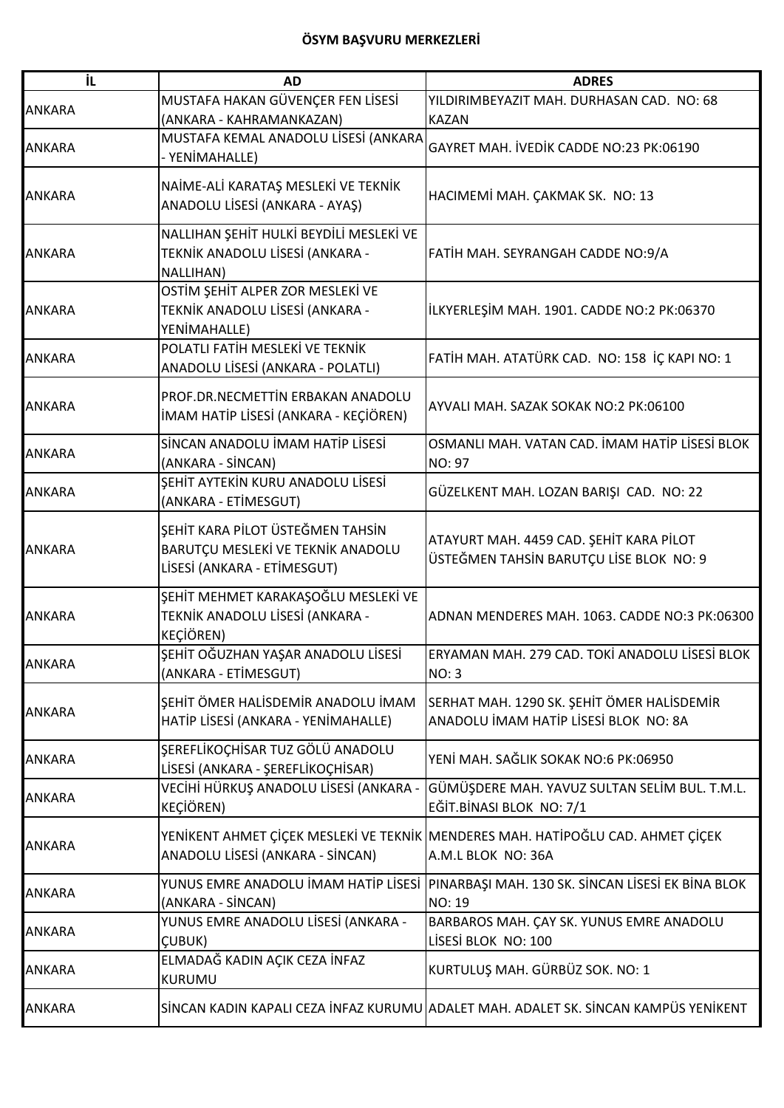| İL.           | <b>AD</b>                                                                                            | <b>ADRES</b>                                                                                           |
|---------------|------------------------------------------------------------------------------------------------------|--------------------------------------------------------------------------------------------------------|
|               | MUSTAFA HAKAN GÜVENÇER FEN LİSESİ                                                                    | YILDIRIMBEYAZIT MAH. DURHASAN CAD. NO: 68                                                              |
| <b>ANKARA</b> | (ANKARA - KAHRAMANKAZAN)                                                                             | <b>KAZAN</b>                                                                                           |
| <b>ANKARA</b> | MUSTAFA KEMAL ANADOLU LİSESİ (ANKARA<br>- YENİMAHALLE)                                               | GAYRET MAH. İVEDİK CADDE NO:23 PK:06190                                                                |
| <b>ANKARA</b> | NAİME-ALİ KARATAŞ MESLEKİ VE TEKNİK<br>ANADOLU LİSESİ (ANKARA - AYAŞ)                                | HACIMEMI MAH. ÇAKMAK SK. NO: 13                                                                        |
| <b>ANKARA</b> | NALLIHAN ŞEHİT HULKİ BEYDİLİ MESLEKİ VE<br>TEKNİK ANADOLU LİSESİ (ANKARA -<br>NALLIHAN)              | FATIH MAH. SEYRANGAH CADDE NO:9/A                                                                      |
| <b>ANKARA</b> | OSTİM ŞEHİT ALPER ZOR MESLEKİ VE<br>TEKNİK ANADOLU LİSESİ (ANKARA -<br>YENİMAHALLE)                  | ILKYERLEŞİM MAH. 1901. CADDE NO:2 PK:06370                                                             |
| <b>ANKARA</b> | POLATLI FATİH MESLEKİ VE TEKNİK<br>ANADOLU LİSESİ (ANKARA - POLATLI)                                 | FATİH MAH. ATATÜRK CAD. NO: 158 İÇ KAPI NO: 1                                                          |
| <b>ANKARA</b> | PROF.DR.NECMETTIN ERBAKAN ANADOLU<br>İMAM HATİP LİSESİ (ANKARA - KEÇİÖREN)                           | AYVALI MAH. SAZAK SOKAK NO:2 PK:06100                                                                  |
| <b>ANKARA</b> | SİNCAN ANADOLU İMAM HATİP LİSESİ<br>(ANKARA - SİNCAN)                                                | OSMANLI MAH. VATAN CAD. İMAM HATİP LİSESİ BLOK<br><b>NO: 97</b>                                        |
| <b>ANKARA</b> | SEHİT AYTEKİN KURU ANADOLU LİSESİ<br>(ANKARA - ETİMESGUT)                                            | GÜZELKENT MAH. LOZAN BARIŞI CAD. NO: 22                                                                |
| <b>ANKARA</b> | ŞEHİT KARA PİLOT ÜSTEĞMEN TAHSİN<br>BARUTÇU MESLEKİ VE TEKNİK ANADOLU<br>LİSESİ (ANKARA - ETİMESGUT) | ATAYURT MAH. 4459 CAD. ŞEHİT KARA PİLOT<br>ÜSTEĞMEN TAHSİN BARUTÇU LİSE BLOK NO: 9                     |
| <b>ANKARA</b> | ŞEHİT MEHMET KARAKAŞOĞLU MESLEKİ VE<br>TEKNİK ANADOLU LİSESİ (ANKARA -<br><b>KEÇİÖREN)</b>           | ADNAN MENDERES MAH. 1063. CADDE NO:3 PK:06300                                                          |
| <b>ANKARA</b> | ŞEHİT OĞUZHAN YAŞAR ANADOLU LİSESİ<br>(ANKARA - ETİMESGUT)                                           | ERYAMAN MAH. 279 CAD. TOKİ ANADOLU LİSESİ BLOK<br><b>NO: 3</b>                                         |
| <b>ANKARA</b> | SEHİT ÖMER HALİSDEMİR ANADOLU İMAM<br>HATİP LİSESİ (ANKARA - YENİMAHALLE)                            | SERHAT MAH. 1290 SK. ŞEHİT ÖMER HALİSDEMİR<br>ANADOLU İMAM HATİP LİSESİ BLOK NO: 8A                    |
| <b>ANKARA</b> | SEREFLİKOÇHİSAR TUZ GÖLÜ ANADOLU<br>LİSESİ (ANKARA - ŞEREFLİKOÇHİSAR)                                | YENİ MAH. SAĞLIK SOKAK NO:6 PK:06950                                                                   |
| <b>ANKARA</b> | VECİHİ HÜRKUŞ ANADOLU LİSESİ (ANKARA -<br><b>KEÇİÖREN)</b>                                           | GÜMÜŞDERE MAH. YAVUZ SULTAN SELİM BUL. T.M.L.<br>EĞİT.BİNASI BLOK NO: 7/1                              |
| <b>ANKARA</b> | ANADOLU LİSESİ (ANKARA - SİNCAN)                                                                     | YENİKENT AHMET ÇİÇEK MESLEKİ VE TEKNİK MEENDERES MAH. HATİPOĞLU CAD. AHMET ÇİÇEK<br>A.M.L BLOK NO: 36A |
| <b>ANKARA</b> | YUNUS EMRE ANADOLU İMAM HATİP LİSESİ<br>(ANKARA - SİNCAN)                                            | PINARBAŞI MAH. 130 SK. SİNCAN LİSESİ EK BİNA BLOK<br>NO: 19                                            |
| <b>ANKARA</b> | YUNUS EMRE ANADOLU LİSESİ (ANKARA -<br>ÇUBUK)                                                        | BARBAROS MAH. ÇAY SK. YUNUS EMRE ANADOLU<br>LİSESİ BLOK NO: 100                                        |
| <b>ANKARA</b> | ELMADAĞ KADIN AÇIK CEZA İNFAZ<br><b>KURUMU</b>                                                       | KURTULUŞ MAH. GÜRBÜZ SOK. NO: 1                                                                        |
| <b>ANKARA</b> |                                                                                                      | SİNCAN KADIN KAPALI CEZA İNFAZ KURUMU ADALET MAH. ADALET SK. SİNCAN KAMPÜS YENİKENT                    |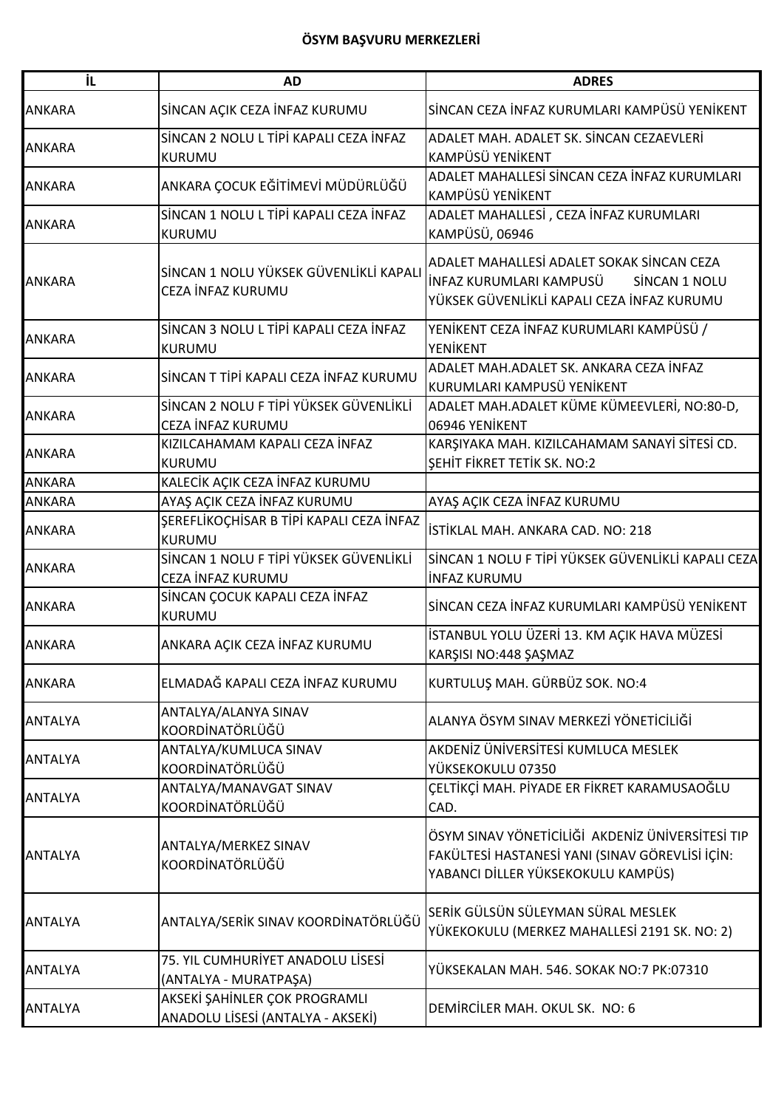| İL.            | <b>AD</b>                                                          | <b>ADRES</b>                                                                                                                              |
|----------------|--------------------------------------------------------------------|-------------------------------------------------------------------------------------------------------------------------------------------|
| <b>ANKARA</b>  | SİNCAN AÇIK CEZA İNFAZ KURUMU                                      | SİNCAN CEZA İNFAZ KURUMLARI KAMPÜSÜ YENİKENT                                                                                              |
| <b>ANKARA</b>  | SİNCAN 2 NOLU L TİPİ KAPALI CEZA İNFAZ<br>KURUMU                   | ADALET MAH. ADALET SK. SİNCAN CEZAEVLERİ<br>KAMPÜSÜ YENİKENT                                                                              |
| <b>ANKARA</b>  | ANKARA ÇOCUK EĞİTİMEVİ MÜDÜRLÜĞÜ                                   | ADALET MAHALLESİ SİNCAN CEZA İNFAZ KURUMLARI<br>KAMPÜSÜ YENİKENT                                                                          |
| <b>ANKARA</b>  | SİNCAN 1 NOLU L TİPİ KAPALI CEZA İNFAZ<br>KURUMU                   | ADALET MAHALLESİ , CEZA İNFAZ KURUMLARI<br>KAMPÜSÜ, 06946                                                                                 |
| <b>ANKARA</b>  | SİNCAN 1 NOLU YÜKSEK GÜVENLİKLİ KAPALI<br>CEZA İNFAZ KURUMU        | ADALET MAHALLESİ ADALET SOKAK SİNCAN CEZA<br>İNFAZ KURUMLARI KAMPUSÜ<br>SİNCAN 1 NOLU<br>YÜKSEK GÜVENLİKLİ KAPALI CEZA İNFAZ KURUMU       |
| <b>ANKARA</b>  | SİNCAN 3 NOLU L TİPİ KAPALI CEZA İNFAZ<br><b>KURUMU</b>            | YENİKENT CEZA İNFAZ KURUMLARI KAMPÜSÜ /<br>YENİKENT                                                                                       |
| <b>ANKARA</b>  | SİNCAN T TİPİ KAPALI CEZA İNFAZ KURUMU                             | ADALET MAH.ADALET SK. ANKARA CEZA İNFAZ<br>KURUMLARI KAMPUSÜ YENİKENT                                                                     |
| <b>ANKARA</b>  | SİNCAN 2 NOLU F TİPİ YÜKSEK GÜVENLİKLİ<br>CEZA İNFAZ KURUMU        | ADALET MAH.ADALET KÜME KÜMEEVLERİ, NO:80-D,<br>06946 YENİKENT                                                                             |
| <b>ANKARA</b>  | KIZILCAHAMAM KAPALI CEZA İNFAZ<br><b>KURUMU</b>                    | KARŞIYAKA MAH. KIZILCAHAMAM SANAYİ SİTESİ CD.<br><b>ŞEHİT FİKRET TETİK SK. NO:2</b>                                                       |
| ANKARA         | KALECİK AÇIK CEZA İNFAZ KURUMU                                     |                                                                                                                                           |
| <b>ANKARA</b>  | AYAŞ AÇIK CEZA İNFAZ KURUMU                                        | AYAŞ AÇIK CEZA İNFAZ KURUMU                                                                                                               |
| <b>ANKARA</b>  | ŞEREFLİKOÇHİSAR B TİPİ KAPALI CEZA İNFAZ<br><b>KURUMU</b>          | İSTİKLAL MAH. ANKARA CAD. NO: 218                                                                                                         |
| <b>ANKARA</b>  | SİNCAN 1 NOLU F TİPİ YÜKSEK GÜVENLİKLİ<br>CEZA İNFAZ KURUMU        | SİNCAN 1 NOLU F TİPİ YÜKSEK GÜVENLİKLİ KAPALI CEZA<br>İNFAZ KURUMU                                                                        |
| <b>ANKARA</b>  | SİNCAN ÇOCUK KAPALI CEZA İNFAZ<br>KURUMU                           | SİNCAN CEZA İNFAZ KURUMLARI KAMPÜSÜ YENİKENT                                                                                              |
| <b>ANKARA</b>  | ANKARA AÇIK CEZA İNFAZ KURUMU                                      | İSTANBUL YOLU ÜZERİ 13. KM AÇIK HAVA MÜZESİ<br>KARŞISI NO:448 ŞAŞMAZ                                                                      |
| <b>ANKARA</b>  | ELMADAĞ KAPALI CEZA İNFAZ KURUMU                                   | KURTULUŞ MAH. GÜRBÜZ SOK. NO:4                                                                                                            |
| <b>ANTALYA</b> | ANTALYA/ALANYA SINAV<br>KOORDİNATÖRLÜĞÜ                            | ALANYA ÖSYM SINAV MERKEZİ YÖNETİCİLİĞİ                                                                                                    |
| <b>ANTALYA</b> | ANTALYA/KUMLUCA SINAV<br>KOORDİNATÖRLÜĞÜ                           | AKDENİZ ÜNİVERSİTESİ KUMLUCA MESLEK<br>YÜKSEKOKULU 07350                                                                                  |
| <b>ANTALYA</b> | ANTALYA/MANAVGAT SINAV<br>KOORDİNATÖRLÜĞÜ                          | ÇELTİKÇİ MAH. PİYADE ER FİKRET KARAMUSAOĞLU<br>CAD.                                                                                       |
| <b>ANTALYA</b> | ANTALYA/MERKEZ SINAV<br>KOORDİNATÖRLÜĞÜ                            | ÖSYM SINAV YÖNETİCİLİĞİ AKDENİZ ÜNİVERSİTESİ TIP<br>FAKÜLTESİ HASTANESİ YANI (SINAV GÖREVLİSİ İÇİN:<br>YABANCI DİLLER YÜKSEKOKULU KAMPÜS) |
| <b>ANTALYA</b> | ANTALYA/SERİK SINAV KOORDİNATÖRLÜĞÜ                                | SERİK GÜLSÜN SÜLEYMAN SÜRAL MESLEK<br>YÜKEKOKULU (MERKEZ MAHALLESİ 2191 SK. NO: 2)                                                        |
| <b>ANTALYA</b> | 75. YIL CUMHURİYET ANADOLU LİSESİ<br>(ANTALYA - MURATPAŞA)         | YÜKSEKALAN MAH. 546. SOKAK NO:7 PK:07310                                                                                                  |
| <b>ANTALYA</b> | AKSEKİ ŞAHİNLER ÇOK PROGRAMLI<br>ANADOLU LİSESİ (ANTALYA - AKSEKİ) | DEMIRCILER MAH. OKUL SK. NO: 6                                                                                                            |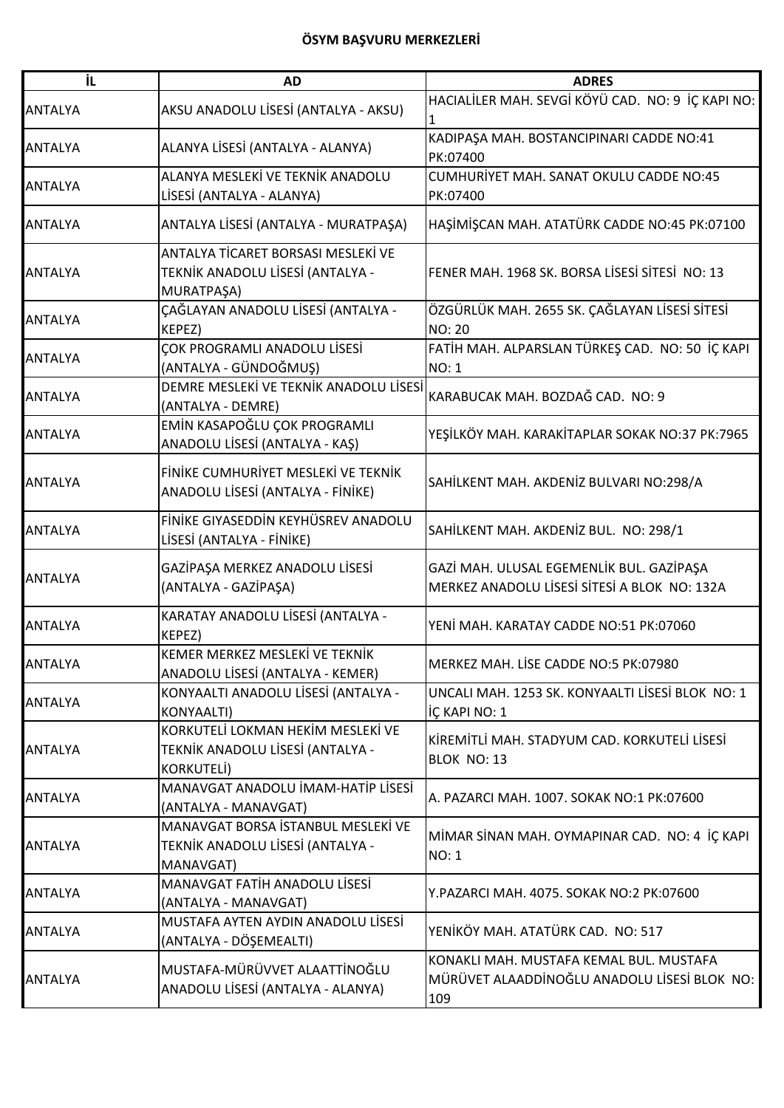| İL             | <b>AD</b>                                                                            | <b>ADRES</b>                                                                                   |
|----------------|--------------------------------------------------------------------------------------|------------------------------------------------------------------------------------------------|
| <b>ANTALYA</b> | AKSU ANADOLU LİSESİ (ANTALYA - AKSU)                                                 | HACIALİLER MAH. SEVGİ KÖYÜ CAD. NO: 9 İÇ KAPI NO:                                              |
| <b>ANTALYA</b> | ALANYA LİSESİ (ANTALYA - ALANYA)                                                     | KADIPAŞA MAH. BOSTANCIPINARI CADDE NO:41<br>PK:07400                                           |
| <b>ANTALYA</b> | ALANYA MESLEKİ VE TEKNİK ANADOLU<br>LİSESİ (ANTALYA - ALANYA)                        | CUMHURİYET MAH. SANAT OKULU CADDE NO:45<br>PK:07400                                            |
| <b>ANTALYA</b> | ANTALYA LİSESİ (ANTALYA - MURATPAŞA)                                                 | HAŞİMİŞCAN MAH. ATATÜRK CADDE NO:45 PK:07100                                                   |
| <b>ANTALYA</b> | ANTALYA TİCARET BORSASI MESLEKİ VE<br>TEKNİK ANADOLU LİSESİ (ANTALYA -<br>MURATPAŞA) | FENER MAH. 1968 SK. BORSA LİSESİ SİTESİ NO: 13                                                 |
| <b>ANTALYA</b> | ÇAĞLAYAN ANADOLU LİSESİ (ANTALYA -<br>KEPEZ)                                         | ÖZGÜRLÜK MAH. 2655 SK. ÇAĞLAYAN LİSESİ SİTESİ<br><b>NO: 20</b>                                 |
| <b>ANTALYA</b> | ÇOK PROGRAMLI ANADOLU LİSESİ<br>(ANTALYA - GÜNDOĞMUŞ)                                | FATİH MAH. ALPARSLAN TÜRKEŞ CAD. NO: 50 İÇ KAPI<br><b>NO: 1</b>                                |
| <b>ANTALYA</b> | DEMRE MESLEKİ VE TEKNİK ANADOLU LİSESİ<br>(ANTALYA - DEMRE)                          | KARABUCAK MAH. BOZDAĞ CAD. NO: 9                                                               |
| <b>ANTALYA</b> | EMİN KASAPOĞLU ÇOK PROGRAMLI<br>ANADOLU LİSESİ (ANTALYA - KAŞ)                       | YEŞİLKÖY MAH. KARAKİTAPLAR SOKAK NO:37 PK:7965                                                 |
| <b>ANTALYA</b> | FINIKE CUMHURIYET MESLEKİ VE TEKNİK<br>ANADOLU LİSESİ (ANTALYA - FİNİKE)             | SAHİLKENT MAH. AKDENİZ BULVARI NO:298/A                                                        |
| <b>ANTALYA</b> | FİNİKE GIYASEDDİN KEYHÜSREV ANADOLU<br>LİSESİ (ANTALYA - FİNİKE)                     | SAHİLKENT MAH. AKDENİZ BUL. NO: 298/1                                                          |
| <b>ANTALYA</b> | GAZİPAŞA MERKEZ ANADOLU LİSESİ<br>(ANTALYA - GAZİPAŞA)                               | GAZİ MAH. ULUSAL EGEMENLİK BUL. GAZİPAŞA<br>MERKEZ ANADOLU LİSESİ SİTESİ A BLOK NO: 132A       |
| <b>ANTALYA</b> | KARATAY ANADOLU LİSESİ (ANTALYA -<br>KEPEZ)                                          | YENİ MAH. KARATAY CADDE NO:51 PK:07060                                                         |
| <b>ANTALYA</b> | KEMER MERKEZ MESLEKİ VE TEKNİK<br>ANADOLU LİSESİ (ANTALYA - KEMER)                   | MERKEZ MAH. LİSE CADDE NO:5 PK:07980                                                           |
| <b>ANTALYA</b> | KONYAALTI ANADOLU LİSESİ (ANTALYA -<br><b>KONYAALTI)</b>                             | UNCALI MAH. 1253 SK. KONYAALTI LİSESİ BLOK NO: 1<br>IÇ KAPI NO: 1                              |
| <b>ANTALYA</b> | KORKUTELİ LOKMAN HEKİM MESLEKİ VE<br>TEKNİK ANADOLU LİSESİ (ANTALYA -<br>KORKUTELİ)  | KİREMİTLİ MAH. STADYUM CAD. KORKUTELİ LİSESİ<br>BLOK NO: 13                                    |
| <b>ANTALYA</b> | MANAVGAT ANADOLU İMAM-HATİP LİSESİ<br>(ANTALYA - MANAVGAT)                           | A. PAZARCI MAH. 1007. SOKAK NO:1 PK:07600                                                      |
| <b>ANTALYA</b> | MANAVGAT BORSA İSTANBUL MESLEKİ VE<br>TEKNİK ANADOLU LİSESİ (ANTALYA -<br>MANAVGAT)  | MİMAR SİNAN MAH. OYMAPINAR CAD. NO: 4 İÇ KAPI<br><b>NO: 1</b>                                  |
| <b>ANTALYA</b> | MANAVGAT FATİH ANADOLU LİSESİ<br>(ANTALYA - MANAVGAT)                                | Y.PAZARCI MAH. 4075. SOKAK NO:2 PK:07600                                                       |
| <b>ANTALYA</b> | MUSTAFA AYTEN AYDIN ANADOLU LİSESİ<br>(ANTALYA - DÖŞEMEALTI)                         | YENİKÖY MAH. ATATÜRK CAD. NO: 517                                                              |
| <b>ANTALYA</b> | MUSTAFA-MÜRÜVVET ALAATTİNOĞLU<br>ANADOLU LİSESİ (ANTALYA - ALANYA)                   | KONAKLI MAH. MUSTAFA KEMAL BUL. MUSTAFA<br>MÜRÜVET ALAADDİNOĞLU ANADOLU LİSESİ BLOK NO:<br>109 |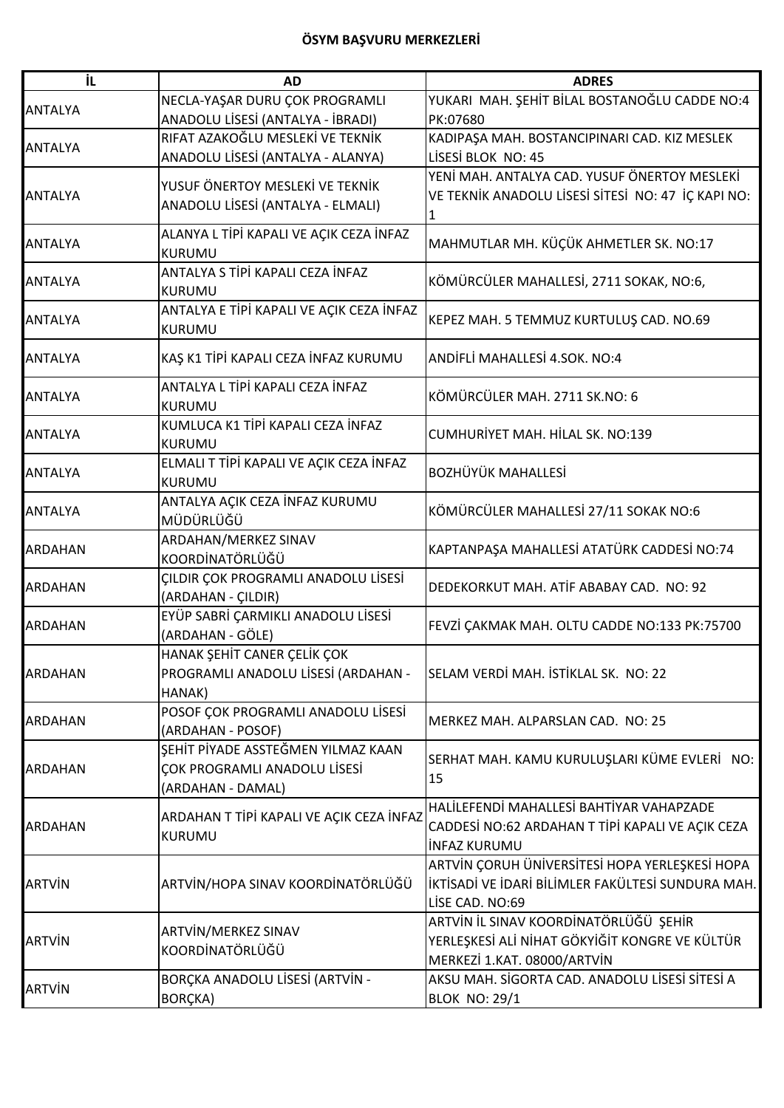| İL             | <b>AD</b>                                | <b>ADRES</b>                                       |
|----------------|------------------------------------------|----------------------------------------------------|
|                | NECLA-YAŞAR DURU ÇOK PROGRAMLI           | YUKARI MAH. ŞEHİT BİLAL BOSTANOĞLU CADDE NO:4      |
| <b>ANTALYA</b> | ANADOLU LİSESİ (ANTALYA - İBRADI)        | PK:07680                                           |
|                | RIFAT AZAKOĞLU MESLEKİ VE TEKNİK         | KADIPAŞA MAH. BOSTANCIPINARI CAD. KIZ MESLEK       |
| <b>ANTALYA</b> | ANADOLU LİSESİ (ANTALYA - ALANYA)        | LİSESİ BLOK NO: 45                                 |
|                |                                          | YENİ MAH. ANTALYA CAD. YUSUF ÖNERTOY MESLEKİ       |
| <b>ANTALYA</b> | YUSUF ÖNERTOY MESLEKİ VE TEKNİK          | VE TEKNIK ANADOLU LISESI SITESI NO: 47 IÇ KAPI NO: |
|                | ANADOLU LİSESİ (ANTALYA - ELMALI)        | 1                                                  |
|                | ALANYA L TİPİ KAPALI VE AÇIK CEZA İNFAZ  |                                                    |
| <b>ANTALYA</b> | <b>KURUMU</b>                            | MAHMUTLAR MH. KÜÇÜK AHMETLER SK. NO:17             |
|                | ANTALYA S TİPİ KAPALI CEZA İNFAZ         |                                                    |
| <b>ANTALYA</b> | <b>KURUMU</b>                            | KÖMÜRCÜLER MAHALLESİ, 2711 SOKAK, NO:6,            |
| <b>ANTALYA</b> | ANTALYA E TİPİ KAPALI VE AÇIK CEZA İNFAZ |                                                    |
|                | <b>KURUMU</b>                            | KEPEZ MAH. 5 TEMMUZ KURTULUŞ CAD. NO.69            |
| <b>ANTALYA</b> | KAŞ K1 TİPİ KAPALI CEZA İNFAZ KURUMU     | ANDİFLİ MAHALLESİ 4.SOK. NO:4                      |
|                |                                          |                                                    |
| <b>ANTALYA</b> | ANTALYA L TİPİ KAPALI CEZA İNFAZ         | KÖMÜRCÜLER MAH. 2711 SK.NO: 6                      |
|                | <b>KURUMU</b>                            |                                                    |
| <b>ANTALYA</b> | KUMLUCA K1 TİPİ KAPALI CEZA İNFAZ        | CUMHURİYET MAH. HİLAL SK. NO:139                   |
|                | <b>KURUMU</b>                            |                                                    |
| <b>ANTALYA</b> | ELMALI T TİPİ KAPALI VE AÇIK CEZA İNFAZ  | <b>BOZHÜYÜK MAHALLESİ</b>                          |
|                | KURUMU                                   |                                                    |
| <b>ANTALYA</b> | ANTALYA AÇIK CEZA İNFAZ KURUMU           | KÖMÜRCÜLER MAHALLESİ 27/11 SOKAK NO:6              |
|                | MÜDÜRLÜĞÜ                                |                                                    |
| <b>ARDAHAN</b> | ARDAHAN/MERKEZ SINAV                     | KAPTANPAŞA MAHALLESİ ATATÜRK CADDESİ NO:74         |
|                | KOORDİNATÖRLÜĞÜ                          |                                                    |
| <b>ARDAHAN</b> | ÇILDIR ÇOK PROGRAMLI ANADOLU LİSESİ      | DEDEKORKUT MAH. ATİF ABABAY CAD. NO: 92            |
|                | (ARDAHAN - ÇILDIR)                       |                                                    |
| <b>ARDAHAN</b> | EYÜP SABRİ ÇARMIKLI ANADOLU LİSESİ       | FEVZİ ÇAKMAK MAH. OLTU CADDE NO:133 PK:75700       |
|                | (ARDAHAN - GÖLE)                         |                                                    |
|                | HANAK ŞEHİT CANER ÇELİK ÇOK              |                                                    |
| <b>ARDAHAN</b> | PROGRAMLI ANADOLU LİSESİ (ARDAHAN -      | SELAM VERDI MAH. İSTİKLAL SK. NO: 22               |
|                | HANAK)                                   |                                                    |
| <b>ARDAHAN</b> | POSOF ÇOK PROGRAMLI ANADOLU LİSESİ       | MERKEZ MAH. ALPARSLAN CAD. NO: 25                  |
|                | (ARDAHAN - POSOF)                        |                                                    |
|                | SEHİT PİYADE ASSTEĞMEN YILMAZ KAAN       | SERHAT MAH. KAMU KURULUŞLARI KÜME EVLERİ NO:       |
| <b>ARDAHAN</b> | ÇOK PROGRAMLI ANADOLU LİSESİ             | 15                                                 |
|                | (ARDAHAN - DAMAL)                        |                                                    |
|                | ARDAHAN T TİPİ KAPALI VE AÇIK CEZA İNFAZ | HALİLEFENDİ MAHALLESİ BAHTİYAR VAHAPZADE           |
| <b>ARDAHAN</b> | KURUMU                                   | CADDESİ NO:62 ARDAHAN T TİPİ KAPALI VE AÇIK CEZA   |
|                |                                          | <b>INFAZ KURUMU</b>                                |
| <b>ARTVIN</b>  |                                          | ARTVİN ÇORUH ÜNİVERSİTESİ HOPA YERLEŞKESİ HOPA     |
|                | ARTVİN/HOPA SINAV KOORDİNATÖRLÜĞÜ        | İKTİSADİ VE İDARİ BİLİMLER FAKÜLTESİ SUNDURA MAH.  |
|                |                                          | LİSE CAD. NO:69                                    |
| <b>ARTVIN</b>  | ARTVİN/MERKEZ SINAV                      | ARTVİN İL SINAV KOORDİNATÖRLÜĞÜ ŞEHİR              |
|                | KOORDİNATÖRLÜĞÜ                          | YERLEŞKESİ ALİ NİHAT GÖKYİĞİT KONGRE VE KÜLTÜR     |
|                |                                          | MERKEZİ 1.KAT. 08000/ARTVİN                        |
| <b>ARTVIN</b>  | BORÇKA ANADOLU LİSESİ (ARTVİN -          | AKSU MAH. SİGORTA CAD. ANADOLU LİSESİ SİTESİ A     |
|                | BORÇKA)                                  | <b>BLOK NO: 29/1</b>                               |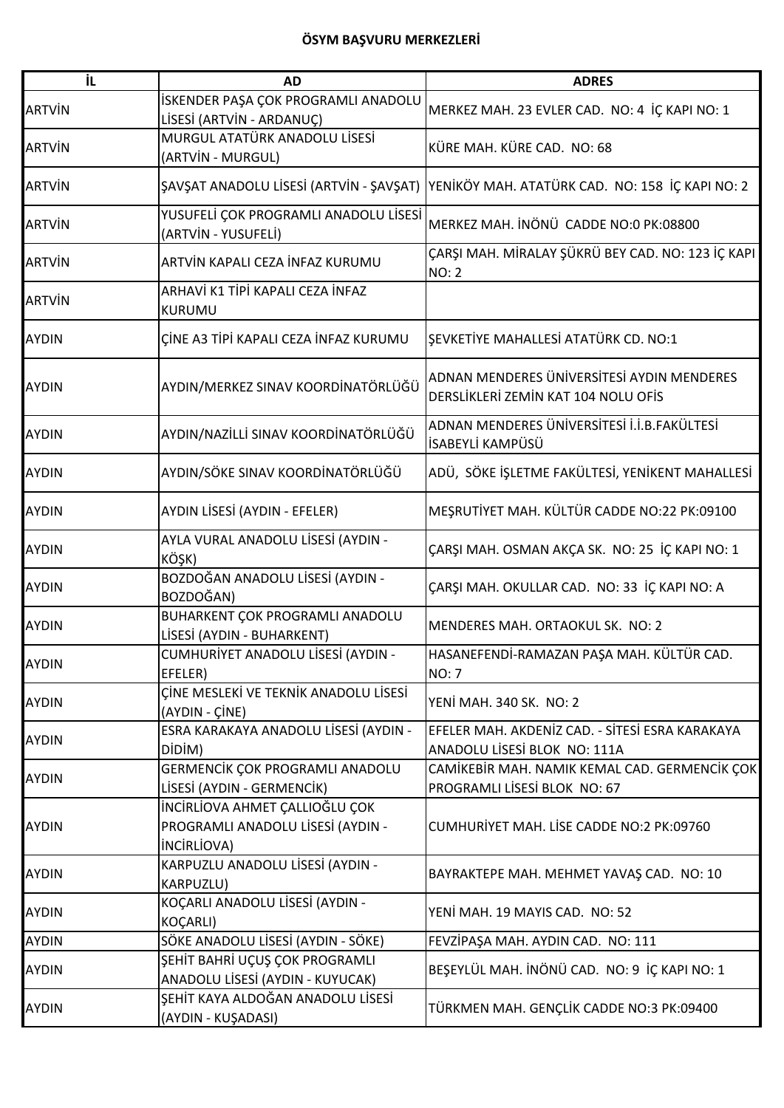| ΪL            | <b>AD</b>                                                                                 | <b>ADRES</b>                                                                      |
|---------------|-------------------------------------------------------------------------------------------|-----------------------------------------------------------------------------------|
| <b>ARTVIN</b> | İSKENDER PAŞA ÇOK PROGRAMLI ANADOLU<br>LİSESİ (ARTVİN - ARDANUÇ)                          | MERKEZ MAH. 23 EVLER CAD. NO: 4 İÇ KAPI NO: 1                                     |
| <b>ARTVIN</b> | MURGUL ATATÜRK ANADOLU LİSESİ<br>(ARTVİN - MURGUL)                                        | KÜRE MAH. KÜRE CAD. NO: 68                                                        |
| <b>ARTVIN</b> | ŞAVŞAT ANADOLU LİSESİ (ARTVİN - ŞAVŞAT)                                                   | YENİKÖY MAH. ATATÜRK CAD. NO: 158 İÇ KAPI NO: 2                                   |
| <b>ARTVIN</b> | YUSUFELİ ÇOK PROGRAMLI ANADOLU LİSESİ<br>(ARTVİN - YUSUFELİ)                              | MERKEZ MAH. İNÖNÜ CADDE NO:0 PK:08800                                             |
| <b>ARTVIN</b> | ARTVİN KAPALI CEZA İNFAZ KURUMU                                                           | ÇARŞI MAH. MİRALAY ŞÜKRÜ BEY CAD. NO: 123 İÇ KAPI<br><b>NO: 2</b>                 |
| <b>ARTVIN</b> | ARHAVİ K1 TİPİ KAPALI CEZA İNFAZ<br><b>KURUMU</b>                                         |                                                                                   |
| <b>AYDIN</b>  | ÇİNE A3 TİPİ KAPALI CEZA İNFAZ KURUMU                                                     | ŞEVKETİYE MAHALLESİ ATATÜRK CD. NO:1                                              |
| <b>AYDIN</b>  | AYDIN/MERKEZ SINAV KOORDİNATÖRLÜĞÜ                                                        | ADNAN MENDERES ÜNIVERSITESI AYDIN MENDERES<br>DERSLİKLERİ ZEMİN KAT 104 NOLU OFİS |
| <b>AYDIN</b>  | AYDIN/NAZİLLİ SINAV KOORDİNATÖRLÜĞÜ                                                       | ADNAN MENDERES ÜNİVERSİTESİ İ.İ.B.FAKÜLTESİ<br>İSABEYLİ KAMPÜSÜ                   |
| <b>AYDIN</b>  | AYDIN/SÖKE SINAV KOORDİNATÖRLÜĞÜ                                                          | ADÜ, SÖKE İŞLETME FAKÜLTESİ, YENİKENT MAHALLESİ                                   |
| <b>AYDIN</b>  | AYDIN LİSESİ (AYDIN - EFELER)                                                             | MEŞRUTİYET MAH. KÜLTÜR CADDE NO:22 PK:09100                                       |
| <b>AYDIN</b>  | AYLA VURAL ANADOLU LİSESİ (AYDIN -<br>KÖŞK)                                               | ÇARŞI MAH. OSMAN AKÇA SK. NO: 25 İÇ KAPI NO: 1                                    |
| <b>AYDIN</b>  | BOZDOĞAN ANADOLU LİSESİ (AYDIN -<br>BOZDOĞAN)                                             | ÇARŞI MAH. OKULLAR CAD. NO: 33 İÇ KAPI NO: A                                      |
| <b>AYDIN</b>  | BUHARKENT ÇOK PROGRAMLI ANADOLU<br>LİSESİ (AYDIN - BUHARKENT)                             | MENDERES MAH. ORTAOKUL SK. NO: 2                                                  |
| <b>AYDIN</b>  | CUMHURİYET ANADOLU LİSESİ (AYDIN -<br>EFELER)                                             | HASANEFENDİ-RAMAZAN PAŞA MAH. KÜLTÜR CAD.<br><b>NO: 7</b>                         |
| <b>AYDIN</b>  | ÇİNE MESLEKİ VE TEKNİK ANADOLU LİSESİ<br>(AYDIN - ÇİNE)                                   | YENİ MAH. 340 SK. NO: 2                                                           |
| <b>AYDIN</b>  | ESRA KARAKAYA ANADOLU LİSESİ (AYDIN -<br>DİDİM)                                           | EFELER MAH. AKDENİZ CAD. - SİTESİ ESRA KARAKAYA<br>ANADOLU LİSESİ BLOK NO: 111A   |
| <b>AYDIN</b>  | GERMENCIK ÇOK PROGRAMLI ANADOLU<br>LİSESİ (AYDIN - GERMENCİK)                             | CAMİKEBİR MAH. NAMIK KEMAL CAD. GERMENCİK ÇOK<br>PROGRAMLI LİSESİ BLOK NO: 67     |
| <b>AYDIN</b>  | İNCİRLİOVA AHMET ÇALLIOĞLU ÇOK<br>PROGRAMLI ANADOLU LİSESİ (AYDIN -<br><b>INCIRLIOVA)</b> | CUMHURİYET MAH. LİSE CADDE NO:2 PK:09760                                          |
| <b>AYDIN</b>  | KARPUZLU ANADOLU LİSESİ (AYDIN -<br>KARPUZLU)                                             | BAYRAKTEPE MAH. MEHMET YAVAŞ CAD. NO: 10                                          |
| <b>AYDIN</b>  | KOÇARLI ANADOLU LİSESİ (AYDIN -<br>KOÇARLI)                                               | YENİ MAH. 19 MAYIS CAD. NO: 52                                                    |
| <b>AYDIN</b>  | SÖKE ANADOLU LİSESİ (AYDIN - SÖKE)                                                        | FEVZİPAŞA MAH. AYDIN CAD. NO: 111                                                 |
| <b>AYDIN</b>  | ŞEHİT BAHRİ UÇUŞ ÇOK PROGRAMLI<br>ANADOLU LİSESİ (AYDIN - KUYUCAK)                        | BEŞEYLÜL MAH. İNÖNÜ CAD. NO: 9 İÇ KAPI NO: 1                                      |
| <b>AYDIN</b>  | ŞEHİT KAYA ALDOĞAN ANADOLU LİSESİ<br>(AYDIN - KUŞADASI)                                   | TÜRKMEN MAH. GENÇLİK CADDE NO:3 PK:09400                                          |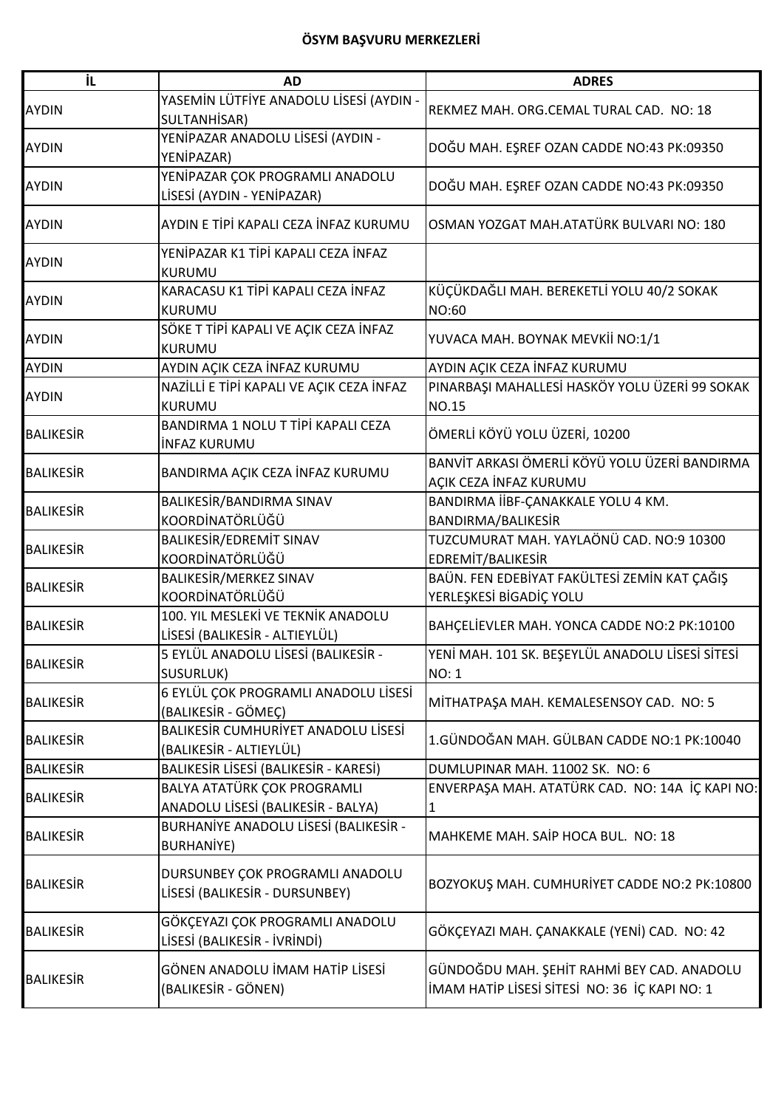| İL               | <b>AD</b>                                                            | <b>ADRES</b>                                                                                |
|------------------|----------------------------------------------------------------------|---------------------------------------------------------------------------------------------|
| <b>AYDIN</b>     | YASEMİN LÜTFİYE ANADOLU LİSESİ (AYDIN -<br>SULTANHİSAR)              | REKMEZ MAH. ORG.CEMAL TURAL CAD. NO: 18                                                     |
| <b>AYDIN</b>     | YENİPAZAR ANADOLU LİSESİ (AYDIN -<br>YENİPAZAR)                      | DOĞU MAH. EŞREF OZAN CADDE NO:43 PK:09350                                                   |
| <b>AYDIN</b>     | YENİPAZAR ÇOK PROGRAMLI ANADOLU<br>LİSESİ (AYDIN - YENİPAZAR)        | DOĞU MAH. EŞREF OZAN CADDE NO:43 PK:09350                                                   |
| <b>AYDIN</b>     | AYDIN E TİPİ KAPALI CEZA İNFAZ KURUMU                                | OSMAN YOZGAT MAH.ATATÜRK BULVARI NO: 180                                                    |
| <b>AYDIN</b>     | YENİPAZAR K1 TİPİ KAPALI CEZA İNFAZ<br><b>KURUMU</b>                 |                                                                                             |
| <b>AYDIN</b>     | KARACASU K1 TİPİ KAPALI CEZA İNFAZ<br><b>KURUMU</b>                  | KÜÇÜKDAĞLI MAH. BEREKETLİ YOLU 40/2 SOKAK<br>NO:60                                          |
| <b>AYDIN</b>     | SÖKE T TİPİ KAPALI VE AÇIK CEZA İNFAZ<br><b>KURUMU</b>               | YUVACA MAH. BOYNAK MEVKİİ NO:1/1                                                            |
| <b>AYDIN</b>     | AYDIN AÇIK CEZA İNFAZ KURUMU                                         | AYDIN AÇIK CEZA İNFAZ KURUMU                                                                |
| <b>AYDIN</b>     | NAZİLLİ E TİPİ KAPALI VE AÇIK CEZA İNFAZ<br><b>KURUMU</b>            | PINARBAŞI MAHALLESİ HASKÖY YOLU ÜZERİ 99 SOKAK<br><b>NO.15</b>                              |
| <b>BALIKESIR</b> | BANDIRMA 1 NOLU T TİPİ KAPALI CEZA<br><b>INFAZ KURUMU</b>            | ÖMERLİ KÖYÜ YOLU ÜZERİ, 10200                                                               |
| <b>BALIKESIR</b> | BANDIRMA AÇIK CEZA İNFAZ KURUMU                                      | BANVİT ARKASI ÖMERLİ KÖYÜ YOLU ÜZERİ BANDIRMA<br>AÇIK CEZA İNFAZ KURUMU                     |
| <b>BALIKESIR</b> | BALIKESİR/BANDIRMA SINAV<br>KOORDİNATÖRLÜĞÜ                          | BANDIRMA İİBF-ÇANAKKALE YOLU 4 KM.<br>BANDIRMA/BALIKESİR                                    |
| <b>BALIKESIR</b> | BALIKESİR/EDREMİT SINAV<br>KOORDİNATÖRLÜĞÜ                           | TUZCUMURAT MAH. YAYLAÖNÜ CAD. NO:9 10300<br>EDREMIT/BALIKESIR                               |
| <b>BALIKESIR</b> | BALIKESİR/MERKEZ SINAV<br>KOORDİNATÖRLÜĞÜ                            | BAÜN. FEN EDEBİYAT FAKÜLTESİ ZEMİN KAT ÇAĞIŞ<br>YERLEŞKESİ BİGADİÇ YOLU                     |
| <b>BALIKESIR</b> | 100. YIL MESLEKİ VE TEKNİK ANADOLU<br>LİSESİ (BALIKESİR - ALTIEYLÜL) | BAHÇELİEVLER MAH. YONCA CADDE NO:2 PK:10100                                                 |
| <b>BALIKESIR</b> | 5 EYLÜL ANADOLU LİSESİ (BALIKESİR -<br>SUSURLUK)                     | YENİ MAH. 101 SK. BEŞEYLÜL ANADOLU LİSESİ SİTESİ<br><b>NO: 1</b>                            |
| <b>BALIKESIR</b> | 6 EYLÜL ÇOK PROGRAMLI ANADOLU LİSESİ<br>(BALIKESİR - GÖMEÇ)          | MİTHATPAŞA MAH. KEMALESENSOY CAD. NO: 5                                                     |
| <b>BALIKESIR</b> | BALIKESIR CUMHURIYET ANADOLU LISESI<br>(BALIKESİR - ALTIEYLÜL)       | 1.GÜNDOĞAN MAH. GÜLBAN CADDE NO:1 PK:10040                                                  |
| <b>BALIKESIR</b> | BALIKESİR LİSESİ (BALIKESİR - KARESİ)                                | DUMLUPINAR MAH. 11002 SK. NO: 6                                                             |
| <b>BALIKESIR</b> | BALYA ATATÜRK ÇOK PROGRAMLI<br>ANADOLU LİSESİ (BALIKESİR - BALYA)    | ENVERPAŞA MAH. ATATÜRK CAD. NO: 14A İÇ KAPI NO:<br>1                                        |
| <b>BALIKESIR</b> | BURHANİYE ANADOLU LİSESİ (BALIKESİR -<br><b>BURHANİYE)</b>           | MAHKEME MAH. SAİP HOCA BUL. NO: 18                                                          |
| <b>BALIKESIR</b> | DURSUNBEY ÇOK PROGRAMLI ANADOLU<br>LİSESİ (BALIKESİR - DURSUNBEY)    | BOZYOKUŞ MAH. CUMHURİYET CADDE NO:2 PK:10800                                                |
| <b>BALIKESIR</b> | GÖKÇEYAZI ÇOK PROGRAMLI ANADOLU<br>LİSESİ (BALIKESİR - İVRİNDİ)      | GÖKÇEYAZI MAH. ÇANAKKALE (YENİ) CAD. NO: 42                                                 |
| <b>BALIKESIR</b> | GÖNEN ANADOLU İMAM HATİP LİSESİ<br>(BALIKESİR - GÖNEN)               | GÜNDOĞDU MAH. ŞEHİT RAHMİ BEY CAD. ANADOLU<br>İMAM HATİP LİSESİ SİTESİ NO: 36 İÇ KAPI NO: 1 |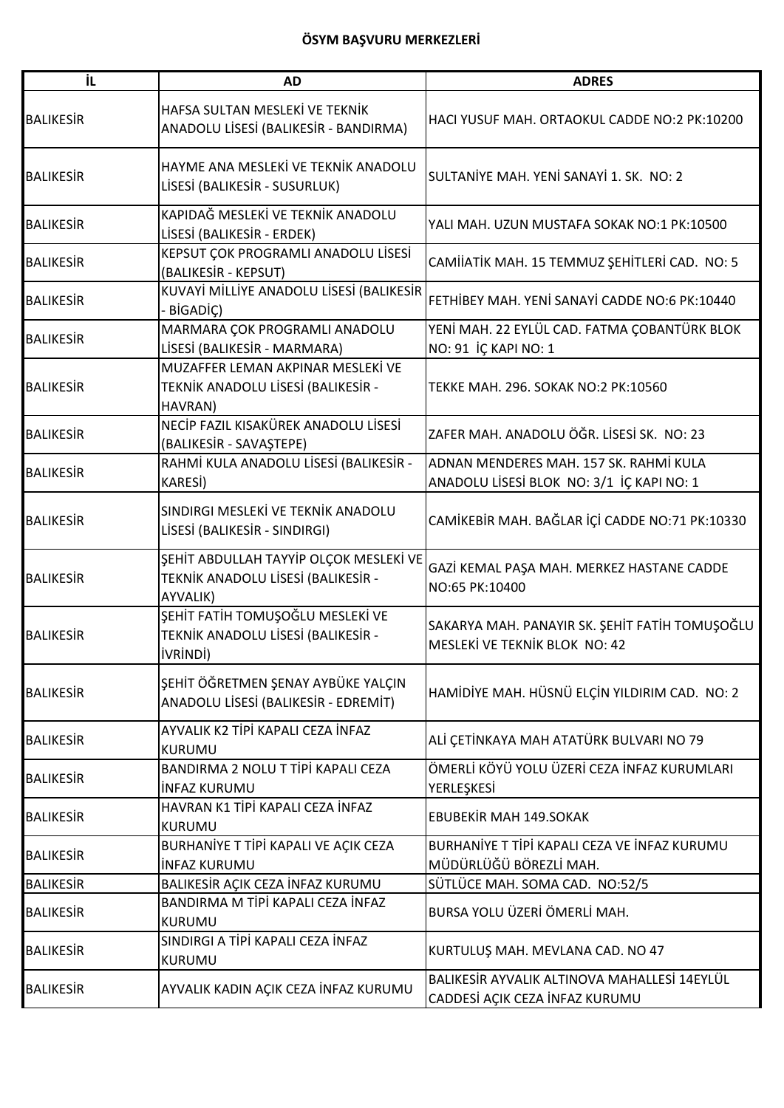| İL               | <b>AD</b>                                                                                 | <b>ADRES</b>                                                                           |
|------------------|-------------------------------------------------------------------------------------------|----------------------------------------------------------------------------------------|
| <b>BALIKESIR</b> | HAFSA SULTAN MESLEKİ VE TEKNİK<br>ANADOLU LİSESİ (BALIKESİR - BANDIRMA)                   | HACI YUSUF MAH. ORTAOKUL CADDE NO:2 PK:10200                                           |
| <b>BALIKESIR</b> | HAYME ANA MESLEKİ VE TEKNİK ANADOLU<br>LİSESİ (BALIKESİR - SUSURLUK)                      | SULTANIYE MAH. YENI SANAYI 1. SK. NO: 2                                                |
| <b>BALIKESIR</b> | KAPIDAĞ MESLEKİ VE TEKNİK ANADOLU<br>LİSESİ (BALIKESİR - ERDEK)                           | YALI MAH. UZUN MUSTAFA SOKAK NO:1 PK:10500                                             |
| <b>BALIKESIR</b> | KEPSUT ÇOK PROGRAMLI ANADOLU LİSESİ<br>(BALIKESIR - KEPSUT)                               | CAMIIATIK MAH. 15 TEMMUZ ŞEHITLERI CAD. NO: 5                                          |
| <b>BALIKESIR</b> | KUVAYİ MİLLİYE ANADOLU LİSESİ (BALIKESİR<br>- BİGADİÇ)                                    | FETHIBEY MAH. YENI SANAYI CADDE NO:6 PK:10440                                          |
| <b>BALIKESIR</b> | MARMARA ÇOK PROGRAMLI ANADOLU<br>LİSESİ (BALIKESİR - MARMARA)                             | YENİ MAH. 22 EYLÜL CAD. FATMA ÇOBANTÜRK BLOK<br>NO: 91 İÇ KAPI NO: 1                   |
| <b>BALIKESIR</b> | MUZAFFER LEMAN AKPINAR MESLEKİ VE<br>TEKNİK ANADOLU LİSESİ (BALIKESİR -<br>HAVRAN)        | TEKKE MAH. 296. SOKAK NO:2 PK:10560                                                    |
| <b>BALIKESIR</b> | NECİP FAZIL KISAKÜREK ANADOLU LİSESİ<br>(BALIKESIR - SAVAŞTEPE)                           | ZAFER MAH, ANADOLU ÖĞR, LİSESİ SK. NO: 23                                              |
| <b>BALIKESIR</b> | RAHMİ KULA ANADOLU LİSESİ (BALIKESİR -<br><b>KARESİ)</b>                                  | ADNAN MENDERES MAH. 157 SK. RAHMİ KULA<br>ANADOLU LİSESİ BLOK NO: 3/1 İÇ KAPI NO: 1    |
| <b>BALIKESIR</b> | SINDIRGI MESLEKİ VE TEKNİK ANADOLU<br>LİSESİ (BALIKESİR - SINDIRGI)                       | CAMİKEBİR MAH. BAĞLAR İÇİ CADDE NO:71 PK:10330                                         |
| <b>BALIKESIR</b> | ŞEHİT ABDULLAH TAYYİP OLÇOK MESLEKİ VE<br>TEKNİK ANADOLU LİSESİ (BALIKESİR -<br>AYVALIK)  | GAZİ KEMAL PAŞA MAH. MERKEZ HASTANE CADDE<br>NO:65 PK:10400                            |
| <b>BALIKESIR</b> | ŞEHİT FATİH TOMUŞOĞLU MESLEKİ VE<br>TEKNİK ANADOLU LİSESİ (BALIKESİR -<br><b>İVRİNDİ)</b> | SAKARYA MAH. PANAYIR SK. ŞEHİT FATİH TOMUŞOĞLU<br><b>MESLEKİ VE TEKNİK BLOK NO: 42</b> |
| <b>BALIKESIR</b> | ŞEHİT ÖĞRETMEN ŞENAY AYBÜKE YALÇIN<br>ANADOLU LİSESİ (BALIKESİR - EDREMİT)                | HAMİDİYE MAH. HÜSNÜ ELÇİN YILDIRIM CAD. NO: 2                                          |
| <b>BALIKESIR</b> | AYVALIK K2 TİPİ KAPALI CEZA İNFAZ<br>KURUMU                                               | ALİ ÇETİNKAYA MAH ATATÜRK BULVARI NO 79                                                |
| <b>BALIKESIR</b> | BANDIRMA 2 NOLU T TİPİ KAPALI CEZA<br><b>INFAZ KURUMU</b>                                 | ÖMERLİ KÖYÜ YOLU ÜZERİ CEZA İNFAZ KURUMLARI<br>YERLEŞKESİ                              |
| <b>BALIKESIR</b> | HAVRAN K1 TİPİ KAPALI CEZA İNFAZ<br>KURUMU                                                | <b>EBUBEKİR MAH 149.SOKAK</b>                                                          |
| <b>BALIKESIR</b> | BURHANİYE T TİPİ KAPALI VE AÇIK CEZA<br><b>INFAZ KURUMU</b>                               | BURHANIYE T TİPİ KAPALI CEZA VE İNFAZ KURUMU<br>MÜDÜRLÜĞÜ BÖREZLİ MAH.                 |
| <b>BALIKESIR</b> | BALIKESİR AÇIK CEZA İNFAZ KURUMU                                                          | SÜTLÜCE MAH. SOMA CAD. NO:52/5                                                         |
| <b>BALIKESIR</b> | BANDIRMA M TİPİ KAPALI CEZA İNFAZ<br>KURUMU                                               | BURSA YOLU ÜZERİ ÖMERLİ MAH.                                                           |
| <b>BALIKESIR</b> | SINDIRGI A TİPİ KAPALI CEZA İNFAZ<br>KURUMU                                               | KURTULUŞ MAH. MEVLANA CAD. NO 47                                                       |
| <b>BALIKESIR</b> | AYVALIK KADIN AÇIK CEZA İNFAZ KURUMU                                                      | BALIKESİR AYVALIK ALTINOVA MAHALLESİ 14EYLÜL<br>CADDESİ AÇIK CEZA İNFAZ KURUMU         |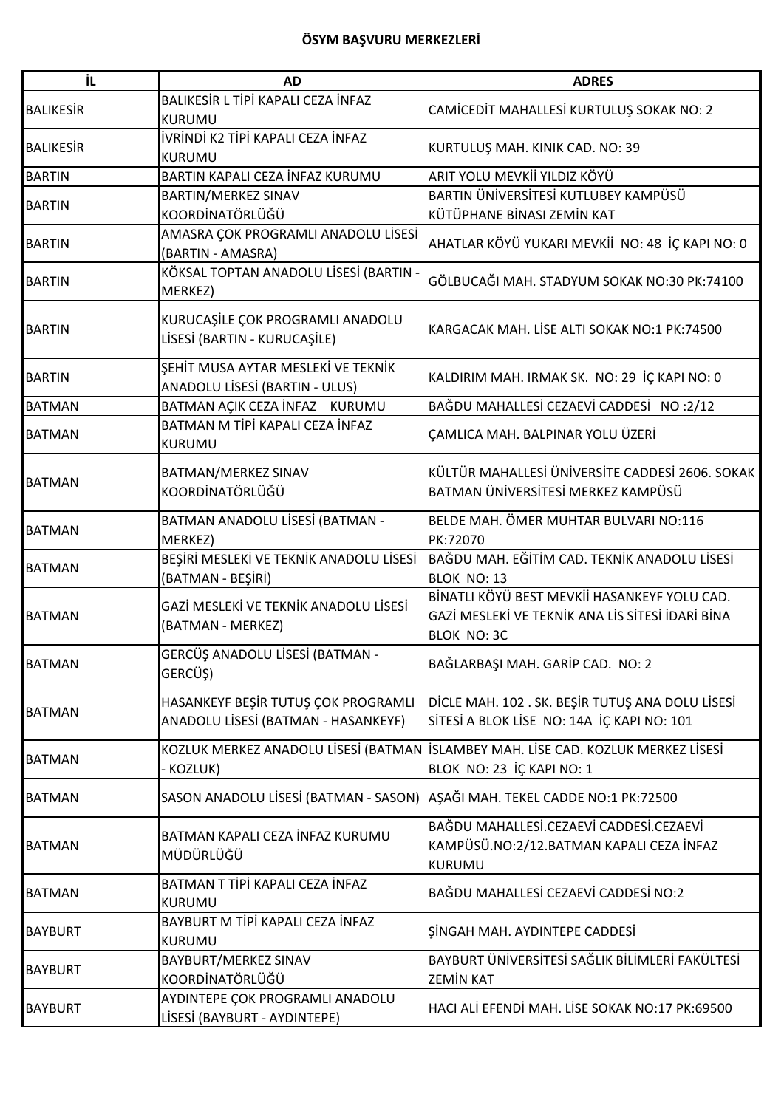| İL               | <b>AD</b>                                                                  | <b>ADRES</b>                                                                                                           |
|------------------|----------------------------------------------------------------------------|------------------------------------------------------------------------------------------------------------------------|
| <b>BALIKESIR</b> | BALIKESİR L TİPİ KAPALI CEZA İNFAZ<br><b>KURUMU</b>                        | CAMICEDIT MAHALLESI KURTULUŞ SOKAK NO: 2                                                                               |
| <b>BALIKESIR</b> | <b>IVRINDI K2 TIPI KAPALI CEZA İNFAZ</b><br><b>KURUMU</b>                  | KURTULUŞ MAH. KINIK CAD. NO: 39                                                                                        |
| <b>BARTIN</b>    | BARTIN KAPALI CEZA İNFAZ KURUMU                                            | ARIT YOLU MEVKİİ YILDIZ KÖYÜ                                                                                           |
| <b>BARTIN</b>    | BARTIN/MERKEZ SINAV<br>KOORDİNATÖRLÜĞÜ                                     | BARTIN ÜNİVERSİTESİ KUTLUBEY KAMPÜSÜ<br>KÜTÜPHANE BİNASI ZEMİN KAT                                                     |
| <b>BARTIN</b>    | AMASRA ÇOK PROGRAMLI ANADOLU LİSESİ<br>(BARTIN - AMASRA)                   | AHATLAR KÖYÜ YUKARI MEVKİİ NO: 48 İÇ KAPI NO: 0                                                                        |
| <b>BARTIN</b>    | KÖKSAL TOPTAN ANADOLU LİSESİ (BARTIN -<br>MERKEZ)                          | GÖLBUCAĞI MAH. STADYUM SOKAK NO:30 PK:74100                                                                            |
| <b>BARTIN</b>    | KURUCAŞİLE ÇOK PROGRAMLI ANADOLU<br>LİSESİ (BARTIN - KURUCAŞİLE)           | KARGACAK MAH. LİSE ALTI SOKAK NO:1 PK:74500                                                                            |
| <b>BARTIN</b>    | ŞEHİT MUSA AYTAR MESLEKİ VE TEKNİK<br>ANADOLU LİSESİ (BARTIN - ULUS)       | KALDIRIM MAH. IRMAK SK. NO: 29 İÇ KAPI NO: 0                                                                           |
| <b>BATMAN</b>    | BATMAN AÇIK CEZA İNFAZ KURUMU                                              | BAĞDU MAHALLESİ CEZAEVİ CADDESİ NO:2/12                                                                                |
| <b>BATMAN</b>    | BATMAN M TİPİ KAPALI CEZA İNFAZ<br><b>KURUMU</b>                           | ÇAMLICA MAH. BALPINAR YOLU ÜZERİ                                                                                       |
| <b>BATMAN</b>    | BATMAN/MERKEZ SINAV<br>KOORDİNATÖRLÜĞÜ                                     | KÜLTÜR MAHALLESİ ÜNİVERSİTE CADDESİ 2606. SOKAK<br>BATMAN ÜNİVERSİTESİ MERKEZ KAMPÜSÜ                                  |
| <b>BATMAN</b>    | BATMAN ANADOLU LİSESİ (BATMAN -<br>MERKEZ)                                 | BELDE MAH. ÖMER MUHTAR BULVARI NO:116<br>PK:72070                                                                      |
| <b>BATMAN</b>    | BEŞİRİ MESLEKİ VE TEKNİK ANADOLU LİSESİ<br>(BATMAN - BEŞİRİ)               | BAĞDU MAH. EĞİTİM CAD. TEKNİK ANADOLU LİSESİ<br>BLOK NO: 13                                                            |
| <b>BATMAN</b>    | GAZİ MESLEKİ VE TEKNİK ANADOLU LİSESİ<br>(BATMAN - MERKEZ)                 | BİNATLI KÖYÜ BEST MEVKİİ HASANKEYF YOLU CAD.<br>GAZİ MESLEKİ VE TEKNİK ANA LİS SİTESİ İDARİ BİNA<br><b>BLOK NO: 3C</b> |
| <b>BATMAN</b>    | GERCÜŞ ANADOLU LİSESİ (BATMAN -<br>GERCÜŞ)                                 | BAĞLARBAŞI MAH. GARİP CAD. NO: 2                                                                                       |
| <b>BATMAN</b>    | HASANKEYF BEŞİR TUTUŞ ÇOK PROGRAMLI<br>ANADOLU LİSESİ (BATMAN - HASANKEYF) | DİCLE MAH. 102. SK. BEŞİR TUTUŞ ANA DOLU LİSESİ<br>SİTESİ A BLOK LİSE NO: 14A İÇ KAPI NO: 101                          |
| <b>BATMAN</b>    | KOZLUK MERKEZ ANADOLU LİSESİ (BATMAN<br>- KOZLUK)                          | <b>İSLAMBEY MAH. LİSE CAD. KOZLUK MERKEZ LİSESİ</b><br>BLOK NO: 23 İÇ KAPI NO: 1                                       |
| <b>BATMAN</b>    | SASON ANADOLU LİSESİ (BATMAN - SASON)                                      | AŞAĞI MAH. TEKEL CADDE NO:1 PK:72500                                                                                   |
| <b>BATMAN</b>    | BATMAN KAPALI CEZA İNFAZ KURUMU<br>MÜDÜRLÜĞÜ                               | BAĞDU MAHALLESİ.CEZAEVİ CADDESİ.CEZAEVİ<br>KAMPÜSÜ.NO:2/12.BATMAN KAPALI CEZA İNFAZ<br><b>KURUMU</b>                   |
| <b>BATMAN</b>    | BATMAN T TİPİ KAPALI CEZA İNFAZ<br><b>KURUMU</b>                           | BAĞDU MAHALLESİ CEZAEVİ CADDESİ NO:2                                                                                   |
| <b>BAYBURT</b>   | BAYBURT M TİPİ KAPALI CEZA İNFAZ<br><b>KURUMU</b>                          | SINGAH MAH. AYDINTEPE CADDESI                                                                                          |
| <b>BAYBURT</b>   | BAYBURT/MERKEZ SINAV<br>KOORDİNATÖRLÜĞÜ                                    | BAYBURT ÜNİVERSİTESİ SAĞLIK BİLİMLERİ FAKÜLTESİ<br><b>ZEMIN KAT</b>                                                    |
| <b>BAYBURT</b>   | AYDINTEPE ÇOK PROGRAMLI ANADOLU<br>LİSESİ (BAYBURT - AYDINTEPE)            | HACI ALI EFENDI MAH. LISE SOKAK NO:17 PK:69500                                                                         |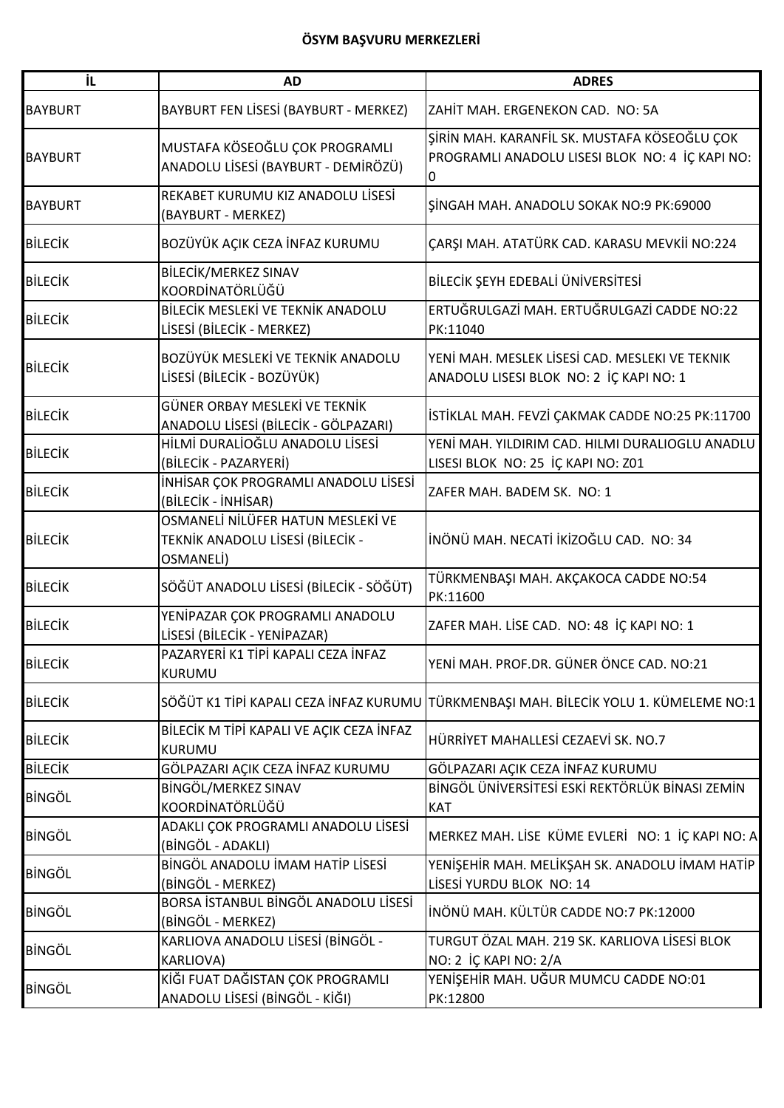| İL             | <b>AD</b>                                                                          | <b>ADRES</b>                                                                                         |
|----------------|------------------------------------------------------------------------------------|------------------------------------------------------------------------------------------------------|
| <b>BAYBURT</b> | BAYBURT FEN LİSESİ (BAYBURT - MERKEZ)                                              | ZAHİT MAH. ERGENEKON CAD. NO: 5A                                                                     |
| <b>BAYBURT</b> | MUSTAFA KÖSEOĞLU ÇOK PROGRAMLI<br>ANADOLU LİSESİ (BAYBURT - DEMİRÖZÜ)              | ŞİRİN MAH. KARANFİL SK. MUSTAFA KÖSEOĞLU ÇOK<br>PROGRAMLI ANADOLU LISESI BLOK NO: 4 İÇ KAPI NO:<br>0 |
| <b>BAYBURT</b> | REKABET KURUMU KIZ ANADOLU LİSESİ<br>(BAYBURT - MERKEZ)                            | SINGAH MAH. ANADOLU SOKAK NO:9 PK:69000                                                              |
| <b>BİLECİK</b> | BOZÜYÜK AÇIK CEZA İNFAZ KURUMU                                                     | ÇARŞI MAH. ATATÜRK CAD. KARASU MEVKİİ NO:224                                                         |
| <b>BİLECİK</b> | BİLECİK/MERKEZ SINAV<br>KOORDİNATÖRLÜĞÜ                                            | BİLECİK ŞEYH EDEBALİ ÜNİVERSİTESİ                                                                    |
| <b>BİLECİK</b> | BİLECİK MESLEKİ VE TEKNİK ANADOLU<br>LİSESİ (BİLECİK - MERKEZ)                     | ERTUĞRULGAZİ MAH. ERTUĞRULGAZİ CADDE NO:22<br>PK:11040                                               |
| <b>BİLECİK</b> | BOZÜYÜK MESLEKİ VE TEKNİK ANADOLU<br>LİSESİ (BİLECİK - BOZÜYÜK)                    | YENİ MAH. MESLEK LİSESİ CAD. MESLEKI VE TEKNIK<br>ANADOLU LISESI BLOK NO: 2 İÇ KAPI NO: 1            |
| <b>BİLECİK</b> | GÜNER ORBAY MESLEKİ VE TEKNİK<br>ANADOLU LİSESİ (BİLECİK - GÖLPAZARI)              | İSTİKLAL MAH. FEVZİ ÇAKMAK CADDE NO:25 PK:11700                                                      |
| <b>BİLECİK</b> | HİLMİ DURALİOĞLU ANADOLU LİSESİ<br>(BİLECİK - PAZARYERİ)                           | YENİ MAH. YILDIRIM CAD. HILMI DURALIOGLU ANADLU<br>LISESI BLOK NO: 25 İÇ KAPI NO: Z01                |
| <b>BİLECİK</b> | İNHİSAR ÇOK PROGRAMLI ANADOLU LİSESİ<br>(BİLECİK - İNHİSAR)                        | ZAFER MAH. BADEM SK. NO: 1                                                                           |
| <b>BİLECİK</b> | OSMANELİ NİLÜFER HATUN MESLEKİ VE<br>TEKNİK ANADOLU LİSESİ (BİLECİK -<br>OSMANELİ) | INÖNÜ MAH. NECATI İKİZOĞLU CAD. NO: 34                                                               |
| <b>BİLECİK</b> | SÖĞÜT ANADOLU LİSESİ (BİLECİK - SÖĞÜT)                                             | TÜRKMENBAŞI MAH. AKÇAKOCA CADDE NO:54<br>PK:11600                                                    |
| <b>BİLECİK</b> | YENİPAZAR ÇOK PROGRAMLI ANADOLU<br>LİSESİ (BİLECİK - YENİPAZAR)                    | ZAFER MAH. LİSE CAD. NO: 48 İÇ KAPI NO: 1                                                            |
| <b>BILECIK</b> | PAZARYERİ K1 TİPİ KAPALI CEZA İNFAZ<br><b>KURUMU</b>                               | YENİ MAH. PROF.DR. GÜNER ÖNCE CAD. NO:21                                                             |
| <b>BİLECİK</b> | SÖĞÜT K1 TİPİ KAPALI CEZA İNFAZ KURUMU                                             | TÜRKMENBAŞI MAH. BİLECİK YOLU 1. KÜMELEME NO:1                                                       |
| <b>BİLECİK</b> | BİLECİK M TİPİ KAPALI VE AÇIK CEZA İNFAZ<br><b>KURUMU</b>                          | HÜRRİYET MAHALLESİ CEZAEVİ SK. NO.7                                                                  |
| <b>BİLECİK</b> | GÖLPAZARI AÇIK CEZA İNFAZ KURUMU                                                   | GÖLPAZARI AÇIK CEZA İNFAZ KURUMU                                                                     |
| <b>BİNGÖL</b>  | BİNGÖL/MERKEZ SINAV<br>KOORDİNATÖRLÜĞÜ                                             | BİNGÖL ÜNİVERSİTESİ ESKİ REKTÖRLÜK BİNASI ZEMİN<br><b>KAT</b>                                        |
| <b>BİNGÖL</b>  | ADAKLI ÇOK PROGRAMLI ANADOLU LİSESİ<br>(BİNGÖL - ADAKLI)                           | MERKEZ MAH. LİSE KÜME EVLERİ NO: 1 İÇ KAPI NO: A                                                     |
| <b>BİNGÖL</b>  | BİNGÖL ANADOLU İMAM HATİP LİSESİ<br>(BİNGÖL - MERKEZ)                              | YENİŞEHİR MAH. MELİKŞAH SK. ANADOLU İMAM HATİP<br>LİSESİ YURDU BLOK NO: 14                           |
| <b>BİNGÖL</b>  | BORSA İSTANBUL BİNGÖL ANADOLU LİSESİ<br>(BİNGÖL - MERKEZ)                          | İNÖNÜ MAH. KÜLTÜR CADDE NO:7 PK:12000                                                                |
| <b>BİNGÖL</b>  | KARLIOVA ANADOLU LİSESİ (BİNGÖL -<br><b>KARLIOVA)</b>                              | TURGUT ÖZAL MAH. 219 SK. KARLIOVA LİSESİ BLOK<br>NO: 2 İÇ KAPI NO: 2/A                               |
| <b>BİNGÖL</b>  | KİĞI FUAT DAĞISTAN ÇOK PROGRAMLI<br>ANADOLU LİSESİ (BİNGÖL - KİĞI)                 | YENİŞEHİR MAH. UĞUR MUMCU CADDE NO:01<br>PK:12800                                                    |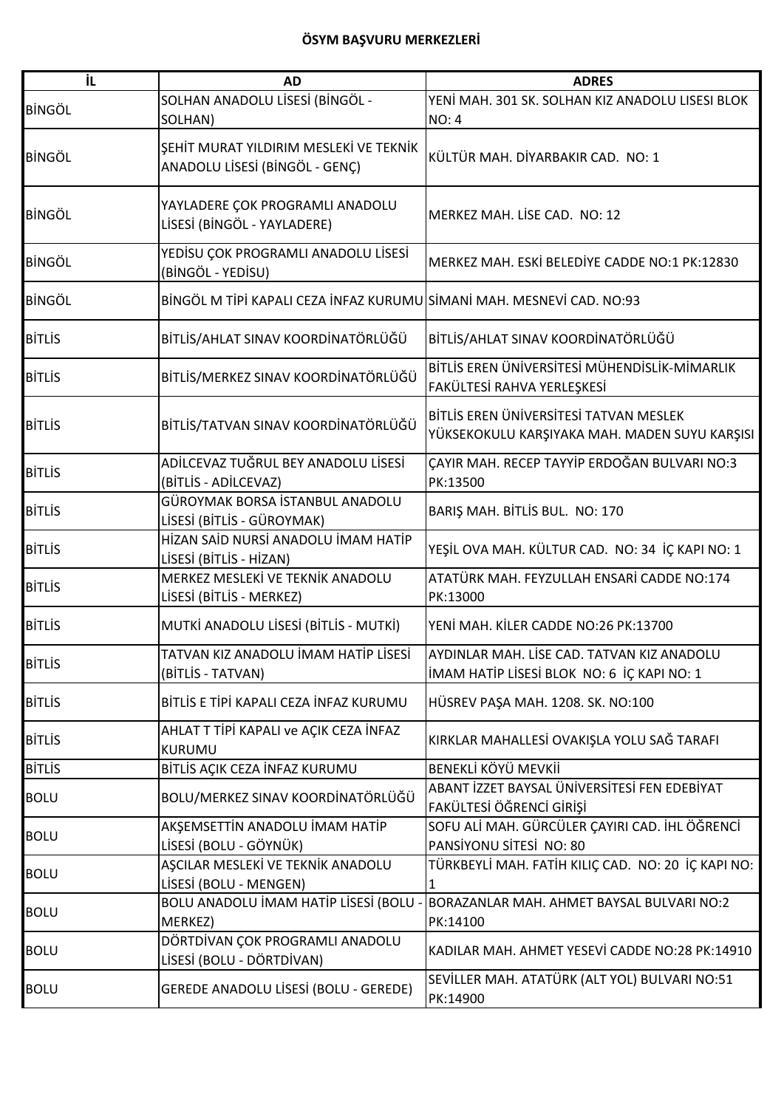| iL            | <b>AD</b>                                                                | <b>ADRES</b>                                                                             |
|---------------|--------------------------------------------------------------------------|------------------------------------------------------------------------------------------|
| <b>BİNGÖL</b> | SOLHAN ANADOLU LİSESİ (BİNGÖL -<br>SOLHAN)                               | YENİ MAH. 301 SK. SOLHAN KIZ ANADOLU LISESI BLOK<br><b>NO: 4</b>                         |
| <b>BİNGÖL</b> | ŞEHİT MURAT YILDIRIM MESLEKİ VE TEKNİK<br>ANADOLU LİSESİ (BİNGÖL - GENÇ) | KÜLTÜR MAH. DİYARBAKIR CAD. NO: 1                                                        |
| <b>BİNGÖL</b> | YAYLADERE ÇOK PROGRAMLI ANADOLU<br>LİSESİ (BİNGÖL - YAYLADERE)           | MERKEZ MAH. LİSE CAD. NO: 12                                                             |
| <b>BİNGÖL</b> | YEDİSU ÇOK PROGRAMLI ANADOLU LİSESİ<br>(BİNGÖL - YEDİSU)                 | MERKEZ MAH. ESKİ BELEDİYE CADDE NO:1 PK:12830                                            |
| <b>BİNGÖL</b> | BİNGÖL M TİPİ KAPALI CEZA İNFAZ KURUMU SİMANİ MAH. MESNEVİ CAD. NO:93    |                                                                                          |
| <b>BITLIS</b> | BİTLİS/AHLAT SINAV KOORDİNATÖRLÜĞÜ                                       | BİTLİS/AHLAT SINAV KOORDİNATÖRLÜĞÜ                                                       |
| <b>BITLIS</b> | BİTLİS/MERKEZ SINAV KOORDİNATÖRLÜĞÜ                                      | BİTLİS EREN ÜNİVERSİTESİ MÜHENDİSLİK-MİMARLIK<br>FAKÜLTESİ RAHVA YERLEŞKESİ              |
| <b>BİTLİS</b> | BİTLİS/TATVAN SINAV KOORDİNATÖRLÜĞÜ                                      | BİTLİS EREN ÜNİVERSİTESİ TATVAN MESLEK<br>YÜKSEKOKULU KARŞIYAKA MAH. MADEN SUYU KARŞISI  |
| <b>BİTLİS</b> | ADİLCEVAZ TUĞRUL BEY ANADOLU LİSESİ<br>(BİTLİS - ADİLCEVAZ)              | ÇAYIR MAH. RECEP TAYYİP ERDOĞAN BULVARI NO:3<br>PK:13500                                 |
| <b>BİTLİS</b> | GÜROYMAK BORSA İSTANBUL ANADOLU<br>LİSESİ (BİTLİS - GÜROYMAK)            | BARIȘ MAH. BİTLİS BUL. NO: 170                                                           |
| <b>BİTLİS</b> | HİZAN SAİD NURSİ ANADOLU İMAM HATİP<br>LİSESİ (BİTLİS - HİZAN)           | YEŞİL OVA MAH. KÜLTUR CAD. NO: 34 İÇ KAPI NO: 1                                          |
| <b>BİTLİS</b> | MERKEZ MESLEKİ VE TEKNİK ANADOLU<br>LİSESİ (BİTLİS - MERKEZ)             | ATATÜRK MAH. FEYZULLAH ENSARİ CADDE NO:174<br>PK:13000                                   |
| <b>BITLIS</b> | MUTKİ ANADOLU LİSESİ (BİTLİS - MUTKİ)                                    | YENİ MAH. KİLER CADDE NO:26 PK:13700                                                     |
| <b>BİTLİS</b> | TATVAN KIZ ANADOLU İMAM HATİP LİSESİ<br>(BİTLİS - TATVAN)                | AYDINLAR MAH. LİSE CAD. TATVAN KIZ ANADOLU<br>İMAM HATİP LİSESİ BLOK NO: 6 İÇ KAPI NO: 1 |
| <b>BİTLİS</b> | BİTLİS E TİPİ KAPALI CEZA İNFAZ KURUMU                                   | HÜSREV PAŞA MAH. 1208. SK. NO:100                                                        |
| <b>BİTLİS</b> | AHLAT T TİPİ KAPALI ve AÇIK CEZA İNFAZ<br>KURUMU                         | KIRKLAR MAHALLESİ OVAKIŞLA YOLU SAĞ TARAFI                                               |
| <b>BİTLİS</b> | BİTLİS AÇIK CEZA İNFAZ KURUMU                                            | BENEKLİ KÖYÜ MEVKİİ                                                                      |
| <b>BOLU</b>   | BOLU/MERKEZ SINAV KOORDİNATÖRLÜĞÜ                                        | ABANT İZZET BAYSAL ÜNİVERSİTESİ FEN EDEBİYAT<br>FAKÜLTESİ ÖĞRENCİ GİRİŞİ                 |
| <b>BOLU</b>   | AKŞEMSETTİN ANADOLU İMAM HATİP<br>LİSESİ (BOLU - GÖYNÜK)                 | SOFU ALİ MAH. GÜRCÜLER ÇAYIRI CAD. İHL ÖĞRENCİ<br>PANSIYONU SITESI NO: 80                |
| <b>BOLU</b>   | AŞCILAR MESLEKİ VE TEKNİK ANADOLU<br>LİSESİ (BOLU - MENGEN)              | TÜRKBEYLİ MAH. FATİH KILIÇ CAD. NO: 20 İÇ KAPI NO:<br>1                                  |
| <b>BOLU</b>   | BOLU ANADOLU İMAM HATİP LİSESİ (BOLU<br>MERKEZ)                          | BORAZANLAR MAH. AHMET BAYSAL BULVARI NO:2<br>PK:14100                                    |
| <b>BOLU</b>   | DÖRTDİVAN ÇOK PROGRAMLI ANADOLU<br>LİSESİ (BOLU - DÖRTDİVAN)             | KADILAR MAH. AHMET YESEVİ CADDE NO:28 PK:14910                                           |
| <b>BOLU</b>   | GEREDE ANADOLU LİSESİ (BOLU - GEREDE)                                    | SEVİLLER MAH. ATATÜRK (ALT YOL) BULVARI NO:51<br>PK:14900                                |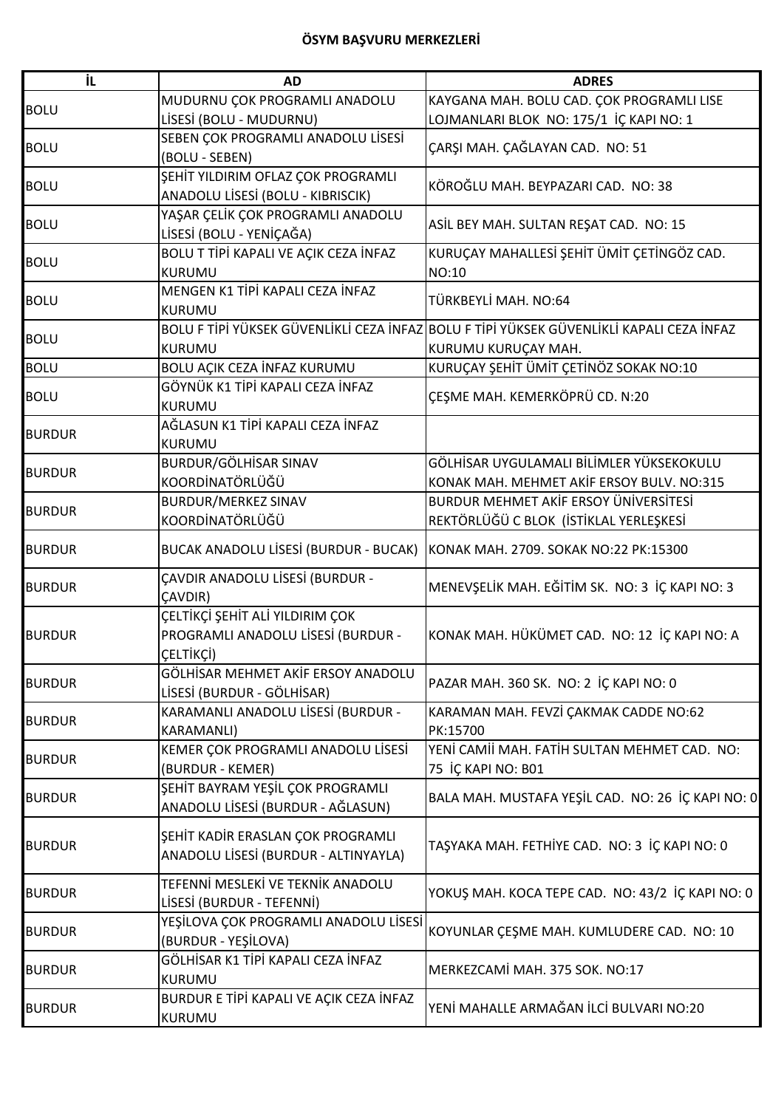| ΪL            | <b>AD</b>                                    | <b>ADRES</b>                                                                             |
|---------------|----------------------------------------------|------------------------------------------------------------------------------------------|
|               | MUDURNU ÇOK PROGRAMLI ANADOLU                | KAYGANA MAH. BOLU CAD. ÇOK PROGRAMLI LISE                                                |
| <b>BOLU</b>   | LİSESİ (BOLU - MUDURNU)                      | LOJMANLARI BLOK NO: 175/1 İÇ KAPI NO: 1                                                  |
|               | SEBEN ÇOK PROGRAMLI ANADOLU LİSESİ           |                                                                                          |
| <b>BOLU</b>   | (BOLU - SEBEN)                               | ÇARŞI MAH. ÇAĞLAYAN CAD. NO: 51                                                          |
|               | ŞEHİT YILDIRIM OFLAZ ÇOK PROGRAMLI           |                                                                                          |
| <b>BOLU</b>   | ANADOLU LİSESİ (BOLU - KIBRISCIK)            | KÖROĞLU MAH. BEYPAZARI CAD. NO: 38                                                       |
|               | YAŞAR ÇELİK ÇOK PROGRAMLI ANADOLU            |                                                                                          |
| <b>BOLU</b>   | LİSESİ (BOLU - YENİÇAĞA)                     | ASİL BEY MAH. SULTAN REŞAT CAD. NO: 15                                                   |
|               | BOLU T TİPİ KAPALI VE AÇIK CEZA İNFAZ        | KURUÇAY MAHALLESİ ŞEHİT ÜMİT ÇETİNGÖZ CAD.                                               |
| <b>BOLU</b>   | KURUMU                                       | NO:10                                                                                    |
|               | MENGEN K1 TİPİ KAPALI CEZA İNFAZ             |                                                                                          |
| <b>BOLU</b>   | <b>KURUMU</b>                                | TÜRKBEYLİ MAH. NO:64                                                                     |
|               |                                              | BOLU F TİPİ YÜKSEK GÜVENLIKLI CEZA İNFAZ BOLU F TİPİ YÜKSEK GÜVENLIKLI KAPALI CEZA İNFAZ |
| <b>BOLU</b>   | <b>KURUMU</b>                                | KURUMU KURUÇAY MAH.                                                                      |
| <b>BOLU</b>   | BOLU AÇIK CEZA İNFAZ KURUMU                  | KURUÇAY ŞEHİT ÜMİT ÇETİNÖZ SOKAK NO:10                                                   |
|               | GÖYNÜK K1 TİPİ KAPALI CEZA İNFAZ             |                                                                                          |
| <b>BOLU</b>   | <b>KURUMU</b>                                | ÇEŞME MAH. KEMERKÖPRÜ CD. N:20                                                           |
|               | AĞLASUN K1 TİPİ KAPALI CEZA İNFAZ            |                                                                                          |
| <b>BURDUR</b> | <b>KURUMU</b>                                |                                                                                          |
| <b>BURDUR</b> | BURDUR/GÖLHİSAR SINAV                        | GÖLHİSAR UYGULAMALI BİLİMLER YÜKSEKOKULU                                                 |
|               | KOORDİNATÖRLÜĞÜ                              | KONAK MAH. MEHMET AKİF ERSOY BULV. NO:315                                                |
| <b>BURDUR</b> | <b>BURDUR/MERKEZ SINAV</b>                   | BURDUR MEHMET AKİF ERSOY ÜNİVERSİTESİ                                                    |
|               | KOORDİNATÖRLÜĞÜ                              | REKTÖRLÜĞÜ C BLOK (İSTİKLAL YERLEŞKESİ                                                   |
| <b>BURDUR</b> | <b>BUCAK ANADOLU LİSESİ (BURDUR - BUCAK)</b> | KONAK MAH. 2709. SOKAK NO:22 PK:15300                                                    |
|               | ÇAVDIR ANADOLU LİSESİ (BURDUR -              |                                                                                          |
| <b>BURDUR</b> | <b>CAVDIR)</b>                               | MENEVŞELİK MAH. EĞİTİM SK. NO: 3 İÇ KAPI NO: 3                                           |
|               | ÇELTİKÇİ ŞEHİT ALİ YILDIRIM ÇOK              |                                                                                          |
| <b>BURDUR</b> | PROGRAMLI ANADOLU LİSESİ (BURDUR -           | KONAK MAH. HÜKÜMET CAD. NO: 12 İÇ KAPI NO: A                                             |
|               | CELTİKÇİ)                                    |                                                                                          |
|               | GÖLHİSAR MEHMET AKİF ERSOY ANADOLU           |                                                                                          |
| <b>BURDUR</b> | LİSESİ (BURDUR - GÖLHİSAR)                   | PAZAR MAH. 360 SK. NO: 2 İÇ KAPI NO: 0                                                   |
|               | KARAMANLI ANADOLU LİSESİ (BURDUR -           | KARAMAN MAH. FEVZİ ÇAKMAK CADDE NO:62                                                    |
| <b>BURDUR</b> | <b>KARAMANLI)</b>                            | PK:15700                                                                                 |
| <b>BURDUR</b> | KEMER ÇOK PROGRAMLI ANADOLU LİSESİ           | YENİ CAMİİ MAH. FATİH SULTAN MEHMET CAD. NO:                                             |
|               | (BURDUR - KEMER)                             | 75 İÇ KAPI NO: B01                                                                       |
| <b>BURDUR</b> | ŞEHİT BAYRAM YEŞİL ÇOK PROGRAMLI             | BALA MAH. MUSTAFA YEŞİL CAD. NO: 26 İÇ KAPI NO: 0                                        |
|               | ANADOLU LİSESİ (BURDUR - AĞLASUN)            |                                                                                          |
|               | ŞEHİT KADİR ERASLAN ÇOK PROGRAMLI            |                                                                                          |
| <b>BURDUR</b> | ANADOLU LİSESİ (BURDUR - ALTINYAYLA)         | TAŞYAKA MAH. FETHİYE CAD. NO: 3 İÇ KAPI NO: 0                                            |
|               |                                              |                                                                                          |
| <b>BURDUR</b> | TEFENNİ MESLEKİ VE TEKNİK ANADOLU            | YOKUŞ MAH. KOCA TEPE CAD. NO: 43/2 İÇ KAPI NO: 0                                         |
|               | LİSESİ (BURDUR - TEFENNİ)                    |                                                                                          |
| <b>BURDUR</b> | YEŞİLOVA ÇOK PROGRAMLI ANADOLU LİSESİ        | KOYUNLAR ÇEŞME MAH. KUMLUDERE CAD. NO: 10                                                |
|               | (BURDUR - YEŞİLOVA)                          |                                                                                          |
| <b>BURDUR</b> | GÖLHİSAR K1 TİPİ KAPALI CEZA İNFAZ           | MERKEZCAMİ MAH. 375 SOK. NO:17                                                           |
|               | <b>KURUMU</b>                                |                                                                                          |
| <b>BURDUR</b> | BURDUR E TİPİ KAPALI VE AÇIK CEZA İNFAZ      | YENİ MAHALLE ARMAĞAN İLCİ BULVARI NO:20                                                  |
|               | KURUMU                                       |                                                                                          |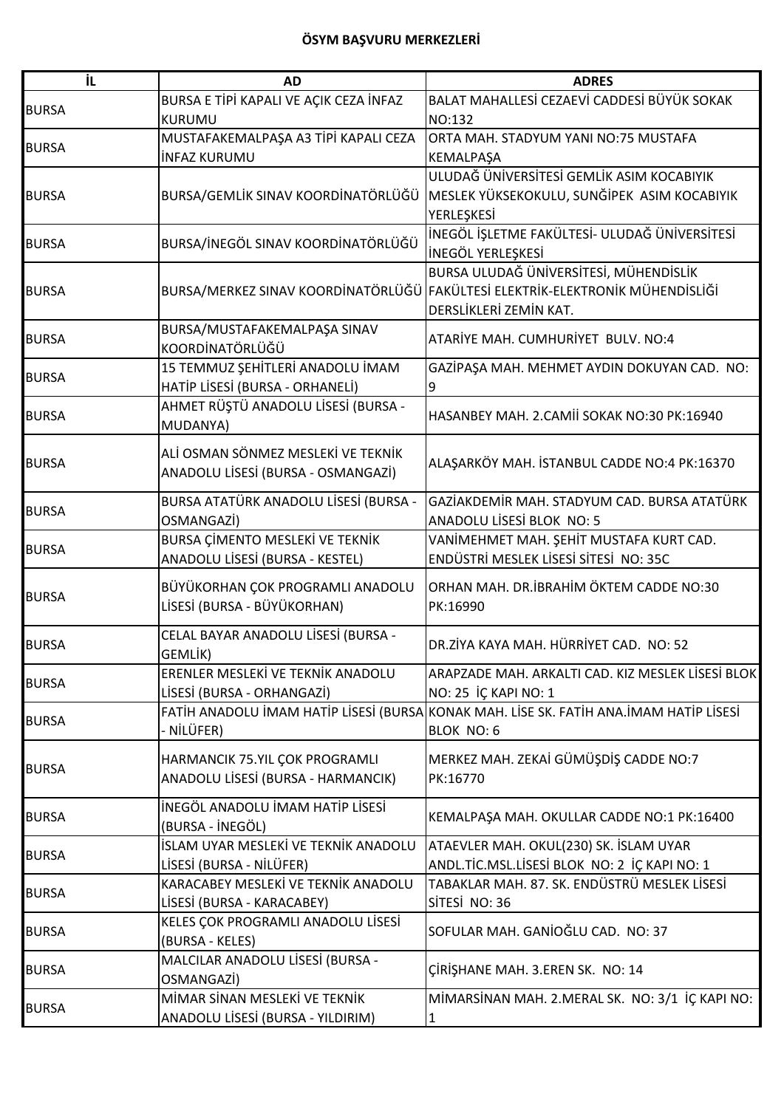| İL           | <b>AD</b>                              | <b>ADRES</b>                                                                           |
|--------------|----------------------------------------|----------------------------------------------------------------------------------------|
|              | BURSA E TİPİ KAPALI VE AÇIK CEZA İNFAZ | BALAT MAHALLESİ CEZAEVİ CADDESİ BÜYÜK SOKAK                                            |
| <b>BURSA</b> | <b>KURUMU</b>                          | NO:132                                                                                 |
| <b>BURSA</b> | MUSTAFAKEMALPAŞA A3 TİPİ KAPALI CEZA   | ORTA MAH. STADYUM YANI NO:75 MUSTAFA                                                   |
|              | <b>INFAZ KURUMU</b>                    | KEMALPAŞA                                                                              |
|              |                                        | ULUDAĞ ÜNİVERSİTESİ GEMLİK ASIM KOCABIYIK                                              |
| <b>BURSA</b> | BURSA/GEMLİK SINAV KOORDİNATÖRLÜĞÜ     | MESLEK YÜKSEKOKULU, SUNĞİPEK ASIM KOCABIYIK                                            |
|              |                                        | YERLEŞKESİ                                                                             |
|              |                                        | İNEGÖL İŞLETME FAKÜLTESİ- ULUDAĞ ÜNİVERSİTESİ                                          |
| <b>BURSA</b> | BURSA/İNEGÖL SINAV KOORDİNATÖRLÜĞÜ     | <b>INEGÖL YERLEŞKESİ</b>                                                               |
|              |                                        | BURSA ULUDAĞ ÜNIVERSİTESİ, MÜHENDİSLİK                                                 |
| <b>BURSA</b> |                                        | BURSA/MERKEZ SINAV KOORDİNATÖRLÜĞÜ FAKÜLTESİ ELEKTRİK-ELEKTRONİK MÜHENDİSLİĞİ          |
|              |                                        | DERSLİKLERİ ZEMİN KAT.                                                                 |
| <b>BURSA</b> | BURSA/MUSTAFAKEMALPAŞA SINAV           | ATARIYE MAH. CUMHURIYET BULV. NO:4                                                     |
|              | KOORDİNATÖRLÜĞÜ                        |                                                                                        |
|              | 15 TEMMUZ ŞEHİTLERİ ANADOLU İMAM       | GAZİPAŞA MAH. MEHMET AYDIN DOKUYAN CAD. NO:                                            |
| <b>BURSA</b> | HATİP LİSESİ (BURSA - ORHANELİ)        | 9                                                                                      |
|              | AHMET RÜŞTÜ ANADOLU LİSESİ (BURSA -    | HASANBEY MAH. 2. CAMII SOKAK NO:30 PK:16940                                            |
| <b>BURSA</b> | MUDANYA)                               |                                                                                        |
|              |                                        |                                                                                        |
| <b>BURSA</b> | ALİ OSMAN SÖNMEZ MESLEKİ VE TEKNİK     | ALAŞARKÖY MAH. İSTANBUL CADDE NO:4 PK:16370                                            |
|              | ANADOLU LİSESİ (BURSA - OSMANGAZİ)     |                                                                                        |
|              | BURSA ATATÜRK ANADOLU LİSESİ (BURSA -  | GAZİAKDEMİR MAH. STADYUM CAD. BURSA ATATÜRK                                            |
| <b>BURSA</b> | OSMANGAZİ)                             | ANADOLU LİSESİ BLOK NO: 5                                                              |
|              | BURSA ÇİMENTO MESLEKİ VE TEKNİK        | VANİMEHMET MAH. ŞEHİT MUSTAFA KURT CAD.                                                |
| <b>BURSA</b> | ANADOLU LİSESİ (BURSA - KESTEL)        | ENDÜSTRİ MESLEK LİSESİ SİTESİ NO: 35C                                                  |
|              |                                        |                                                                                        |
| <b>BURSA</b> | BÜYÜKORHAN ÇOK PROGRAMLI ANADOLU       | ORHAN MAH. DR. İBRAHİM ÖKTEM CADDE NO:30                                               |
|              | LİSESİ (BURSA - BÜYÜKORHAN)            | PK:16990                                                                               |
| <b>BURSA</b> | CELAL BAYAR ANADOLU LİSESİ (BURSA -    | DR.ZİYA KAYA MAH. HÜRRİYET CAD. NO: 52                                                 |
|              | GEMLİK)                                |                                                                                        |
| <b>BURSA</b> | ERENLER MESLEKİ VE TEKNİK ANADOLU      | ARAPZADE MAH. ARKALTI CAD. KIZ MESLEK LİSESİ BLOK                                      |
|              | LİSESİ (BURSA - ORHANGAZİ)             | NO: 25 İÇ KAPI NO: 1                                                                   |
| <b>BURSA</b> |                                        | FATİH ANADOLU İMAM HATİP LİSESİ (BURSA KONAK MAH. LİSE SK. FATİH ANA.İMAM HATİP LİSESİ |
|              | - NİLÜFER)                             | BLOK NO: 6                                                                             |
|              | HARMANCIK 75.YIL ÇOK PROGRAMLI         | MERKEZ MAH. ZEKAİ GÜMÜŞDİŞ CADDE NO:7                                                  |
| <b>BURSA</b> | ANADOLU LİSESİ (BURSA - HARMANCIK)     | PK:16770                                                                               |
|              |                                        |                                                                                        |
| <b>BURSA</b> | İNEGÖL ANADOLU İMAM HATİP LİSESİ       | KEMALPAŞA MAH. OKULLAR CADDE NO:1 PK:16400                                             |
|              | (BURSA - İNEGÖL)                       |                                                                                        |
| <b>BURSA</b> | İSLAM UYAR MESLEKİ VE TEKNİK ANADOLU   | ATAEVLER MAH. OKUL(230) SK. İSLAM UYAR                                                 |
|              | LİSESİ (BURSA - NİLÜFER)               | ANDL.TİC.MSL.LİSESİ BLOK NO: 2 İÇ KAPI NO: 1                                           |
| <b>BURSA</b> | KARACABEY MESLEKİ VE TEKNİK ANADOLU    | TABAKLAR MAH. 87. SK. ENDÜSTRÜ MESLEK LİSESİ                                           |
|              | LİSESİ (BURSA - KARACABEY)             | SİTESİ NO: 36                                                                          |
| <b>BURSA</b> | KELES ÇOK PROGRAMLI ANADOLU LİSESİ     | SOFULAR MAH. GANIOĞLU CAD. NO: 37                                                      |
|              | (BURSA - KELES)                        |                                                                                        |
| <b>BURSA</b> | MALCILAR ANADOLU LİSESİ (BURSA -       | ÇİRİŞHANE MAH. 3.EREN SK. NO: 14                                                       |
|              | OSMANGAZİ)                             |                                                                                        |
| <b>BURSA</b> | MİMAR SİNAN MESLEKİ VE TEKNİK          | MİMARSİNAN MAH. 2.MERAL SK. NO: 3/1 İÇ KAPI NO:                                        |
|              | ANADOLU LİSESİ (BURSA - YILDIRIM)      |                                                                                        |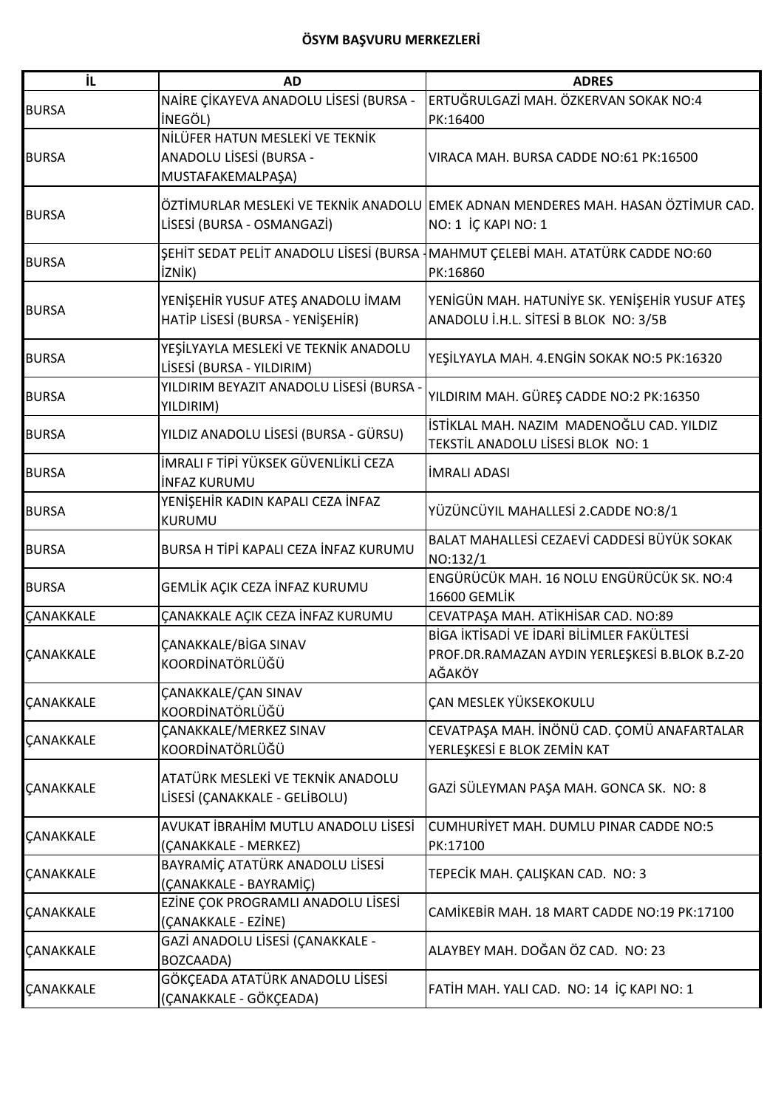| İL                      | <b>AD</b>                                                                       | <b>ADRES</b>                                                                                            |
|-------------------------|---------------------------------------------------------------------------------|---------------------------------------------------------------------------------------------------------|
| <b>BURSA</b>            | NAİRE ÇİKAYEVA ANADOLU LİSESİ (BURSA -<br>İNEGÖL)                               | ERTUĞRULGAZİ MAH. ÖZKERVAN SOKAK NO:4<br>PK:16400                                                       |
| <b>BURSA</b>            | NİLÜFER HATUN MESLEKİ VE TEKNİK<br>ANADOLU LİSESİ (BURSA -<br>MUSTAFAKEMALPAŞA) | VIRACA MAH. BURSA CADDE NO:61 PK:16500                                                                  |
| <b>BURSA</b>            | LİSESİ (BURSA - OSMANGAZİ)                                                      | ÖZTİMURLAR MESLEKİ VE TEKNİK ANADOLU EMEK ADNAN MENDERES MAH. HASAN ÖZTİMUR CAD.<br>NO: 1 İÇ KAPI NO: 1 |
| <b>BURSA</b>            | ŞEHİT SEDAT PELİT ANADOLU LİSESİ (BURSA<br>iznik)                               | MAHMUT ÇELEBİ MAH. ATATÜRK CADDE NO:60<br>PK:16860                                                      |
| <b>BURSA</b>            | YENİŞEHİR YUSUF ATEŞ ANADOLU İMAM<br>HATİP LİSESİ (BURSA - YENİŞEHİR)           | YENIGÜN MAH. HATUNİYE SK. YENIŞEHİR YUSUF ATEŞ<br>ANADOLU İ.H.L. SİTESİ B BLOK NO: 3/5B                 |
| <b>BURSA</b>            | YEŞİLYAYLA MESLEKİ VE TEKNİK ANADOLU<br>LİSESİ (BURSA - YILDIRIM)               | YEŞİLYAYLA MAH. 4.ENGİN SOKAK NO:5 PK:16320                                                             |
| <b>BURSA</b>            | YILDIRIM BEYAZIT ANADOLU LİSESİ (BURSA -<br>YILDIRIM)                           | YILDIRIM MAH. GÜREŞ CADDE NO:2 PK:16350                                                                 |
| <b>BURSA</b>            | YILDIZ ANADOLU LİSESİ (BURSA - GÜRSU)                                           | İSTİKLAL MAH. NAZIM MADENOĞLU CAD. YILDIZ<br>TEKSTİL ANADOLU LİSESİ BLOK NO: 1                          |
| <b>BURSA</b>            | İMRALI F TİPİ YÜKSEK GÜVENLİKLİ CEZA<br><b>INFAZ KURUMU</b>                     | <b>İMRALI ADASI</b>                                                                                     |
| <b>BURSA</b>            | YENİŞEHİR KADIN KAPALI CEZA İNFAZ<br><b>KURUMU</b>                              | YÜZÜNCÜYIL MAHALLESİ 2.CADDE NO:8/1                                                                     |
| <b>BURSA</b>            | BURSA H TİPİ KAPALI CEZA İNFAZ KURUMU                                           | BALAT MAHALLESİ CEZAEVİ CADDESİ BÜYÜK SOKAK<br>NO:132/1                                                 |
| <b>BURSA</b>            | GEMLİK AÇIK CEZA İNFAZ KURUMU                                                   | ENGÜRÜCÜK MAH. 16 NOLU ENGÜRÜCÜK SK. NO:4<br>16600 GEMLİK                                               |
| ÇANAKKALE               | ÇANAKKALE AÇIK CEZA İNFAZ KURUMU                                                | CEVATPAŞA MAH. ATİKHİSAR CAD. NO:89                                                                     |
| ÇANAKKALE               | ÇANAKKALE/BİGA SINAV<br>KOORDİNATÖRLÜĞÜ                                         | BİGA İKTİSADİ VE İDARİ BİLİMLER FAKÜLTESİ<br>PROF.DR.RAMAZAN AYDIN YERLEŞKESİ B.BLOK B.Z-20<br>AĞAKÖY   |
| ÇANAKKALE               | <b>CANAKKALE/CAN SINAV</b><br>KOORDİNATÖRLÜĞÜ                                   | ÇAN MESLEK YÜKSEKOKULU                                                                                  |
| ÇANAKKALE               | <b>ÇANAKKALE/MERKEZ SINAV</b><br>KOORDİNATÖRLÜĞÜ                                | CEVATPAŞA MAH. İNÖNÜ CAD. ÇOMÜ ANAFARTALAR<br>YERLEŞKESİ E BLOK ZEMİN KAT                               |
| <b><i>CANAKKALE</i></b> | ATATÜRK MESLEKİ VE TEKNİK ANADOLU<br>LİSESİ (ÇANAKKALE - GELİBOLU)              | GAZİ SÜLEYMAN PAŞA MAH. GONCA SK. NO: 8                                                                 |
| ÇANAKKALE               | AVUKAT İBRAHİM MUTLU ANADOLU LİSESİ<br>(ÇANAKKALE - MERKEZ)                     | CUMHURIYET MAH. DUMLU PINAR CADDE NO:5<br>PK:17100                                                      |
| ÇANAKKALE               | BAYRAMİÇ ATATÜRK ANADOLU LİSESİ<br>(ÇANAKKALE - BAYRAMİÇ)                       | TEPECİK MAH. ÇALIŞKAN CAD. NO: 3                                                                        |
| ÇANAKKALE               | EZİNE ÇOK PROGRAMLI ANADOLU LİSESİ<br>(ÇANAKKALE - EZİNE)                       | CAMİKEBİR MAH. 18 MART CADDE NO:19 PK:17100                                                             |
| ÇANAKKALE               | GAZİ ANADOLU LİSESİ (ÇANAKKALE -<br>BOZCAADA)                                   | ALAYBEY MAH. DOĞAN ÖZ CAD. NO: 23                                                                       |
| ÇANAKKALE               | GÖKÇEADA ATATÜRK ANADOLU LİSESİ<br>(ÇANAKKALE - GÖKÇEADA)                       | FATİH MAH. YALI CAD. NO: 14 İÇ KAPI NO: 1                                                               |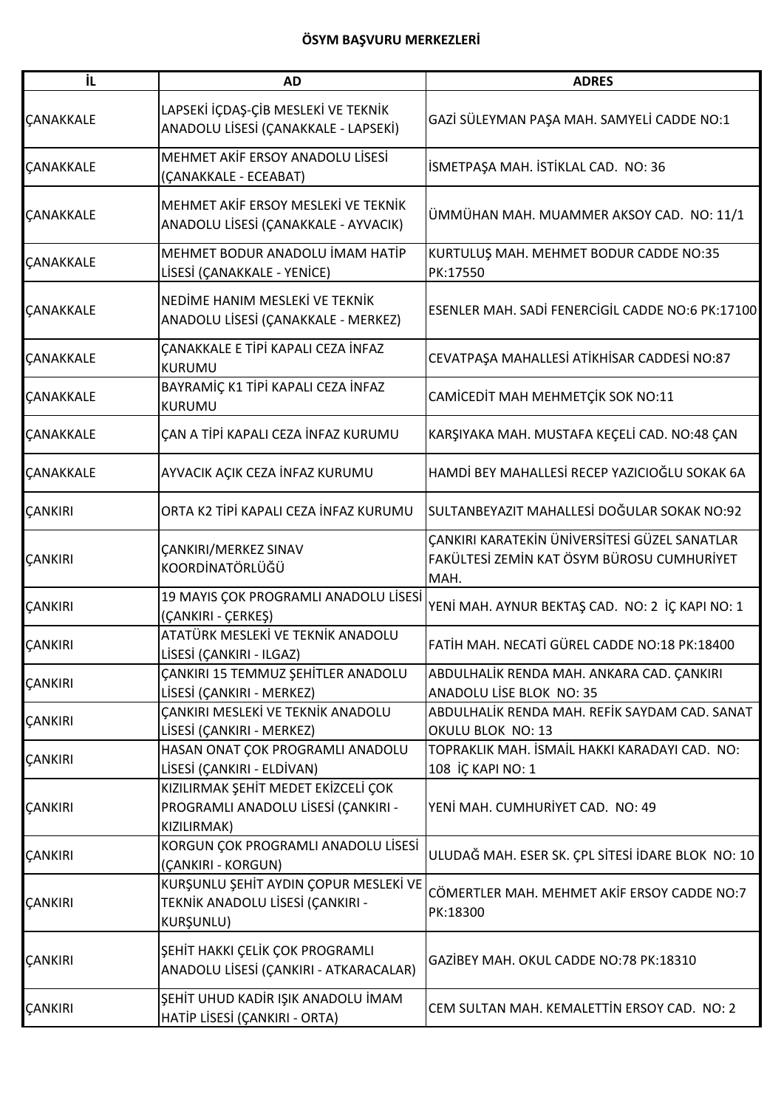| İL               | <b>AD</b>                                                                                 | <b>ADRES</b>                                                                                        |
|------------------|-------------------------------------------------------------------------------------------|-----------------------------------------------------------------------------------------------------|
| ÇANAKKALE        | LAPSEKİ İÇDAŞ-ÇİB MESLEKİ VE TEKNİK<br>ANADOLU LİSESİ (ÇANAKKALE - LAPSEKİ)               | GAZİ SÜLEYMAN PAŞA MAH. SAMYELİ CADDE NO:1                                                          |
| <b>CANAKKALE</b> | MEHMET AKİF ERSOY ANADOLU LİSESİ<br>(ÇANAKKALE - ECEABAT)                                 | İSMETPAŞA MAH. İSTİKLAL CAD. NO: 36                                                                 |
| ÇANAKKALE        | MEHMET AKİF ERSOY MESLEKİ VE TEKNİK<br>ANADOLU LİSESİ (ÇANAKKALE - AYVACIK)               | ÜMMÜHAN MAH. MUAMMER AKSOY CAD. NO: 11/1                                                            |
| <b>ÇANAKKALE</b> | MEHMET BODUR ANADOLU İMAM HATİP<br>LİSESİ (ÇANAKKALE - YENİCE)                            | KURTULUŞ MAH. MEHMET BODUR CADDE NO:35<br>PK:17550                                                  |
| ÇANAKKALE        | NEDİME HANIM MESLEKİ VE TEKNİK<br>ANADOLU LİSESİ (ÇANAKKALE - MERKEZ)                     | ESENLER MAH. SADİ FENERCİGİL CADDE NO:6 PK:17100                                                    |
| <b>CANAKKALE</b> | ÇANAKKALE E TİPİ KAPALI CEZA İNFAZ<br>KURUMU                                              | CEVATPAŞA MAHALLESİ ATİKHİSAR CADDESİ NO:87                                                         |
| <b>ÇANAKKALE</b> | BAYRAMİÇ K1 TİPİ KAPALI CEZA İNFAZ<br>KURUMU                                              | CAMİCEDİT MAH MEHMETÇİK SOK NO:11                                                                   |
| <b>ÇANAKKALE</b> | ÇAN A TİPİ KAPALI CEZA İNFAZ KURUMU                                                       | KARŞIYAKA MAH. MUSTAFA KEÇELİ CAD. NO:48 ÇAN                                                        |
| ÇANAKKALE        | AYVACIK AÇIK CEZA İNFAZ KURUMU                                                            | HAMDİ BEY MAHALLESİ RECEP YAZICIOĞLU SOKAK 6A                                                       |
| ÇANKIRI          | ORTA K2 TİPİ KAPALI CEZA İNFAZ KURUMU                                                     | SULTANBEYAZIT MAHALLESİ DOĞULAR SOKAK NO:92                                                         |
| ÇANKIRI          | ÇANKIRI/MERKEZ SINAV<br>KOORDİNATÖRLÜĞÜ                                                   | ÇANKIRI KARATEKİN ÜNİVERSİTESİ GÜZEL SANATLAR<br>FAKÜLTESİ ZEMİN KAT ÖSYM BÜROSU CUMHURİYET<br>MAH. |
| ÇANKIRI          | 19 MAYIS ÇOK PROGRAMLI ANADOLU LİSESİ<br>(CANKIRI - ÇERKEŞ)                               | YENİ MAH. AYNUR BEKTAŞ CAD. NO: 2 İÇ KAPI NO: 1                                                     |
| ÇANKIRI          | ATATÜRK MESLEKİ VE TEKNİK ANADOLU<br>LİSESİ (ÇANKIRI - ILGAZ)                             | FATİH MAH. NECATİ GÜREL CADDE NO:18 PK:18400                                                        |
| ÇANKIRI          | ÇANKIRI 15 TEMMUZ ŞEHİTLER ANADOLU<br>LİSESİ (ÇANKIRI - MERKEZ)                           | ABDULHALİK RENDA MAH. ANKARA CAD. ÇANKIRI<br>ANADOLU LİSE BLOK NO: 35                               |
| ÇANKIRI          | ÇANKIRI MESLEKİ VE TEKNİK ANADOLU<br>LİSESİ (ÇANKIRI - MERKEZ)                            | ABDULHALİK RENDA MAH. REFİK SAYDAM CAD. SANAT<br>OKULU BLOK NO: 13                                  |
| ÇANKIRI          | HASAN ONAT ÇOK PROGRAMLI ANADOLU<br>LİSESİ (ÇANKIRI - ELDİVAN)                            | TOPRAKLIK MAH. İSMAİL HAKKI KARADAYI CAD.  NO:<br>108 İÇ KAPI NO: 1                                 |
| ÇANKIRI          | KIZILIRMAK ŞEHİT MEDET EKİZCELİ ÇOK<br>PROGRAMLI ANADOLU LİSESİ (ÇANKIRI -<br>KIZILIRMAK) | YENİ MAH. CUMHURİYET CAD. NO: 49                                                                    |
| ÇANKIRI          | KORGUN ÇOK PROGRAMLI ANADOLU LİSESİ<br>(ÇANKIRI - KORGUN)                                 | ULUDAĞ MAH. ESER SK. ÇPL SİTESİ İDARE BLOK NO: 10                                                   |
| ÇANKIRI          | KURŞUNLU ŞEHİT AYDIN ÇOPUR MESLEKİ VE<br>TEKNİK ANADOLU LİSESİ (ÇANKIRI -<br>KURŞUNLU)    | CÖMERTLER MAH. MEHMET AKİF ERSOY CADDE NO:7<br>PK:18300                                             |
| ÇANKIRI          | ŞEHİT HAKKI ÇELİK ÇOK PROGRAMLI<br>ANADOLU LİSESİ (ÇANKIRI - ATKARACALAR)                 | GAZİBEY MAH. OKUL CADDE NO:78 PK:18310                                                              |
| ÇANKIRI          | ŞEHİT UHUD KADİR IŞIK ANADOLU İMAM<br>HATİP LİSESİ (ÇANKIRI - ORTA)                       | CEM SULTAN MAH. KEMALETTİN ERSOY CAD. NO: 2                                                         |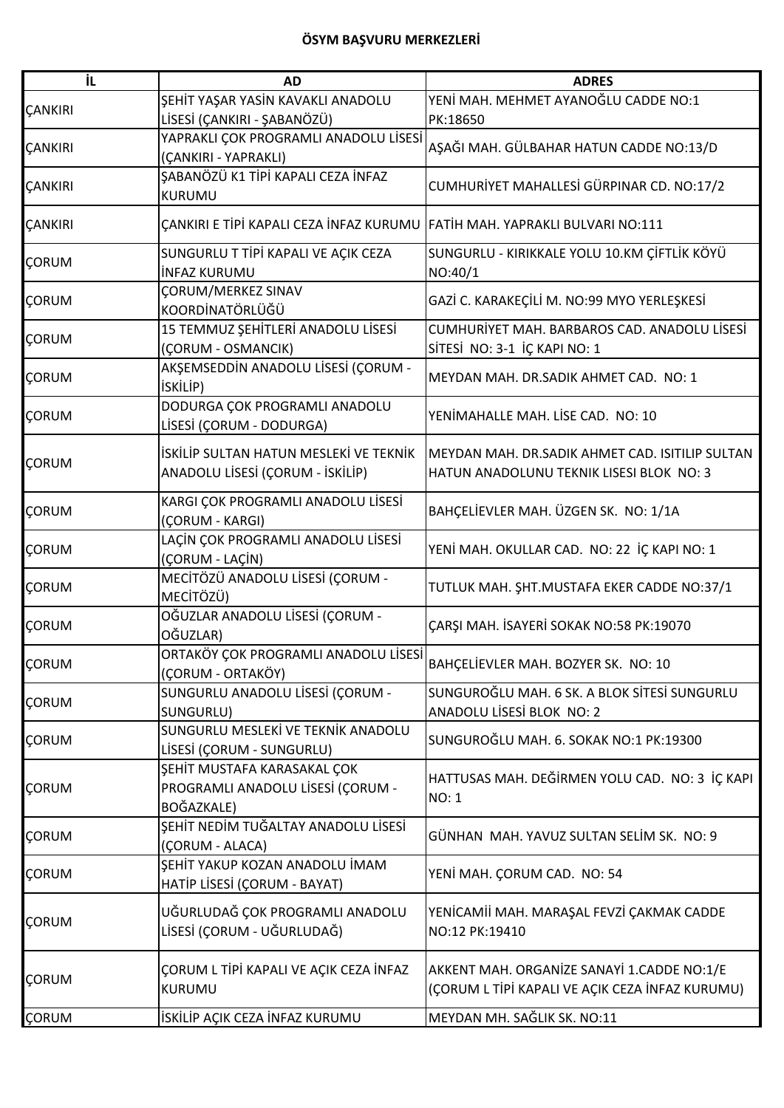| iL             | <b>AD</b>                                                                   | <b>ADRES</b>                                    |
|----------------|-----------------------------------------------------------------------------|-------------------------------------------------|
|                | ŞEHİT YAŞAR YASİN KAVAKLI ANADOLU                                           | YENİ MAH. MEHMET AYANOĞLU CADDE NO:1            |
| ÇANKIRI        | LİSESİ (ÇANKIRI - ŞABANÖZÜ)                                                 | PK:18650                                        |
|                | YAPRAKLI ÇOK PROGRAMLI ANADOLU LİSESİ                                       |                                                 |
| <b>ÇANKIRI</b> | (ÇANKIRI - YAPRAKLI)                                                        | AŞAĞI MAH. GÜLBAHAR HATUN CADDE NO:13/D         |
|                | ŞABANÖZÜ K1 TİPİ KAPALI CEZA İNFAZ                                          |                                                 |
| ÇANKIRI        | <b>KURUMU</b>                                                               | CUMHURİYET MAHALLESİ GÜRPINAR CD. NO:17/2       |
| <b>CANKIRI</b> | ÇANKIRI E TİPİ KAPALI CEZA İNFAZ KURUMU  FATİH MAH. YAPRAKLI BULVARI NO:111 |                                                 |
|                | SUNGURLU T TİPİ KAPALI VE AÇIK CEZA                                         | SUNGURLU - KIRIKKALE YOLU 10.KM ÇİFTLİK KÖYÜ    |
| ÇORUM          | <b>INFAZ KURUMU</b>                                                         | NO:40/1                                         |
|                | ÇORUM/MERKEZ SINAV                                                          | GAZİ C. KARAKEÇİLİ M. NO:99 MYO YERLEŞKESİ      |
| ÇORUM          | KOORDİNATÖRLÜĞÜ                                                             |                                                 |
|                | 15 TEMMUZ ŞEHİTLERİ ANADOLU LİSESİ                                          | CUMHURİYET MAH. BARBAROS CAD. ANADOLU LİSESİ    |
| ÇORUM          | (CORUM - OSMANCIK)                                                          | SİTESİ NO: 3-1 İÇ KAPI NO: 1                    |
|                | AKŞEMSEDDİN ANADOLU LİSESİ (ÇORUM -                                         |                                                 |
| ÇORUM          | <b>İSKİLİP)</b>                                                             | MEYDAN MAH. DR.SADIK AHMET CAD. NO: 1           |
|                | DODURGA ÇOK PROGRAMLI ANADOLU                                               |                                                 |
| ÇORUM          | LİSESİ (ÇORUM - DODURGA)                                                    | YENİMAHALLE MAH. LİSE CAD. NO: 10               |
|                |                                                                             |                                                 |
| ÇORUM          | İSKİLİP SULTAN HATUN MESLEKİ VE TEKNİK                                      | MEYDAN MAH. DR.SADIK AHMET CAD. ISITILIP SULTAN |
|                | ANADOLU LİSESİ (ÇORUM - İSKİLİP)                                            | HATUN ANADOLUNU TEKNIK LISESI BLOK NO: 3        |
|                | KARGI ÇOK PROGRAMLI ANADOLU LİSESİ                                          |                                                 |
| ÇORUM          | (ÇORUM - KARGI)                                                             | BAHÇELİEVLER MAH. ÜZGEN SK. NO: 1/1A            |
|                | LAÇİN ÇOK PROGRAMLI ANADOLU LİSESİ                                          |                                                 |
| ÇORUM          | (ÇORUM - LAÇİN)                                                             | YENİ MAH. OKULLAR CAD. NO: 22 İÇ KAPI NO: 1     |
|                | MECİTÖZÜ ANADOLU LİSESİ (ÇORUM -                                            |                                                 |
| ÇORUM          | MECİTÖZÜ)                                                                   | TUTLUK MAH. ŞHT. MUSTAFA EKER CADDE NO:37/1     |
|                | OĞUZLAR ANADOLU LİSESİ (ÇORUM -                                             |                                                 |
| ÇORUM          | OĞUZLAR)                                                                    | ÇARŞI MAH. İSAYERİ SOKAK NO:58 PK:19070         |
|                | ORTAKÖY ÇOK PROGRAMLI ANADOLU LİSESİ                                        |                                                 |
| <b>ÇORUM</b>   | (ÇORUM - ORTAKÖY)                                                           | BAHÇELİEVLER MAH. BOZYER SK. NO: 10             |
|                | SUNGURLU ANADOLU LİSESİ (ÇORUM -                                            | SUNGUROĞLU MAH. 6 SK. A BLOK SİTESİ SUNGURLU    |
| <b>ÇORUM</b>   | SUNGURLU)                                                                   | ANADOLU LİSESİ BLOK NO: 2                       |
|                | SUNGURLU MESLEKİ VE TEKNİK ANADOLU                                          |                                                 |
| ÇORUM          | LİSESİ (ÇORUM - SUNGURLU)                                                   | SUNGUROĞLU MAH. 6. SOKAK NO:1 PK:19300          |
|                | ŞEHİT MUSTAFA KARASAKAL ÇOK                                                 |                                                 |
| ÇORUM          | PROGRAMLI ANADOLU LİSESİ (ÇORUM -                                           | HATTUSAS MAH. DEĞİRMEN YOLU CAD. NO: 3 İÇ KAPI  |
|                | BOĞAZKALE)                                                                  | <b>NO: 1</b>                                    |
|                | ŞEHİT NEDİM TUĞALTAY ANADOLU LİSESİ                                         |                                                 |
| <b>ÇORUM</b>   | (ÇORUM - ALACA)                                                             | GÜNHAN MAH. YAVUZ SULTAN SELİM SK. NO: 9        |
|                | ŞEHİT YAKUP KOZAN ANADOLU İMAM                                              |                                                 |
| ÇORUM          | HATİP LİSESİ (ÇORUM - BAYAT)                                                | YENİ MAH. ÇORUM CAD. NO: 54                     |
|                |                                                                             |                                                 |
| ÇORUM          | UĞURLUDAĞ ÇOK PROGRAMLI ANADOLU                                             | YENİCAMİİ MAH. MARAŞAL FEVZİ ÇAKMAK CADDE       |
|                | LİSESİ (ÇORUM - UĞURLUDAĞ)                                                  | NO:12 PK:19410                                  |
|                |                                                                             |                                                 |
| ÇORUM          | ÇORUM L TİPİ KAPALI VE AÇIK CEZA İNFAZ                                      | AKKENT MAH. ORGANIZE SANAYI 1.CADDE NO:1/E      |
|                | KURUMU                                                                      | (ÇORUM L TİPİ KAPALI VE AÇIK CEZA İNFAZ KURUMU) |
| <b>ÇORUM</b>   | İSKİLİP AÇIK CEZA İNFAZ KURUMU                                              | MEYDAN MH. SAĞLIK SK. NO:11                     |
|                |                                                                             |                                                 |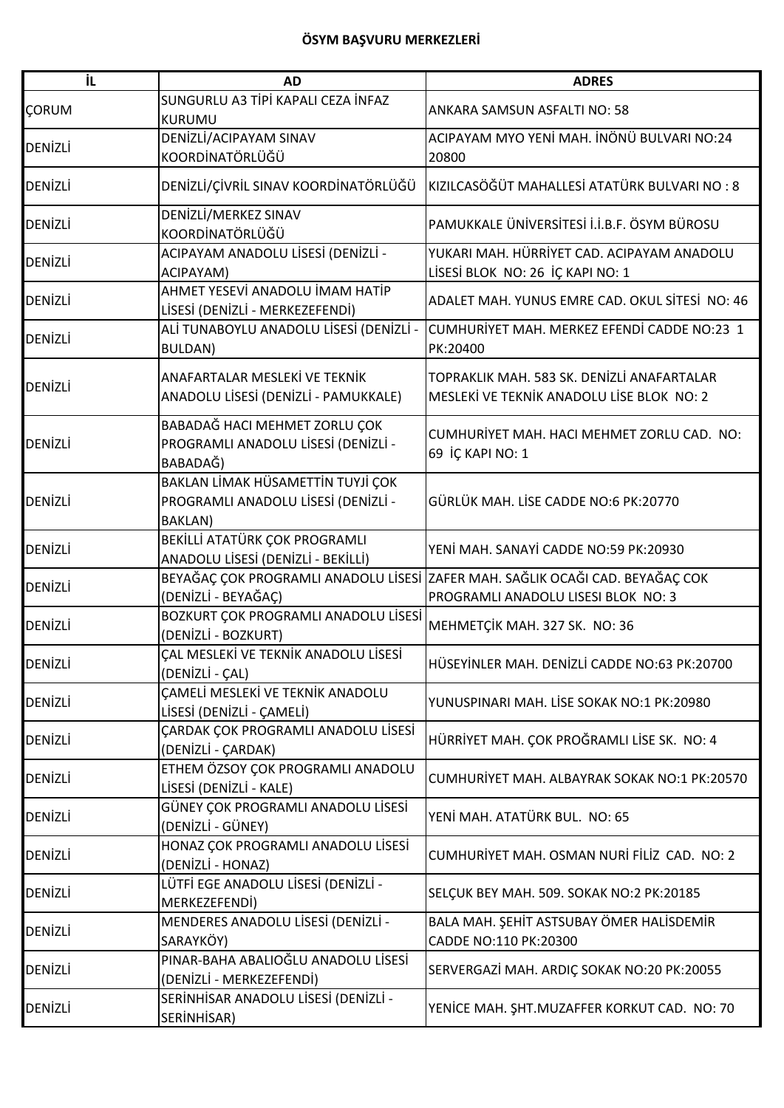| iL.            | <b>AD</b>                                                                                  | <b>ADRES</b>                                                                                                         |
|----------------|--------------------------------------------------------------------------------------------|----------------------------------------------------------------------------------------------------------------------|
| ÇORUM          | SUNGURLU A3 TİPİ KAPALI CEZA İNFAZ<br><b>KURUMU</b>                                        | ANKARA SAMSUN ASFALTI NO: 58                                                                                         |
| <b>DENIZLI</b> | DENİZLİ/ACIPAYAM SINAV<br>KOORDİNATÖRLÜĞÜ                                                  | ACIPAYAM MYO YENİ MAH. İNÖNÜ BULVARI NO:24<br>20800                                                                  |
| <b>DENİZLİ</b> | DENİZLİ/ÇİVRİL SINAV KOORDİNATÖRLÜĞÜ                                                       | KIZILCASÖĞÜT MAHALLESİ ATATÜRK BULVARI NO: 8                                                                         |
| DENİZLİ        | DENİZLİ/MERKEZ SINAV<br>KOORDİNATÖRLÜĞÜ                                                    | PAMUKKALE ÜNİVERSİTESİ İ.İ.B.F. ÖSYM BÜROSU                                                                          |
| <b>DENIZLI</b> | ACIPAYAM ANADOLU LİSESİ (DENİZLİ -<br>ACIPAYAM)                                            | YUKARI MAH. HÜRRİYET CAD. ACIPAYAM ANADOLU<br>LİSESİ BLOK NO: 26 İÇ KAPI NO: 1                                       |
| DENİZLİ        | AHMET YESEVİ ANADOLU İMAM HATİP<br>LİSESİ (DENİZLİ - MERKEZEFENDİ)                         | ADALET MAH. YUNUS EMRE CAD. OKUL SİTESİ NO: 46                                                                       |
| DENİZLİ        | ALİ TUNABOYLU ANADOLU LİSESİ (DENİZLİ -<br>BULDAN)                                         | CUMHURİYET MAH. MERKEZ EFENDİ CADDE NO:23 1<br>PK:20400                                                              |
| <b>DENİZLİ</b> | ANAFARTALAR MESLEKİ VE TEKNİK<br>ANADOLU LİSESİ (DENİZLİ - PAMUKKALE)                      | TOPRAKLIK MAH. 583 SK. DENİZLİ ANAFARTALAR<br>MESLEKİ VE TEKNİK ANADOLU LİSE BLOK NO: 2                              |
| <b>DENIZLI</b> | BABADAĞ HACI MEHMET ZORLU ÇOK<br>PROGRAMLI ANADOLU LİSESİ (DENİZLİ -<br>BABADAĞ)           | CUMHURİYET MAH. HACI MEHMET ZORLU CAD. NO:<br>69 İÇ KAPI NO: 1                                                       |
| <b>DENİZLİ</b> | BAKLAN LİMAK HÜSAMETTİN TUYJİ ÇOK<br>PROGRAMLI ANADOLU LİSESİ (DENİZLİ -<br><b>BAKLAN)</b> | GÜRLÜK MAH. LİSE CADDE NO:6 PK:20770                                                                                 |
| <b>DENİZLİ</b> | BEKİLLİ ATATÜRK ÇOK PROGRAMLI<br>ANADOLU LİSESİ (DENİZLİ - BEKİLLİ)                        | YENİ MAH. SANAYİ CADDE NO:59 PK:20930                                                                                |
| DENİZLİ        | (DENİZLİ - BEYAĞAÇ)                                                                        | BEYAĞAÇ ÇOK PROGRAMLI ANADOLU LİSESİ ZAFER MAH. SAĞLIK OCAĞI CAD. BEYAĞAÇ COK<br>PROGRAMLI ANADOLU LISESI BLOK NO: 3 |
| DENİZLİ        | BOZKURT ÇOK PROGRAMLI ANADOLU LİSESİ<br>(DENİZLİ - BOZKURT)                                | MEHMETÇİK MAH. 327 SK. NO: 36                                                                                        |
| DENİZLİ        | ÇAL MESLEKİ VE TEKNİK ANADOLU LİSESİ<br>(DENİZLİ - ÇAL)                                    | HÜSEYİNLER MAH. DENİZLİ CADDE NO:63 PK:20700                                                                         |
| <b>DENIZLI</b> | CAMELİ MESLEKİ VE TEKNİK ANADOLU<br>LİSESİ (DENİZLİ - ÇAMELİ)                              | YUNUSPINARI MAH. LİSE SOKAK NO:1 PK:20980                                                                            |
| DENİZLİ        | <b>CARDAK COK PROGRAMLI ANADOLU LİSESİ</b><br>(DENİZLİ - ÇARDAK)                           | HÜRRİYET MAH. ÇOK PROĞRAMLI LİSE SK. NO: 4                                                                           |
| <b>DENIZLI</b> | ETHEM ÖZSOY ÇOK PROGRAMLI ANADOLU<br>LİSESİ (DENİZLİ - KALE)                               | CUMHURİYET MAH. ALBAYRAK SOKAK NO:1 PK:20570                                                                         |
| DENIZLI        | GÜNEY ÇOK PROGRAMLI ANADOLU LİSESİ<br>(DENİZLİ - GÜNEY)                                    | YENİ MAH. ATATÜRK BUL. NO: 65                                                                                        |
| <b>DENIZLI</b> | HONAZ ÇOK PROGRAMLI ANADOLU LİSESİ<br>(DENİZLİ - HONAZ)                                    | CUMHURİYET MAH. OSMAN NURİ FİLİZ CAD. NO: 2                                                                          |
| <b>DENIZLI</b> | LÜTFİ EGE ANADOLU LİSESİ (DENİZLİ -<br>MERKEZEFENDİ)                                       | SELÇUK BEY MAH. 509. SOKAK NO:2 PK:20185                                                                             |
| <b>DENIZLI</b> | MENDERES ANADOLU LISESI (DENIZLI -<br>SARAYKÖY)                                            | BALA MAH. ŞEHİT ASTSUBAY ÖMER HALİSDEMİR<br>CADDE NO:110 PK:20300                                                    |
| <b>DENIZLI</b> | PINAR-BAHA ABALIOĞLU ANADOLU LİSESİ<br>(DENİZLİ - MERKEZEFENDİ)                            | SERVERGAZİ MAH. ARDIÇ SOKAK NO:20 PK:20055                                                                           |
| <b>DENIZLI</b> | SERİNHİSAR ANADOLU LİSESİ (DENİZLİ -<br>SERINHISAR)                                        | YENICE MAH. ŞHT.MUZAFFER KORKUT CAD. NO: 70                                                                          |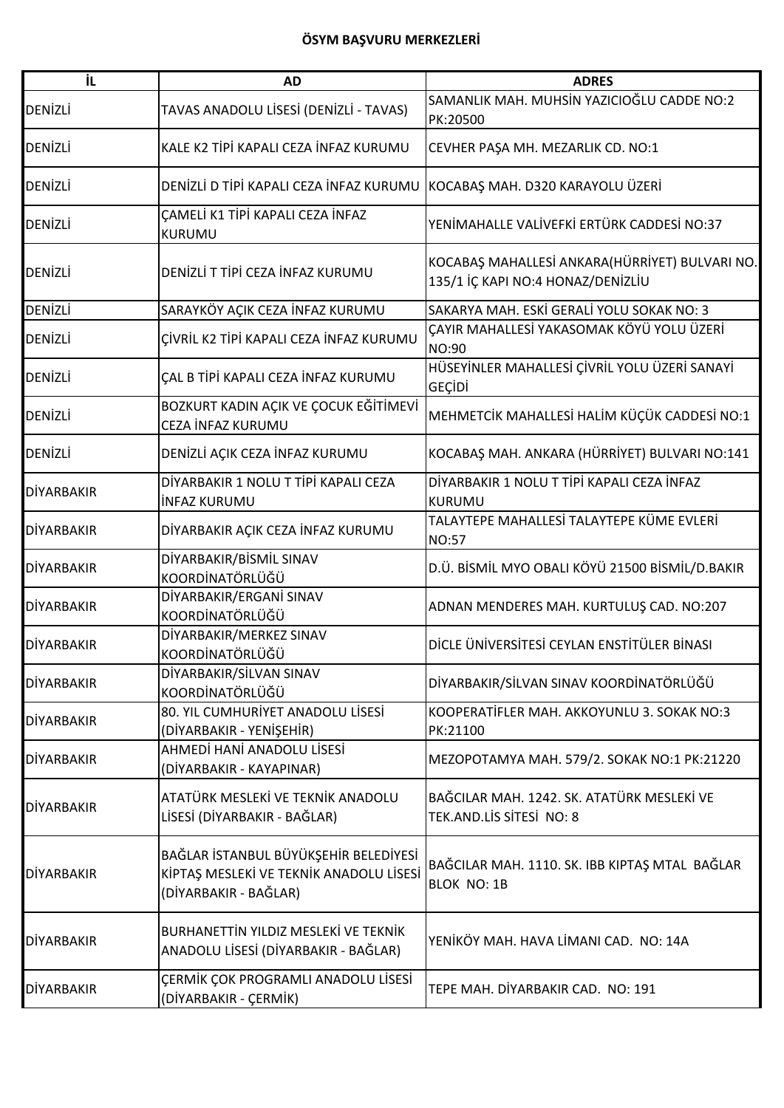| İL                | <b>AD</b>                                                                                                 | <b>ADRES</b>                                                                        |
|-------------------|-----------------------------------------------------------------------------------------------------------|-------------------------------------------------------------------------------------|
| DENİZLİ           | TAVAS ANADOLU LISESI (DENIZLI - TAVAS)                                                                    | SAMANLIK MAH. MUHSİN YAZICIOĞLU CADDE NO:2<br>PK:20500                              |
| <b>DENIZLI</b>    | KALE K2 TİPİ KAPALI CEZA İNFAZ KURUMU                                                                     | CEVHER PAŞA MH. MEZARLIK CD. NO:1                                                   |
| <b>DENİZLİ</b>    | DENIZLI D TIPI KAPALI CEZA İNFAZ KURUMU                                                                   | KOCABAŞ MAH. D320 KARAYOLU ÜZERİ                                                    |
| <b>DENİZLİ</b>    | ÇAMELİ K1 TİPİ KAPALI CEZA İNFAZ<br>KURUMU                                                                | YENİMAHALLE VALİVEFKİ ERTÜRK CADDESİ NO:37                                          |
| <b>DENİZLİ</b>    | DENIZLI T TIPI CEZA INFAZ KURUMU                                                                          | KOCABAŞ MAHALLESİ ANKARA(HÜRRİYET) BULVARI NO.<br>135/1 İÇ KAPI NO:4 HONAZ/DENİZLİU |
| DENİZLİ           | SARAYKÖY AÇIK CEZA İNFAZ KURUMU                                                                           | SAKARYA MAH. ESKİ GERALİ YOLU SOKAK NO: 3                                           |
| <b>DENIZLI</b>    | ÇİVRİL K2 TİPİ KAPALI CEZA İNFAZ KURUMU                                                                   | ÇAYIR MAHALLESİ YAKASOMAK KÖYÜ YOLU ÜZERİ<br>NO:90                                  |
| <b>DENİZLİ</b>    | ÇAL B TİPİ KAPALI CEZA İNFAZ KURUMU                                                                       | HÜSEYİNLER MAHALLESİ ÇİVRİL YOLU ÜZERİ SANAYİ<br>GEÇİDİ                             |
| <b>DENİZLİ</b>    | BOZKURT KADIN AÇIK VE ÇOCUK EĞİTİMEVİ<br>CEZA İNFAZ KURUMU                                                | MEHMETCİK MAHALLESİ HALİM KÜÇÜK CADDESİ NO:1                                        |
| <b>DENİZLİ</b>    | DENİZLİ AÇIK CEZA İNFAZ KURUMU                                                                            | KOCABAŞ MAH. ANKARA (HÜRRİYET) BULVARI NO:141                                       |
| <b>DİYARBAKIR</b> | DİYARBAKIR 1 NOLU T TİPİ KAPALI CEZA<br><b>INFAZ KURUMU</b>                                               | DİYARBAKIR 1 NOLU T TİPİ KAPALI CEZA İNFAZ<br><b>KURUMU</b>                         |
| <b>DİYARBAKIR</b> | DİYARBAKIR AÇIK CEZA İNFAZ KURUMU                                                                         | TALAYTEPE MAHALLESİ TALAYTEPE KÜME EVLERİ<br><b>NO:57</b>                           |
| <b>DİYARBAKIR</b> | DİYARBAKIR/BİSMİL SINAV<br>KOORDİNATÖRLÜĞÜ                                                                | D.Ü. BİSMİL MYO OBALI KÖYÜ 21500 BİSMİL/D.BAKIR                                     |
| <b>DİYARBAKIR</b> | DİYARBAKIR/ERGANİ SINAV<br>KOORDİNATÖRLÜĞÜ                                                                | ADNAN MENDERES MAH. KURTULUŞ CAD. NO:207                                            |
| DİYARBAKIR        | DİYARBAKIR/MERKEZ SINAV<br>KOORDİNATÖRLÜĞÜ                                                                | DİCLE ÜNİVERSİTESİ CEYLAN ENSTİTÜLER BİNASI                                         |
| DİYARBAKIR        | DİYARBAKIR/SİLVAN SINAV<br>KOORDİNATÖRLÜĞÜ                                                                | DİYARBAKIR/SİLVAN SINAV KOORDİNATÖRLÜĞÜ                                             |
| <b>DİYARBAKIR</b> | 80. YIL CUMHURİYET ANADOLU LİSESİ<br>(DİYARBAKIR - YENİŞEHİR)                                             | KOOPERATIFLER MAH. AKKOYUNLU 3. SOKAK NO:3<br>PK:21100                              |
| <b>DİYARBAKIR</b> | AHMEDİ HANİ ANADOLU LİSESİ<br>(DİYARBAKIR - KAYAPINAR)                                                    | MEZOPOTAMYA MAH. 579/2. SOKAK NO:1 PK:21220                                         |
| <b>DİYARBAKIR</b> | ATATÜRK MESLEKİ VE TEKNİK ANADOLU<br>LİSESİ (DİYARBAKIR - BAĞLAR)                                         | BAĞCILAR MAH. 1242. SK. ATATÜRK MESLEKİ VE<br>TEK.AND.LIS SITESI NO: 8              |
| <b>DİYARBAKIR</b> | BAĞLAR İSTANBUL BÜYÜKŞEHİR BELEDİYESİ<br>KİPTAŞ MESLEKİ VE TEKNİK ANADOLU LİSESİ<br>(DİYARBAKIR - BAĞLAR) | BAĞCILAR MAH. 1110. SK. IBB KIPTAŞ MTAL BAĞLAR<br><b>BLOK NO: 1B</b>                |
| <b>DİYARBAKIR</b> | <b>BURHANETTIN YILDIZ MESLEKİ VE TEKNİK</b><br>ANADOLU LİSESİ (DİYARBAKIR - BAĞLAR)                       | YENİKÖY MAH. HAVA LİMANI CAD. NO: 14A                                               |
| <b>DİYARBAKIR</b> | ÇERMİK ÇOK PROGRAMLI ANADOLU LİSESİ<br>(DİYARBAKIR - ÇERMİK)                                              | TEPE MAH. DİYARBAKIR CAD. NO: 191                                                   |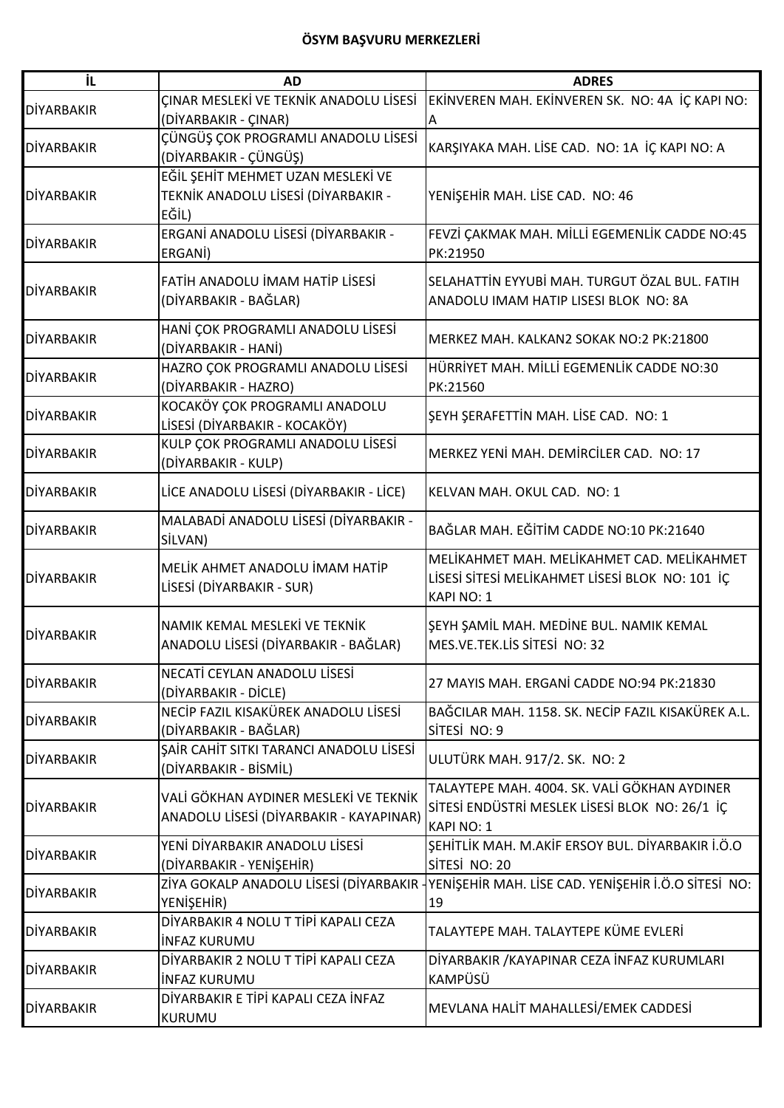| İL                | <b>AD</b>                                                                         | <b>ADRES</b>                                                                                                        |
|-------------------|-----------------------------------------------------------------------------------|---------------------------------------------------------------------------------------------------------------------|
| <b>DİYARBAKIR</b> | ÇINAR MESLEKİ VE TEKNİK ANADOLU LİSESİ<br>(DİYARBAKIR - ÇINAR)                    | EKINVEREN MAH. EKINVEREN SK. NO: 4A IÇ KAPI NO:<br>А                                                                |
| <b>DİYARBAKIR</b> | ÇÜNGÜŞ ÇOK PROGRAMLI ANADOLU LİSESİ<br>(DİYARBAKIR - ÇÜNGÜŞ)                      | KARŞIYAKA MAH. LİSE CAD. NO: 1A İÇ KAPI NO: A                                                                       |
| <b>DİYARBAKIR</b> | EĞİL ŞEHİT MEHMET UZAN MESLEKİ VE<br>TEKNİK ANADOLU LİSESİ (DİYARBAKIR -<br>EĞİL) | YENİŞEHİR MAH. LİSE CAD. NO: 46                                                                                     |
| <b>DİYARBAKIR</b> | ERGANİ ANADOLU LİSESİ (DİYARBAKIR -<br>ERGANI)                                    | FEVZİ ÇAKMAK MAH. MİLLİ EGEMENLİK CADDE NO:45<br>PK:21950                                                           |
| <b>DİYARBAKIR</b> | FATİH ANADOLU İMAM HATİP LİSESİ<br>(DİYARBAKIR - BAĞLAR)                          | SELAHATTİN EYYUBİ MAH. TURGUT ÖZAL BUL. FATIH<br>ANADOLU IMAM HATIP LISESI BLOK NO: 8A                              |
| <b>DİYARBAKIR</b> | HANİ ÇOK PROGRAMLI ANADOLU LİSESİ<br>(DİYARBAKIR - HANİ)                          | MERKEZ MAH. KALKAN2 SOKAK NO:2 PK:21800                                                                             |
| <b>DİYARBAKIR</b> | HAZRO ÇOK PROGRAMLI ANADOLU LİSESİ<br>(DİYARBAKIR - HAZRO)                        | HÜRRİYET MAH. MİLLİ EGEMENLİK CADDE NO:30<br>PK:21560                                                               |
| <b>DİYARBAKIR</b> | KOCAKÖY ÇOK PROGRAMLI ANADOLU<br>LİSESİ (DİYARBAKIR - KOCAKÖY)                    | ŞEYH ŞERAFETTİN MAH. LİSE CAD. NO: 1                                                                                |
| <b>DİYARBAKIR</b> | KULP ÇOK PROGRAMLI ANADOLU LİSESİ<br>(DİYARBAKIR - KULP)                          | MERKEZ YENİ MAH. DEMİRCİLER CAD. NO: 17                                                                             |
| <b>DİYARBAKIR</b> | LİCE ANADOLU LİSESİ (DİYARBAKIR - LİCE)                                           | KELVAN MAH. OKUL CAD. NO: 1                                                                                         |
| <b>DİYARBAKIR</b> | MALABADİ ANADOLU LİSESİ (DİYARBAKIR -<br>SİLVAN)                                  | BAĞLAR MAH. EĞİTİM CADDE NO:10 PK:21640                                                                             |
| <b>DİYARBAKIR</b> | MELİK AHMET ANADOLU İMAM HATİP<br>LİSESİ (DİYARBAKIR - SUR)                       | MELİKAHMET MAH. MELİKAHMET CAD. MELİKAHMET<br>LISESI SITESI MELIKAHMET LISESI BLOK NO: 101 IÇ<br>KAPI NO: 1         |
| <b>DİYARBAKIR</b> | NAMIK KEMAL MESLEKİ VE TEKNİK<br>ANADOLU LISESI (DIYARBAKIR - BAĞLAR)             | SEYH SAMIL MAH. MEDINE BUL. NAMIK KEMAL<br>MES.VE.TEK.LIS SITESI NO: 32                                             |
| <b>DİYARBAKIR</b> | NECATI CEYLAN ANADOLU LISESI<br>(DİYARBAKIR - DİCLE)                              | 27 MAYIS MAH. ERGANİ CADDE NO:94 PK:21830                                                                           |
| <b>DİYARBAKIR</b> | NECİP FAZIL KISAKÜREK ANADOLU LİSESİ<br>(DİYARBAKIR - BAĞLAR)                     | BAĞCILAR MAH. 1158. SK. NECİP FAZIL KISAKÜREK A.L.<br>SİTESİ NO: 9                                                  |
| <b>DIYARBAKIR</b> | ŞAİR CAHİT SITKI TARANCI ANADOLU LİSESİ<br>(DİYARBAKIR - BİSMİL)                  | ULUTÜRK MAH. 917/2. SK. NO: 2                                                                                       |
| <b>DİYARBAKIR</b> | VALİ GÖKHAN AYDINER MESLEKİ VE TEKNİK<br>ANADOLU LİSESİ (DİYARBAKIR - KAYAPINAR)  | TALAYTEPE MAH. 4004. SK. VALİ GÖKHAN AYDINER<br>SİTESİ ENDÜSTRİ MESLEK LİSESİ BLOK NO: 26/1 İÇ<br><b>KAPI NO: 1</b> |
| <b>DİYARBAKIR</b> | YENİ DİYARBAKIR ANADOLU LİSESİ<br>(DİYARBAKIR - YENİŞEHİR)                        | ŞEHİTLİK MAH. M.AKİF ERSOY BUL. DİYARBAKIR İ.Ö.O<br>SİTESİ NO: 20                                                   |
| <b>DİYARBAKIR</b> | ZİYA GOKALP ANADOLU LİSESİ (DİYARBAKIR<br>YENİŞEHİR)                              | YENIŞEHIR MAH. LISE CAD. YENIŞEHIR İ.Ö.O SITESİ NO:<br>19                                                           |
| <b>DİYARBAKIR</b> | DİYARBAKIR 4 NOLU T TİPİ KAPALI CEZA<br><b>INFAZ KURUMU</b>                       | TALAYTEPE MAH. TALAYTEPE KÜME EVLERİ                                                                                |
| <b>DİYARBAKIR</b> | DİYARBAKIR 2 NOLU T TİPİ KAPALI CEZA<br><b>INFAZ KURUMU</b>                       | DİYARBAKIR /KAYAPINAR CEZA İNFAZ KURUMLARI<br><b>KAMPÜSÜ</b>                                                        |
| <b>DİYARBAKIR</b> | DİYARBAKIR E TİPİ KAPALI CEZA İNFAZ<br>KURUMU                                     | MEVLANA HALİT MAHALLESİ/EMEK CADDESİ                                                                                |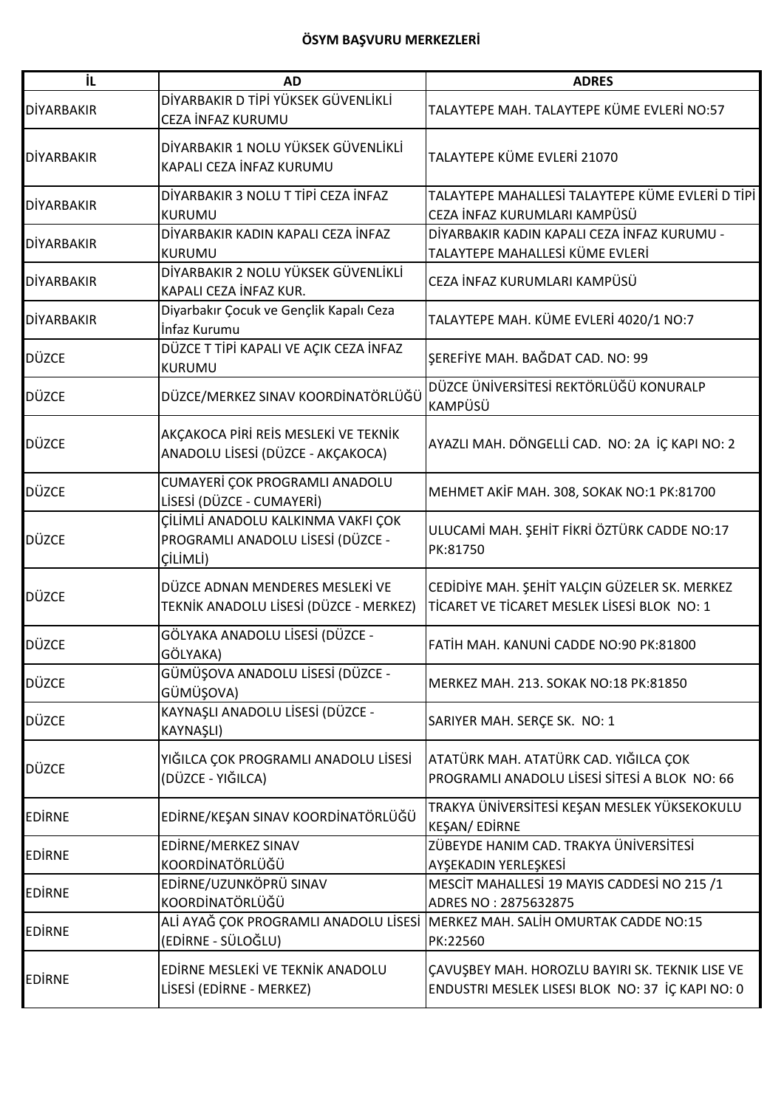| İL                | <b>AD</b>                                                                           | <b>ADRES</b>                                                                                        |
|-------------------|-------------------------------------------------------------------------------------|-----------------------------------------------------------------------------------------------------|
| DİYARBAKIR        | DİYARBAKIR D TİPİ YÜKSEK GÜVENLİKLİ<br>CEZA İNFAZ KURUMU                            | TALAYTEPE MAH. TALAYTEPE KÜME EVLERİ NO:57                                                          |
| <b>DİYARBAKIR</b> | DİYARBAKIR 1 NOLU YÜKSEK GÜVENLİKLİ<br>KAPALI CEZA İNFAZ KURUMU                     | TALAYTEPE KÜME EVLERİ 21070                                                                         |
| <b>DİYARBAKIR</b> | DİYARBAKIR 3 NOLU T TİPİ CEZA İNFAZ<br><b>KURUMU</b>                                | TALAYTEPE MAHALLESİ TALAYTEPE KÜME EVLERİ D TİPİ<br>CEZA İNFAZ KURUMLARI KAMPÜSÜ                    |
| <b>DİYARBAKIR</b> | DİYARBAKIR KADIN KAPALI CEZA İNFAZ<br><b>KURUMU</b>                                 | DİYARBAKIR KADIN KAPALI CEZA İNFAZ KURUMU -<br>TALAYTEPE MAHALLESİ KÜME EVLERİ                      |
| <b>DİYARBAKIR</b> | DİYARBAKIR 2 NOLU YÜKSEK GÜVENLİKLİ<br>KAPALI CEZA İNFAZ KUR.                       | CEZA İNFAZ KURUMLARI KAMPÜSÜ                                                                        |
| <b>DİYARBAKIR</b> | Diyarbakır Çocuk ve Gençlik Kapalı Ceza<br>İnfaz Kurumu                             | TALAYTEPE MAH. KÜME EVLERİ 4020/1 NO:7                                                              |
| <b>DÜZCE</b>      | DÜZCE T TİPİ KAPALI VE AÇIK CEZA İNFAZ<br><b>KURUMU</b>                             | SEREFİYE MAH. BAĞDAT CAD. NO: 99                                                                    |
| DÜZCE             | DÜZCE/MERKEZ SINAV KOORDİNATÖRLÜĞÜ                                                  | DÜZCE ÜNİVERSİTESİ REKTÖRLÜĞÜ KONURALP<br><b>KAMPÜSÜ</b>                                            |
| <b>DÜZCE</b>      | AKÇAKOCA PİRİ REİS MESLEKİ VE TEKNİK<br>ANADOLU LİSESİ (DÜZCE - AKÇAKOCA)           | AYAZLI MAH. DÖNGELLİ CAD. NO: 2A İÇ KAPI NO: 2                                                      |
| DÜZCE             | CUMAYERİ ÇOK PROGRAMLI ANADOLU<br>LİSESİ (DÜZCE - CUMAYERİ)                         | MEHMET AKİF MAH. 308, SOKAK NO:1 PK:81700                                                           |
| <b>DÜZCE</b>      | ÇİLİMLİ ANADOLU KALKINMA VAKFI ÇOK<br>PROGRAMLI ANADOLU LİSESİ (DÜZCE -<br>CİLİMLİ) | ULUCAMİ MAH. ŞEHİT FİKRİ ÖZTÜRK CADDE NO:17<br>PK:81750                                             |
| <b>DÜZCE</b>      | DÜZCE ADNAN MENDERES MESLEKİ VE<br>TEKNİK ANADOLU LİSESİ (DÜZCE - MERKEZ)           | CEDİDİYE MAH. ŞEHİT YALÇIN GÜZELER SK. MERKEZ<br>TİCARET VE TİCARET MESLEK LİSESİ BLOK NO: 1        |
| <b>DÜZCE</b>      | GÖLYAKA ANADOLU LİSESİ (DÜZCE -<br>GÖLYAKA)                                         | FATİH MAH, KANUNİ CADDE NO:90 PK:81800                                                              |
| <b>DÜZCE</b>      | GÜMÜŞOVA ANADOLU LİSESİ (DÜZCE -<br>GÜMÜŞOVA)                                       | MERKEZ MAH. 213. SOKAK NO:18 PK:81850                                                               |
| <b>DÜZCE</b>      | KAYNAŞLI ANADOLU LİSESİ (DÜZCE -<br>KAYNAŞLI)                                       | SARIYER MAH. SERÇE SK. NO: 1                                                                        |
| <b>DÜZCE</b>      | YIĞILCA ÇOK PROGRAMLI ANADOLU LİSESİ<br>(DÜZCE - YIĞILCA)                           | ATATÜRK MAH. ATATÜRK CAD. YIĞILCA ÇOK<br>PROGRAMLI ANADOLU LISESI SITESI A BLOK NO: 66              |
| <b>EDIRNE</b>     | EDİRNE/KEŞAN SINAV KOORDİNATÖRLÜĞÜ                                                  | TRAKYA ÜNİVERSİTESİ KEŞAN MESLEK YÜKSEKOKULU<br><b>KESAN/EDİRNE</b>                                 |
| <b>EDIRNE</b>     | EDİRNE/MERKEZ SINAV<br>KOORDİNATÖRLÜĞÜ                                              | ZÜBEYDE HANIM CAD. TRAKYA ÜNİVERSİTESİ<br>AYŞEKADIN YERLEŞKESİ                                      |
| <b>EDIRNE</b>     | EDİRNE/UZUNKÖPRÜ SINAV<br>KOORDİNATÖRLÜĞÜ                                           | MESCIT MAHALLESI 19 MAYIS CADDESI NO 215 /1<br>ADRES NO: 2875632875                                 |
| <b>EDIRNE</b>     | ALİ AYAĞ ÇOK PROGRAMLI ANADOLU LİSESİ<br>(EDİRNE - SÜLOĞLU)                         | MERKEZ MAH. SALIH OMURTAK CADDE NO:15<br>PK:22560                                                   |
| <b>EDIRNE</b>     | EDİRNE MESLEKİ VE TEKNİK ANADOLU<br>LİSESİ (EDİRNE - MERKEZ)                        | ÇAVUŞBEY MAH. HOROZLU BAYIRI SK. TEKNIK LISE VE<br>ENDUSTRI MESLEK LISESI BLOK NO: 37 İÇ KAPI NO: 0 |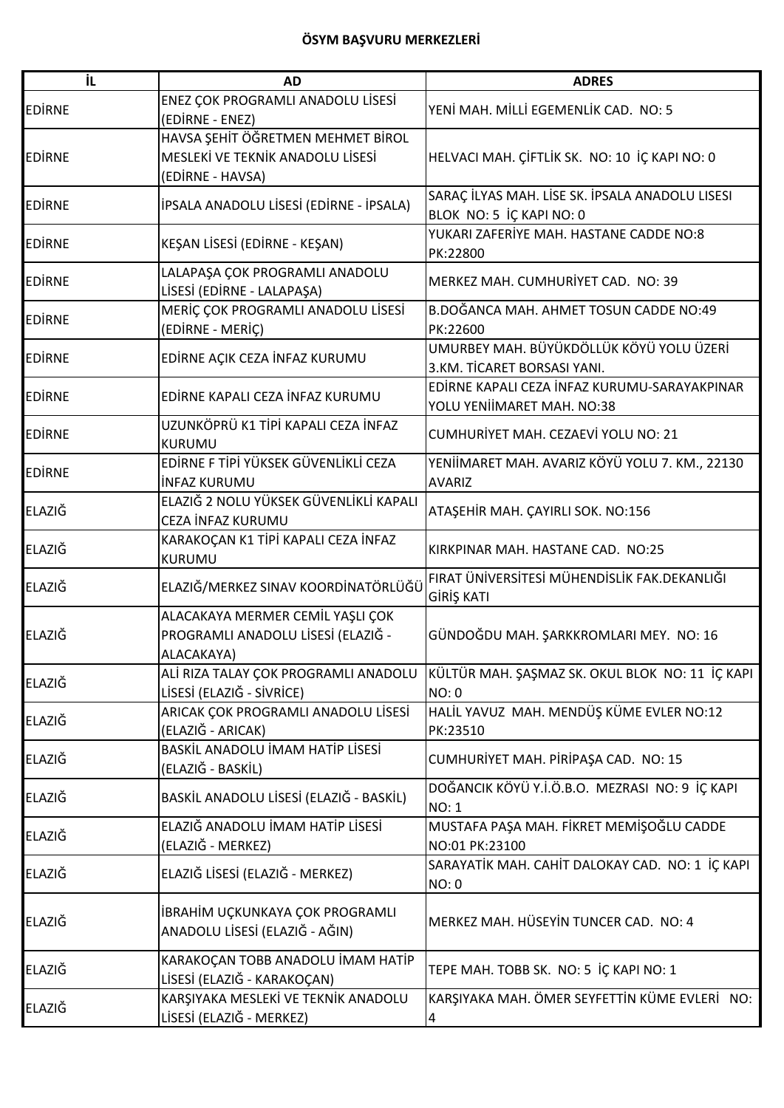| iL            | <b>AD</b>                                                                                 | <b>ADRES</b>                                                                |
|---------------|-------------------------------------------------------------------------------------------|-----------------------------------------------------------------------------|
| <b>EDIRNE</b> | ENEZ ÇOK PROGRAMLI ANADOLU LİSESİ<br>(EDİRNE - ENEZ)                                      | YENİ MAH. MİLLİ EGEMENLİK CAD. NO: 5                                        |
| <b>EDIRNE</b> | HAVSA ŞEHİT ÖĞRETMEN MEHMET BİROL<br>MESLEKİ VE TEKNİK ANADOLU LİSESİ<br>(EDIRNE - HAVSA) | HELVACI MAH. ÇİFTLİK SK. NO: 10 İÇ KAPI NO: 0                               |
| <b>EDIRNE</b> | İPSALA ANADOLU LİSESİ (EDİRNE - İPSALA)                                                   | SARAÇ İLYAS MAH. LİSE SK. İPSALA ANADOLU LISESI<br>BLOK NO: 5 İÇ KAPI NO: 0 |
| <b>EDIRNE</b> | KEŞAN LİSESİ (EDİRNE - KEŞAN)                                                             | YUKARI ZAFERİYE MAH. HASTANE CADDE NO:8<br>PK:22800                         |
| <b>EDIRNE</b> | LALAPAŞA ÇOK PROGRAMLI ANADOLU<br>LİSESİ (EDİRNE - LALAPAŞA)                              | MERKEZ MAH. CUMHURİYET CAD. NO: 39                                          |
| <b>EDIRNE</b> | MERİÇ ÇOK PROGRAMLI ANADOLU LİSESİ<br>(EDİRNE - MERİÇ)                                    | B.DOĞANCA MAH. AHMET TOSUN CADDE NO:49<br>PK:22600                          |
| <b>EDIRNE</b> | EDİRNE AÇIK CEZA İNFAZ KURUMU                                                             | UMURBEY MAH. BÜYÜKDÖLLÜK KÖYÜ YOLU ÜZERİ<br>3.KM. TİCARET BORSASI YANI.     |
| <b>EDIRNE</b> | EDİRNE KAPALI CEZA İNFAZ KURUMU                                                           | EDİRNE KAPALI CEZA İNFAZ KURUMU-SARAYAKPINAR<br>YOLU YENİİMARET MAH. NO:38  |
| <b>EDIRNE</b> | UZUNKÖPRÜ K1 TİPİ KAPALI CEZA İNFAZ<br><b>KURUMU</b>                                      | CUMHURİYET MAH. CEZAEVİ YOLU NO: 21                                         |
| <b>EDIRNE</b> | EDİRNE F TİPİ YÜKSEK GÜVENLİKLİ CEZA<br><b>INFAZ KURUMU</b>                               | YENİİMARET MAH. AVARIZ KÖYÜ YOLU 7. KM., 22130<br><b>AVARIZ</b>             |
| ELAZIĞ        | ELAZIĞ 2 NOLU YÜKSEK GÜVENLİKLİ KAPALI<br>CEZA İNFAZ KURUMU                               | ATAŞEHİR MAH. ÇAYIRLI SOK. NO:156                                           |
| ELAZIĞ        | KARAKOÇAN K1 TİPİ KAPALI CEZA İNFAZ<br>KURUMU                                             | KIRKPINAR MAH. HASTANE CAD. NO:25                                           |
| ELAZIĞ        | ELAZIĞ/MERKEZ SINAV KOORDİNATÖRLÜĞÜ                                                       | FIRAT ÜNIVERSITESI MÜHENDISLIK FAK.DEKANLIĞI<br>GİRİŞ KATI                  |
| ELAZIĞ        | ALACAKAYA MERMER CEMİL YAŞLI ÇOK<br>PROGRAMLI ANADOLU LİSESİ (ELAZIĞ -<br>ALACAKAYA)      | GÜNDOĞDU MAH. ŞARKKROMLARI MEY. NO: 16                                      |
| <b>ELAZIĞ</b> | ALİ RIZA TALAY ÇOK PROGRAMLI ANADOLU<br>LİSESİ (ELAZIĞ - SİVRİCE)                         | KÜLTÜR MAH. ŞAŞMAZ SK. OKUL BLOK NO: 11 İÇ KAPI<br><b>NO: 0</b>             |
| ELAZIĞ        | ARICAK ÇOK PROGRAMLI ANADOLU LİSESİ<br>(ELAZIĞ - ARICAK)                                  | HALİL YAVUZ MAH. MENDÜŞ KÜME EVLER NO:12<br>PK:23510                        |
| <b>ELAZIĞ</b> | BASKİL ANADOLU İMAM HATİP LİSESİ<br>(ELAZIĞ - BASKİL)                                     | CUMHURİYET MAH. PİRİPAŞA CAD. NO: 15                                        |
| ELAZIĞ        | BASKİL ANADOLU LİSESİ (ELAZIĞ - BASKİL)                                                   | DOĞANCIK KÖYÜ Y.İ.Ö.B.O. MEZRASI NO: 9 İÇ KAPI<br><b>NO: 1</b>              |
| <b>ELAZIĞ</b> | ELAZIĞ ANADOLU İMAM HATİP LİSESİ<br>(ELAZIĞ - MERKEZ)                                     | MUSTAFA PAŞA MAH. FİKRET MEMİŞOĞLU CADDE<br>NO:01 PK:23100                  |
| ELAZIĞ        | ELAZIĞ LİSESİ (ELAZIĞ - MERKEZ)                                                           | SARAYATİK MAH. CAHİT DALOKAY CAD. NO: 1 İÇ KAPI<br>NO: 0                    |
| ELAZIĞ        | İBRAHİM UÇKUNKAYA ÇOK PROGRAMLI<br>ANADOLU LİSESİ (ELAZIĞ - AĞIN)                         | MERKEZ MAH. HÜSEYİN TUNCER CAD. NO: 4                                       |
| ELAZIĞ        | KARAKOÇAN TOBB ANADOLU İMAM HATİP<br>LİSESİ (ELAZIĞ - KARAKOÇAN)                          | TEPE MAH. TOBB SK. NO: 5 IÇ KAPI NO: 1                                      |
| <b>ELAZIĞ</b> | KARŞIYAKA MESLEKİ VE TEKNİK ANADOLU<br>LİSESİ (ELAZIĞ - MERKEZ)                           | KARŞIYAKA MAH. ÖMER SEYFETTİN KÜME EVLERİ NO:                               |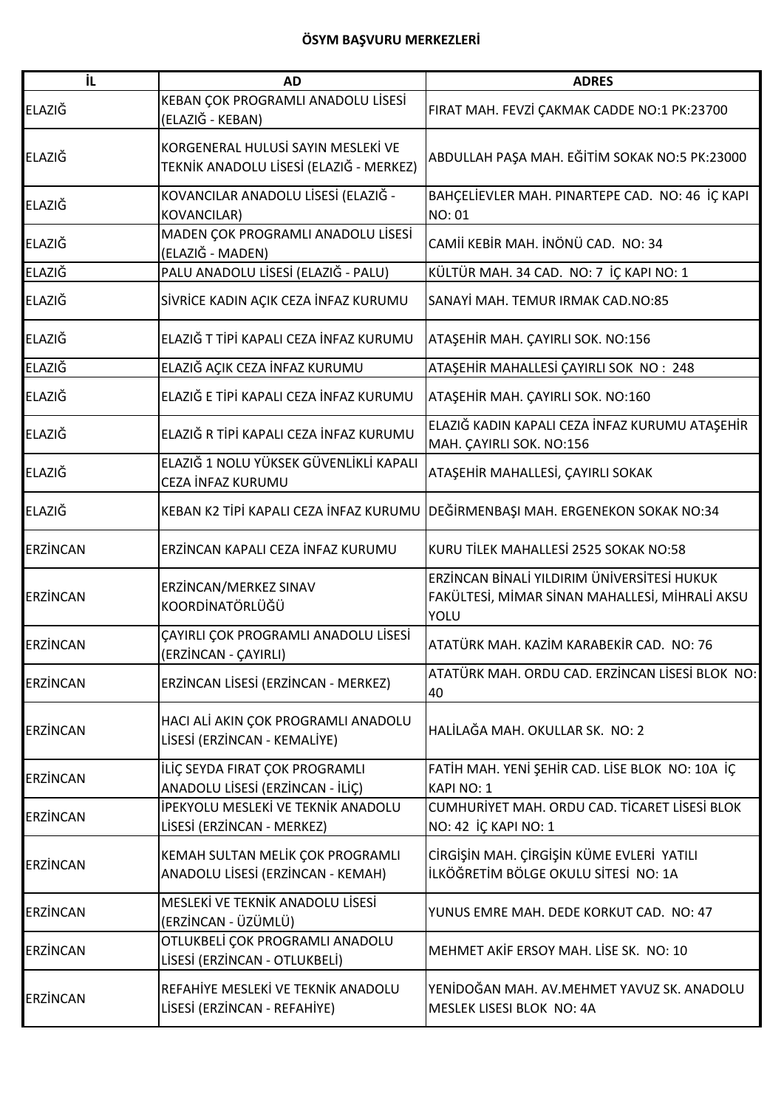| ΪL              | <b>AD</b>                                                                     | <b>ADRES</b>                                                                                                 |
|-----------------|-------------------------------------------------------------------------------|--------------------------------------------------------------------------------------------------------------|
| ELAZIĞ          | KEBAN ÇOK PROGRAMLI ANADOLU LİSESİ<br>(ELAZIĞ - KEBAN)                        | FIRAT MAH. FEVZİ ÇAKMAK CADDE NO:1 PK:23700                                                                  |
| ELAZIĞ          | KORGENERAL HULUSİ SAYIN MESLEKİ VE<br>TEKNİK ANADOLU LİSESİ (ELAZIĞ - MERKEZ) | ABDULLAH PAŞA MAH. EĞİTİM SOKAK NO:5 PK:23000                                                                |
| ELAZIĞ          | KOVANCILAR ANADOLU LİSESİ (ELAZIĞ -<br><b>KOVANCILAR)</b>                     | BAHÇELİEVLER MAH. PINARTEPE CAD. NO: 46 İÇ KAPI<br><b>NO: 01</b>                                             |
| ELAZIĞ          | MADEN ÇOK PROGRAMLI ANADOLU LİSESİ<br>(ELAZIĞ - MADEN)                        | CAMİİ KEBİR MAH. İNÖNÜ CAD. NO: 34                                                                           |
| ELAZIĞ          | PALU ANADOLU LİSESİ (ELAZIĞ - PALU)                                           | KÜLTÜR MAH. 34 CAD. NO: 7 İÇ KAPI NO: 1                                                                      |
| ELAZIĞ          | SİVRİCE KADIN AÇIK CEZA İNFAZ KURUMU                                          | SANAYİ MAH. TEMUR IRMAK CAD.NO:85                                                                            |
| ELAZIĞ          | ELAZIĞ T TİPİ KAPALI CEZA İNFAZ KURUMU                                        | ATAŞEHİR MAH. ÇAYIRLI SOK. NO:156                                                                            |
| ELAZIĞ          | ELAZIĞ AÇIK CEZA İNFAZ KURUMU                                                 | ATAŞEHİR MAHALLESİ ÇAYIRLI SOK NO: 248                                                                       |
| ELAZIĞ          | ELAZIĞ E TİPİ KAPALI CEZA İNFAZ KURUMU                                        | ATAŞEHİR MAH. ÇAYIRLI SOK. NO:160                                                                            |
| ELAZIĞ          | ELAZIĞ R TİPİ KAPALI CEZA İNFAZ KURUMU                                        | ELAZIĞ KADIN KAPALI CEZA İNFAZ KURUMU ATAŞEHİR<br>MAH. ÇAYIRLI SOK. NO:156                                   |
| ELAZIĞ          | ELAZIĞ 1 NOLU YÜKSEK GÜVENLİKLİ KAPALI<br>CEZA İNFAZ KURUMU                   | ATAŞEHİR MAHALLESİ, ÇAYIRLI SOKAK                                                                            |
| ELAZIĞ          | KEBAN K2 TİPİ KAPALI CEZA İNFAZ KURUMU                                        | DEĞİRMENBAŞI MAH. ERGENEKON SOKAK NO:34                                                                      |
| <b>ERZINCAN</b> | ERZİNCAN KAPALI CEZA İNFAZ KURUMU                                             | KURU TİLEK MAHALLESİ 2525 SOKAK NO:58                                                                        |
| <b>ERZINCAN</b> | ERZİNCAN/MERKEZ SINAV<br>KOORDİNATÖRLÜĞÜ                                      | ERZİNCAN BİNALİ YILDIRIM ÜNİVERSİTESİ HUKUK<br>FAKÜLTESİ, MİMAR SİNAN MAHALLESİ, MİHRALİ AKSU<br><b>YOLU</b> |
| <b>ERZINCAN</b> | <b>CAYIRLI COK PROGRAMLI ANADOLU LİSESİ</b><br>(ERZİNCAN - ÇAYIRLI)           | ATATÜRK MAH. KAZİM KARABEKİR CAD. NO: 76                                                                     |
| <b>ERZINCAN</b> | ERZİNCAN LİSESİ (ERZİNCAN - MERKEZ)                                           | ATATÜRK MAH. ORDU CAD. ERZİNCAN LİSESİ BLOK NO:<br>40                                                        |
| <b>ERZİNCAN</b> | HACI ALI AKIN ÇOK PROGRAMLI ANADOLU<br>LİSESİ (ERZİNCAN - KEMALİYE)           | HALİLAĞA MAH. OKULLAR SK. NO: 2                                                                              |
| <b>ERZINCAN</b> | İLİÇ SEYDA FIRAT ÇOK PROGRAMLI<br>ANADOLU LİSESİ (ERZİNCAN - İLİÇ)            | FATİH MAH. YENİ ŞEHİR CAD. LİSE BLOK NO: 10A İÇ<br><b>KAPI NO: 1</b>                                         |
| <b>ERZINCAN</b> | İPEKYOLU MESLEKİ VE TEKNİK ANADOLU<br>LİSESİ (ERZİNCAN - MERKEZ)              | CUMHURİYET MAH. ORDU CAD. TİCARET LİSESİ BLOK<br>NO: 42 İÇ KAPI NO: 1                                        |
| <b>ERZINCAN</b> | KEMAH SULTAN MELİK ÇOK PROGRAMLI<br>ANADOLU LİSESİ (ERZİNCAN - KEMAH)         | CİRGİŞİN MAH. ÇİRGİŞİN KÜME EVLERİ YATILI<br>İLKÖĞRETİM BÖLGE OKULU SİTESİ NO: 1A                            |
| <b>ERZINCAN</b> | MESLEKİ VE TEKNİK ANADOLU LİSESİ<br>(ERZİNCAN - ÜZÜMLÜ)                       | YUNUS EMRE MAH. DEDE KORKUT CAD. NO: 47                                                                      |
| <b>ERZINCAN</b> | OTLUKBELİ ÇOK PROGRAMLI ANADOLU<br>LİSESİ (ERZİNCAN - OTLUKBELİ)              | MEHMET AKIF ERSOY MAH. LISE SK. NO: 10                                                                       |
| ERZINCAN        | REFAHİYE MESLEKİ VE TEKNİK ANADOLU<br>LİSESİ (ERZİNCAN - REFAHİYE)            | YENİDOĞAN MAH. AV.MEHMET YAVUZ SK. ANADOLU<br>MESLEK LISESI BLOK NO: 4A                                      |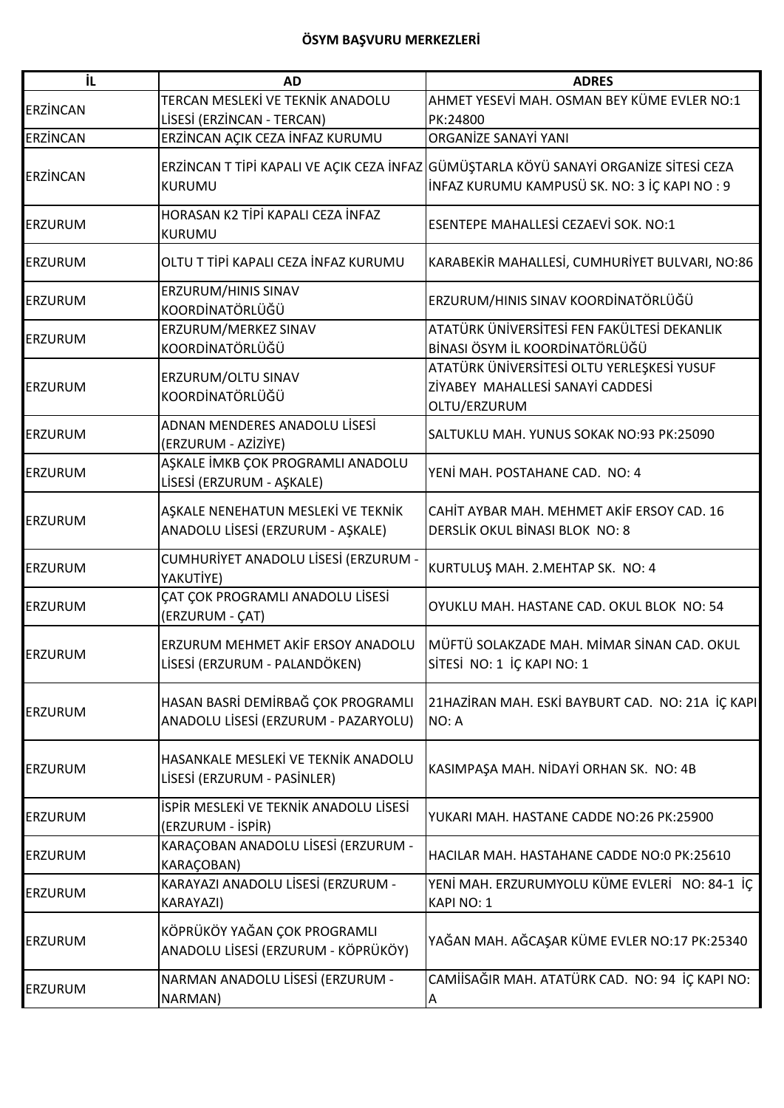| İL              | <b>AD</b>                              | <b>ADRES</b>                                                                          |
|-----------------|----------------------------------------|---------------------------------------------------------------------------------------|
| <b>ERZİNCAN</b> | TERCAN MESLEKİ VE TEKNİK ANADOLU       | AHMET YESEVİ MAH. OSMAN BEY KÜME EVLER NO:1                                           |
|                 | LİSESİ (ERZİNCAN - TERCAN)             | PK:24800                                                                              |
| <b>ERZİNCAN</b> | ERZİNCAN AÇIK CEZA İNFAZ KURUMU        | ORGANIZE SANAYI YANI                                                                  |
|                 |                                        | ERZİNCAN T TİPİ KAPALI VE AÇIK CEZA İNFAZ GÜMÜŞTARLA KÖYÜ SANAYİ ORGANİZE SİTESİ CEZA |
| <b>ERZİNCAN</b> | KURUMU                                 | İNFAZ KURUMU KAMPUSÜ SK. NO: 3 İÇ KAPI NO: 9                                          |
|                 |                                        |                                                                                       |
| <b>ERZURUM</b>  | HORASAN K2 TİPİ KAPALI CEZA İNFAZ      | ESENTEPE MAHALLESİ CEZAEVİ SOK. NO:1                                                  |
|                 | KURUMU                                 |                                                                                       |
| <b>ERZURUM</b>  | OLTU T TİPİ KAPALI CEZA İNFAZ KURUMU   | KARABEKİR MAHALLESİ, CUMHURİYET BULVARI, NO:86                                        |
| <b>ERZURUM</b>  | ERZURUM/HINIS SINAV                    | ERZURUM/HINIS SINAV KOORDİNATÖRLÜĞÜ                                                   |
|                 | KOORDİNATÖRLÜĞÜ                        |                                                                                       |
| <b>ERZURUM</b>  | ERZURUM/MERKEZ SINAV                   | ATATÜRK ÜNIVERSITESI FEN FAKÜLTESI DEKANLIK                                           |
|                 | KOORDİNATÖRLÜĞÜ                        | BİNASI ÖSYM İL KOORDİNATÖRLÜĞÜ                                                        |
|                 | ERZURUM/OLTU SINAV                     | ATATÜRK ÜNİVERSİTESİ OLTU YERLEŞKESİ YUSUF                                            |
| <b>ERZURUM</b>  | KOORDİNATÖRLÜĞÜ                        | ZİYABEY MAHALLESİ SANAYİ CADDESİ                                                      |
|                 |                                        | OLTU/ERZURUM                                                                          |
| ERZURUM         | ADNAN MENDERES ANADOLU LİSESİ          | SALTUKLU MAH. YUNUS SOKAK NO:93 PK:25090                                              |
|                 | (ERZURUM - AZİZİYE)                    |                                                                                       |
| <b>ERZURUM</b>  | AŞKALE İMKB ÇOK PROGRAMLI ANADOLU      | YENİ MAH. POSTAHANE CAD. NO: 4                                                        |
|                 | LİSESİ (ERZURUM - AŞKALE)              |                                                                                       |
|                 | AŞKALE NENEHATUN MESLEKİ VE TEKNİK     | CAHİT AYBAR MAH. MEHMET AKİF ERSOY CAD. 16                                            |
| <b>ERZURUM</b>  | ANADOLU LİSESİ (ERZURUM - AŞKALE)      | DERSLİK OKUL BİNASI BLOK NO: 8                                                        |
|                 |                                        |                                                                                       |
| <b>ERZURUM</b>  | CUMHURİYET ANADOLU LİSESİ (ERZURUM -   | KURTULUŞ MAH. 2.MEHTAP SK. NO: 4                                                      |
|                 | YAKUTİYE)                              |                                                                                       |
| ERZURUM         | ÇAT ÇOK PROGRAMLI ANADOLU LİSESİ       | OYUKLU MAH. HASTANE CAD. OKUL BLOK NO: 54                                             |
|                 | (ERZURUM - ÇAT)                        |                                                                                       |
|                 | ERZURUM MEHMET AKİF ERSOY ANADOLU      | MÜFTÜ SOLAKZADE MAH. MİMAR SİNAN CAD. OKUL                                            |
| <b>ERZURUM</b>  | LİSESİ (ERZURUM - PALANDÖKEN)          | SİTESİ NO: 1 İÇ KAPI NO: 1                                                            |
|                 |                                        |                                                                                       |
|                 | HASAN BASRİ DEMİRBAĞ ÇOK PROGRAMLI     | 21HAZİRAN MAH. ESKİ BAYBURT CAD. NO: 21A İÇ KAPI                                      |
| <b>ERZURUM</b>  | ANADOLU LİSESİ (ERZURUM - PAZARYOLU)   |                                                                                       |
|                 |                                        | NO: A                                                                                 |
|                 | HASANKALE MESLEKİ VE TEKNİK ANADOLU    |                                                                                       |
| <b>ERZURUM</b>  |                                        | KASIMPAŞA MAH. NİDAYİ ORHAN SK. NO: 4B                                                |
|                 | LİSESİ (ERZURUM - PASİNLER)            |                                                                                       |
| <b>ERZURUM</b>  | İSPİR MESLEKİ VE TEKNİK ANADOLU LİSESİ |                                                                                       |
|                 | (ERZURUM - İSPİR)                      | YUKARI MAH. HASTANE CADDE NO:26 PK:25900                                              |
|                 | KARAÇOBAN ANADOLU LİSESİ (ERZURUM -    |                                                                                       |
| <b>ERZURUM</b>  | KARAÇOBAN)                             | HACILAR MAH. HASTAHANE CADDE NO:0 PK:25610                                            |
|                 | KARAYAZI ANADOLU LİSESİ (ERZURUM -     | YENİ MAH. ERZURUMYOLU KÜME EVLERİ NO: 84-1 İÇ                                         |
| <b>ERZURUM</b>  | KARAYAZI)                              | KAPI NO: 1                                                                            |
|                 |                                        |                                                                                       |
| <b>ERZURUM</b>  | KÖPRÜKÖY YAĞAN ÇOK PROGRAMLI           | YAĞAN MAH. AĞCAŞAR KÜME EVLER NO:17 PK:25340                                          |
|                 | ANADOLU LİSESİ (ERZURUM - KÖPRÜKÖY)    |                                                                                       |
|                 | NARMAN ANADOLU LİSESİ (ERZURUM -       | CAMİİSAĞIR MAH. ATATÜRK CAD. NO: 94 İÇ KAPI NO:                                       |
| <b>ERZURUM</b>  | NARMAN)                                | Α                                                                                     |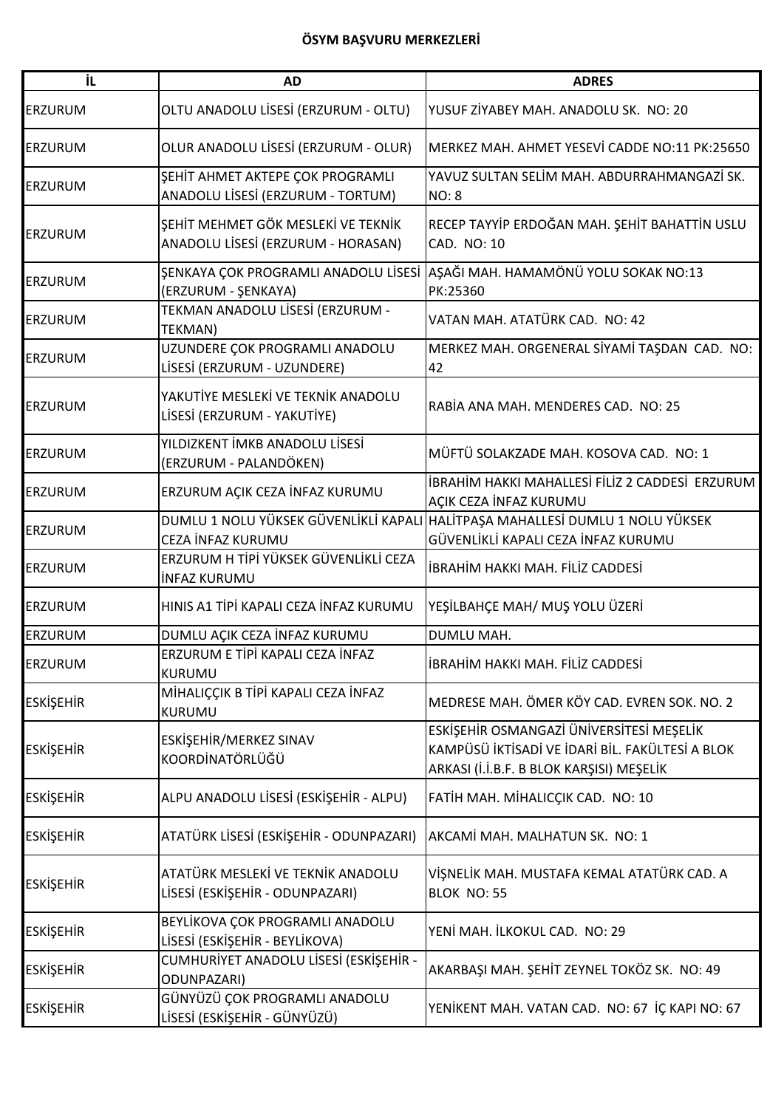| İL               | <b>AD</b>                                                                | <b>ADRES</b>                                                                                                                            |
|------------------|--------------------------------------------------------------------------|-----------------------------------------------------------------------------------------------------------------------------------------|
| <b>ERZURUM</b>   | OLTU ANADOLU LİSESİ (ERZURUM - OLTU)                                     | YUSUF ZİYABEY MAH. ANADOLU SK. NO: 20                                                                                                   |
| <b>ERZURUM</b>   | OLUR ANADOLU LİSESİ (ERZURUM - OLUR)                                     | MERKEZ MAH. AHMET YESEVİ CADDE NO:11 PK:25650                                                                                           |
| <b>ERZURUM</b>   | ŞEHİT AHMET AKTEPE ÇOK PROGRAMLI<br>ANADOLU LİSESİ (ERZURUM - TORTUM)    | YAVUZ SULTAN SELİM MAH. ABDURRAHMANGAZİ SK.<br><b>NO: 8</b>                                                                             |
| <b>ERZURUM</b>   | ŞEHİT MEHMET GÖK MESLEKİ VE TEKNİK<br>ANADOLU LİSESİ (ERZURUM - HORASAN) | RECEP TAYYİP ERDOĞAN MAH. ŞEHİT BAHATTİN USLU<br>CAD. NO: 10                                                                            |
| <b>ERZURUM</b>   | (ERZURUM - ŞENKAYA)                                                      | ŞENKAYA ÇOK PROGRAMLI ANADOLU LİSESİ AŞAĞI MAH. HAMAMÖNÜ YOLU SOKAK NO:13<br>PK:25360                                                   |
| ERZURUM          | TEKMAN ANADOLU LİSESİ (ERZURUM -<br><b>TEKMAN)</b>                       | VATAN MAH. ATATÜRK CAD. NO: 42                                                                                                          |
| <b>ERZURUM</b>   | UZUNDERE ÇOK PROGRAMLI ANADOLU<br>LİSESİ (ERZURUM - UZUNDERE)            | MERKEZ MAH. ORGENERAL SİYAMİ TAŞDAN CAD. NO:<br>42                                                                                      |
| <b>ERZURUM</b>   | YAKUTİYE MESLEKİ VE TEKNİK ANADOLU<br>LİSESİ (ERZURUM - YAKUTİYE)        | RABÍA ANA MAH. MENDERES CAD. NO: 25                                                                                                     |
| <b>ERZURUM</b>   | YILDIZKENT İMKB ANADOLU LİSESİ<br>(ERZURUM - PALANDÖKEN)                 | MÜFTÜ SOLAKZADE MAH. KOSOVA CAD. NO: 1                                                                                                  |
| <b>ERZURUM</b>   | ERZURUM AÇIK CEZA İNFAZ KURUMU                                           | İBRAHİM HAKKI MAHALLESİ FİLİZ 2 CADDESİ  ERZURUM<br>AÇIK CEZA İNFAZ KURUMU                                                              |
| <b>ERZURUM</b>   | DUMLU 1 NOLU YÜKSEK GÜVENLİKLİ KAPALI<br>CEZA İNFAZ KURUMU               | HALİTPAŞA MAHALLESİ DUMLU 1 NOLU YÜKSEK<br>GÜVENLİKLİ KAPALI CEZA İNFAZ KURUMU                                                          |
| <b>ERZURUM</b>   | ERZURUM H TİPİ YÜKSEK GÜVENLİKLİ CEZA<br><b>INFAZ KURUMU</b>             | İBRAHİM HAKKI MAH. FİLİZ CADDESİ                                                                                                        |
| <b>ERZURUM</b>   | HINIS A1 TİPİ KAPALI CEZA İNFAZ KURUMU                                   | YEŞİLBAHÇE MAH/ MUŞ YOLU ÜZERİ                                                                                                          |
| <b>ERZURUM</b>   | DUMLU AÇIK CEZA İNFAZ KURUMU                                             | DUMLU MAH.                                                                                                                              |
| <b>ERZURUM</b>   | ERZURUM E TİPİ KAPALI CEZA İNFAZ<br><b>KURUMU</b>                        | İBRAHİM HAKKI MAH. FİLİZ CADDESİ                                                                                                        |
| <b>ESKİŞEHİR</b> | MİHALIÇÇIK B TİPİ KAPALI CEZA İNFAZ<br>KURUMU                            | MEDRESE MAH. ÖMER KÖY CAD. EVREN SOK. NO. 2                                                                                             |
| <b>ESKİŞEHİR</b> | ESKİŞEHİR/MERKEZ SINAV<br>KOORDİNATÖRLÜĞÜ                                | ESKİŞEHİR OSMANGAZİ ÜNİVERSİTESİ MEŞELİK<br>KAMPÜSÜ İKTİSADİ VE İDARİ BİL. FAKÜLTESİ A BLOK<br>ARKASI (İ.İ.B.F. B BLOK KARŞISI) MEŞELİK |
| <b>ESKİŞEHİR</b> | ALPU ANADOLU LİSESİ (ESKİŞEHİR - ALPU)                                   | FATİH MAH. MİHALICÇIK CAD. NO: 10                                                                                                       |
| <b>ESKİŞEHİR</b> | ATATÜRK LİSESİ (ESKİŞEHİR - ODUNPAZARI)                                  | AKCAMİ MAH. MALHATUN SK. NO: 1                                                                                                          |
| <b>ESKİŞEHİR</b> | ATATÜRK MESLEKİ VE TEKNİK ANADOLU<br>LİSESİ (ESKİŞEHİR - ODUNPAZARI)     | VİŞNELİK MAH. MUSTAFA KEMAL ATATÜRK CAD. A<br>BLOK NO: 55                                                                               |
| <b>ESKİŞEHİR</b> | BEYLİKOVA ÇOK PROGRAMLI ANADOLU<br>LİSESİ (ESKİŞEHİR - BEYLİKOVA)        | YENİ MAH. İLKOKUL CAD. NO: 29                                                                                                           |
| <b>ESKİŞEHİR</b> | CUMHURİYET ANADOLU LİSESİ (ESKİŞEHİR -<br><b>ODUNPAZARI)</b>             | AKARBAŞI MAH. ŞEHİT ZEYNEL TOKÖZ SK. NO: 49                                                                                             |
| <b>ESKİŞEHİR</b> | GÜNYÜZÜ ÇOK PROGRAMLI ANADOLU<br>LİSESİ (ESKİŞEHİR - GÜNYÜZÜ)            | YENİKENT MAH. VATAN CAD. NO: 67 İÇ KAPI NO: 67                                                                                          |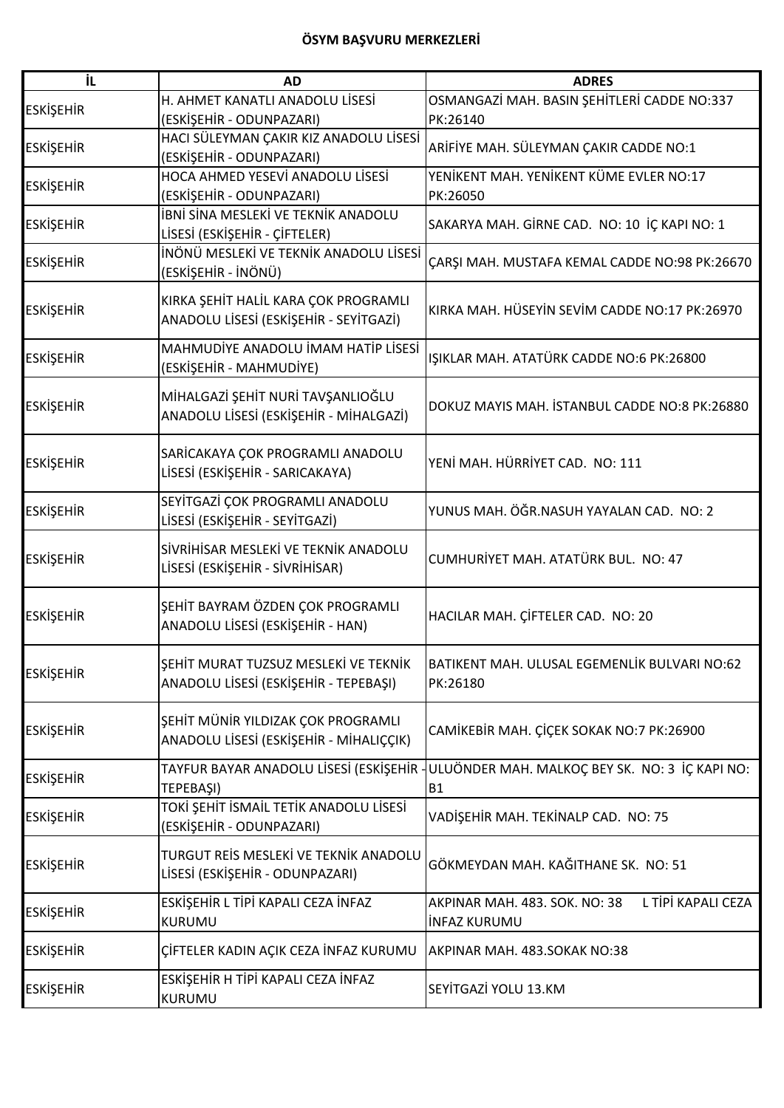| ΪL               | <b>AD</b>                               | <b>ADRES</b>                                             |
|------------------|-----------------------------------------|----------------------------------------------------------|
|                  | H. AHMET KANATLI ANADOLU LİSESİ         | OSMANGAZİ MAH. BASIN ŞEHİTLERİ CADDE NO:337              |
| <b>ESKİŞEHİR</b> | (ESKİŞEHİR - ODUNPAZARI)                | PK:26140                                                 |
| <b>ESKİŞEHİR</b> | HACI SÜLEYMAN ÇAKIR KIZ ANADOLU LİSESİ  | ARİFİYE MAH. SÜLEYMAN ÇAKIR CADDE NO:1                   |
|                  | (ESKİŞEHİR - ODUNPAZARI)                |                                                          |
| <b>ESKİŞEHİR</b> | HOCA AHMED YESEVİ ANADOLU LİSESİ        | YENİKENT MAH. YENİKENT KÜME EVLER NO:17                  |
|                  | (ESKİŞEHİR - ODUNPAZARI)                | PK:26050                                                 |
| <b>ESKİŞEHİR</b> | İBNİ SİNA MESLEKİ VE TEKNİK ANADOLU     | SAKARYA MAH. GİRNE CAD. NO: 10 İÇ KAPI NO: 1             |
|                  | LİSESİ (ESKİŞEHİR - ÇİFTELER)           |                                                          |
| <b>ESKİŞEHİR</b> | İNÖNÜ MESLEKİ VE TEKNİK ANADOLU LİSESİ  | ÇARŞI MAH. MUSTAFA KEMAL CADDE NO:98 PK:26670            |
|                  | (ESKİŞEHİR - İNÖNÜ)                     |                                                          |
|                  | KIRKA ŞEHİT HALİL KARA ÇOK PROGRAMLI    |                                                          |
| <b>ESKİŞEHİR</b> | ANADOLU LİSESİ (ESKİŞEHİR - SEYİTGAZİ)  | KIRKA MAH. HÜSEYİN SEVİM CADDE NO:17 PK:26970            |
|                  |                                         |                                                          |
| <b>ESKİŞEHİR</b> | MAHMUDİYE ANADOLU İMAM HATİP LİSESİ     | IŞIKLAR MAH. ATATÜRK CADDE NO:6 PK:26800                 |
|                  | (ESKİŞEHİR - MAHMUDİYE)                 |                                                          |
|                  | MİHALGAZİ ŞEHİT NURİ TAVŞANLIOĞLU       |                                                          |
| <b>ESKİŞEHİR</b> | ANADOLU LİSESİ (ESKİŞEHİR - MİHALGAZİ)  | DOKUZ MAYIS MAH. İSTANBUL CADDE NO:8 PK:26880            |
|                  |                                         |                                                          |
|                  | SARİCAKAYA ÇOK PROGRAMLI ANADOLU        | YENİ MAH. HÜRRİYET CAD. NO: 111                          |
| <b>ESKİŞEHİR</b> | LİSESİ (ESKİŞEHİR - SARICAKAYA)         |                                                          |
|                  | SEYİTGAZİ ÇOK PROGRAMLI ANADOLU         |                                                          |
| <b>ESKİŞEHİR</b> | LİSESİ (ESKİŞEHİR - SEYİTGAZİ)          | YUNUS MAH. ÖĞR.NASUH YAYALAN CAD. NO: 2                  |
|                  |                                         |                                                          |
| <b>ESKİŞEHİR</b> | SİVRİHİSAR MESLEKİ VE TEKNİK ANADOLU    | CUMHURİYET MAH. ATATÜRK BUL. NO: 47                      |
|                  | LİSESİ (ESKİŞEHİR - SİVRİHİSAR)         |                                                          |
|                  |                                         |                                                          |
| <b>ESKİŞEHİR</b> | ŞEHİT BAYRAM ÖZDEN ÇOK PROGRAMLI        | HACILAR MAH. ÇİFTELER CAD. NO: 20                        |
|                  | ANADOLU LİSESİ (ESKİŞEHİR - HAN)        |                                                          |
|                  | ŞEHİT MURAT TUZSUZ MESLEKİ VE TEKNİK    |                                                          |
| <b>ESKİŞEHİR</b> | ANADOLU LİSESİ (ESKİŞEHİR - TEPEBAŞI)   | BATIKENT MAH. ULUSAL EGEMENLİK BULVARI NO:62<br>PK:26180 |
|                  |                                         |                                                          |
|                  | ŞEHİT MÜNİR YILDIZAK ÇOK PROGRAMLI      |                                                          |
| <b>ESKİŞEHİR</b> | ANADOLU LİSESİ (ESKİŞEHİR - MİHALIÇÇIK) | CAMİKEBİR MAH. ÇİÇEK SOKAK NO:7 PK:26900                 |
|                  |                                         |                                                          |
| <b>ESKİŞEHİR</b> | TAYFUR BAYAR ANADOLU LİSESİ (ESKİŞEHİR  | ULUÖNDER MAH. MALKOÇ BEY SK. NO: 3 İÇ KAPI NO:           |
|                  | TEPEBAŞI)                               | <b>B1</b>                                                |
| <b>ESKİŞEHİR</b> | TOKİ ŞEHİT İSMAİL TETİK ANADOLU LİSESİ  | VADİŞEHİR MAH. TEKİNALP CAD. NO: 75                      |
|                  | (ESKİŞEHİR - ODUNPAZARI)                |                                                          |
|                  | TURGUT REİS MESLEKİ VE TEKNİK ANADOLU   |                                                          |
| <b>ESKİŞEHİR</b> | LİSESİ (ESKİŞEHİR - ODUNPAZARI)         | GÖKMEYDAN MAH. KAĞITHANE SK. NO: 51                      |
|                  |                                         |                                                          |
| <b>ESKİŞEHİR</b> | ESKİŞEHİR L TİPİ KAPALI CEZA İNFAZ      | L TİPİ KAPALI CEZA<br>AKPINAR MAH. 483. SOK. NO: 38      |
|                  | <b>KURUMU</b>                           | <b>INFAZ KURUMU</b>                                      |
| <b>ESKİŞEHİR</b> | ÇİFTELER KADIN AÇIK CEZA İNFAZ KURUMU   | AKPINAR MAH. 483.SOKAK NO:38                             |
|                  | ESKİŞEHİR H TİPİ KAPALI CEZA İNFAZ      |                                                          |
| <b>ESKİŞEHİR</b> | KURUMU                                  | SEYİTGAZİ YOLU 13.KM                                     |
|                  |                                         |                                                          |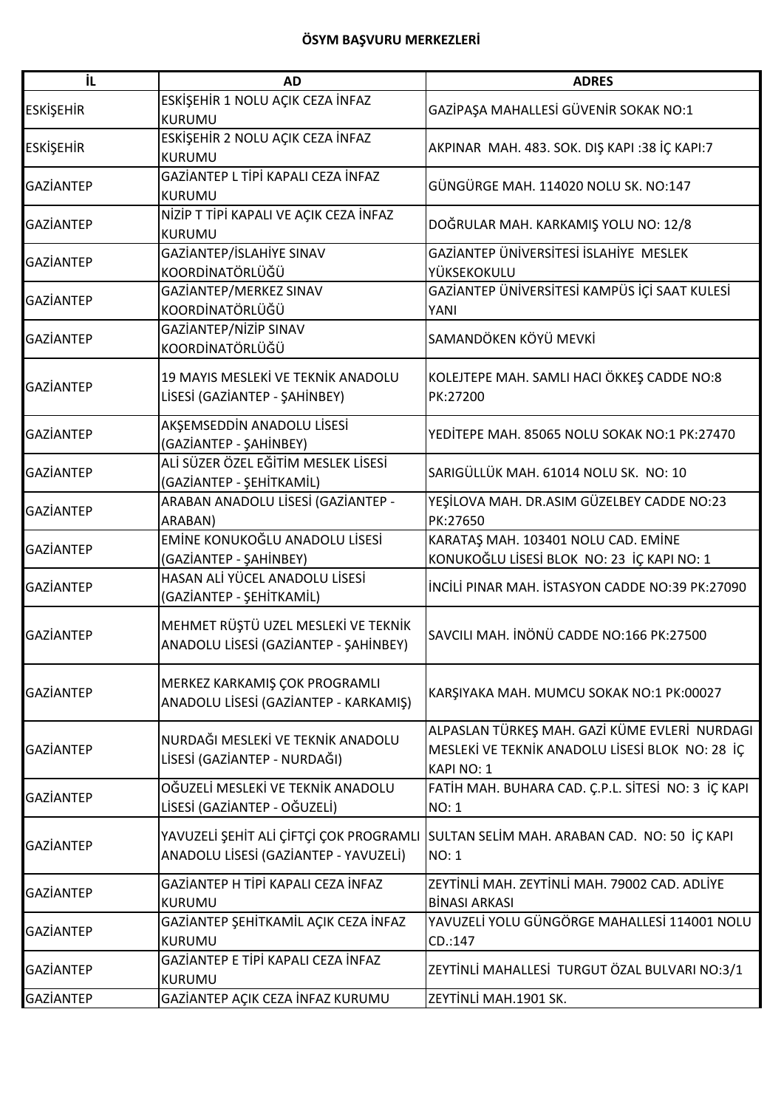| İL               | <b>AD</b>                                                                        | <b>ADRES</b>                                                                      |
|------------------|----------------------------------------------------------------------------------|-----------------------------------------------------------------------------------|
|                  | ESKİŞEHİR 1 NOLU AÇIK CEZA İNFAZ                                                 |                                                                                   |
| <b>ESKİŞEHİR</b> | <b>KURUMU</b>                                                                    | GAZİPAŞA MAHALLESİ GÜVENİR SOKAK NO:1                                             |
|                  | ESKİŞEHİR 2 NOLU AÇIK CEZA İNFAZ                                                 |                                                                                   |
| <b>ESKİŞEHİR</b> | <b>KURUMU</b>                                                                    | AKPINAR MAH. 483. SOK. DIŞ KAPI :38 İÇ KAPI:7                                     |
| <b>GAZİANTEP</b> | GAZİANTEP L TİPİ KAPALI CEZA İNFAZ                                               | GÜNGÜRGE MAH. 114020 NOLU SK. NO:147                                              |
|                  | <b>KURUMU</b>                                                                    |                                                                                   |
| GAZİANTEP        | NİZİP T TİPİ KAPALI VE AÇIK CEZA İNFAZ                                           | DOĞRULAR MAH. KARKAMIŞ YOLU NO: 12/8                                              |
|                  | <b>KURUMU</b>                                                                    |                                                                                   |
| GAZİANTEP        | GAZİANTEP/İSLAHİYE SINAV                                                         | GAZİANTEP ÜNİVERSİTESİ İSLAHİYE MESLEK                                            |
|                  | KOORDİNATÖRLÜĞÜ                                                                  | YÜKSEKOKULU                                                                       |
| <b>GAZİANTEP</b> | GAZİANTEP/MERKEZ SINAV                                                           | GAZİANTEP ÜNİVERSİTESİ KAMPÜS İÇİ SAAT KULESİ                                     |
|                  | KOORDİNATÖRLÜĞÜ                                                                  | YANI                                                                              |
| <b>GAZİANTEP</b> | GAZİANTEP/NİZİP SINAV                                                            | SAMANDÖKEN KÖYÜ MEVKİ                                                             |
|                  | KOORDİNATÖRLÜĞÜ                                                                  |                                                                                   |
|                  | 19 MAYIS MESLEKİ VE TEKNİK ANADOLU                                               | KOLEJTEPE MAH. SAMLI HACI ÖKKEŞ CADDE NO:8                                        |
| <b>GAZİANTEP</b> | LİSESİ (GAZİANTEP - ŞAHİNBEY)                                                    | PK:27200                                                                          |
|                  |                                                                                  |                                                                                   |
| <b>GAZİANTEP</b> | AKŞEMSEDDİN ANADOLU LİSESİ                                                       | YEDİTEPE MAH. 85065 NOLU SOKAK NO:1 PK:27470                                      |
|                  | (GAZİANTEP - ŞAHİNBEY)                                                           |                                                                                   |
| <b>GAZİANTEP</b> | ALİ SÜZER ÖZEL EĞİTİM MESLEK LİSESİ                                              | SARIGÜLLÜK MAH. 61014 NOLU SK. NO: 10                                             |
|                  | (GAZİANTEP - ŞEHİTKAMİL)                                                         |                                                                                   |
| <b>GAZİANTEP</b> | ARABAN ANADOLU LİSESİ (GAZİANTEP -                                               | YEŞİLOVA MAH. DR.ASIM GÜZELBEY CADDE NO:23                                        |
|                  | ARABAN)<br>EMİNE KONUKOĞLU ANADOLU LİSESİ                                        | PK:27650                                                                          |
| <b>GAZİANTEP</b> | (GAZIANTEP - ŞAHİNBEY)                                                           | KARATAŞ MAH. 103401 NOLU CAD. EMİNE<br>KONUKOĞLU LİSESİ BLOK NO: 23 İÇ KAPI NO: 1 |
|                  | HASAN ALİ YÜCEL ANADOLU LİSESİ                                                   |                                                                                   |
| <b>GAZİANTEP</b> | (GAZİANTEP - ŞEHİTKAMİL)                                                         | İNCİLİ PINAR MAH. İSTASYON CADDE NO:39 PK:27090                                   |
|                  |                                                                                  |                                                                                   |
| <b>GAZİANTEP</b> | MEHMET RÜŞTÜ UZEL MESLEKİ VE TEKNİK                                              | SAVCILI MAH. İNÖNÜ CADDE NO:166 PK:27500                                          |
|                  | ANADOLU LİSESİ (GAZİANTEP - ŞAHİNBEY)                                            |                                                                                   |
|                  |                                                                                  |                                                                                   |
| GAZİANTEP        | MERKEZ KARKAMIŞ ÇOK PROGRAMLI                                                    | KARŞIYAKA MAH. MUMCU SOKAK NO:1 PK:00027                                          |
|                  | ANADOLU LİSESİ (GAZİANTEP - KARKAMIŞ)                                            |                                                                                   |
|                  |                                                                                  | ALPASLAN TÜRKEŞ MAH. GAZİ KÜME EVLERİ NURDAGI                                     |
| GAZİANTEP        | NURDAĞI MESLEKİ VE TEKNİK ANADOLU                                                | MESLEKİ VE TEKNİK ANADOLU LİSESİ BLOK NO: 28 İÇ                                   |
|                  | LİSESİ (GAZİANTEP - NURDAĞI)                                                     | KAPINO: 1                                                                         |
|                  | OĞUZELİ MESLEKİ VE TEKNİK ANADOLU                                                | FATİH MAH. BUHARA CAD. Ç.P.L. SİTESİ NO: 3 İÇ KAPI                                |
| <b>GAZİANTEP</b> | LİSESİ (GAZİANTEP - OĞUZELİ)                                                     | NO: 1                                                                             |
|                  |                                                                                  |                                                                                   |
| <b>GAZİANTEP</b> | YAVUZELİ ŞEHİT ALİ ÇİFTÇİ ÇOK PROGRAMLI<br>ANADOLU LİSESİ (GAZİANTEP - YAVUZELİ) | SULTAN SELIM MAH. ARABAN CAD. NO: 50 IÇ KAPI<br><b>NO: 1</b>                      |
|                  |                                                                                  |                                                                                   |
| GAZİANTEP        | GAZİANTEP H TİPİ KAPALI CEZA İNFAZ                                               | ZEYTİNLİ MAH. ZEYTİNLİ MAH. 79002 CAD. ADLİYE                                     |
|                  | <b>KURUMU</b>                                                                    | <b>BİNASI ARKASI</b>                                                              |
| GAZİANTEP        | GAZİANTEP ŞEHİTKAMİL AÇIK CEZA İNFAZ                                             | YAVUZELİ YOLU GÜNGÖRGE MAHALLESİ 114001 NOLU                                      |
|                  | <b>KURUMU</b>                                                                    | CD.:147                                                                           |
| GAZİANTEP        | GAZİANTEP E TİPİ KAPALI CEZA İNFAZ                                               | ZEYTİNLİ MAHALLESİ TURGUT ÖZAL BULVARI NO:3/1                                     |
|                  | <b>KURUMU</b>                                                                    |                                                                                   |
| <b>GAZİANTEP</b> | GAZİANTEP AÇIK CEZA İNFAZ KURUMU                                                 | ZEYTİNLİ MAH.1901 SK.                                                             |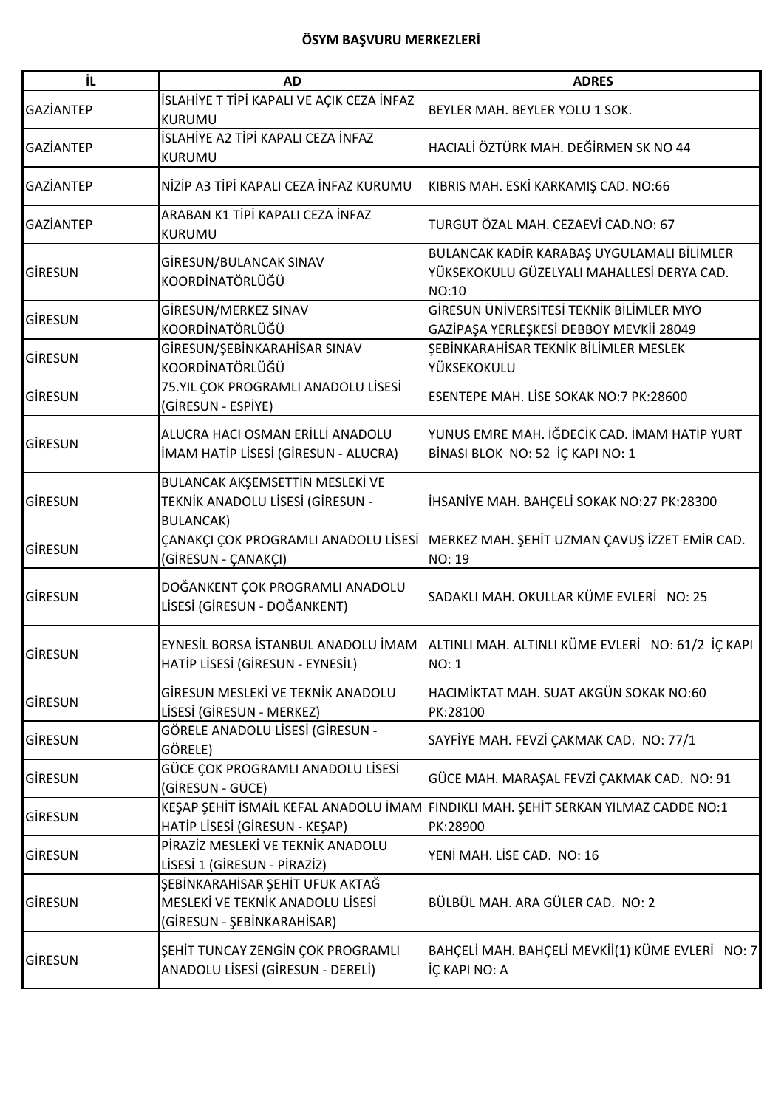| İL               | <b>AD</b>                                                                                         | <b>ADRES</b>                                                                                      |
|------------------|---------------------------------------------------------------------------------------------------|---------------------------------------------------------------------------------------------------|
| <b>GAZİANTEP</b> | İSLAHİYE T TİPİ KAPALI VE AÇIK CEZA İNFAZ<br><b>KURUMU</b>                                        | BEYLER MAH. BEYLER YOLU 1 SOK.                                                                    |
| <b>GAZİANTEP</b> | İSLAHİYE A2 TİPİ KAPALI CEZA İNFAZ<br><b>KURUMU</b>                                               | HACIALİ ÖZTÜRK MAH. DEĞİRMEN SK NO 44                                                             |
| <b>GAZİANTEP</b> | NİZİP A3 TİPİ KAPALI CEZA İNFAZ KURUMU                                                            | KIBRIS MAH. ESKİ KARKAMIŞ CAD. NO:66                                                              |
| <b>GAZİANTEP</b> | ARABAN K1 TİPİ KAPALI CEZA İNFAZ<br>KURUMU                                                        | TURGUT ÖZAL MAH. CEZAEVİ CAD.NO: 67                                                               |
| <b>GİRESUN</b>   | GİRESUN/BULANCAK SINAV<br>KOORDİNATÖRLÜĞÜ                                                         | BULANCAK KADİR KARABAŞ UYGULAMALI BİLİMLER<br>YÜKSEKOKULU GÜZELYALI MAHALLESİ DERYA CAD.<br>NO:10 |
| <b>GIRESUN</b>   | GİRESUN/MERKEZ SINAV<br>KOORDİNATÖRLÜĞÜ                                                           | GİRESUN ÜNİVERSİTESİ TEKNİK BİLİMLER MYO<br>GAZİPAŞA YERLEŞKESİ DEBBOY MEVKİİ 28049               |
| GİRESUN          | GİRESUN/ŞEBİNKARAHİSAR SINAV<br>KOORDİNATÖRLÜĞÜ                                                   | ŞEBİNKARAHİSAR TEKNİK BİLİMLER MESLEK<br>YÜKSEKOKULU                                              |
| GİRESUN          | 75.YIL ÇOK PROGRAMLI ANADOLU LİSESİ<br>(GİRESUN - ESPİYE)                                         | ESENTEPE MAH. LİSE SOKAK NO:7 PK:28600                                                            |
| GİRESUN          | ALUCRA HACI OSMAN ERİLLİ ANADOLU<br>IMAM HATIP LISESI (GIRESUN - ALUCRA)                          | YUNUS EMRE MAH. İĞDECİK CAD. İMAM HATİP YURT<br>BİNASI BLOK NO: 52 İÇ KAPI NO: 1                  |
| <b>GİRESUN</b>   | BULANCAK AKŞEMSETTİN MESLEKİ VE<br>TEKNİK ANADOLU LİSESİ (GİRESUN -<br><b>BULANCAK)</b>           | İHSANİYE MAH. BAHÇELİ SOKAK NO:27 PK:28300                                                        |
| <b>GIRESUN</b>   | ÇANAKÇI ÇOK PROGRAMLI ANADOLU LİSESİ<br>(GİRESUN - ÇANAKÇI)                                       | MERKEZ MAH. ŞEHİT UZMAN ÇAVUŞ İZZET EMİR CAD.<br>NO: 19                                           |
| GIRESUN          | DOĞANKENT ÇOK PROGRAMLI ANADOLU<br>LİSESİ (GİRESUN - DOĞANKENT)                                   | SADAKLI MAH. OKULLAR KÜME EVLERİ NO: 25                                                           |
| GIRESUN          | HATİP LİSESİ (GİRESUN - EYNESİL)                                                                  | EYNESİL BORSA İSTANBUL ANADOLU İMAM ALTINLI MAH. ALTINLI KÜME EVLERİ NO: 61/2 İÇ KAPI<br>NO: 1    |
| GİRESUN          | GİRESUN MESLEKİ VE TEKNİK ANADOLU<br>LİSESİ (GİRESUN - MERKEZ)                                    | HACIMİKTAT MAH. SUAT AKGÜN SOKAK NO:60<br>PK:28100                                                |
| GİRESUN          | GÖRELE ANADOLU LİSESİ (GİRESUN -<br>GÖRELE)                                                       | SAYFİYE MAH. FEVZİ ÇAKMAK CAD. NO: 77/1                                                           |
| <b>GIRESUN</b>   | GÜCE ÇOK PROGRAMLI ANADOLU LİSESİ<br>(GİRESUN - GÜCE)                                             | GÜCE MAH. MARAŞAL FEVZİ ÇAKMAK CAD. NO: 91                                                        |
| GİRESUN          | KEŞAP ŞEHİT İSMAİL KEFAL ANADOLU İMAM<br>HATİP LİSESİ (GİRESUN - KEŞAP)                           | FINDIKLI MAH. ŞEHİT SERKAN YILMAZ CADDE NO:1<br>PK:28900                                          |
| GİRESUN          | PİRAZİZ MESLEKİ VE TEKNİK ANADOLU<br>LİSESİ 1 (GİRESUN - PİRAZİZ)                                 | YENİ MAH. LİSE CAD. NO: 16                                                                        |
| GİRESUN          | ŞEBİNKARAHİSAR ŞEHİT UFUK AKTAĞ<br>MESLEKİ VE TEKNİK ANADOLU LİSESİ<br>(GİRESUN - ŞEBİNKARAHİSAR) | BÜLBÜL MAH. ARA GÜLER CAD. NO: 2                                                                  |
| GİRESUN          | ŞEHİT TUNCAY ZENGİN ÇOK PROGRAMLI<br>ANADOLU LİSESİ (GİRESUN - DERELİ)                            | BAHÇELİ MAH. BAHÇELİ MEVKİİ(1) KÜME EVLERİ NO: 7<br>İÇ KAPI NO: A                                 |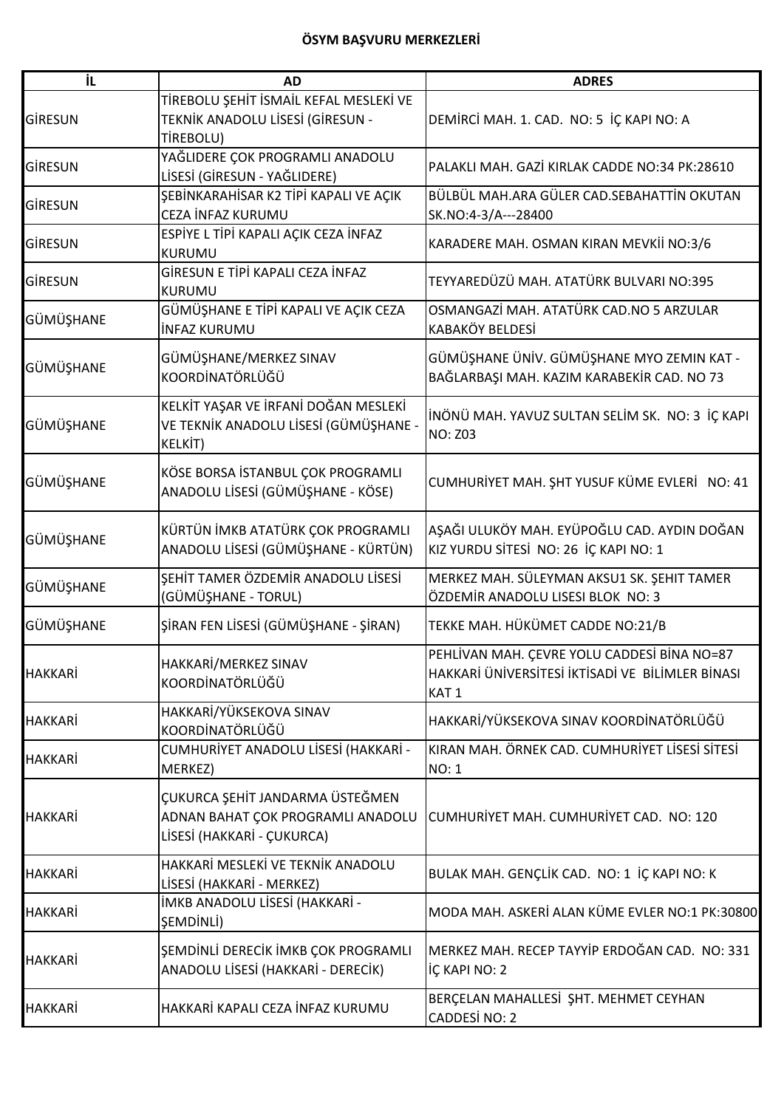| ΪL             | <b>AD</b>                                                                                          | <b>ADRES</b>                                                                                                        |
|----------------|----------------------------------------------------------------------------------------------------|---------------------------------------------------------------------------------------------------------------------|
| GİRESUN        | TİREBOLU ŞEHİT İSMAİL KEFAL MESLEKİ VE<br>TEKNİK ANADOLU LİSESİ (GİRESUN -<br>TİREBOLU)            | DEMİRCİ MAH. 1. CAD. NO: 5 İÇ KAPI NO: A                                                                            |
| GİRESUN        | YAĞLIDERE ÇOK PROGRAMLI ANADOLU<br>LİSESİ (GİRESUN - YAĞLIDERE)                                    | PALAKLI MAH. GAZİ KIRLAK CADDE NO:34 PK:28610                                                                       |
| GİRESUN        | ŞEBİNKARAHİSAR K2 TİPİ KAPALI VE AÇIK<br>CEZA İNFAZ KURUMU                                         | BÜLBÜL MAH.ARA GÜLER CAD.SEBAHATTİN OKUTAN<br>SK.NO:4-3/A---28400                                                   |
| GİRESUN        | ESPİYE L TİPİ KAPALI AÇIK CEZA İNFAZ<br><b>KURUMU</b>                                              | KARADERE MAH. OSMAN KIRAN MEVKİİ NO:3/6                                                                             |
| GİRESUN        | GİRESUN E TİPİ KAPALI CEZA İNFAZ<br><b>KURUMU</b>                                                  | TEYYAREDÜZÜ MAH. ATATÜRK BULVARI NO:395                                                                             |
| GÜMÜŞHANE      | GÜMÜŞHANE E TİPİ KAPALI VE AÇIK CEZA<br><b>INFAZ KURUMU</b>                                        | OSMANGAZİ MAH. ATATÜRK CAD.NO 5 ARZULAR<br><b>KABAKÖY BELDESİ</b>                                                   |
| GÜMÜŞHANE      | GÜMÜŞHANE/MERKEZ SINAV<br>KOORDİNATÖRLÜĞÜ                                                          | GÜMÜŞHANE ÜNİV. GÜMÜŞHANE MYO ZEMIN KAT -<br>BAĞLARBAŞI MAH. KAZIM KARABEKİR CAD. NO 73                             |
| GÜMÜŞHANE      | KELKİT YAŞAR VE İRFANİ DOĞAN MESLEKİ<br>VE TEKNİK ANADOLU LİSESİ (GÜMÜŞHANE -<br>KELKİT)           | İNÖNÜ MAH. YAVUZ SULTAN SELİM SK. NO: 3 İÇ KAPI<br><b>NO: Z03</b>                                                   |
| GÜMÜŞHANE      | KÖSE BORSA İSTANBUL ÇOK PROGRAMLI<br>ANADOLU LİSESİ (GÜMÜŞHANE - KÖSE)                             | CUMHURİYET MAH. ŞHT YUSUF KÜME EVLERİ NO: 41                                                                        |
| GÜMÜŞHANE      | KÜRTÜN İMKB ATATÜRK ÇOK PROGRAMLI<br>ANADOLU LİSESİ (GÜMÜŞHANE - KÜRTÜN)                           | AŞAĞI ULUKÖY MAH. EYÜPOĞLU CAD. AYDIN DOĞAN<br>KIZ YURDU SİTESİ NO: 26 İÇ KAPI NO: 1                                |
| GÜMÜŞHANE      | ŞEHİT TAMER ÖZDEMİR ANADOLU LİSESİ<br>(GÜMÜŞHANE - TORUL)                                          | MERKEZ MAH. SÜLEYMAN AKSU1 SK. ŞEHIT TAMER<br>ÖZDEMİR ANADOLU LISESI BLOK NO: 3                                     |
| GÜMÜŞHANE      | ŞİRAN FEN LİSESİ (GÜMÜŞHANE - ŞİRAN)                                                               | TEKKE MAH. HÜKÜMET CADDE NO:21/B                                                                                    |
| <b>HAKKARİ</b> | HAKKARİ/MERKEZ SINAV<br>KOORDİNATÖRLÜĞÜ                                                            | PEHLİVAN MAH. ÇEVRE YOLU CADDESİ BİNA NO=87<br>HAKKARİ ÜNİVERSİTESİ İKTİSADİ VE BİLİMLER BİNASI<br>KAT <sub>1</sub> |
| HAKKARİ        | HAKKARİ/YÜKSEKOVA SINAV<br>KOORDİNATÖRLÜĞÜ                                                         | HAKKARİ/YÜKSEKOVA SINAV KOORDİNATÖRLÜĞÜ                                                                             |
| HAKKARİ        | CUMHURİYET ANADOLU LİSESİ (HAKKARİ -<br>MERKEZ)                                                    | KIRAN MAH. ÖRNEK CAD. CUMHURİYET LİSESİ SİTESİ<br><b>NO: 1</b>                                                      |
| <b>HAKKARİ</b> | ÇUKURCA ŞEHİT JANDARMA ÜSTEĞMEN<br>ADNAN BAHAT ÇOK PROGRAMLI ANADOLU<br>LİSESİ (HAKKARİ - ÇUKURCA) | CUMHURIYET MAH. CUMHURIYET CAD. NO: 120                                                                             |
| <b>HAKKARİ</b> | HAKKARİ MESLEKİ VE TEKNİK ANADOLU<br>LİSESİ (HAKKARİ - MERKEZ)                                     | BULAK MAH. GENÇLİK CAD. NO: 1 İÇ KAPI NO: K                                                                         |
| HAKKARİ        | İMKB ANADOLU LİSESİ (HAKKARİ -<br>ŞEMDİNLİ)                                                        | MODA MAH. ASKERİ ALAN KÜME EVLER NO:1 PK:30800                                                                      |
| HAKKARİ        | ŞEMDİNLİ DERECİK İMKB ÇOK PROGRAMLI<br>ANADOLU LİSESİ (HAKKARİ - DERECİK)                          | MERKEZ MAH. RECEP TAYYIP ERDOĞAN CAD. NO: 331<br>İÇ KAPI NO: 2                                                      |
| <b>HAKKARİ</b> | HAKKARİ KAPALI CEZA İNFAZ KURUMU                                                                   | BERÇELAN MAHALLESİ ŞHT. MEHMET CEYHAN<br>CADDESİ NO: 2                                                              |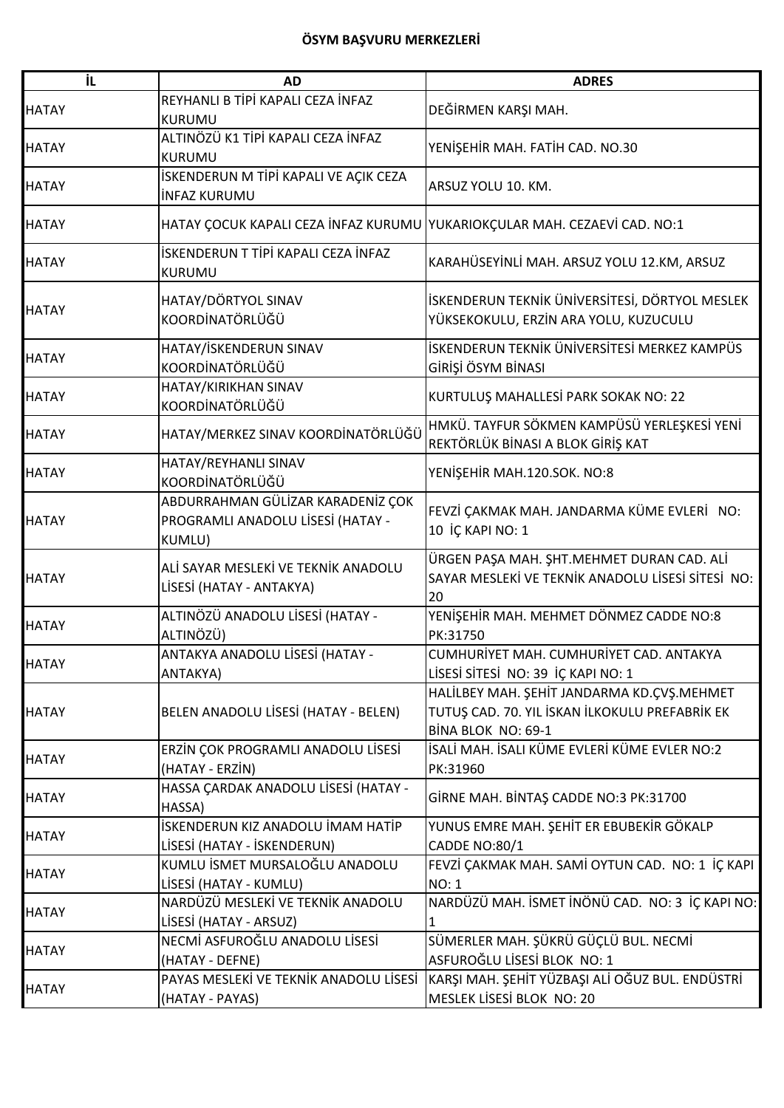| İL           | <b>AD</b>                                                                        | <b>ADRES</b>                                                                                                       |
|--------------|----------------------------------------------------------------------------------|--------------------------------------------------------------------------------------------------------------------|
| <b>HATAY</b> | REYHANLI B TİPİ KAPALI CEZA İNFAZ<br><b>KURUMU</b>                               | DEĞİRMEN KARŞI MAH.                                                                                                |
| <b>HATAY</b> | ALTINÖZÜ K1 TİPİ KAPALI CEZA İNFAZ<br>KURUMU                                     | YENİŞEHİR MAH. FATİH CAD. NO.30                                                                                    |
| <b>HATAY</b> | İSKENDERUN M TİPİ KAPALI VE AÇIK CEZA<br><b>INFAZ KURUMU</b>                     | ARSUZ YOLU 10. KM.                                                                                                 |
| <b>HATAY</b> | HATAY ÇOCUK KAPALI CEZA İNFAZ KURUMU YUKARIOKÇULAR MAH. CEZAEVİ CAD. NO:1        |                                                                                                                    |
| <b>HATAY</b> | İSKENDERUN T TİPİ KAPALI CEZA İNFAZ<br>KURUMU                                    | KARAHÜSEYİNLİ MAH. ARSUZ YOLU 12.KM, ARSUZ                                                                         |
| <b>HATAY</b> | HATAY/DÖRTYOL SINAV<br>KOORDİNATÖRLÜĞÜ                                           | İSKENDERUN TEKNİK ÜNİVERSİTESİ, DÖRTYOL MESLEK<br>YÜKSEKOKULU, ERZİN ARA YOLU, KUZUCULU                            |
| <b>HATAY</b> | HATAY/İSKENDERUN SINAV<br>KOORDİNATÖRLÜĞÜ                                        | İSKENDERUN TEKNİK ÜNİVERSİTESİ MERKEZ KAMPÜS<br>GİRİŞİ ÖSYM BİNASI                                                 |
| <b>HATAY</b> | HATAY/KIRIKHAN SINAV<br>KOORDİNATÖRLÜĞÜ                                          | KURTULUŞ MAHALLESİ PARK SOKAK NO: 22                                                                               |
| <b>HATAY</b> | HATAY/MERKEZ SINAV KOORDİNATÖRLÜĞÜ                                               | HMKÜ. TAYFUR SÖKMEN KAMPÜSÜ YERLEŞKESİ YENİ<br>REKTÖRLÜK BİNASI A BLOK GİRİŞ KAT                                   |
| <b>HATAY</b> | HATAY/REYHANLI SINAV<br>KOORDİNATÖRLÜĞÜ                                          | YENİŞEHİR MAH.120.SOK. NO:8                                                                                        |
| <b>HATAY</b> | ABDURRAHMAN GÜLİZAR KARADENİZ ÇOK<br>PROGRAMLI ANADOLU LİSESİ (HATAY -<br>KUMLU) | FEVZİ ÇAKMAK MAH. JANDARMA KÜME EVLERİ NO:<br>10 İÇ KAPI NO: 1                                                     |
| <b>HATAY</b> | ALİ SAYAR MESLEKİ VE TEKNİK ANADOLU<br>LİSESİ (HATAY - ANTAKYA)                  | ÜRGEN PAŞA MAH. ŞHT.MEHMET DURAN CAD. ALİ<br>SAYAR MESLEKİ VE TEKNİK ANADOLU LİSESİ SİTESİ NO:<br>20               |
| <b>HATAY</b> | ALTINÖZÜ ANADOLU LİSESİ (HATAY -<br>ALTINÖZÜ)                                    | YENİŞEHİR MAH. MEHMET DÖNMEZ CADDE NO:8<br>PK:31750                                                                |
| <b>HATAY</b> | ANTAKYA ANADOLU LİSESİ (HATAY -<br>ANTAKYA)                                      | CUMHURİYET MAH. CUMHURİYET CAD. ANTAKYA<br>LİSESİ SİTESİ NO: 39 İÇ KAPI NO: 1                                      |
| <b>HATAY</b> | BELEN ANADOLU LİSESİ (HATAY - BELEN)                                             | HALİLBEY MAH. ŞEHİT JANDARMA KD.ÇVŞ.MEHMET<br>TUTUŞ CAD. 70. YIL İSKAN İLKOKULU PREFABRİK EK<br>BİNA BLOK NO: 69-1 |
| <b>HATAY</b> | ERZİN ÇOK PROGRAMLI ANADOLU LİSESİ<br>(HATAY - ERZİN)                            | İSALİ MAH. İSALI KÜME EVLERİ KÜME EVLER NO:2<br>PK:31960                                                           |
| <b>HATAY</b> | HASSA ÇARDAK ANADOLU LİSESİ (HATAY -<br>HASSA)                                   | GİRNE MAH. BİNTAŞ CADDE NO:3 PK:31700                                                                              |
| <b>HATAY</b> | İSKENDERUN KIZ ANADOLU İMAM HATİP<br>LİSESİ (HATAY - İSKENDERUN)                 | YUNUS EMRE MAH. ŞEHİT ER EBUBEKİR GÖKALP<br><b>CADDE NO:80/1</b>                                                   |
| <b>HATAY</b> | KUMLU İSMET MURSALOĞLU ANADOLU<br>LİSESİ (HATAY - KUMLU)                         | FEVZİ ÇAKMAK MAH. SAMİ OYTUN CAD. NO: 1 İÇ KAPI<br><b>NO: 1</b>                                                    |
| <b>HATAY</b> | NARDÜZÜ MESLEKİ VE TEKNİK ANADOLU<br>LİSESİ (HATAY - ARSUZ)                      | NARDÜZÜ MAH. İSMET İNÖNÜ CAD. NO: 3 İÇ KAPI NO:                                                                    |
| <b>HATAY</b> | NECMİ ASFUROĞLU ANADOLU LİSESİ<br>(HATAY - DEFNE)                                | SÜMERLER MAH. ŞÜKRÜ GÜÇLÜ BUL. NECMİ<br>ASFUROĞLU LİSESİ BLOK NO: 1                                                |
| <b>HATAY</b> | PAYAS MESLEKİ VE TEKNİK ANADOLU LİSESİ<br>(HATAY - PAYAS)                        | KARŞI MAH. ŞEHİT YÜZBAŞI ALİ OĞUZ BUL. ENDÜSTRİ<br>MESLEK LİSESİ BLOK NO: 20                                       |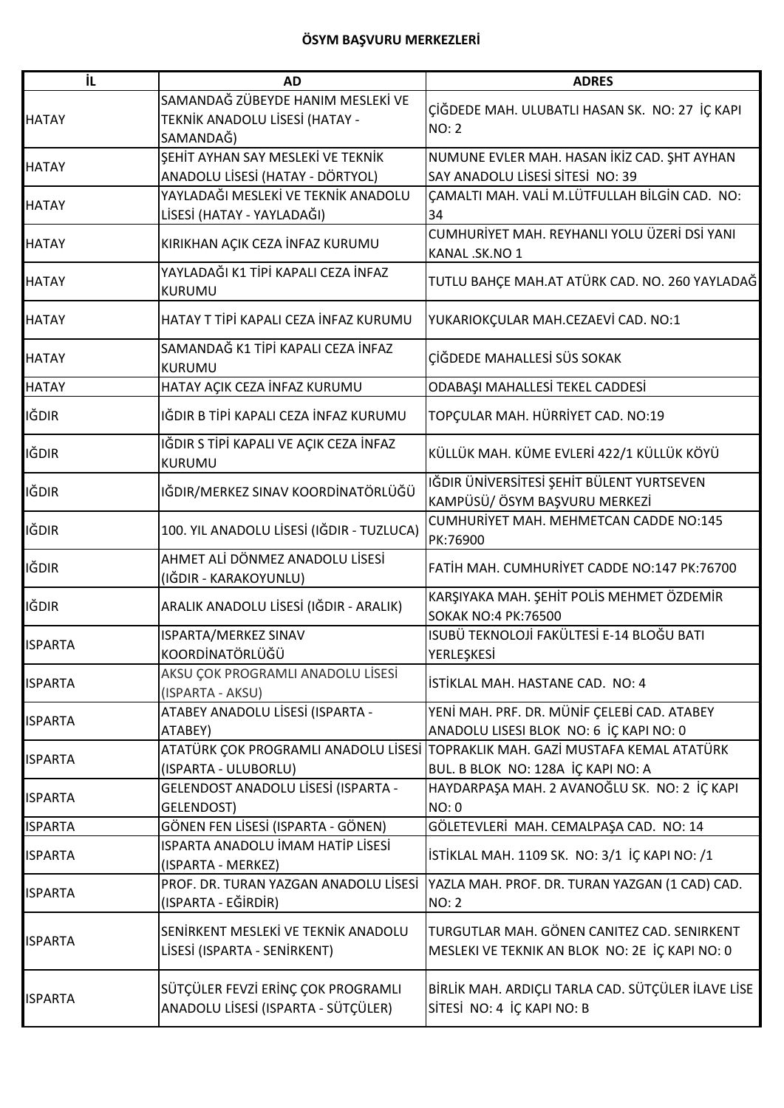| İL             | <b>AD</b>                                 | <b>ADRES</b>                                       |
|----------------|-------------------------------------------|----------------------------------------------------|
|                | SAMANDAĞ ZÜBEYDE HANIM MESLEKİ VE         |                                                    |
| <b>HATAY</b>   | TEKNİK ANADOLU LİSESİ (HATAY -            | ÇİĞDEDE MAH. ULUBATLI HASAN SK. NO: 27 İÇ KAPI     |
|                | SAMANDAĞ)                                 | <b>NO: 2</b>                                       |
|                | ŞEHİT AYHAN SAY MESLEKİ VE TEKNİK         | NUMUNE EVLER MAH. HASAN İKİZ CAD. ŞHT AYHAN        |
| <b>HATAY</b>   | ANADOLU LİSESİ (HATAY - DÖRTYOL)          | SAY ANADOLU LISESI SITESI NO: 39                   |
|                | YAYLADAĞI MESLEKİ VE TEKNİK ANADOLU       | CAMALTI MAH. VALİ M.LÜTFULLAH BİLGİN CAD. NO:      |
| <b>HATAY</b>   | LİSESİ (HATAY - YAYLADAĞI)                | 34                                                 |
|                |                                           | CUMHURİYET MAH. REYHANLI YOLU ÜZERİ DSİ YANI       |
| <b>HATAY</b>   | KIRIKHAN AÇIK CEZA İNFAZ KURUMU           | KANAL .SK.NO 1                                     |
|                | YAYLADAĞI K1 TİPİ KAPALI CEZA İNFAZ       |                                                    |
| <b>HATAY</b>   | <b>KURUMU</b>                             | TUTLU BAHÇE MAH.AT ATÜRK CAD. NO. 260 YAYLADAĞ     |
| <b>HATAY</b>   | HATAY T TİPİ KAPALI CEZA İNFAZ KURUMU     |                                                    |
|                |                                           | YUKARIOKÇULAR MAH.CEZAEVİ CAD. NO:1                |
| <b>HATAY</b>   | SAMANDAĞ K1 TİPİ KAPALI CEZA İNFAZ        | ÇİĞDEDE MAHALLESİ SÜS SOKAK                        |
|                | <b>KURUMU</b>                             |                                                    |
| <b>HATAY</b>   | HATAY AÇIK CEZA İNFAZ KURUMU              | ODABAŞI MAHALLESİ TEKEL CADDESİ                    |
| <b>IĞDIR</b>   | IĞDIR B TİPİ KAPALI CEZA İNFAZ KURUMU     | TOPÇULAR MAH. HÜRRİYET CAD. NO:19                  |
|                |                                           |                                                    |
| <b>IĞDIR</b>   | IĞDIR S TİPİ KAPALI VE AÇIK CEZA İNFAZ    | KÜLLÜK MAH. KÜME EVLERİ 422/1 KÜLLÜK KÖYÜ          |
|                | <b>KURUMU</b>                             |                                                    |
| IĞDIR          | IĞDIR/MERKEZ SINAV KOORDİNATÖRLÜĞÜ        | IĞDIR ÜNİVERSİTESİ ŞEHİT BÜLENT YURTSEVEN          |
|                |                                           | KAMPÜSÜ/ÖSYM BAŞVURU MERKEZİ                       |
| IĞDIR          | 100. YIL ANADOLU LİSESİ (IĞDIR - TUZLUCA) | CUMHURİYET MAH. MEHMETCAN CADDE NO:145             |
|                |                                           | PK:76900                                           |
| <b>IĞDIR</b>   | AHMET ALİ DÖNMEZ ANADOLU LİSESİ           | FATİH MAH. CUMHURİYET CADDE NO:147 PK:76700        |
|                | (IĞDIR - KARAKOYUNLU)                     |                                                    |
| IĞDIR          | ARALIK ANADOLU LİSESİ (IĞDIR - ARALIK)    | KARŞIYAKA MAH. ŞEHİT POLİS MEHMET ÖZDEMİR          |
|                |                                           | <b>SOKAK NO:4 PK:76500</b>                         |
| <b>ISPARTA</b> | ISPARTA/MERKEZ SINAV                      | ISUBÜ TEKNOLOJİ FAKÜLTESİ E-14 BLOĞU BATI          |
|                | KOORDİNATÖRLÜĞÜ                           | YERLEŞKESİ                                         |
| <b>ISPARTA</b> | AKSU ÇOK PROGRAMLI ANADOLU LİSESİ         | İSTİKLAL MAH. HASTANE CAD.  NO: 4                  |
|                | (ISPARTA - AKSU)                          |                                                    |
| <b>ISPARTA</b> | ATABEY ANADOLU LİSESİ (ISPARTA -          | YENİ MAH. PRF. DR. MÜNİF ÇELEBİ CAD. ATABEY        |
|                | ATABEY)                                   | ANADOLU LISESI BLOK NO: 6 İÇ KAPI NO: 0            |
| <b>ISPARTA</b> | ATATÜRK ÇOK PROGRAMLI ANADOLU LİSESİ      | TOPRAKLIK MAH. GAZİ MUSTAFA KEMAL ATATÜRK          |
|                | (ISPARTA - ULUBORLU)                      | BUL. B BLOK NO: 128A İÇ KAPI NO: A                 |
| <b>ISPARTA</b> | GELENDOST ANADOLU LİSESİ (ISPARTA -       | HAYDARPAŞA MAH. 2 AVANOĞLU SK. NO: 2 İÇ KAPI       |
|                | GELENDOST)                                | NO: 0                                              |
| <b>ISPARTA</b> | GÖNEN FEN LİSESİ (ISPARTA - GÖNEN)        | GÖLETEVLERİ MAH. CEMALPAŞA CAD. NO: 14             |
| <b>ISPARTA</b> | ISPARTA ANADOLU İMAM HATİP LİSESİ         | İSTİKLAL MAH. 1109 SK. NO: 3/1 İÇ KAPI NO: /1      |
|                | (ISPARTA - MERKEZ)                        |                                                    |
| <b>ISPARTA</b> | PROF. DR. TURAN YAZGAN ANADOLU LİSESİ     | YAZLA MAH. PROF. DR. TURAN YAZGAN (1 CAD) CAD.     |
|                | (ISPARTA - EĞİRDİR)                       | <b>NO: 2</b>                                       |
|                | SENIRKENT MESLEKI VE TEKNIK ANADOLU       | TURGUTLAR MAH. GÖNEN CANITEZ CAD. SENIRKENT        |
| <b>ISPARTA</b> | LİSESİ (ISPARTA - SENİRKENT)              | MESLEKI VE TEKNIK AN BLOK NO: 2E İÇ KAPI NO: 0     |
|                |                                           |                                                    |
| <b>ISPARTA</b> | SÜTÇÜLER FEVZİ ERİNÇ ÇOK PROGRAMLI        | BİRLİK MAH. ARDIÇLI TARLA CAD. SÜTÇÜLER İLAVE LİSE |
|                | ANADOLU LİSESİ (ISPARTA - SÜTÇÜLER)       | SİTESİ NO: 4 İÇ KAPI NO: B                         |
|                |                                           |                                                    |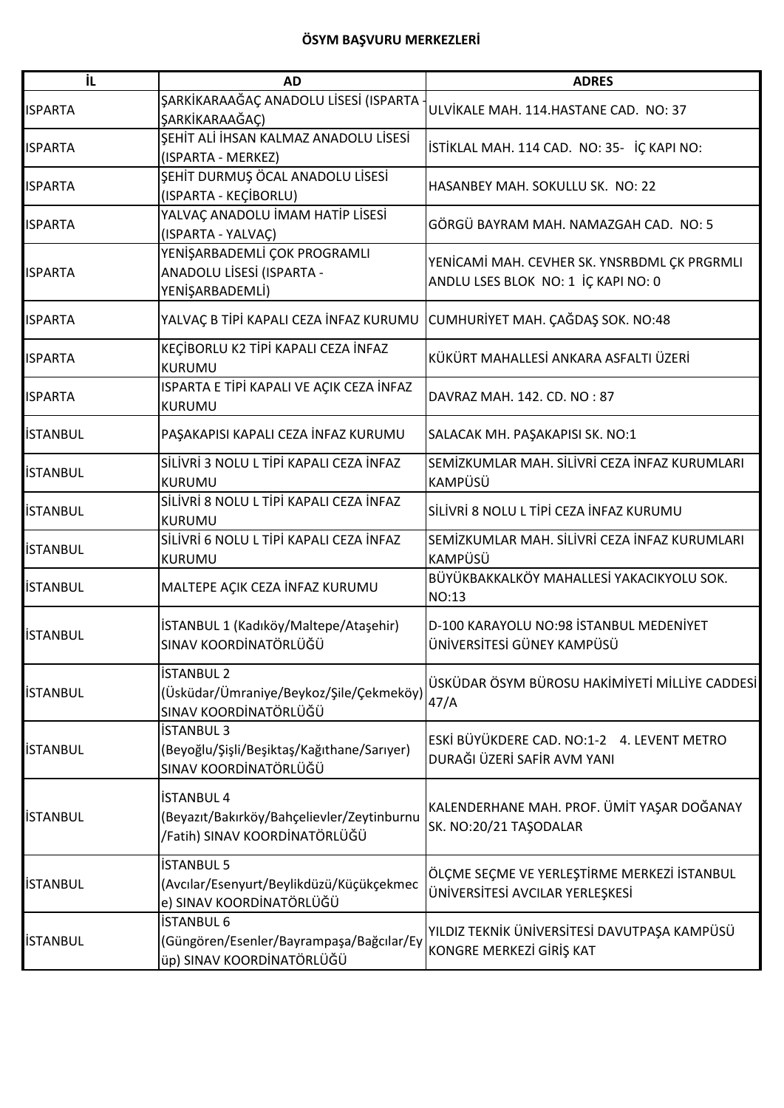| ΪL              | <b>AD</b>                                                                                        | <b>ADRES</b>                                                                        |
|-----------------|--------------------------------------------------------------------------------------------------|-------------------------------------------------------------------------------------|
| <b>ISPARTA</b>  | ŞARKİKARAAĞAÇ ANADOLU LİSESİ (ISPARTA<br>ŞARKİKARAAĞAÇ)                                          | ULVİKALE MAH. 114.HASTANE CAD. NO: 37                                               |
| <b>ISPARTA</b>  | ŞEHİT ALİ İHSAN KALMAZ ANADOLU LİSESİ<br>(ISPARTA - MERKEZ)                                      | İSTİKLAL MAH. 114 CAD. NO: 35- İÇ KAPI NO:                                          |
| <b>ISPARTA</b>  | ŞEHİT DURMUŞ ÖCAL ANADOLU LİSESİ<br>(ISPARTA - KEÇİBORLU)                                        | HASANBEY MAH. SOKULLU SK. NO: 22                                                    |
| <b>ISPARTA</b>  | YALVAÇ ANADOLU İMAM HATİP LİSESİ<br>(ISPARTA - YALVAÇ)                                           | GÖRGÜ BAYRAM MAH. NAMAZGAH CAD. NO: 5                                               |
| <b>ISPARTA</b>  | YENİŞARBADEMLİ ÇOK PROGRAMLI<br>ANADOLU LİSESİ (ISPARTA -<br>YENİŞARBADEMLİ)                     | YENİCAMİ MAH. CEVHER SK. YNSRBDML ÇK PRGRMLI<br>ANDLU LSES BLOK NO: 1 İÇ KAPI NO: 0 |
| <b>ISPARTA</b>  | YALVAÇ B TİPİ KAPALI CEZA İNFAZ KURUMU CUMHURİYET MAH. ÇAĞDAŞ SOK. NO:48                         |                                                                                     |
| <b>ISPARTA</b>  | KEÇİBORLU K2 TİPİ KAPALI CEZA İNFAZ<br><b>KURUMU</b>                                             | KÜKÜRT MAHALLESİ ANKARA ASFALTI ÜZERİ                                               |
| <b>ISPARTA</b>  | ISPARTA E TİPİ KAPALI VE AÇIK CEZA İNFAZ<br>KURUMU                                               | DAVRAZ MAH. 142. CD. NO: 87                                                         |
| <b>İSTANBUL</b> | PAŞAKAPISI KAPALI CEZA İNFAZ KURUMU                                                              | SALACAK MH. PAŞAKAPISI SK. NO:1                                                     |
| <b>İSTANBUL</b> | SİLİVRİ 3 NOLU L TİPİ KAPALI CEZA İNFAZ<br><b>KURUMU</b>                                         | SEMİZKUMLAR MAH. SİLİVRİ CEZA İNFAZ KURUMLARI<br>KAMPÜSÜ                            |
| <b>İSTANBUL</b> | SİLİVRİ 8 NOLU L TİPİ KAPALI CEZA İNFAZ<br><b>KURUMU</b>                                         | SİLİVRİ 8 NOLU L TİPİ CEZA İNFAZ KURUMU                                             |
| <b>İSTANBUL</b> | SİLİVRİ 6 NOLU L TİPİ KAPALI CEZA İNFAZ<br><b>KURUMU</b>                                         | SEMİZKUMLAR MAH. SİLİVRİ CEZA İNFAZ KURUMLARI<br><b>KAMPÜSÜ</b>                     |
| <b>İSTANBUL</b> | MALTEPE AÇIK CEZA İNFAZ KURUMU                                                                   | BÜYÜKBAKKALKÖY MAHALLESİ YAKACIKYOLU SOK.<br>NO:13                                  |
| <b>İSTANBUL</b> | İSTANBUL 1 (Kadıköy/Maltepe/Ataşehir)<br>SINAV KOORDİNATÖRLÜĞÜ                                   | D-100 KARAYOLU NO:98 İSTANBUL MEDENİYET<br>ÜNİVERSİTESİ GÜNEY KAMPÜSÜ               |
| <b>İSTANBUL</b> | <b>İSTANBUL 2</b><br>(Üsküdar/Ümraniye/Beykoz/Şile/Çekmeköy)<br>SINAV KOORDİNATÖRLÜĞÜ            | ÜSKÜDAR ÖSYM BÜROSU HAKİMİYETİ MİLLİYE CADDESİ<br>47/A                              |
| <b>İSTANBUL</b> | <b>İSTANBUL 3</b><br>(Beyoğlu/Şişli/Beşiktaş/Kağıthane/Sarıyer)<br>SINAV KOORDİNATÖRLÜĞÜ         | ESKİ BÜYÜKDERE CAD. NO:1-2 4. LEVENT METRO<br>DURAĞI ÜZERİ SAFİR AVM YANI           |
| <b>İSTANBUL</b> | <b>İSTANBUL 4</b><br>(Beyazıt/Bakırköy/Bahçelievler/Zeytinburnu<br>/Fatih) SINAV KOORDİNATÖRLÜĞÜ | KALENDERHANE MAH. PROF. ÜMİT YAŞAR DOĞANAY<br>SK. NO:20/21 TAŞODALAR                |
| <b>İSTANBUL</b> | <b>İSTANBUL 5</b><br>(Avcılar/Esenyurt/Beylikdüzü/Küçükçekmec<br>e) SINAV KOORDİNATÖRLÜĞÜ        | ÖLÇME SEÇME VE YERLEŞTİRME MERKEZİ İSTANBUL<br>ÜNİVERSİTESİ AVCILAR YERLEŞKESİ      |
| <b>İSTANBUL</b> | <b>İSTANBUL 6</b><br>(Güngören/Esenler/Bayrampaşa/Bağcılar/Ey<br>üp) SINAV KOORDİNATÖRLÜĞÜ       | YILDIZ TEKNİK ÜNİVERSİTESİ DAVUTPAŞA KAMPÜSÜ<br>KONGRE MERKEZİ GİRİŞ KAT            |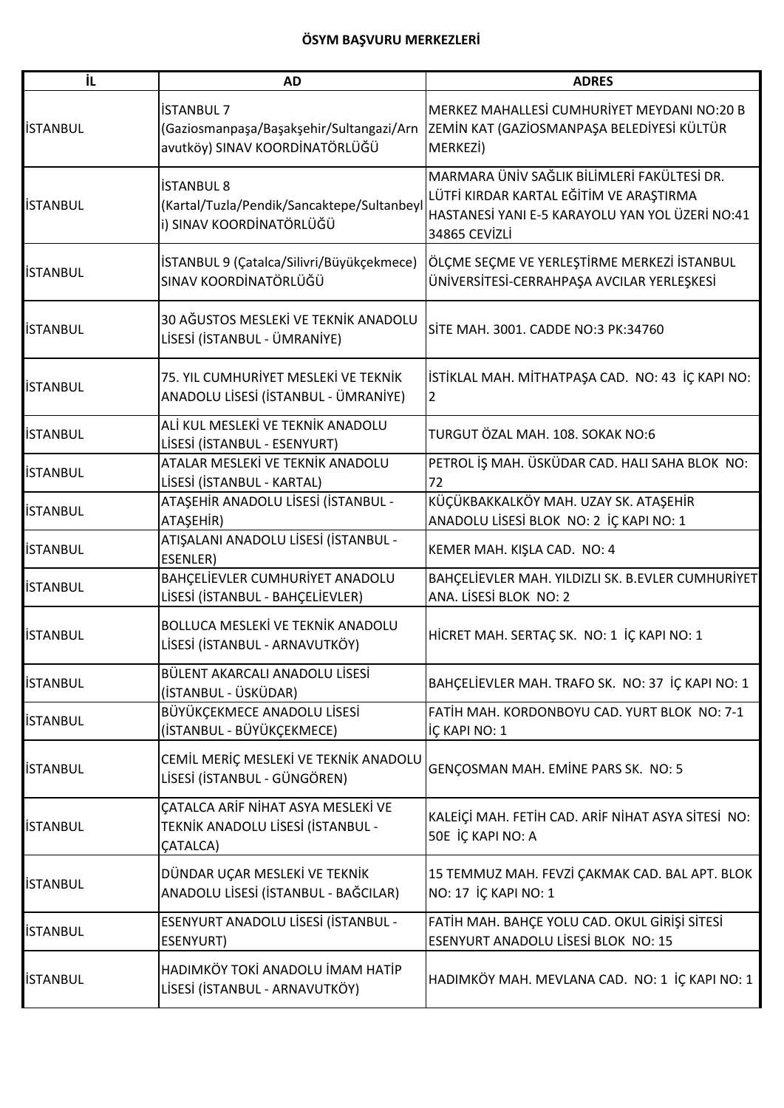| İL              | <b>AD</b>                                                                                  | <b>ADRES</b>                                                                                                                                               |
|-----------------|--------------------------------------------------------------------------------------------|------------------------------------------------------------------------------------------------------------------------------------------------------------|
| <b>İSTANBUL</b> | İSTANBUL 7<br>(Gaziosmanpaşa/Başakşehir/Sultangazi/Arn<br>avutköy) SINAV KOORDİNATÖRLÜĞÜ   | MERKEZ MAHALLESİ CUMHURİYET MEYDANI NO:20 B<br>ZEMİN KAT (GAZİOSMANPAŞA BELEDİYESİ KÜLTÜR<br>MERKEZİ)                                                      |
| <b>İSTANBUL</b> | İSTANBUL 8<br>(Kartal/Tuzla/Pendik/Sancaktepe/Sultanbeyl<br>i) SINAV KOORDİNATÖRLÜĞÜ       | MARMARA ÜNİV SAĞLIK BİLİMLERİ FAKÜLTESİ DR.<br>LÜTFİ KIRDAR KARTAL EĞİTİM VE ARAŞTIRMA<br>HASTANESİ YANI E-5 KARAYOLU YAN YOL ÜZERİ NO:41<br>34865 CEVIZLI |
| <b>İSTANBUL</b> | İSTANBUL 9 (Çatalca/Silivri/Büyükçekmece)<br>SINAV KOORDİNATÖRLÜĞÜ                         | ÖLÇME SEÇME VE YERLEŞTİRME MERKEZİ İSTANBUL<br>ÜNİVERSİTESİ-CERRAHPAŞA AVCILAR YERLEŞKESİ                                                                  |
| <b>ISTANBUL</b> | 30 AĞUSTOS MESLEKİ VE TEKNİK ANADOLU<br>LİSESİ (İSTANBUL - ÜMRANİYE)                       | SİTE MAH. 3001. CADDE NO:3 PK:34760                                                                                                                        |
| <b>İSTANBUL</b> | 75. YIL CUMHURİYET MESLEKİ VE TEKNİK<br>ANADOLU LİSESİ (İSTANBUL - ÜMRANİYE)               | İSTİKLAL MAH. MİTHATPAŞA CAD. NO: 43 İÇ KAPI NO:<br>$\overline{2}$                                                                                         |
| <b>İSTANBUL</b> | ALİ KUL MESLEKİ VE TEKNİK ANADOLU<br>LİSESİ (İSTANBUL - ESENYURT)                          | TURGUT ÖZAL MAH. 108. SOKAK NO:6                                                                                                                           |
| <b>İSTANBUL</b> | ATALAR MESLEKİ VE TEKNİK ANADOLU<br>LİSESİ (İSTANBUL - KARTAL)                             | PETROL İŞ MAH. ÜSKÜDAR CAD. HALI SAHA BLOK NO:<br>72                                                                                                       |
| <b>İSTANBUL</b> | ATAŞEHİR ANADOLU LİSESİ (İSTANBUL -<br>ATAŞEHİR)                                           | KÜÇÜKBAKKALKÖY MAH. UZAY SK. ATAŞEHİR<br>ANADOLU LİSESİ BLOK NO: 2 İÇ KAPI NO: 1                                                                           |
| <b>İSTANBUL</b> | ATIŞALANI ANADOLU LİSESİ (İSTANBUL -<br>ESENLER)                                           | KEMER MAH. KIŞLA CAD. NO: 4                                                                                                                                |
| <b>İSTANBUL</b> | BAHÇELİEVLER CUMHURİYET ANADOLU<br>LİSESİ (İSTANBUL - BAHÇELİEVLER)                        | BAHÇELİEVLER MAH. YILDIZLI SK. B.EVLER CUMHURİYET<br>ANA. LİSESİ BLOK NO: 2                                                                                |
| <b>İSTANBUL</b> | <b>BOLLUCA MESLEKİ VE TEKNİK ANADOLU</b><br>LİSESİ (İSTANBUL - ARNAVUTKÖY)                 | HİCRET MAH. SERTAÇ SK. NO: 1 İÇ KAPI NO: 1                                                                                                                 |
| <b>İSTANBUL</b> | BÜLENT AKARCALI ANADOLU LİSESİ<br>(İSTANBUL - ÜSKÜDAR)                                     | BAHÇELİEVLER MAH. TRAFO SK. NO: 37 İÇ KAPI NO: 1                                                                                                           |
| <b>İSTANBUL</b> | BÜYÜKÇEKMECE ANADOLU LİSESİ<br>(İSTANBUL - BÜYÜKÇEKMECE)                                   | FATIH MAH. KORDONBOYU CAD. YURT BLOK NO: 7-1<br>İÇ KAPI NO: 1                                                                                              |
| <b>İSTANBUL</b> | CEMIL MERIC MESLEKI VE TEKNIK ANADOLU<br>LİSESİ (İSTANBUL - GÜNGÖREN)                      | GENÇOSMAN MAH. EMİNE PARS SK. NO: 5                                                                                                                        |
| <b>İSTANBUL</b> | ÇATALCA ARİF NİHAT ASYA MESLEKİ VE<br>TEKNİK ANADOLU LİSESİ (İSTANBUL -<br><b>CATALCA)</b> | KALEİÇİ MAH. FETİH CAD. ARİF NİHAT ASYA SİTESİ NO:<br>50E İÇ KAPI NO: A                                                                                    |
| <b>İSTANBUL</b> | DÜNDAR UÇAR MESLEKİ VE TEKNİK<br>ANADOLU LİSESİ (İSTANBUL - BAĞCILAR)                      | 15 TEMMUZ MAH. FEVZİ ÇAKMAK CAD. BAL APT. BLOK<br>NO: 17 İÇ KAPI NO: 1                                                                                     |
| <b>İSTANBUL</b> | ESENYURT ANADOLU LİSESİ (İSTANBUL -<br>ESENYURT)                                           | FATİH MAH. BAHÇE YOLU CAD. OKUL GİRİŞİ SİTESİ<br>ESENYURT ANADOLU LİSESİ BLOK NO: 15                                                                       |
| <b>İSTANBUL</b> | HADIMKÖY TOKİ ANADOLU İMAM HATİP<br>LİSESİ (İSTANBUL - ARNAVUTKÖY)                         | HADIMKÖY MAH. MEVLANA CAD. NO: 1 İÇ KAPI NO: 1                                                                                                             |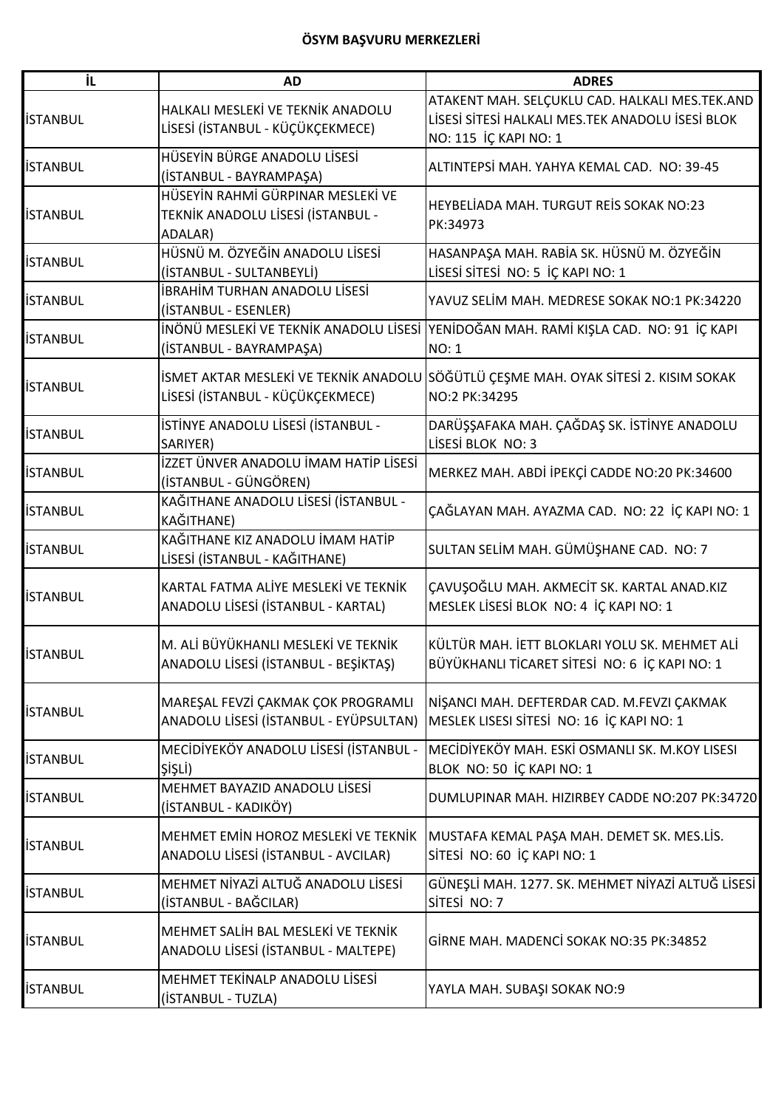| İL              | <b>AD</b>                                                                         | <b>ADRES</b>                                                                                                                |
|-----------------|-----------------------------------------------------------------------------------|-----------------------------------------------------------------------------------------------------------------------------|
| <b>İSTANBUL</b> | HALKALI MESLEKİ VE TEKNİK ANADOLU<br>LİSESİ (İSTANBUL - KÜÇÜKÇEKMECE)             | ATAKENT MAH. SELÇUKLU CAD. HALKALI MES.TEK.AND<br>LİSESİ SİTESİ HALKALI MES.TEK ANADOLU İSESİ BLOK<br>NO: 115 İÇ KAPI NO: 1 |
| <b>İSTANBUL</b> | HÜSEYİN BÜRGE ANADOLU LİSESİ<br>(İSTANBUL - BAYRAMPAŞA)                           | ALTINTEPSİ MAH. YAHYA KEMAL CAD. NO: 39-45                                                                                  |
| <b>İSTANBUL</b> | HÜSEYİN RAHMİ GÜRPINAR MESLEKİ VE<br>TEKNİK ANADOLU LİSESİ (İSTANBUL -<br>ADALAR) | HEYBELİADA MAH. TURGUT REİS SOKAK NO:23<br>PK:34973                                                                         |
| <b>İSTANBUL</b> | HÜSNÜ M. ÖZYEĞİN ANADOLU LİSESİ<br>(İSTANBUL - SULTANBEYLİ)                       | HASANPAŞA MAH. RABİA SK. HÜSNÜ M. ÖZYEĞİN<br>LİSESİ SİTESİ NO: 5 İÇ KAPI NO: 1                                              |
| <b>İSTANBUL</b> | İBRAHİM TURHAN ANADOLU LİSESİ<br>(İSTANBUL - ESENLER)                             | YAVUZ SELİM MAH. MEDRESE SOKAK NO:1 PK:34220                                                                                |
| <b>İSTANBUL</b> | (İSTANBUL - BAYRAMPAŞA)                                                           | İNÖNÜ MESLEKİ VE TEKNİK ANADOLU LİSESİ YENİDOĞAN MAH. RAMİ KIŞLA CAD. NO: 91 İÇ KAPI<br><b>NO: 1</b>                        |
| <b>İSTANBUL</b> | LİSESİ (İSTANBUL - KÜÇÜKÇEKMECE)                                                  | İSMET AKTAR MESLEKİ VE TEKNİK ANADOLU SÖĞÜTLÜ ÇEŞME MAH. OYAK SİTESİ 2. KISIM SOKAK<br>NO:2 PK:34295                        |
| <b>İSTANBUL</b> | İSTİNYE ANADOLU LİSESİ (İSTANBUL -<br>SARIYER)                                    | DARÜŞŞAFAKA MAH. ÇAĞDAŞ SK. İSTİNYE ANADOLU<br>LİSESİ BLOK NO: 3                                                            |
| <b>İSTANBUL</b> | İZZET ÜNVER ANADOLU İMAM HATİP LİSESİ<br>(İSTANBUL - GÜNGÖREN)                    | MERKEZ MAH. ABDİ İPEKÇİ CADDE NO:20 PK:34600                                                                                |
| <b>İSTANBUL</b> | KAĞITHANE ANADOLU LİSESİ (İSTANBUL -<br>KAĞITHANE)                                | ÇAĞLAYAN MAH. AYAZMA CAD. NO: 22 İÇ KAPI NO: 1                                                                              |
| <b>İSTANBUL</b> | KAĞITHANE KIZ ANADOLU İMAM HATİP<br>LİSESİ (İSTANBUL - KAĞITHANE)                 | SULTAN SELİM MAH. GÜMÜŞHANE CAD. NO: 7                                                                                      |
| <b>İSTANBUL</b> | KARTAL FATMA ALİYE MESLEKİ VE TEKNİK<br>ANADOLU LİSESİ (İSTANBUL - KARTAL)        | ÇAVUŞOĞLU MAH. AKMECİT SK. KARTAL ANAD.KIZ<br>MESLEK LİSESİ BLOK NO: 4 İÇ KAPI NO: 1                                        |
| <b>İSTANBUL</b> | M. ALİ BÜYÜKHANLI MESLEKİ VE TEKNİK<br>ANADOLU LİSESİ (İSTANBUL - BEŞİKTAŞ)       | KÜLTÜR MAH. İETT BLOKLARI YOLU SK. MEHMET ALİ<br>BÜYÜKHANLI TİCARET SİTESİ NO: 6 İÇ KAPI NO: 1                              |
| <b>İSTANBUL</b> | MAREŞAL FEVZİ ÇAKMAK ÇOK PROGRAMLI<br>ANADOLU LİSESİ (İSTANBUL - EYÜPSULTAN)      | NİŞANCI MAH. DEFTERDAR CAD. M.FEVZI ÇAKMAK<br>MESLEK LISESI SİTESİ NO: 16 İÇ KAPI NO: 1                                     |
| <b>İSTANBUL</b> | MECİDİYEKÖY ANADOLU LİSESİ (İSTANBUL -<br>ŞİŞLİ)                                  | MECİDİYEKÖY MAH. ESKİ OSMANLI SK. M.KOY LISESI<br>BLOK NO: 50 İÇ KAPI NO: 1                                                 |
| <b>İSTANBUL</b> | MEHMET BAYAZID ANADOLU LİSESİ<br>(İSTANBUL - KADIKÖY)                             | DUMLUPINAR MAH. HIZIRBEY CADDE NO:207 PK:34720                                                                              |
| <b>İSTANBUL</b> | MEHMET EMIN HOROZ MESLEKI VE TEKNIK<br>ANADOLU LİSESİ (İSTANBUL - AVCILAR)        | MUSTAFA KEMAL PAŞA MAH. DEMET SK. MES.LİS.<br>SİTESİ NO: 60 İÇ KAPI NO: 1                                                   |
| <b>İSTANBUL</b> | MEHMET NIYAZI ALTUĞ ANADOLU LISESI<br>(İSTANBUL - BAĞCILAR)                       | GÜNEŞLİ MAH. 1277. SK. MEHMET NİYAZİ ALTUĞ LİSESİ<br>SİTESİ NO: 7                                                           |
| <b>İSTANBUL</b> | MEHMET SALİH BAL MESLEKİ VE TEKNİK<br>ANADOLU LİSESİ (İSTANBUL - MALTEPE)         | GİRNE MAH. MADENCİ SOKAK NO:35 PK:34852                                                                                     |
| <b>İSTANBUL</b> | MEHMET TEKİNALP ANADOLU LİSESİ<br>(İSTANBUL - TUZLA)                              | YAYLA MAH. SUBAŞI SOKAK NO:9                                                                                                |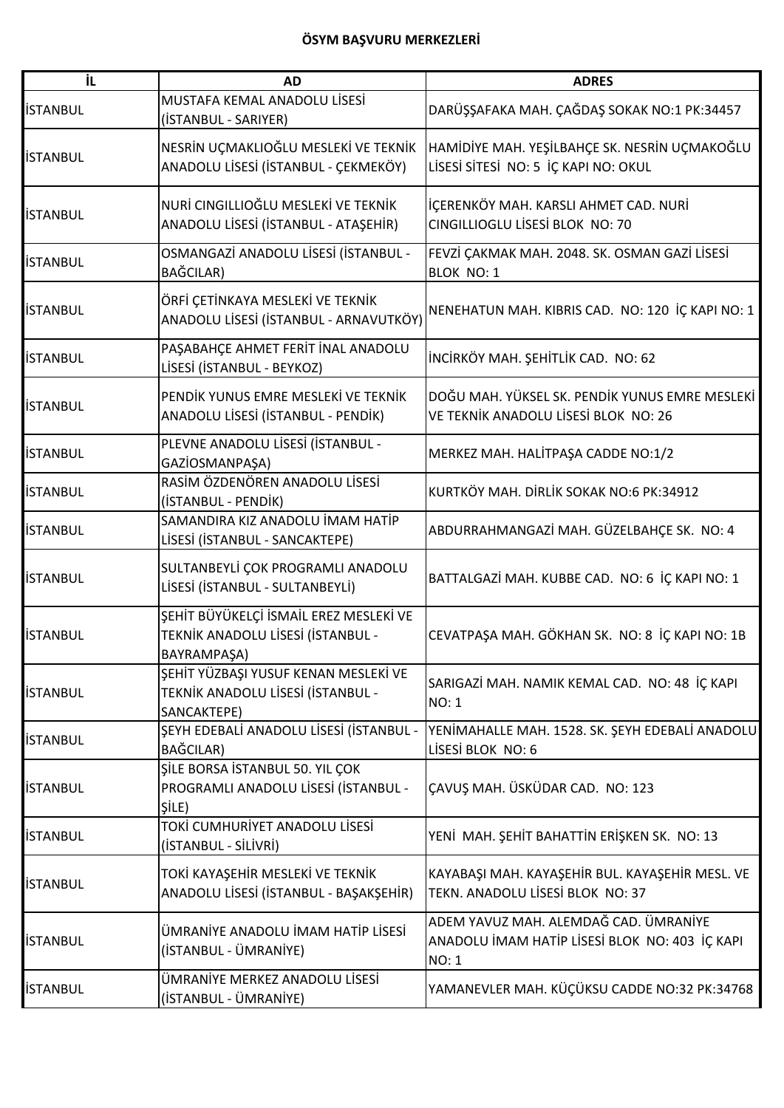| İL              | <b>AD</b>                                                                                  | <b>ADRES</b>                                                                                            |
|-----------------|--------------------------------------------------------------------------------------------|---------------------------------------------------------------------------------------------------------|
| <b>İSTANBUL</b> | MUSTAFA KEMAL ANADOLU LİSESİ<br>(İSTANBUL - SARIYER)                                       | DARÜŞŞAFAKA MAH. ÇAĞDAŞ SOKAK NO:1 PK:34457                                                             |
| <b>İSTANBUL</b> | NESRİN UÇMAKLIOĞLU MESLEKİ VE TEKNİK<br>ANADOLU LİSESİ (İSTANBUL - ÇEKMEKÖY)               | HAMİDİYE MAH. YEŞİLBAHÇE SK. NESRİN UÇMAKOĞLU<br>LİSESİ SİTESİ NO: 5 İÇ KAPI NO: OKUL                   |
| <b>İSTANBUL</b> | NURİ CINGILLIOĞLU MESLEKİ VE TEKNİK<br>ANADOLU LİSESİ (İSTANBUL - ATAŞEHİR)                | İÇERENKÖY MAH. KARSLI AHMET CAD. NURİ<br>CINGILLIOGLU LİSESİ BLOK NO: 70                                |
| <b>İSTANBUL</b> | OSMANGAZİ ANADOLU LİSESİ (İSTANBUL -<br>BAĞCILAR)                                          | FEVZİ ÇAKMAK MAH. 2048. SK. OSMAN GAZİ LİSESİ<br>BLOK NO: 1                                             |
| <b>İSTANBUL</b> | ÖRFİ ÇETİNKAYA MESLEKİ VE TEKNİK<br>ANADOLU LİSESİ (İSTANBUL - ARNAVUTKÖY)                 | NENEHATUN MAH. KIBRIS CAD. NO: 120 İÇ KAPI NO: 1                                                        |
| <b>İSTANBUL</b> | PAŞABAHÇE AHMET FERİT İNAL ANADOLU<br>LİSESİ (İSTANBUL - BEYKOZ)                           | İNCİRKÖY MAH. ŞEHİTLİK CAD. NO: 62                                                                      |
| <b>İSTANBUL</b> | PENDİK YUNUS EMRE MESLEKİ VE TEKNİK<br>ANADOLU LİSESİ (İSTANBUL - PENDİK)                  | DOĞU MAH. YÜKSEL SK. PENDİK YUNUS EMRE MESLEKİ<br>VE TEKNIK ANADOLU LISESI BLOK NO: 26                  |
| <b>İSTANBUL</b> | PLEVNE ANADOLU LİSESİ (İSTANBUL -<br>GAZİOSMANPAŞA)                                        | MERKEZ MAH. HALİTPAŞA CADDE NO:1/2                                                                      |
| <b>İSTANBUL</b> | RASİM ÖZDENÖREN ANADOLU LİSESİ<br>(İSTANBUL - PENDİK)                                      | KURTKÖY MAH. DİRLİK SOKAK NO:6 PK:34912                                                                 |
| <b>İSTANBUL</b> | SAMANDIRA KIZ ANADOLU İMAM HATİP<br>LİSESİ (İSTANBUL - SANCAKTEPE)                         | ABDURRAHMANGAZİ MAH. GÜZELBAHÇE SK. NO: 4                                                               |
| <b>İSTANBUL</b> | SULTANBEYLİ ÇOK PROGRAMLI ANADOLU<br>LİSESİ (İSTANBUL - SULTANBEYLİ)                       | BATTALGAZİ MAH. KUBBE CAD. NO: 6 İÇ KAPI NO: 1                                                          |
| <b>İSTANBUL</b> | ŞEHİT BÜYÜKELÇİ İSMAİL EREZ MESLEKİ VE<br>TEKNİK ANADOLU LİSESİ (İSTANBUL -<br>BAYRAMPAŞA) | CEVATPAŞA MAH. GÖKHAN SK. NO: 8 İÇ KAPI NO: 1B                                                          |
| <b>İSTANBUL</b> | ŞEHİT YÜZBAŞI YUSUF KENAN MESLEKİ VE<br>TEKNİK ANADOLU LİSESİ (İSTANBUL -<br>SANCAKTEPE)   | SARIGAZİ MAH. NAMIK KEMAL CAD. NO: 48 İÇ KAPI<br>NO: 1                                                  |
| <b>ISTANBUL</b> | ŞEYH EDEBALİ ANADOLU LİSESİ (İSTANBUL -<br>BAĞCILAR)                                       | YENİMAHALLE MAH. 1528. SK. ŞEYH EDEBALİ ANADOLU<br>LİSESİ BLOK NO: 6                                    |
| <b>İSTANBUL</b> | ŞİLE BORSA İSTANBUL 50. YIL ÇOK<br>PROGRAMLI ANADOLU LİSESİ (İSTANBUL -<br>SILE)           | ÇAVUŞ MAH. ÜSKÜDAR CAD. NO: 123                                                                         |
| <b>İSTANBUL</b> | TOKİ CUMHURİYET ANADOLU LİSESİ<br>(İSTANBUL - SİLİVRİ)                                     | YENİ MAH. ŞEHİT BAHATTİN ERİŞKEN SK. NO: 13                                                             |
| <b>İSTANBUL</b> | TOKİ KAYAŞEHİR MESLEKİ VE TEKNİK<br>ANADOLU LİSESİ (İSTANBUL - BAŞAKŞEHİR)                 | KAYABAŞI MAH. KAYAŞEHİR BUL. KAYAŞEHİR MESL. VE<br>TEKN. ANADOLU LİSESİ BLOK NO: 37                     |
| <b>İSTANBUL</b> | ÜMRANİYE ANADOLU İMAM HATİP LİSESİ<br>(İSTANBUL - ÜMRANİYE)                                | ADEM YAVUZ MAH. ALEMDAĞ CAD. ÜMRANİYE<br>ANADOLU İMAM HATİP LİSESİ BLOK NO: 403 İÇ KAPI<br><b>NO: 1</b> |
| <b>İSTANBUL</b> | ÜMRANİYE MERKEZ ANADOLU LİSESİ<br>(İSTANBUL - ÜMRANİYE)                                    | YAMANEVLER MAH. KÜÇÜKSU CADDE NO:32 PK:34768                                                            |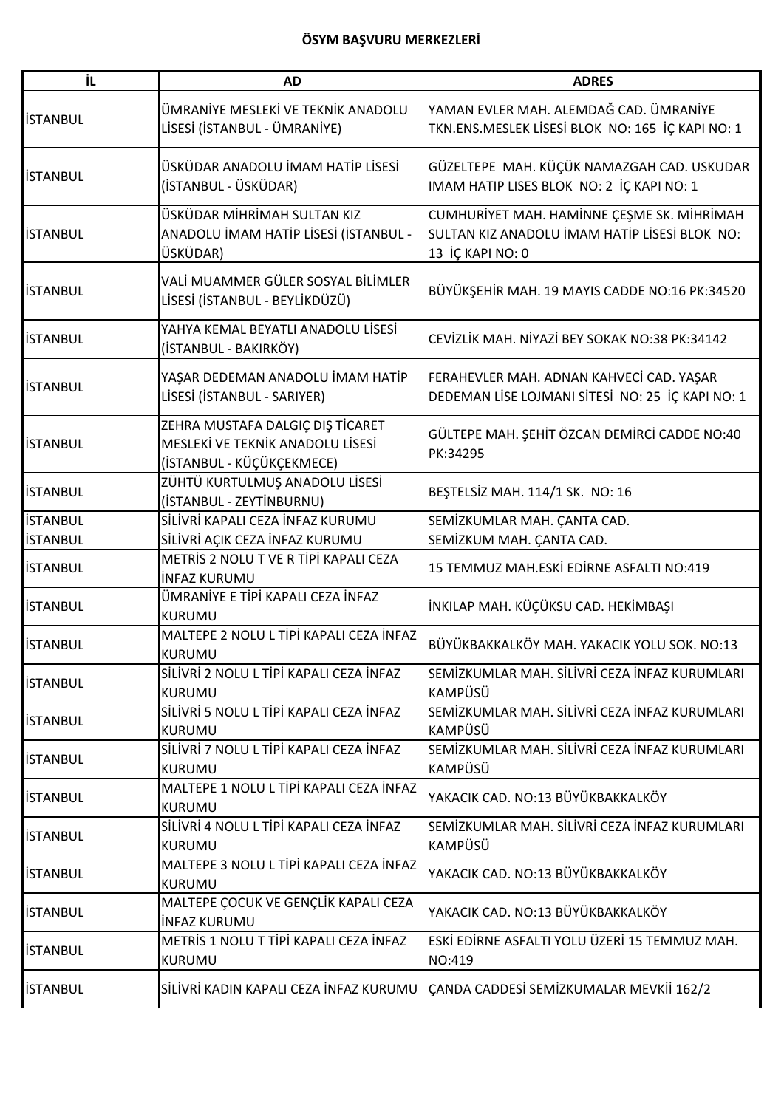| iL              | <b>AD</b>                                                                                         | <b>ADRES</b>                                                                                                    |
|-----------------|---------------------------------------------------------------------------------------------------|-----------------------------------------------------------------------------------------------------------------|
| <b>İSTANBUL</b> | ÜMRANİYE MESLEKİ VE TEKNİK ANADOLU<br>LİSESİ (İSTANBUL - ÜMRANİYE)                                | YAMAN EVLER MAH. ALEMDAĞ CAD. ÜMRANİYE<br>TKN.ENS.MESLEK LİSESİ BLOK NO: 165 İÇ KAPI NO: 1                      |
| <b>İSTANBUL</b> | ÜSKÜDAR ANADOLU İMAM HATİP LİSESİ<br>(İSTANBUL - ÜSKÜDAR)                                         | GÜZELTEPE MAH. KÜÇÜK NAMAZGAH CAD. USKUDAR<br>IMAM HATIP LISES BLOK NO: 2 İÇ KAPI NO: 1                         |
| <b>İSTANBUL</b> | ÜSKÜDAR MİHRİMAH SULTAN KIZ<br>ANADOLU İMAM HATİP LİSESİ (İSTANBUL -<br>ÜSKÜDAR)                  | CUMHURİYET MAH. HAMİNNE ÇEŞME SK. MİHRİMAH<br>SULTAN KIZ ANADOLU İMAM HATİP LİSESİ BLOK NO:<br>13 İÇ KAPI NO: 0 |
| <b>İSTANBUL</b> | VALİ MUAMMER GÜLER SOSYAL BİLİMLER<br>LİSESİ (İSTANBUL - BEYLİKDÜZÜ)                              | BÜYÜKŞEHİR MAH. 19 MAYIS CADDE NO:16 PK:34520                                                                   |
| <b>İSTANBUL</b> | YAHYA KEMAL BEYATLI ANADOLU LİSESİ<br>(İSTANBUL - BAKIRKÖY)                                       | CEVIZLIK MAH. NIYAZI BEY SOKAK NO:38 PK:34142                                                                   |
| <b>İSTANBUL</b> | YAŞAR DEDEMAN ANADOLU İMAM HATİP<br>LİSESİ (İSTANBUL - SARIYER)                                   | FERAHEVLER MAH. ADNAN KAHVECİ CAD. YAŞAR<br>DEDEMAN LİSE LOJMANI SİTESİ NO: 25 İÇ KAPI NO: 1                    |
| <b>İSTANBUL</b> | ZEHRA MUSTAFA DALGIÇ DIŞ TİCARET<br>MESLEKİ VE TEKNİK ANADOLU LİSESİ<br>(İSTANBUL - KÜÇÜKÇEKMECE) | GÜLTEPE MAH. ŞEHİT ÖZCAN DEMİRCİ CADDE NO:40<br>PK:34295                                                        |
| <b>İSTANBUL</b> | ZÜHTÜ KURTULMUŞ ANADOLU LİSESİ<br>(İSTANBUL - ZEYTİNBURNU)                                        | BEŞTELSİZ MAH. 114/1 SK. NO: 16                                                                                 |
| <b>İSTANBUL</b> | SİLİVRİ KAPALI CEZA İNFAZ KURUMU                                                                  | SEMİZKUMLAR MAH. ÇANTA CAD.                                                                                     |
| <b>İSTANBUL</b> | SİLİVRİ AÇIK CEZA İNFAZ KURUMU                                                                    | SEMİZKUM MAH. ÇANTA CAD.                                                                                        |
| <b>İSTANBUL</b> | METRİS 2 NOLU T VE R TİPİ KAPALI CEZA<br><b>INFAZ KURUMU</b>                                      | 15 TEMMUZ MAH.ESKİ EDİRNE ASFALTI NO:419                                                                        |
| <b>İSTANBUL</b> | ÜMRANİYE E TİPİ KAPALI CEZA İNFAZ<br><b>KURUMU</b>                                                | İNKILAP MAH. KÜÇÜKSU CAD. HEKİMBAŞI                                                                             |
| <b>İSTANBUL</b> | MALTEPE 2 NOLU L TİPİ KAPALI CEZA İNFAZ<br><b>KURUMU</b>                                          | BÜYÜKBAKKALKÖY MAH. YAKACIK YOLU SOK. NO:13                                                                     |
| <b>İSTANBUL</b> | SİLİVRİ 2 NOLU L TİPİ KAPALI CEZA İNFAZ<br><b>KURUMU</b>                                          | SEMİZKUMLAR MAH. SİLİVRİ CEZA İNFAZ KURUMLARI<br>KAMPÜSÜ                                                        |
| <b>İSTANBUL</b> | SİLİVRİ 5 NOLU L TİPİ KAPALI CEZA İNFAZ<br><b>KURUMU</b>                                          | SEMİZKUMLAR MAH. SİLİVRİ CEZA İNFAZ KURUMLARI<br><b>KAMPÜSÜ</b>                                                 |
| <b>ISTANBUL</b> | SİLİVRİ 7 NOLU L TİPİ KAPALI CEZA İNFAZ<br><b>KURUMU</b>                                          | SEMİZKUMLAR MAH. SİLİVRİ CEZA İNFAZ KURUMLARI<br><b>KAMPÜSÜ</b>                                                 |
| <b>İSTANBUL</b> | MALTEPE 1 NOLU L TİPİ KAPALI CEZA İNFAZ<br><b>KURUMU</b>                                          | YAKACIK CAD. NO:13 BÜYÜKBAKKALKÖY                                                                               |
| <b>İSTANBUL</b> | SİLİVRİ 4 NOLU L TİPİ KAPALI CEZA İNFAZ<br><b>KURUMU</b>                                          | SEMİZKUMLAR MAH. SİLİVRİ CEZA İNFAZ KURUMLARI<br><b>KAMPÜSÜ</b>                                                 |
| <b>İSTANBUL</b> | MALTEPE 3 NOLU L TİPİ KAPALI CEZA İNFAZ<br><b>KURUMU</b>                                          | YAKACIK CAD. NO:13 BÜYÜKBAKKALKÖY                                                                               |
| <b>İSTANBUL</b> | MALTEPE ÇOCUK VE GENÇLİK KAPALI CEZA<br><b>INFAZ KURUMU</b>                                       | YAKACIK CAD. NO:13 BÜYÜKBAKKALKÖY                                                                               |
| <b>İSTANBUL</b> | METRIS 1 NOLU T TİPİ KAPALI CEZA İNFAZ<br>KURUMU                                                  | ESKİ EDİRNE ASFALTI YOLU ÜZERİ 15 TEMMUZ MAH.<br>NO:419                                                         |
| <b>İSTANBUL</b> | SİLİVRİ KADIN KAPALI CEZA İNFAZ KURUMU                                                            | CANDA CADDESİ SEMİZKUMALAR MEVKİİ 162/2                                                                         |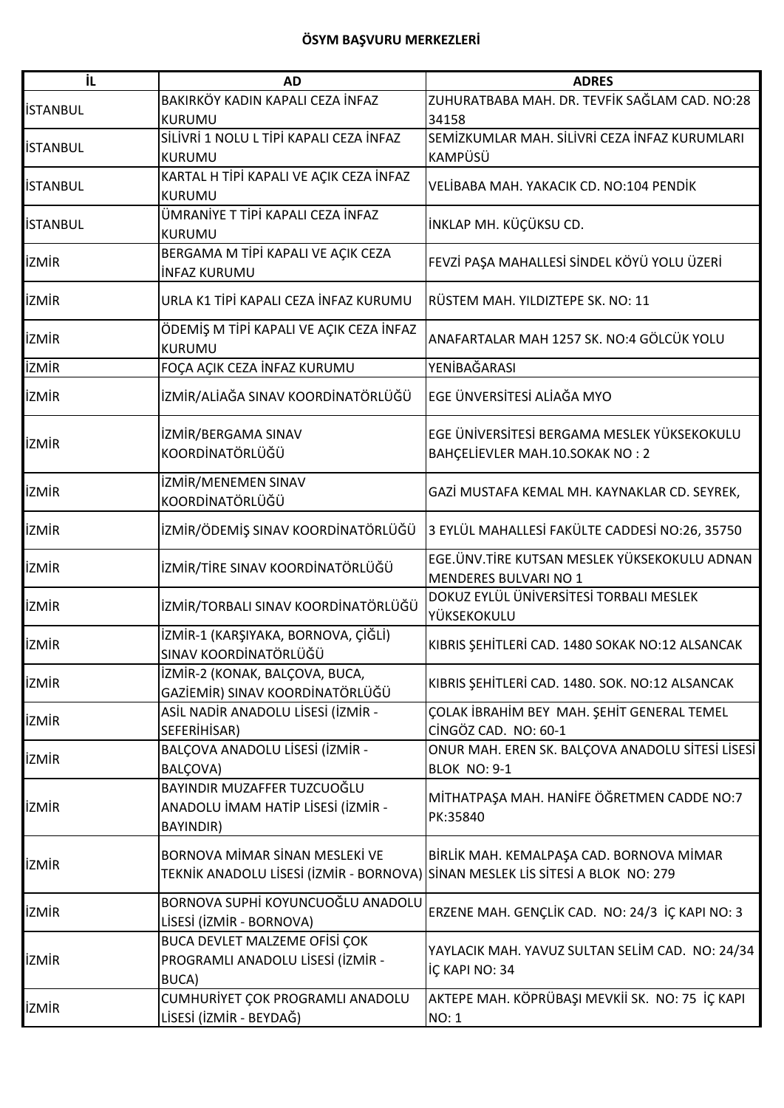| ΪL              | <b>AD</b>                                                                                                        | <b>ADRES</b>                                                                   |
|-----------------|------------------------------------------------------------------------------------------------------------------|--------------------------------------------------------------------------------|
| <b>İSTANBUL</b> | BAKIRKÖY KADIN KAPALI CEZA İNFAZ<br>KURUMU                                                                       | ZUHURATBABA MAH. DR. TEVFİK SAĞLAM CAD. NO:28<br>34158                         |
| <b>İSTANBUL</b> | SİLİVRİ 1 NOLU L TİPİ KAPALI CEZA İNFAZ<br><b>KURUMU</b>                                                         | SEMİZKUMLAR MAH. SİLİVRİ CEZA İNFAZ KURUMLARI<br>KAMPÜSÜ                       |
| <b>İSTANBUL</b> | KARTAL H TİPİ KAPALI VE AÇIK CEZA İNFAZ<br><b>KURUMU</b>                                                         | VELİBABA MAH. YAKACIK CD. NO:104 PENDİK                                        |
| <b>ISTANBUL</b> | ÜMRANİYE T TİPİ KAPALI CEZA İNFAZ<br>KURUMU                                                                      | İNKLAP MH. KÜÇÜKSU CD.                                                         |
| <b>İZMİR</b>    | BERGAMA M TİPİ KAPALI VE AÇIK CEZA<br><b>INFAZ KURUMU</b>                                                        | FEVZİ PAŞA MAHALLESİ SİNDEL KÖYÜ YOLU ÜZERİ                                    |
| <b>İZMİR</b>    | URLA K1 TİPİ KAPALI CEZA İNFAZ KURUMU                                                                            | RÜSTEM MAH. YILDIZTEPE SK. NO: 11                                              |
| <b>İZMİR</b>    | ÖDEMİŞ M TİPİ KAPALI VE AÇIK CEZA İNFAZ<br><b>KURUMU</b>                                                         | ANAFARTALAR MAH 1257 SK. NO:4 GÖLCÜK YOLU                                      |
| <b>İZMİR</b>    | FOÇA AÇIK CEZA İNFAZ KURUMU                                                                                      | YENİBAĞARASI                                                                   |
| <b>İZMİR</b>    | İZMİR/ALİAĞA SINAV KOORDİNATÖRLÜĞÜ                                                                               | EGE ÜNVERSİTESİ ALİAĞA MYO                                                     |
| <b>İZMİR</b>    | İZMİR/BERGAMA SINAV<br>KOORDİNATÖRLÜĞÜ                                                                           | EGE ÜNIVERSITESI BERGAMA MESLEK YÜKSEKOKULU<br>BAHÇELİEVLER MAH.10.SOKAK NO: 2 |
| <b>İZMİR</b>    | İZMİR/MENEMEN SINAV<br>KOORDİNATÖRLÜĞÜ                                                                           | GAZİ MUSTAFA KEMAL MH. KAYNAKLAR CD. SEYREK,                                   |
| <b>İZMİR</b>    | İZMİR/ÖDEMİŞ SINAV KOORDİNATÖRLÜĞÜ                                                                               | 3 EYLÜL MAHALLESİ FAKÜLTE CADDESİ NO:26, 35750                                 |
| <b>İZMİR</b>    | İZMİR/TİRE SINAV KOORDİNATÖRLÜĞÜ                                                                                 | EGE. ÜNV. TİRE KUTSAN MESLEK YÜKSEKOKULU ADNAN<br>MENDERES BULVARI NO 1        |
| <b>İZMİR</b>    | İZMİR/TORBALI SINAV KOORDİNATÖRLÜĞÜ                                                                              | DOKUZ EYLÜL ÜNİVERSİTESİ TORBALI MESLEK<br>YÜKSEKOKULU                         |
| <b>İZMİR</b>    | İZMİR-1 (KARŞIYAKA, BORNOVA, ÇİĞLİ)<br>SINAV KOORDİNATÖRLÜĞÜ                                                     | KIBRIS ŞEHİTLERİ CAD. 1480 SOKAK NO:12 ALSANCAK                                |
| <b>İZMİR</b>    | İZMİR-2 (KONAK, BALÇOVA, BUCA,<br>GAZİEMİR) SINAV KOORDİNATÖRLÜĞÜ                                                | KIBRIS ŞEHİTLERİ CAD. 1480. SOK. NO:12 ALSANCAK                                |
| <b>İZMİR</b>    | ASİL NADİR ANADOLU LİSESİ (İZMİR -<br>SEFERIHISAR)                                                               | ÇOLAK İBRAHİM BEY MAH. ŞEHİT GENERAL TEMEL<br>CİNGÖZ CAD. NO: 60-1             |
| <b>İZMİR</b>    | BALÇOVA ANADOLU LİSESİ (İZMİR -<br>BALÇOVA)                                                                      | ONUR MAH. EREN SK. BALÇOVA ANADOLU SİTESİ LİSESİ<br><b>BLOK NO: 9-1</b>        |
| <b>İZMİR</b>    | BAYINDIR MUZAFFER TUZCUOĞLU<br>ANADOLU İMAM HATİP LİSESİ (İZMİR -<br><b>BAYINDIR)</b>                            | MİTHATPAŞA MAH. HANİFE ÖĞRETMEN CADDE NO:7<br>PK:35840                         |
| <b>İZMİR</b>    | BORNOVA MİMAR SİNAN MESLEKİ VE<br>TEKNİK ANADOLU LİSESİ (İZMİR - BORNOVA) SİNAN MESLEK LİS SİTESİ A BLOK NO: 279 | BİRLİK MAH. KEMALPAŞA CAD. BORNOVA MİMAR                                       |
| <b>İZMİR</b>    | BORNOVA SUPHİ KOYUNCUOĞLU ANADOLU<br>LİSESİ (İZMİR - BORNOVA)                                                    | ERZENE MAH. GENÇLİK CAD. NO: 24/3 İÇ KAPI NO: 3                                |
| <b>İZMİR</b>    | BUCA DEVLET MALZEME OFISI ÇOK<br>PROGRAMLI ANADOLU LİSESİ (İZMİR -<br>BUCA)                                      | YAYLACIK MAH. YAVUZ SULTAN SELİM CAD. NO: 24/34<br>İÇ KAPI NO: 34              |
| <b>İZMİR</b>    | CUMHURİYET ÇOK PROGRAMLI ANADOLU<br>LİSESİ (İZMİR - BEYDAĞ)                                                      | AKTEPE MAH. KÖPRÜBAŞI MEVKİİ SK. NO: 75 İÇ KAPI<br><b>NO: 1</b>                |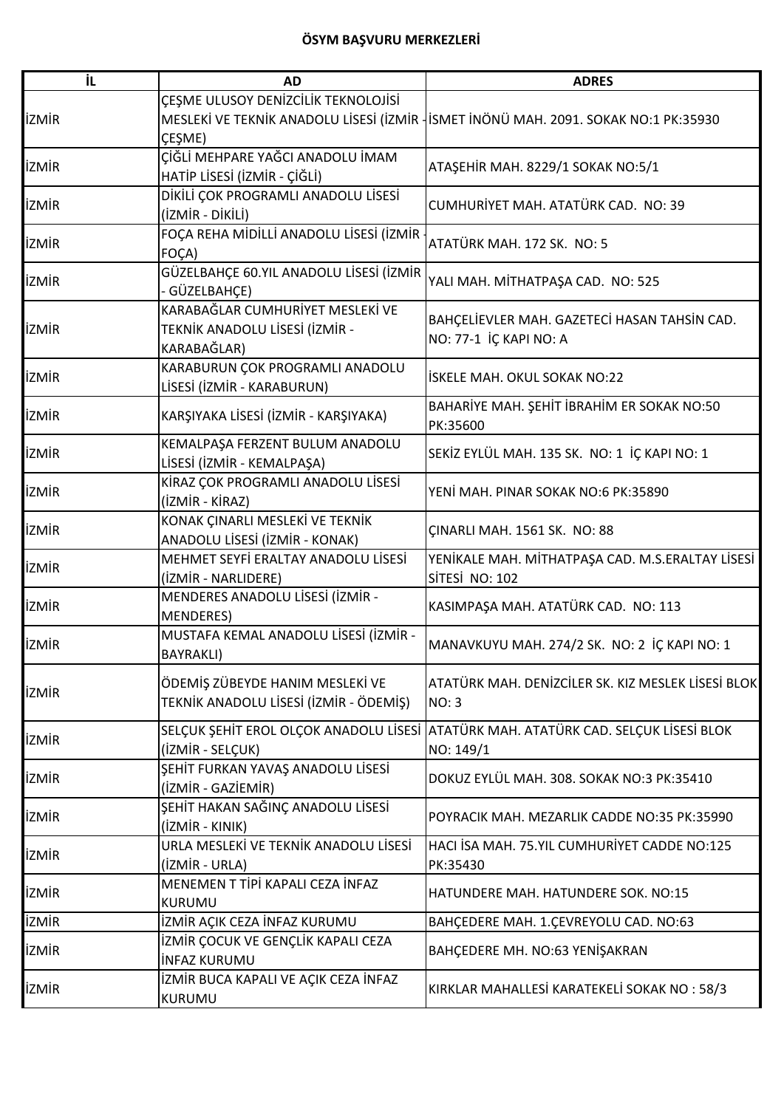| ΪL           | <b>AD</b>                                                                         | <b>ADRES</b>                                                                                     |
|--------------|-----------------------------------------------------------------------------------|--------------------------------------------------------------------------------------------------|
| <b>İZMİR</b> | ÇEŞME ULUSOY DENİZCİLİK TEKNOLOJİSİ<br>ÇEŞME)                                     | MESLEKİ VE TEKNİK ANADOLU LİSESİ (İZMİR - İSMET İNÖNÜ MAH. 2091. SOKAK NO:1 PK:35930             |
| <b>İZMİR</b> | ÇİĞLİ MEHPARE YAĞCI ANADOLU İMAM<br>HATİP LİSESİ (İZMİR - ÇİĞLİ)                  | ATAŞEHİR MAH. 8229/1 SOKAK NO:5/1                                                                |
| <b>İZMİR</b> | DİKİLİ ÇOK PROGRAMLI ANADOLU LİSESİ<br>(İZMİR - DİKİLİ)                           | CUMHURİYET MAH. ATATÜRK CAD. NO: 39                                                              |
| <b>İZMİR</b> | FOÇA REHA MİDİLLİ ANADOLU LİSESİ (İZMİR -<br>FOÇA)                                | ATATÜRK MAH. 172 SK. NO: 5                                                                       |
| <b>İZMİR</b> | GÜZELBAHÇE 60.YIL ANADOLU LİSESİ (İZMİR<br>GÜZELBAHÇE)                            | YALI MAH. MİTHATPAŞA CAD. NO: 525                                                                |
| <b>İZMİR</b> | KARABAĞLAR CUMHURİYET MESLEKİ VE<br>TEKNİK ANADOLU LİSESİ (İZMİR -<br>KARABAĞLAR) | BAHÇELİEVLER MAH. GAZETECİ HASAN TAHSİN CAD.<br>NO: 77-1 İÇ KAPI NO: A                           |
| <b>İZMİR</b> | KARABURUN ÇOK PROGRAMLI ANADOLU<br>LİSESİ (İZMİR - KARABURUN)                     | İSKELE MAH. OKUL SOKAK NO:22                                                                     |
| <b>İZMİR</b> | KARŞIYAKA LİSESİ (İZMİR - KARŞIYAKA)                                              | BAHARİYE MAH. ŞEHİT İBRAHİM ER SOKAK NO:50<br>PK:35600                                           |
| <b>İZMİR</b> | KEMALPAŞA FERZENT BULUM ANADOLU<br>LİSESİ (İZMİR - KEMALPAŞA)                     | SEKİZ EYLÜL MAH. 135 SK. NO: 1 İÇ KAPI NO: 1                                                     |
| <b>İZMİR</b> | KİRAZ ÇOK PROGRAMLI ANADOLU LİSESİ<br>(İZMİR - KİRAZ)                             | YENİ MAH. PINAR SOKAK NO:6 PK:35890                                                              |
| <b>İZMİR</b> | KONAK ÇINARLI MESLEKİ VE TEKNİK<br>ANADOLU LİSESİ (İZMİR - KONAK)                 | <b>ÇINARLI MAH. 1561 SK. NO: 88</b>                                                              |
| <b>İZMİR</b> | MEHMET SEYFİ ERALTAY ANADOLU LİSESİ<br>(İZMİR - NARLIDERE)                        | YENİKALE MAH. MİTHATPAŞA CAD. M.S.ERALTAY LİSESİ<br>SİTESİ NO: 102                               |
| <b>İZMİR</b> | MENDERES ANADOLU LISESI (IZMIR -<br><b>MENDERES)</b>                              | KASIMPAŞA MAH. ATATÜRK CAD. NO: 113                                                              |
| <b>İZMİR</b> | MUSTAFA KEMAL ANADOLU LİSESİ (İZMİR -<br><b>BAYRAKLI)</b>                         | MANAVKUYU MAH. 274/2 SK. NO: 2 İÇ KAPI NO: 1                                                     |
| <b>İZMİR</b> | ÖDEMİŞ ZÜBEYDE HANIM MESLEKİ VE<br>TEKNİK ANADOLU LİSESİ (İZMİR - ÖDEMİŞ)         | ATATÜRK MAH. DENİZCİLER SK. KIZ MESLEK LİSESİ BLOK<br><b>NO: 3</b>                               |
| <b>IZMIR</b> | (İZMİR - SELÇUK)                                                                  | SELÇUK ŞEHİT EROL OLÇOK ANADOLU LİSESİ ATATÜRK MAH. ATATÜRK CAD. SELÇUK LİSESİ BLOK<br>NO: 149/1 |
| <b>İZMİR</b> | ŞEHİT FURKAN YAVAŞ ANADOLU LİSESİ<br>(İZMİR - GAZİEMİR)                           | DOKUZ EYLÜL MAH. 308. SOKAK NO:3 PK:35410                                                        |
| <b>İZMİR</b> | ŞEHİT HAKAN SAĞINÇ ANADOLU LİSESİ<br>(İZMİR - KINIK)                              | POYRACIK MAH. MEZARLIK CADDE NO:35 PK:35990                                                      |
| <b>İZMİR</b> | URLA MESLEKİ VE TEKNİK ANADOLU LİSESİ<br>(İZMİR - URLA)                           | HACI İSA MAH. 75.YIL CUMHURİYET CADDE NO:125<br>PK:35430                                         |
| <b>İZMİR</b> | MENEMEN T TİPİ KAPALI CEZA İNFAZ<br>KURUMU                                        | HATUNDERE MAH. HATUNDERE SOK. NO:15                                                              |
| <b>İZMİR</b> | İZMİR AÇIK CEZA İNFAZ KURUMU                                                      | BAHÇEDERE MAH. 1.ÇEVREYOLU CAD. NO:63                                                            |
| <b>İZMİR</b> | İZMİR ÇOCUK VE GENÇLİK KAPALI CEZA<br><b>INFAZ KURUMU</b>                         | BAHÇEDERE MH. NO:63 YENİŞAKRAN                                                                   |
| <b>İZMİR</b> | İZMİR BUCA KAPALI VE AÇIK CEZA İNFAZ<br>KURUMU                                    | KIRKLAR MAHALLESİ KARATEKELİ SOKAK NO: 58/3                                                      |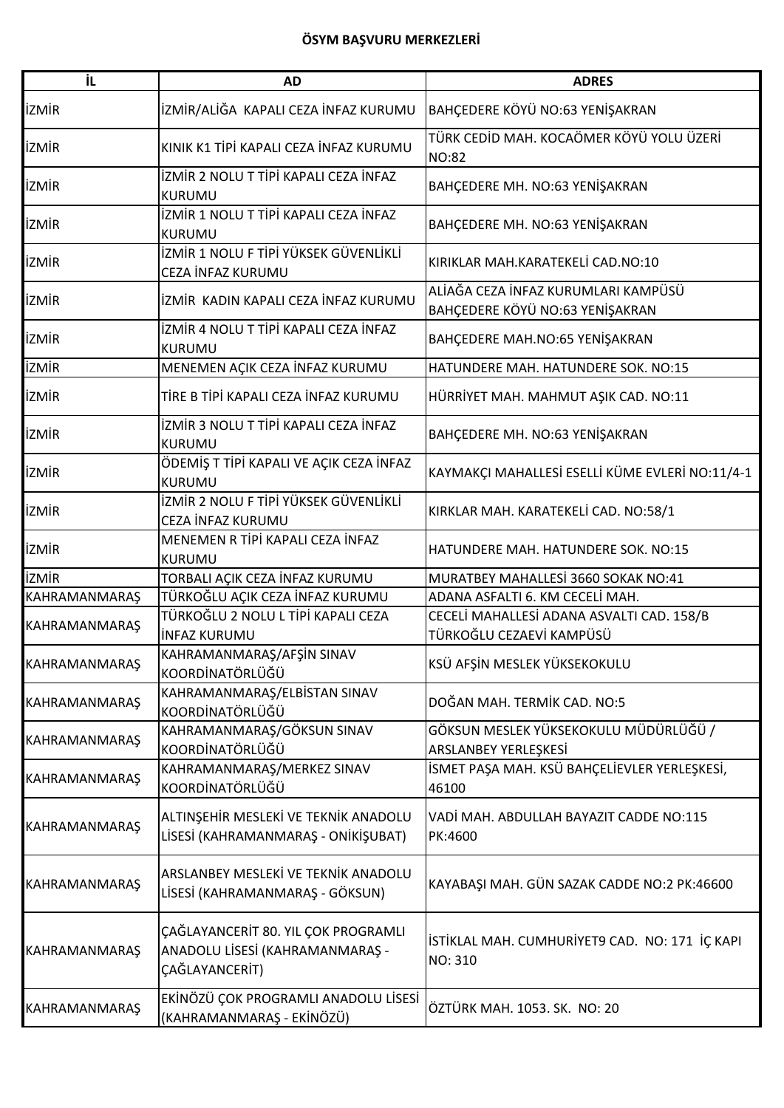| İL                   | <b>AD</b>                                                                                | <b>ADRES</b>                                                           |
|----------------------|------------------------------------------------------------------------------------------|------------------------------------------------------------------------|
| <b>İZMİR</b>         | İZMİR/ALİĞA KAPALI CEZA İNFAZ KURUMU                                                     | BAHÇEDERE KÖYÜ NO:63 YENİŞAKRAN                                        |
| <b>İZMİR</b>         | KINIK K1 TİPİ KAPALI CEZA İNFAZ KURUMU                                                   | TÜRK CEDİD MAH. KOCAÖMER KÖYÜ YOLU ÜZERİ<br><b>NO:82</b>               |
| <b>İZMİR</b>         | İZMİR 2 NOLU T TİPİ KAPALI CEZA İNFAZ<br>KURUMU                                          | BAHÇEDERE MH. NO:63 YENİŞAKRAN                                         |
| <b>İZMİR</b>         | İZMİR 1 NOLU T TİPİ KAPALI CEZA İNFAZ<br><b>KURUMU</b>                                   | BAHÇEDERE MH. NO:63 YENİŞAKRAN                                         |
| <b>İZMİR</b>         | İZMİR 1 NOLU F TİPİ YÜKSEK GÜVENLİKLİ<br>CEZA İNFAZ KURUMU                               | KIRIKLAR MAH.KARATEKELİ CAD.NO:10                                      |
| <b>İZMİR</b>         | İZMİR KADIN KAPALI CEZA İNFAZ KURUMU                                                     | ALİAĞA CEZA İNFAZ KURUMLARI KAMPÜSÜ<br>BAHÇEDERE KÖYÜ NO:63 YENİŞAKRAN |
| <b>İZMİR</b>         | İZMİR 4 NOLU T TİPİ KAPALI CEZA İNFAZ<br><b>KURUMU</b>                                   | BAHÇEDERE MAH.NO:65 YENİŞAKRAN                                         |
| <b>İZMİR</b>         | MENEMEN AÇIK CEZA İNFAZ KURUMU                                                           | HATUNDERE MAH. HATUNDERE SOK. NO:15                                    |
| <b>İZMİR</b>         | TİRE B TİPİ KAPALI CEZA İNFAZ KURUMU                                                     | HÜRRİYET MAH. MAHMUT AŞIK CAD. NO:11                                   |
| <b>İZMİR</b>         | İZMİR 3 NOLU T TİPİ KAPALI CEZA İNFAZ<br><b>KURUMU</b>                                   | BAHÇEDERE MH. NO:63 YENİŞAKRAN                                         |
| <b>İZMİR</b>         | ÖDEMİŞ T TİPİ KAPALI VE AÇIK CEZA İNFAZ<br><b>KURUMU</b>                                 | KAYMAKÇI MAHALLESİ ESELLİ KÜME EVLERİ NO:11/4-1                        |
| <b>İZMİR</b>         | İZMİR 2 NOLU F TİPİ YÜKSEK GÜVENLİKLİ<br>CEZA İNFAZ KURUMU                               | KIRKLAR MAH. KARATEKELİ CAD. NO:58/1                                   |
| <b>İZMİR</b>         | MENEMEN R TİPİ KAPALI CEZA İNFAZ<br><b>KURUMU</b>                                        | HATUNDERE MAH. HATUNDERE SOK. NO:15                                    |
| <b>İZMİR</b>         | TORBALI AÇIK CEZA İNFAZ KURUMU                                                           | MURATBEY MAHALLESİ 3660 SOKAK NO:41                                    |
| KAHRAMANMARAŞ        | TÜRKOĞLU AÇIK CEZA İNFAZ KURUMU                                                          | ADANA ASFALTI 6. KM CECELİ MAH.                                        |
| KAHRAMANMARAŞ        | TÜRKOĞLU 2 NOLU L TİPİ KAPALI CEZA<br><b>INFAZ KURUMU</b>                                | CECELI MAHALLESI ADANA ASVALTI CAD. 158/B<br>TÜRKOĞLU CEZAEVİ KAMPÜSÜ  |
| <b>KAHRAMANMARAŞ</b> | KAHRAMANMARAŞ/AFŞİN SINAV<br>KOORDİNATÖRLÜĞÜ                                             | KSÜ AFŞİN MESLEK YÜKSEKOKULU                                           |
| KAHRAMANMARAŞ        | KAHRAMANMARAŞ/ELBİSTAN SINAV<br>KOORDİNATÖRLÜĞÜ                                          | DOĞAN MAH. TERMİK CAD. NO:5                                            |
| <b>KAHRAMANMARAŞ</b> | KAHRAMANMARAŞ/GÖKSUN SINAV<br>KOORDİNATÖRLÜĞÜ                                            | GÖKSUN MESLEK YÜKSEKOKULU MÜDÜRLÜĞÜ /<br>ARSLANBEY YERLEŞKESİ          |
| KAHRAMANMARAŞ        | KAHRAMANMARAŞ/MERKEZ SINAV<br>KOORDİNATÖRLÜĞÜ                                            | İSMET PAŞA MAH. KSÜ BAHÇELİEVLER YERLEŞKESİ,<br>46100                  |
| <b>KAHRAMANMARAŞ</b> | ALTINŞEHİR MESLEKİ VE TEKNİK ANADOLU<br>LİSESİ (KAHRAMANMARAŞ - ONİKİŞUBAT)              | VADİ MAH. ABDULLAH BAYAZIT CADDE NO:115<br>PK:4600                     |
| KAHRAMANMARAŞ        | ARSLANBEY MESLEKİ VE TEKNİK ANADOLU<br>LİSESİ (KAHRAMANMARAŞ - GÖKSUN)                   | KAYABAŞI MAH. GÜN SAZAK CADDE NO:2 PK:46600                            |
| KAHRAMANMARAŞ        | ÇAĞLAYANCERİT 80. YIL ÇOK PROGRAMLI<br>ANADOLU LİSESİ (KAHRAMANMARAŞ -<br>ÇAĞLAYANCERİT) | İSTİKLAL MAH. CUMHURİYET9 CAD. NO: 171 İÇ KAPI<br>NO: 310              |
| KAHRAMANMARAŞ        | EKİNÖZÜ ÇOK PROGRAMLI ANADOLU LİSESİ<br>(KAHRAMANMARAŞ - EKİNÖZÜ)                        | ÖZTÜRK MAH. 1053. SK. NO: 20                                           |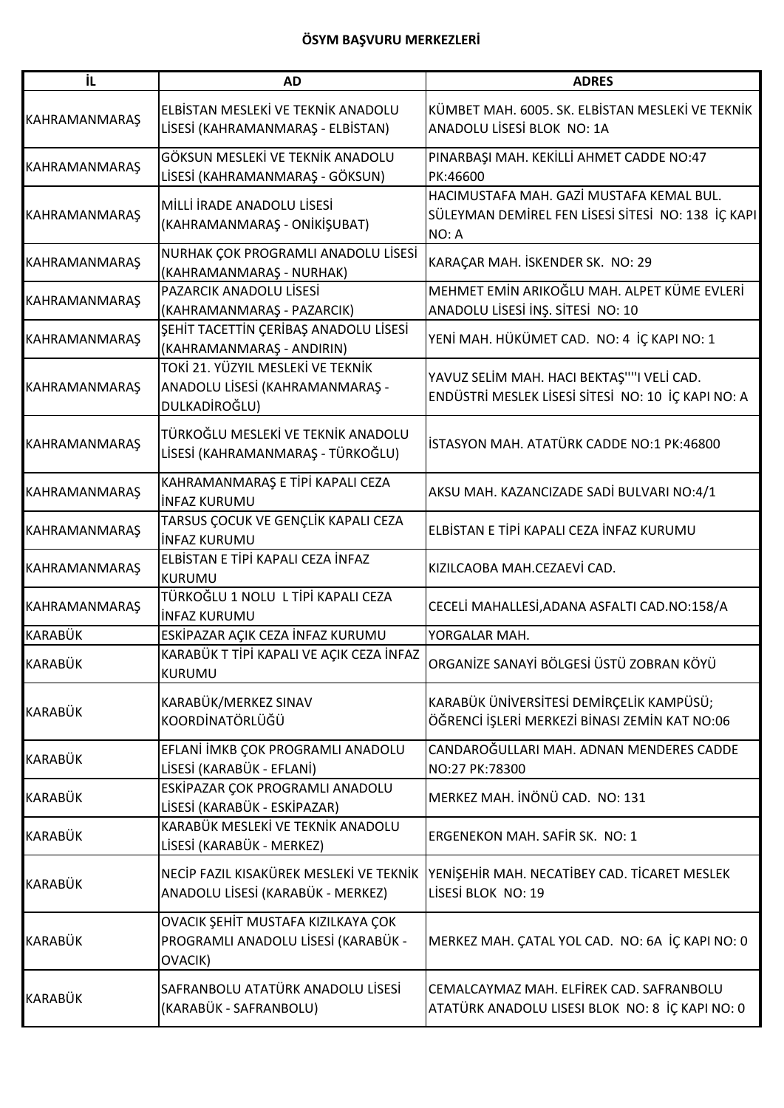| İL                   | <b>AD</b>                                                                             | <b>ADRES</b>                                                                                            |
|----------------------|---------------------------------------------------------------------------------------|---------------------------------------------------------------------------------------------------------|
| KAHRAMANMARAŞ        | ELBİSTAN MESLEKİ VE TEKNİK ANADOLU<br>LİSESİ (KAHRAMANMARAŞ - ELBİSTAN)               | KÜMBET MAH. 6005. SK. ELBİSTAN MESLEKİ VE TEKNİK<br>ANADOLU LİSESİ BLOK NO: 1A                          |
| <b>KAHRAMANMARAŞ</b> | GÖKSUN MESLEKİ VE TEKNİK ANADOLU<br>LİSESİ (KAHRAMANMARAŞ - GÖKSUN)                   | PINARBAŞI MAH. KEKİLLİ AHMET CADDE NO:47<br>PK:46600                                                    |
| <b>KAHRAMANMARAŞ</b> | MİLLİ İRADE ANADOLU LİSESİ<br>(KAHRAMANMARAŞ - ONİKİŞUBAT)                            | HACIMUSTAFA MAH. GAZİ MUSTAFA KEMAL BUL.<br>SÜLEYMAN DEMIREL FEN LISESI SITESI NO: 138 IÇ KAPI<br>NO: A |
| KAHRAMANMARAŞ        | NURHAK ÇOK PROGRAMLI ANADOLU LİSESİ<br>(KAHRAMANMARAŞ - NURHAK)                       | KARAÇAR MAH. İSKENDER SK. NO: 29                                                                        |
| KAHRAMANMARAŞ        | PAZARCIK ANADOLU LİSESİ<br>(KAHRAMANMARAŞ - PAZARCIK)                                 | MEHMET EMİN ARIKOĞLU MAH. ALPET KÜME EVLERİ<br>ANADOLU LISESI İNŞ. SİTESİ NO: 10                        |
| <b>KAHRAMANMARAŞ</b> | SEHİT TACETTİN ÇERİBAŞ ANADOLU LİSESİ<br>(KAHRAMANMARAŞ - ANDIRIN)                    | YENİ MAH. HÜKÜMET CAD. NO: 4 İÇ KAPI NO: 1                                                              |
| <b>KAHRAMANMARAŞ</b> | TOKİ 21. YÜZYIL MESLEKİ VE TEKNİK<br>ANADOLU LİSESİ (KAHRAMANMARAŞ -<br>DULKADİROĞLU) | YAVUZ SELİM MAH. HACI BEKTAŞ""I VELİ CAD.<br>ENDÜSTRİ MESLEK LİSESİ SİTESİ NO: 10 İÇ KAPI NO: A         |
| <b>KAHRAMANMARAŞ</b> | TÜRKOĞLU MESLEKİ VE TEKNİK ANADOLU<br>LİSESİ (KAHRAMANMARAŞ - TÜRKOĞLU)               | İSTASYON MAH. ATATÜRK CADDE NO:1 PK:46800                                                               |
| KAHRAMANMARAŞ        | KAHRAMANMARAŞ E TİPİ KAPALI CEZA<br><b>INFAZ KURUMU</b>                               | AKSU MAH. KAZANCIZADE SADİ BULVARI NO:4/1                                                               |
| KAHRAMANMARAŞ        | TARSUS ÇOCUK VE GENÇLİK KAPALI CEZA<br>INFAZ KURUMU                                   | ELBİSTAN E TİPİ KAPALI CEZA İNFAZ KURUMU                                                                |
| KAHRAMANMARAŞ        | ELBİSTAN E TİPİ KAPALI CEZA İNFAZ<br><b>IKURUMU</b>                                   | KIZILCAOBA MAH.CEZAEVİ CAD.                                                                             |
| <b>KAHRAMANMARAŞ</b> | TÜRKOĞLU 1 NOLU L TİPİ KAPALI CEZA<br>linfaz kurumu                                   | CECELİ MAHALLESİ, ADANA ASFALTI CAD. NO: 158/A                                                          |
| KARABÜK              | ESKİPAZAR AÇIK CEZA İNFAZ KURUMU                                                      | YORGALAR MAH.                                                                                           |
| KARABÜK              | KARABÜK T TİPİ KAPALI VE AÇIK CEZA İNFAZ<br><b>KURUMU</b>                             | ORGANİZE SANAYİ BÖLGESİ ÜSTÜ ZOBRAN KÖYÜ                                                                |
| <b>KARABÜK</b>       | KARABÜK/MERKEZ SINAV<br>KOORDİNATÖRLÜĞÜ                                               | KARABÜK ÜNİVERSİTESİ DEMİRÇELİK KAMPÜSÜ;<br>ÖĞRENCİ İŞLERİ MERKEZİ BİNASI ZEMİN KAT NO:06               |
| <b>KARABÜK</b>       | EFLANİ İMKB ÇOK PROGRAMLI ANADOLU<br>LİSESİ (KARABÜK - EFLANİ)                        | CANDAROĞULLARI MAH. ADNAN MENDERES CADDE<br>NO:27 PK:78300                                              |
| <b>KARABÜK</b>       | ESKİPAZAR ÇOK PROGRAMLI ANADOLU<br>LİSESİ (KARABÜK - ESKİPAZAR)                       | MERKEZ MAH. İNÖNÜ CAD. NO: 131                                                                          |
| KARABÜK              | KARABÜK MESLEKİ VE TEKNİK ANADOLU<br>LİSESİ (KARABÜK - MERKEZ)                        | <b>ERGENEKON MAH. SAFIR SK. NO: 1</b>                                                                   |
| <b>KARABÜK</b>       | NECİP FAZIL KISAKÜREK MESLEKİ VE TEKNİK<br>ANADOLU LİSESİ (KARABÜK - MERKEZ)          | YENIŞEHIR MAH. NECATIBEY CAD. TICARET MESLEK<br>LİSESİ BLOK NO: 19                                      |
| <b>KARABÜK</b>       | OVACIK ŞEHİT MUSTAFA KIZILKAYA ÇOK<br>PROGRAMLI ANADOLU LİSESİ (KARABÜK -<br>OVACIK)  | MERKEZ MAH. ÇATAL YOL CAD. NO: 6A İÇ KAPI NO: 0                                                         |
| <b>KARABÜK</b>       | SAFRANBOLU ATATÜRK ANADOLU LİSESİ<br>(KARABÜK - SAFRANBOLU)                           | CEMALCAYMAZ MAH. ELFİREK CAD. SAFRANBOLU<br>ATATÜRK ANADOLU LISESI BLOK NO: 8 İÇ KAPI NO: 0             |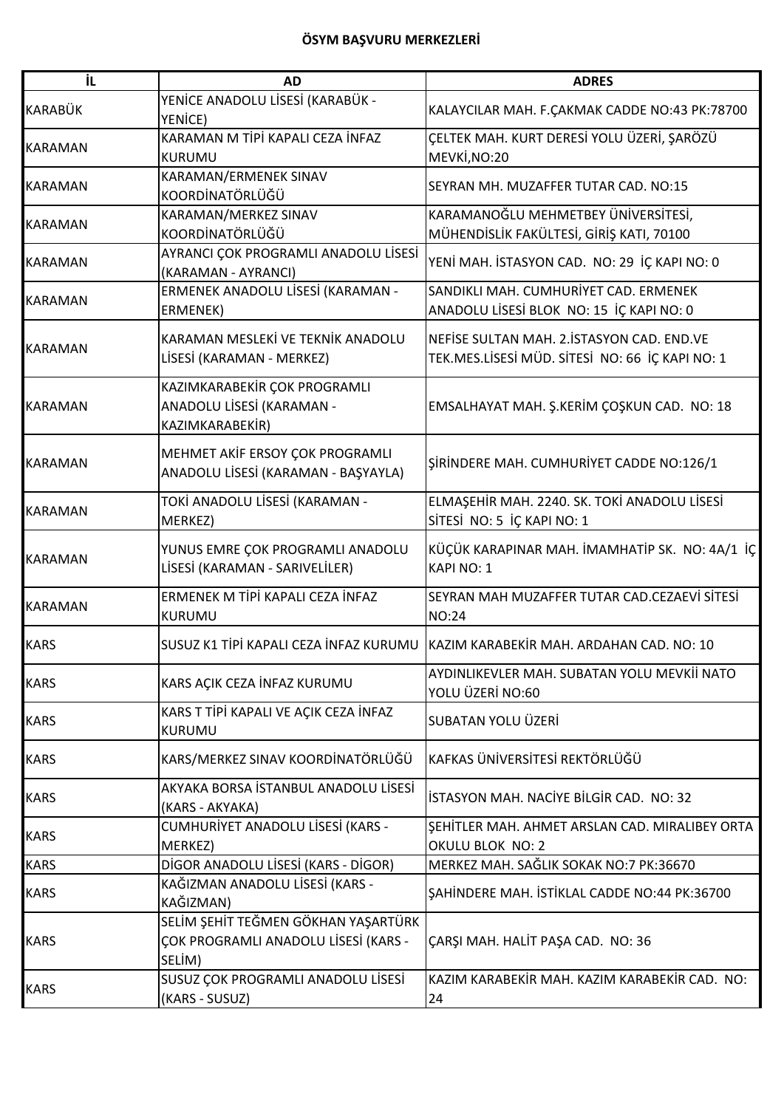| İL.            | <b>AD</b>                                                                             | <b>ADRES</b>                                                                                   |
|----------------|---------------------------------------------------------------------------------------|------------------------------------------------------------------------------------------------|
| KARABÜK        | YENİCE ANADOLU LİSESİ (KARABÜK -<br>YENICE)                                           | KALAYCILAR MAH. F.ÇAKMAK CADDE NO:43 PK:78700                                                  |
| <b>KARAMAN</b> | KARAMAN M TİPİ KAPALI CEZA İNFAZ<br><b>KURUMU</b>                                     | ÇELTEK MAH. KURT DERESİ YOLU ÜZERİ, ŞARÖZÜ<br>MEVKİ, NO: 20                                    |
| <b>KARAMAN</b> | KARAMAN/ERMENEK SINAV<br>KOORDİNATÖRLÜĞÜ                                              | SEYRAN MH. MUZAFFER TUTAR CAD. NO:15                                                           |
| <b>KARAMAN</b> | KARAMAN/MERKEZ SINAV<br>KOORDİNATÖRLÜĞÜ                                               | KARAMANOĞLU MEHMETBEY ÜNİVERSİTESİ,<br>MÜHENDİSLİK FAKÜLTESİ, GİRİŞ KATI, 70100                |
| <b>KARAMAN</b> | AYRANCI ÇOK PROGRAMLI ANADOLU LİSESİ<br>(KARAMAN - AYRANCI)                           | YENİ MAH. İSTASYON CAD. NO: 29 İÇ KAPI NO: 0                                                   |
| <b>KARAMAN</b> | ERMENEK ANADOLU LİSESİ (KARAMAN -<br>ERMENEK)                                         | SANDIKLI MAH. CUMHURİYET CAD. ERMENEK<br>ANADOLU LİSESİ BLOK NO: 15 İÇ KAPI NO: 0              |
| <b>KARAMAN</b> | KARAMAN MESLEKİ VE TEKNİK ANADOLU<br>LİSESİ (KARAMAN - MERKEZ)                        | NEFISE SULTAN MAH. 2. ISTASYON CAD. END. VE<br>TEK.MES.LİSESİ MÜD. SİTESİ NO: 66 İÇ KAPI NO: 1 |
| <b>KARAMAN</b> | KAZIMKARABEKİR ÇOK PROGRAMLI<br>ANADOLU LİSESİ (KARAMAN -<br>KAZIMKARABEKİR)          | EMSALHAYAT MAH. Ş.KERİM ÇOŞKUN CAD. NO: 18                                                     |
| <b>KARAMAN</b> | MEHMET AKİF ERSOY ÇOK PROGRAMLI<br>ANADOLU LİSESİ (KARAMAN - BAŞYAYLA)                | SIRINDERE MAH. CUMHURIYET CADDE NO:126/1                                                       |
| <b>KARAMAN</b> | TOKİ ANADOLU LİSESİ (KARAMAN -<br>MERKEZ)                                             | ELMAŞEHİR MAH. 2240. SK. TOKİ ANADOLU LİSESİ<br>SİTESİ NO: 5 İÇ KAPI NO: 1                     |
| <b>KARAMAN</b> | YUNUS EMRE ÇOK PROGRAMLI ANADOLU<br>LİSESİ (KARAMAN - SARIVELİLER)                    | KÜÇÜK KARAPINAR MAH. İMAMHATİP SK. NO: 4A/1 İÇ<br><b>KAPI NO: 1</b>                            |
| <b>KARAMAN</b> | ERMENEK M TİPİ KAPALI CEZA İNFAZ<br><b>KURUMU</b>                                     | SEYRAN MAH MUZAFFER TUTAR CAD.CEZAEVİ SİTESİ<br><b>NO:24</b>                                   |
| <b>KARS</b>    |                                                                                       | SUSUZ K1 TİPİ KAPALI CEZA İNFAZ KURUMU KAZIM KARABEKİR MAH. ARDAHAN CAD. NO: 10                |
| <b>KARS</b>    | KARS AÇIK CEZA İNFAZ KURUMU                                                           | AYDINLIKEVLER MAH. SUBATAN YOLU MEVKİİ NATO<br>YOLU ÜZERİ NO:60                                |
| <b>KARS</b>    | KARS T TİPİ KAPALI VE AÇIK CEZA İNFAZ<br>KURUMU                                       | SUBATAN YOLU ÜZERİ                                                                             |
| <b>KARS</b>    | KARS/MERKEZ SINAV KOORDİNATÖRLÜĞÜ                                                     | KAFKAS ÜNİVERSİTESİ REKTÖRLÜĞÜ                                                                 |
| <b>KARS</b>    | AKYAKA BORSA İSTANBUL ANADOLU LİSESİ<br>(KARS - AKYAKA)                               | İSTASYON MAH. NACİYE BİLGİR CAD. NO: 32                                                        |
| <b>KARS</b>    | CUMHURİYET ANADOLU LİSESİ (KARS -<br>MERKEZ)                                          | SEHİTLER MAH. AHMET ARSLAN CAD. MIRALIBEY ORTA<br>OKULU BLOK NO: 2                             |
| <b>KARS</b>    | DİGOR ANADOLU LİSESİ (KARS - DİGOR)                                                   | MERKEZ MAH. SAĞLIK SOKAK NO:7 PK:36670                                                         |
| <b>KARS</b>    | KAĞIZMAN ANADOLU LİSESİ (KARS -<br>KAĞIZMAN)                                          | SAHİNDERE MAH. İSTİKLAL CADDE NO:44 PK:36700                                                   |
| <b>KARS</b>    | SELİM ŞEHİT TEĞMEN GÖKHAN YAŞARTÜRK<br>ÇOK PROGRAMLI ANADOLU LİSESİ (KARS -<br>SELİM) | ÇARŞI MAH. HALİT PAŞA CAD. NO: 36                                                              |
| <b>KARS</b>    | SUSUZ ÇOK PROGRAMLI ANADOLU LİSESİ<br>(KARS - SUSUZ)                                  | KAZIM KARABEKİR MAH. KAZIM KARABEKİR CAD. NO:<br>24                                            |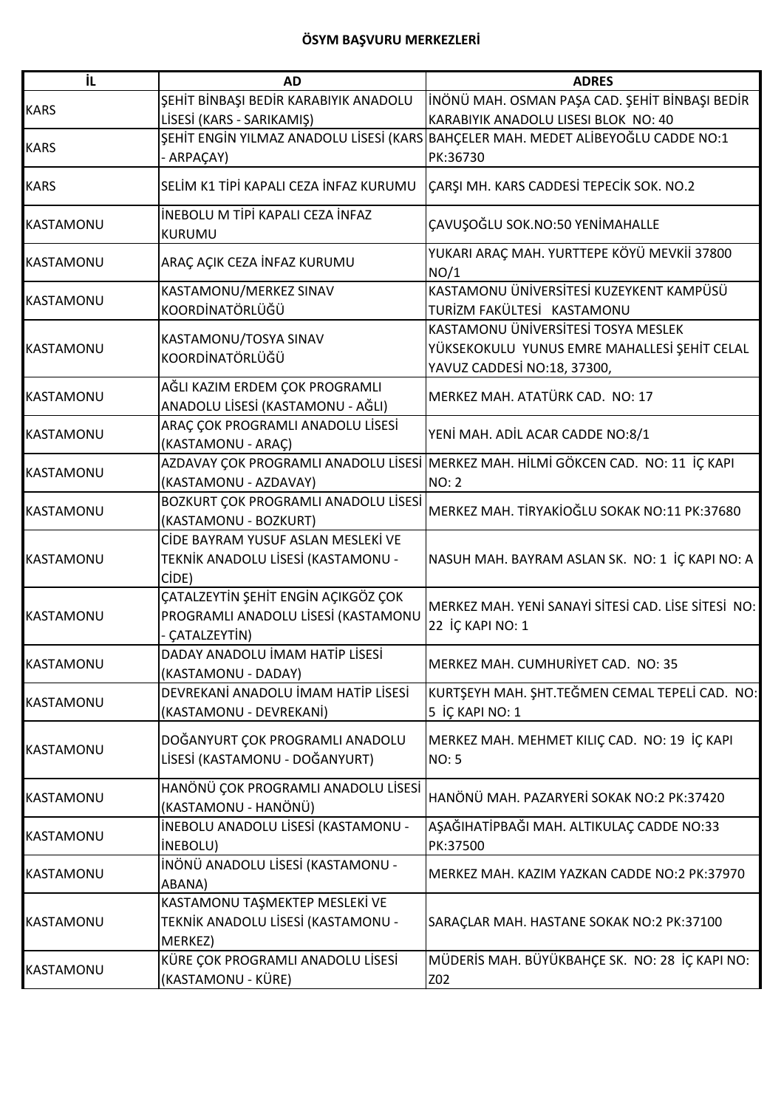| İL               | <b>AD</b>                                                         | <b>ADRES</b>                                                                      |
|------------------|-------------------------------------------------------------------|-----------------------------------------------------------------------------------|
|                  | ŞEHİT BİNBAŞI BEDİR KARABIYIK ANADOLU                             | İNÖNÜ MAH. OSMAN PAŞA CAD. ŞEHİT BİNBAŞI BEDİR                                    |
| <b>KARS</b>      | LİSESİ (KARS - SARIKAMIŞ)                                         | KARABIYIK ANADOLU LISESI BLOK NO: 40                                              |
|                  |                                                                   | ŞEHİT ENGİN YILMAZ ANADOLU LİSESİ (KARS BAHÇELER MAH. MEDET ALİBEYOĞLU CADDE NO:1 |
| <b>KARS</b>      | - ARPAÇAY)                                                        | PK:36730                                                                          |
| <b>KARS</b>      | SELİM K1 TİPİ KAPALI CEZA İNFAZ KURUMU                            | ÇARŞI MH. KARS CADDESİ TEPECİK SOK. NO.2                                          |
| <b>KASTAMONU</b> | İNEBOLU M TİPİ KAPALI CEZA İNFAZ                                  | ÇAVUŞOĞLU SOK.NO:50 YENİMAHALLE                                                   |
|                  | <b>KURUMU</b>                                                     |                                                                                   |
| <b>KASTAMONU</b> | ARAÇ AÇIK CEZA İNFAZ KURUMU                                       | YUKARI ARAÇ MAH. YURTTEPE KÖYÜ MEVKİİ 37800<br>NO/1                               |
|                  | KASTAMONU/MERKEZ SINAV                                            | KASTAMONU ÜNİVERSİTESİ KUZEYKENT KAMPÜSÜ                                          |
| KASTAMONU        | KOORDİNATÖRLÜĞÜ                                                   | TURİZM FAKÜLTESİ KASTAMONU                                                        |
|                  |                                                                   | KASTAMONU ÜNİVERSİTESİ TOSYA MESLEK                                               |
| <b>KASTAMONU</b> | KASTAMONU/TOSYA SINAV                                             | YÜKSEKOKULU YUNUS EMRE MAHALLESİ ŞEHİT CELAL                                      |
|                  | KOORDİNATÖRLÜĞÜ                                                   | YAVUZ CADDESİ NO:18, 37300,                                                       |
|                  | AĞLI KAZIM ERDEM ÇOK PROGRAMLI                                    |                                                                                   |
| <b>KASTAMONU</b> | ANADOLU LİSESİ (KASTAMONU - AĞLI)                                 | MERKEZ MAH. ATATÜRK CAD. NO: 17                                                   |
|                  | ARAÇ ÇOK PROGRAMLI ANADOLU LİSESİ                                 |                                                                                   |
| KASTAMONU        | (KASTAMONU - ARAÇ)                                                | YENİ MAH. ADİL ACAR CADDE NO:8/1                                                  |
|                  |                                                                   | AZDAVAY ÇOK PROGRAMLI ANADOLU LİSESİ MERKEZ MAH. HİLMİ GÖKCEN CAD. NO: 11 İÇ KAPI |
| <b>KASTAMONU</b> | (KASTAMONU - AZDAVAY)                                             | <b>NO: 2</b>                                                                      |
|                  | BOZKURT ÇOK PROGRAMLI ANADOLU LİSESİ                              |                                                                                   |
| <b>KASTAMONU</b> | (KASTAMONU - BOZKURT)                                             | MERKEZ MAH. TİRYAKİOĞLU SOKAK NO:11 PK:37680                                      |
|                  | CİDE BAYRAM YUSUF ASLAN MESLEKİ VE                                |                                                                                   |
| <b>KASTAMONU</b> | TEKNİK ANADOLU LİSESİ (KASTAMONU -                                | NASUH MAH. BAYRAM ASLAN SK. NO: 1 İÇ KAPI NO: A                                   |
|                  | CIDE)                                                             |                                                                                   |
|                  | ÇATALZEYTİN ŞEHİT ENGİN AÇIKGÖZ ÇOK                               | MERKEZ MAH. YENİ SANAYİ SİTESİ CAD. LİSE SİTESİ NO:                               |
| <b>KASTAMONU</b> | PROGRAMLI ANADOLU LİSESİ (KASTAMONU                               |                                                                                   |
|                  | - CATALZEYTİN)                                                    | 22 İÇ KAPI NO: 1                                                                  |
|                  | DADAY ANADOLU İMAM HATİP LİSESİ                                   |                                                                                   |
| KASTAMONU        | (KASTAMONU - DADAY)                                               | MERKEZ MAH. CUMHURİYET CAD. NO: 35                                                |
|                  | DEVREKANİ ANADOLU İMAM HATİP LİSESİ                               | KURTŞEYH MAH. ŞHT.TEĞMEN CEMAL TEPELİ CAD. NO:                                    |
| <b>KASTAMONU</b> | (KASTAMONU - DEVREKANİ)                                           | 5 İÇ KAPI NO: 1                                                                   |
|                  |                                                                   |                                                                                   |
| KASTAMONU        | DOĞANYURT ÇOK PROGRAMLI ANADOLU<br>LİSESİ (KASTAMONU - DOĞANYURT) | MERKEZ MAH. MEHMET KILIÇ CAD. NO: 19 İÇ KAPI                                      |
|                  |                                                                   | <b>NO: 5</b>                                                                      |
|                  | HANÖNÜ ÇOK PROGRAMLI ANADOLU LİSESİ                               |                                                                                   |
| <b>KASTAMONU</b> | (KASTAMONU - HANÖNÜ)                                              | HANÖNÜ MAH. PAZARYERİ SOKAK NO:2 PK:37420                                         |
|                  | <b>İNEBOLU ANADOLU LİSESİ (KASTAMONU -</b>                        | AŞAĞIHATİPBAĞI MAH. ALTIKULAÇ CADDE NO:33                                         |
| <b>KASTAMONU</b> | <b>INEBOLU)</b>                                                   | PK:37500                                                                          |
| KASTAMONU        | İNÖNÜ ANADOLU LİSESİ (KASTAMONU -                                 |                                                                                   |
|                  | ABANA)                                                            | MERKEZ MAH. KAZIM YAZKAN CADDE NO:2 PK:37970                                      |
|                  | KASTAMONU TAŞMEKTEP MESLEKİ VE                                    |                                                                                   |
| KASTAMONU        | TEKNİK ANADOLU LİSESİ (KASTAMONU -                                | SARAÇLAR MAH. HASTANE SOKAK NO:2 PK:37100                                         |
|                  | MERKEZ)                                                           |                                                                                   |
| <b>KASTAMONU</b> | KÜRE ÇOK PROGRAMLI ANADOLU LİSESİ                                 | MÜDERİS MAH. BÜYÜKBAHÇE SK. NO: 28 İÇ KAPI NO:                                    |
|                  | (KASTAMONU - KÜRE)                                                | Z02                                                                               |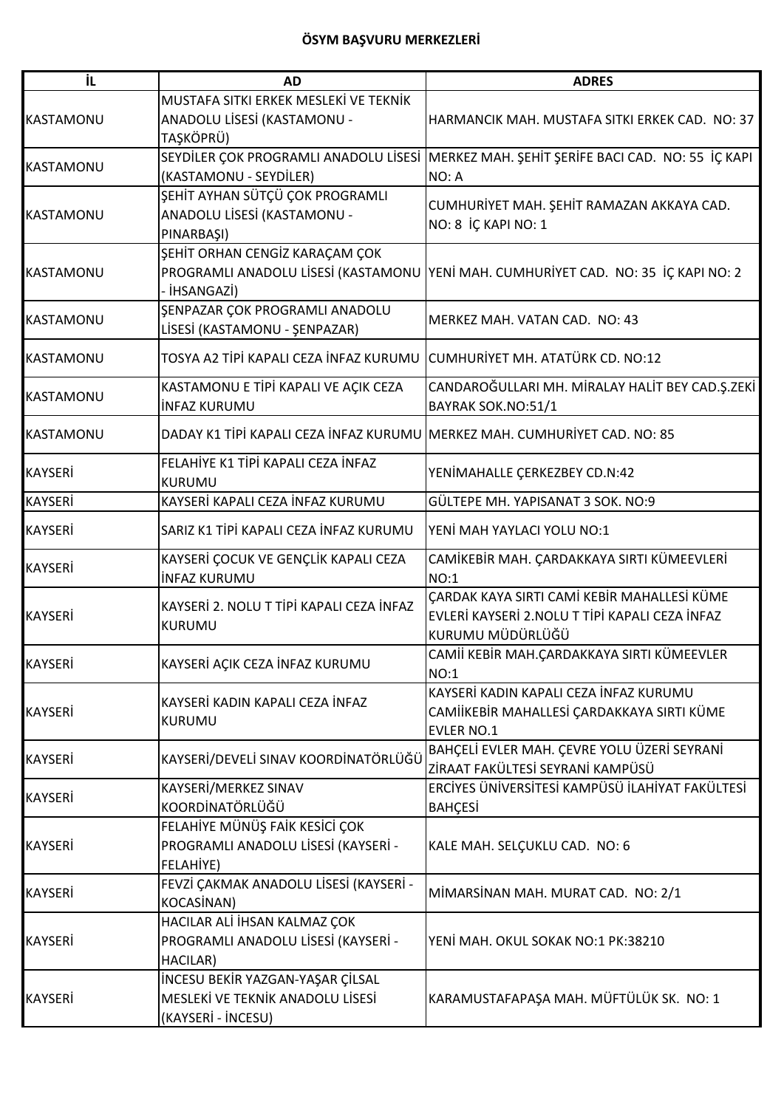| İL               | <b>AD</b>                                                                 | <b>ADRES</b>                                                                       |
|------------------|---------------------------------------------------------------------------|------------------------------------------------------------------------------------|
|                  | MUSTAFA SITKI ERKEK MESLEKI VE TEKNIK                                     |                                                                                    |
| <b>KASTAMONU</b> | ANADOLU LİSESİ (KASTAMONU -                                               | HARMANCIK MAH, MUSTAFA SITKI ERKEK CAD. NO: 37                                     |
|                  | TAŞKÖPRÜ)                                                                 |                                                                                    |
|                  | SEYDİLER ÇOK PROGRAMLI ANADOLU LİSESİ                                     | MERKEZ MAH. ŞEHİT ŞERİFE BACI CAD. NO: 55 İÇ KAPI                                  |
| <b>KASTAMONU</b> | (KASTAMONU - SEYDİLER)                                                    | NO: A                                                                              |
|                  | SEHİT AYHAN SÜTÇÜ ÇOK PROGRAMLI                                           |                                                                                    |
| <b>KASTAMONU</b> | ANADOLU LİSESİ (KASTAMONU -                                               | CUMHURİYET MAH. ŞEHİT RAMAZAN AKKAYA CAD.                                          |
|                  | PINARBAŞI)                                                                | NO: 8 İÇ KAPI NO: 1                                                                |
|                  | ŞEHİT ORHAN CENGİZ KARAÇAM ÇOK                                            |                                                                                    |
| <b>KASTAMONU</b> |                                                                           | PROGRAMLI ANADOLU LISESI (KASTAMONU YENI MAH. CUMHURIYET CAD. NO: 35 IÇ KAPI NO: 2 |
|                  | - İHSANGAZİ)                                                              |                                                                                    |
|                  | ŞENPAZAR ÇOK PROGRAMLI ANADOLU                                            |                                                                                    |
| <b>KASTAMONU</b> | LİSESİ (KASTAMONU - ŞENPAZAR)                                             | MERKEZ MAH. VATAN CAD. NO: 43                                                      |
|                  |                                                                           |                                                                                    |
| <b>KASTAMONU</b> | TOSYA A2 TİPİ KAPALI CEZA İNFAZ KURUMU                                    | CUMHURİYET MH. ATATÜRK CD. NO:12                                                   |
|                  | KASTAMONU E TİPİ KAPALI VE AÇIK CEZA                                      | CANDAROĞULLARI MH. MİRALAY HALİT BEY CAD.Ş.ZEKİ                                    |
| <b>KASTAMONU</b> | <b>INFAZ KURUMU</b>                                                       | BAYRAK SOK.NO:51/1                                                                 |
|                  |                                                                           |                                                                                    |
| <b>KASTAMONU</b> | DADAY K1 TİPİ KAPALI CEZA İNFAZ KURUMU MERKEZ MAH. CUMHURİYET CAD. NO: 85 |                                                                                    |
|                  | FELAHİYE K1 TİPİ KAPALI CEZA İNFAZ                                        |                                                                                    |
| <b>KAYSERİ</b>   | <b>KURUMU</b>                                                             | YENİMAHALLE ÇERKEZBEY CD.N:42                                                      |
| <b>KAYSERİ</b>   | KAYSERİ KAPALI CEZA İNFAZ KURUMU                                          | GÜLTEPE MH. YAPISANAT 3 SOK. NO:9                                                  |
|                  |                                                                           |                                                                                    |
| <b>KAYSERİ</b>   | SARIZ K1 TİPİ KAPALI CEZA İNFAZ KURUMU                                    | YENİ MAH YAYLACI YOLU NO:1                                                         |
|                  | KAYSERİ ÇOCUK VE GENÇLİK KAPALI CEZA                                      | CAMİKEBİR MAH. ÇARDAKKAYA SIRTI KÜMEEVLERİ                                         |
| <b>KAYSERİ</b>   | <b>INFAZ KURUMU</b>                                                       | NO:1                                                                               |
|                  | KAYSERİ 2. NOLU T TİPİ KAPALI CEZA İNFAZ                                  | ÇARDAK KAYA SIRTI CAMİ KEBİR MAHALLESİ KÜME                                        |
| <b>KAYSERİ</b>   |                                                                           | EVLERİ KAYSERİ 2.NOLU T TİPİ KAPALI CEZA İNFAZ                                     |
|                  | <b>KURUMU</b>                                                             | KURUMU MÜDÜRLÜĞÜ                                                                   |
|                  |                                                                           | CAMİİ KEBİR MAH.ÇARDAKKAYA SIRTI KÜMEEVLER                                         |
| KAYSERİ          | KAYSERİ AÇIK CEZA İNFAZ KURUMU                                            | NO:1                                                                               |
|                  |                                                                           | KAYSERİ KADIN KAPALI CEZA İNFAZ KURUMU                                             |
| <b>KAYSERİ</b>   | KAYSERİ KADIN KAPALI CEZA İNFAZ                                           | CAMİİKEBİR MAHALLESİ ÇARDAKKAYA SIRTI KÜME                                         |
|                  | KURUMU                                                                    | <b>EVLER NO.1</b>                                                                  |
|                  |                                                                           | BAHÇELİ EVLER MAH. ÇEVRE YOLU ÜZERİ SEYRANİ                                        |
| <b>KAYSERİ</b>   | KAYSERİ/DEVELİ SINAV KOORDİNATÖRLÜĞÜ                                      | ZİRAAT FAKÜLTESİ SEYRANİ KAMPÜSÜ                                                   |
|                  | KAYSERİ/MERKEZ SINAV                                                      | ERCİYES ÜNİVERSİTESİ KAMPÜSÜ İLAHİYAT FAKÜLTESİ                                    |
| <b>KAYSERİ</b>   | KOORDİNATÖRLÜĞÜ                                                           | <b>BAHÇESİ</b>                                                                     |
|                  | FELAHİYE MÜNÜŞ FAİK KESİCİ ÇOK                                            |                                                                                    |
| <b>KAYSERİ</b>   | PROGRAMLI ANADOLU LİSESİ (KAYSERİ -                                       | KALE MAH. SELÇUKLU CAD. NO: 6                                                      |
|                  | FELAHİYE)                                                                 |                                                                                    |
| <b>KAYSERİ</b>   | FEVZİ ÇAKMAK ANADOLU LİSESİ (KAYSERİ -                                    |                                                                                    |
|                  | KOCASİNAN)                                                                | MİMARSİNAN MAH. MURAT CAD. NO: 2/1                                                 |
|                  | HACILAR ALİ İHSAN KALMAZ ÇOK                                              |                                                                                    |
| <b>KAYSERİ</b>   | PROGRAMLI ANADOLU LİSESİ (KAYSERİ -                                       | YENİ MAH. OKUL SOKAK NO:1 PK:38210                                                 |
|                  | HACILAR)                                                                  |                                                                                    |
|                  | İNCESU BEKİR YAZGAN-YAŞAR ÇİLSAL                                          |                                                                                    |
| <b>KAYSERİ</b>   | MESLEKİ VE TEKNİK ANADOLU LİSESİ                                          | KARAMUSTAFAPAŞA MAH. MÜFTÜLÜK SK. NO: 1                                            |
|                  | (KAYSERİ - İNCESU)                                                        |                                                                                    |
|                  |                                                                           |                                                                                    |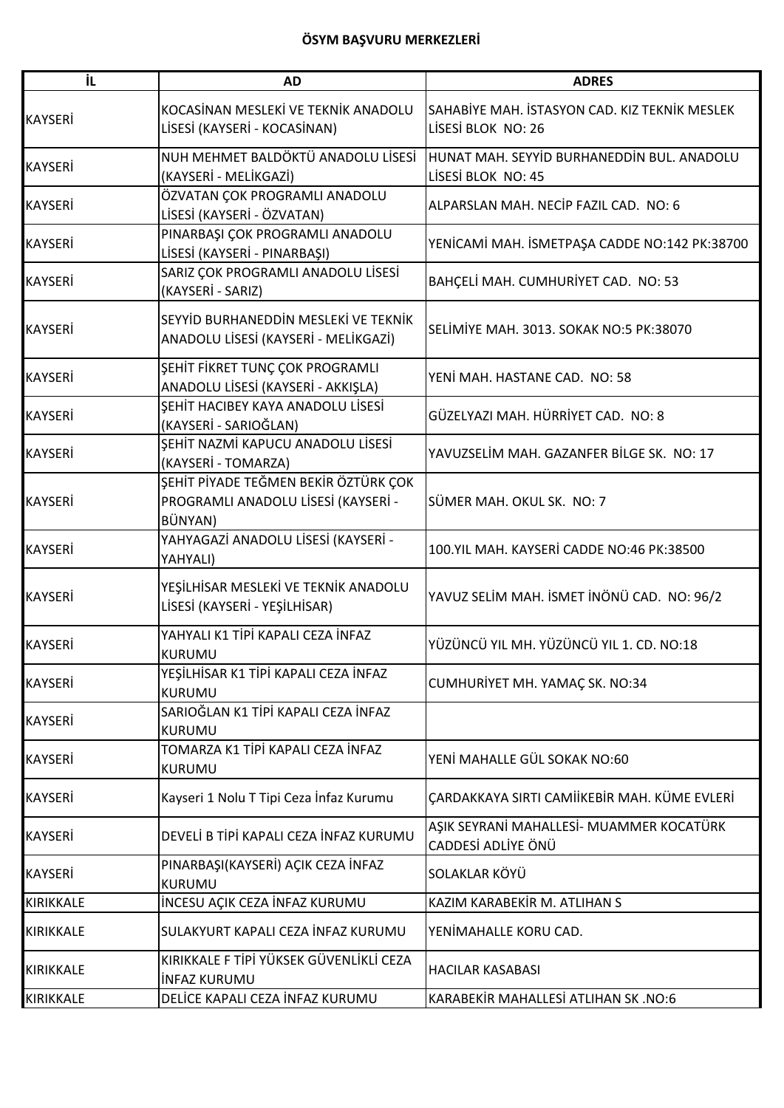| İL               | <b>AD</b>                                                                              | <b>ADRES</b>                                                        |
|------------------|----------------------------------------------------------------------------------------|---------------------------------------------------------------------|
| <b>KAYSERİ</b>   | KOCASİNAN MESLEKİ VE TEKNİK ANADOLU<br>LİSESİ (KAYSERİ - KOCASİNAN)                    | SAHABİYE MAH. İSTASYON CAD. KIZ TEKNİK MESLEK<br>LISESI BLOK NO: 26 |
| <b>KAYSERİ</b>   | NUH MEHMET BALDÖKTÜ ANADOLU LİSESİ<br>(KAYSERİ - MELİKGAZİ)                            | HUNAT MAH. SEYYİD BURHANEDDİN BUL. ANADOLU<br>LİSESİ BLOK NO: 45    |
| <b>KAYSERİ</b>   | ÖZVATAN ÇOK PROGRAMLI ANADOLU<br>LİSESİ (KAYSERİ - ÖZVATAN)                            | ALPARSLAN MAH. NECİP FAZIL CAD. NO: 6                               |
| <b>KAYSERİ</b>   | PINARBAŞI ÇOK PROGRAMLI ANADOLU<br>LİSESİ (KAYSERİ - PINARBAŞI)                        | YENİCAMİ MAH. İSMETPAŞA CADDE NO:142 PK:38700                       |
| <b>KAYSERİ</b>   | SARIZ ÇOK PROGRAMLI ANADOLU LİSESİ<br>(KAYSERİ - SARIZ)                                | BAHÇELİ MAH. CUMHURİYET CAD. NO: 53                                 |
| <b>KAYSERİ</b>   | SEYYİD BURHANEDDİN MESLEKİ VE TEKNİK<br>ANADOLU LİSESİ (KAYSERİ - MELİKGAZİ)           | SELİMİYE MAH. 3013. SOKAK NO:5 PK:38070                             |
| <b>KAYSERİ</b>   | ŞEHİT FİKRET TUNÇ ÇOK PROGRAMLI<br>ANADOLU LİSESİ (KAYSERİ - AKKIŞLA)                  | YENİ MAH. HASTANE CAD. NO: 58                                       |
| <b>KAYSERİ</b>   | ŞEHİT HACIBEY KAYA ANADOLU LİSESİ<br>(KAYSERİ - SARIOĞLAN)                             | GÜZELYAZI MAH. HÜRRİYET CAD. NO: 8                                  |
| <b>KAYSERİ</b>   | ŞEHİT NAZMİ KAPUCU ANADOLU LİSESİ<br>(KAYSERİ - TOMARZA)                               | YAVUZSELİM MAH. GAZANFER BİLGE SK. NO: 17                           |
| <b>KAYSERİ</b>   | ŞEHİT PİYADE TEĞMEN BEKİR ÖZTÜRK ÇOK<br>PROGRAMLI ANADOLU LİSESİ (KAYSERİ -<br>BÜNYAN) | SÜMER MAH. OKUL SK. NO: 7                                           |
| <b>KAYSERİ</b>   | YAHYAGAZİ ANADOLU LİSESİ (KAYSERİ -<br>YAHYALI)                                        | 100.YIL MAH. KAYSERİ CADDE NO:46 PK:38500                           |
| <b>KAYSERİ</b>   | YEŞİLHİSAR MESLEKİ VE TEKNİK ANADOLU<br>LİSESİ (KAYSERİ - YEŞİLHİSAR)                  | YAVUZ SELİM MAH. İSMET İNÖNÜ CAD. NO: 96/2                          |
| <b>KAYSERİ</b>   | YAHYALI K1 TİPİ KAPALI CEZA İNFAZ<br><b>KURUMU</b>                                     | YÜZÜNCÜ YIL MH. YÜZÜNCÜ YIL 1. CD. NO:18                            |
| <b>KAYSERİ</b>   | YEŞİLHİSAR K1 TİPİ KAPALI CEZA İNFAZ<br><b>KURUMU</b>                                  | CUMHURİYET MH. YAMAÇ SK. NO:34                                      |
| <b>KAYSERİ</b>   | SARIOĞLAN K1 TİPİ KAPALI CEZA İNFAZ<br>KURUMU                                          |                                                                     |
| <b>KAYSERİ</b>   | TOMARZA K1 TİPİ KAPALI CEZA İNFAZ<br><b>KURUMU</b>                                     | YENİ MAHALLE GÜL SOKAK NO:60                                        |
| <b>KAYSERİ</b>   | Kayseri 1 Nolu T Tipi Ceza İnfaz Kurumu                                                | ÇARDAKKAYA SIRTI CAMİİKEBİR MAH. KÜME EVLERİ                        |
| <b>KAYSERİ</b>   | DEVELİ B TİPİ KAPALI CEZA İNFAZ KURUMU                                                 | AŞIK SEYRANİ MAHALLESİ- MUAMMER KOCATÜRK<br>CADDESİ ADLİYE ÖNÜ      |
| <b>KAYSERİ</b>   | PINARBAŞI(KAYSERİ) AÇIK CEZA İNFAZ<br>KURUMU                                           | SOLAKLAR KÖYÜ                                                       |
| <b>KIRIKKALE</b> | İNCESU AÇIK CEZA İNFAZ KURUMU                                                          | KAZIM KARABEKİR M. ATLIHAN S                                        |
| <b>KIRIKKALE</b> | SULAKYURT KAPALI CEZA İNFAZ KURUMU                                                     | YENİMAHALLE KORU CAD.                                               |
| <b>KIRIKKALE</b> | KIRIKKALE F TİPİ YÜKSEK GÜVENLİKLİ CEZA<br><b>INFAZ KURUMU</b>                         | <b>HACILAR KASABASI</b>                                             |
| KIRIKKALE        | DELİCE KAPALI CEZA İNFAZ KURUMU                                                        | KARABEKİR MAHALLESİ ATLIHAN SK .NO:6                                |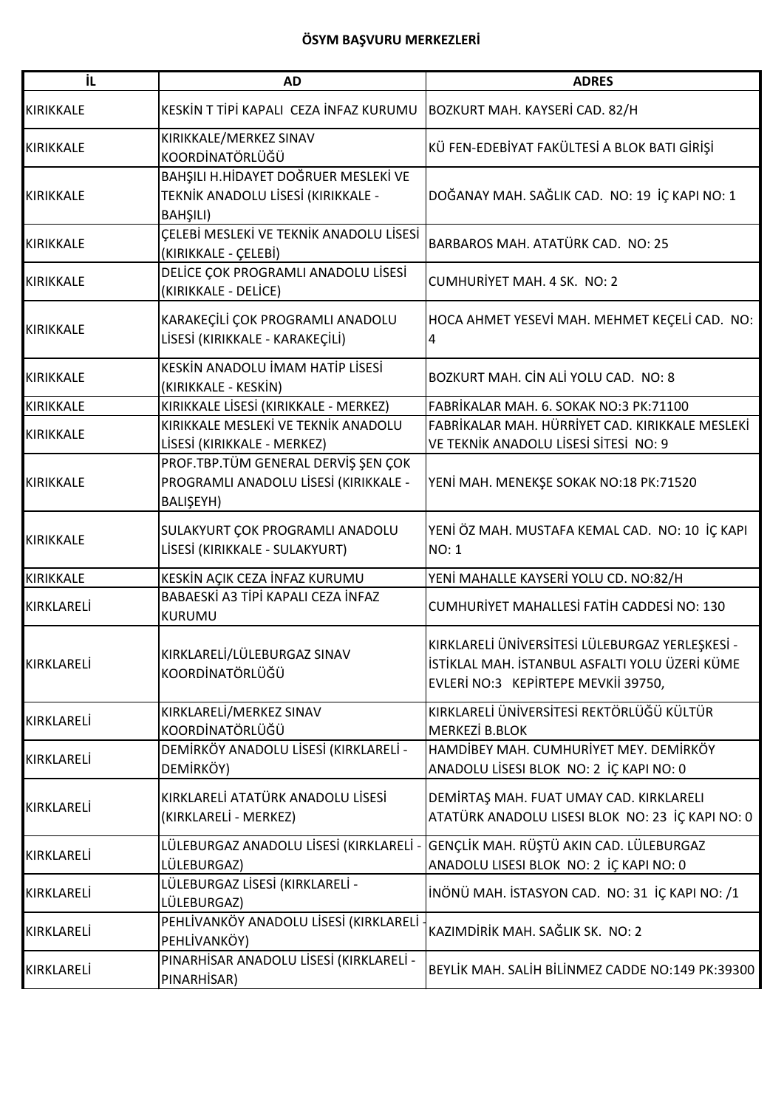| ΪL                | <b>AD</b>                                                                                 | <b>ADRES</b>                                                                                                                             |
|-------------------|-------------------------------------------------------------------------------------------|------------------------------------------------------------------------------------------------------------------------------------------|
| <b>KIRIKKALE</b>  | KESKİN T TİPİ KAPALI CEZA İNFAZ KURUMU                                                    | BOZKURT MAH. KAYSERİ CAD. 82/H                                                                                                           |
| <b>KIRIKKALE</b>  | KIRIKKALE/MERKEZ SINAV<br>KOORDİNATÖRLÜĞÜ                                                 | KÜ FEN-EDEBİYAT FAKÜLTESİ A BLOK BATI GİRİŞİ                                                                                             |
| <b>KIRIKKALE</b>  | BAHŞILI H.HİDAYET DOĞRUER MESLEKİ VE<br>TEKNİK ANADOLU LİSESİ (KIRIKKALE -<br>BAHŞILI)    | DOĞANAY MAH. SAĞLIK CAD. NO: 19 İÇ KAPI NO: 1                                                                                            |
| KIRIKKALE         | ÇELEBİ MESLEKİ VE TEKNİK ANADOLU LİSESİ<br>(KIRIKKALE - ÇELEBİ)                           | BARBAROS MAH. ATATÜRK CAD. NO: 25                                                                                                        |
| <b>KIRIKKALE</b>  | DELİCE ÇOK PROGRAMLI ANADOLU LİSESİ<br>(KIRIKKALE - DELİCE)                               | CUMHURİYET MAH. 4 SK. NO: 2                                                                                                              |
| <b>KIRIKKALE</b>  | KARAKEÇİLİ ÇOK PROGRAMLI ANADOLU<br>LİSESİ (KIRIKKALE - KARAKEÇİLİ)                       | HOCA AHMET YESEVİ MAH. MEHMET KEÇELİ CAD. NO:<br>4                                                                                       |
| <b>KIRIKKALE</b>  | KESKİN ANADOLU İMAM HATİP LİSESİ<br>(KIRIKKALE - KESKİN)                                  | BOZKURT MAH. CİN ALİ YOLU CAD. NO: 8                                                                                                     |
| <b>KIRIKKALE</b>  | KIRIKKALE LİSESİ (KIRIKKALE - MERKEZ)                                                     | FABRİKALAR MAH. 6. SOKAK NO:3 PK:71100                                                                                                   |
| <b>KIRIKKALE</b>  | KIRIKKALE MESLEKİ VE TEKNİK ANADOLU<br>LİSESİ (KIRIKKALE - MERKEZ)                        | FABRİKALAR MAH. HÜRRİYET CAD. KIRIKKALE MESLEKİ<br>VE TEKNIK ANADOLU LISESI SITESI NO: 9                                                 |
| <b>KIRIKKALE</b>  | PROF.TBP.TÜM GENERAL DERVİŞ ŞEN ÇOK<br>PROGRAMLI ANADOLU LİSESİ (KIRIKKALE -<br>BALIŞEYH) | YENİ MAH. MENEKŞE SOKAK NO:18 PK:71520                                                                                                   |
| <b>KIRIKKALE</b>  | SULAKYURT ÇOK PROGRAMLI ANADOLU<br>LİSESİ (KIRIKKALE - SULAKYURT)                         | YENİ ÖZ MAH. MUSTAFA KEMAL CAD. NO: 10 İÇ KAPI<br><b>NO: 1</b>                                                                           |
| <b>KIRIKKALE</b>  | KESKİN AÇIK CEZA İNFAZ KURUMU                                                             | YENİ MAHALLE KAYSERİ YOLU CD. NO:82/H                                                                                                    |
| <b>KIRKLARELİ</b> | BABAESKİ A3 TİPİ KAPALI CEZA İNFAZ<br>KURUMU                                              | CUMHURİYET MAHALLESİ FATİH CADDESİ NO: 130                                                                                               |
| KIRKLARELİ        | KIRKLARELİ/LÜLEBURGAZ SINAV<br>KOORDİNATÖRLÜĞÜ                                            | KIRKLARELİ ÜNİVERSİTESİ LÜLEBURGAZ YERLEŞKESİ -<br>İSTİKLAL MAH. İSTANBUL ASFALTI YOLU ÜZERİ KÜME<br>EVLERİ NO:3 KEPİRTEPE MEVKİİ 39750, |
| KIRKLARELİ        | KIRKLARELİ/MERKEZ SINAV<br>KOORDİNATÖRLÜĞÜ                                                | KIRKLARELİ ÜNİVERSİTESİ REKTÖRLÜĞÜ KÜLTÜR<br><b>MERKEZİ B.BLOK</b>                                                                       |
| KIRKLARELİ        | DEMİRKÖY ANADOLU LİSESİ (KIRKLARELİ -<br>DEMİRKÖY)                                        | HAMDİBEY MAH. CUMHURİYET MEY. DEMİRKÖY<br>ANADOLU LİSESI BLOK NO: 2 İÇ KAPI NO: 0                                                        |
| KIRKLARELİ        | KIRKLARELİ ATATÜRK ANADOLU LİSESİ<br>(KIRKLARELİ - MERKEZ)                                | DEMİRTAŞ MAH. FUAT UMAY CAD. KIRKLARELI<br>ATATÜRK ANADOLU LISESI BLOK NO: 23 İÇ KAPI NO: 0                                              |
| KIRKLARELİ        | LÜLEBURGAZ ANADOLU LİSESİ (KIRKLARELİ<br>LÜLEBURGAZ)                                      | GENÇLİK MAH. RÜŞTÜ AKIN CAD. LÜLEBURGAZ<br>ANADOLU LISESI BLOK NO: 2 İÇ KAPI NO: 0                                                       |
| KIRKLARELİ        | LÜLEBURGAZ LİSESİ (KIRKLARELİ -<br>LÜLEBURGAZ)                                            | İNÖNÜ MAH. İSTASYON CAD. NO: 31 İÇ KAPI NO: /1                                                                                           |
| KIRKLARELİ        | PEHLİVANKÖY ANADOLU LİSESİ (KIRKLARELİ<br>PEHLİVANKÖY)                                    | KAZIMDİRİK MAH. SAĞLIK SK. NO: 2                                                                                                         |
| KIRKLARELİ        | PINARHİSAR ANADOLU LİSESİ (KIRKLARELİ -<br>PINARHISAR)                                    | BEYLİK MAH. SALİH BİLİNMEZ CADDE NO:149 PK:39300                                                                                         |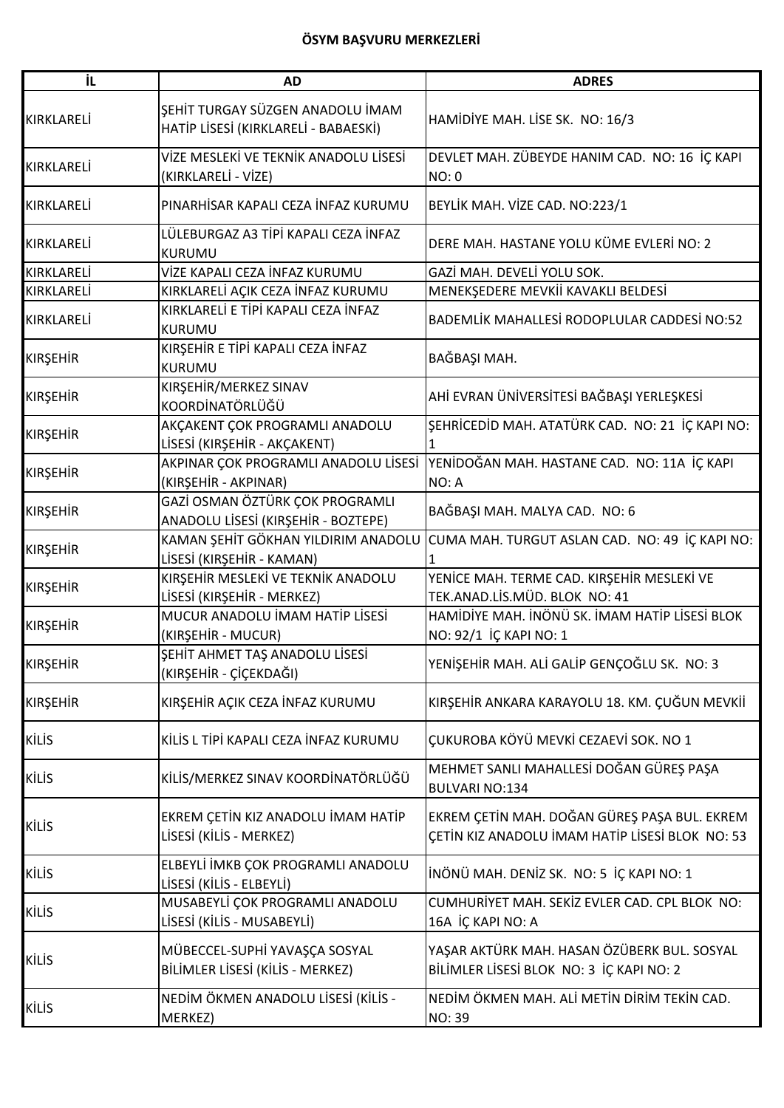| İL              | <b>AD</b>                                                                | <b>ADRES</b>                                                                                    |
|-----------------|--------------------------------------------------------------------------|-------------------------------------------------------------------------------------------------|
| KIRKLARELİ      | ŞEHİT TURGAY SÜZGEN ANADOLU İMAM<br>HATİP LİSESİ (KIRKLARELİ - BABAESKİ) | HAMİDİYE MAH. LİSE SK. NO: 16/3                                                                 |
| KIRKLARELİ      | VİZE MESLEKİ VE TEKNİK ANADOLU LİSESİ<br>(KIRKLARELİ - VİZE)             | DEVLET MAH. ZÜBEYDE HANIM CAD. NO: 16 İÇ KAPI<br>NO: 0                                          |
| KIRKLARELİ      | PINARHİSAR KAPALI CEZA İNFAZ KURUMU                                      | BEYLİK MAH. VİZE CAD. NO:223/1                                                                  |
| KIRKLARELİ      | LÜLEBURGAZ A3 TİPİ KAPALI CEZA İNFAZ<br><b>KURUMU</b>                    | DERE MAH. HASTANE YOLU KÜME EVLERİ NO: 2                                                        |
| KIRKLARELİ      | VİZE KAPALI CEZA İNFAZ KURUMU                                            | GAZİ MAH. DEVELİ YOLU SOK.                                                                      |
| KIRKLARELİ      | KIRKLARELİ AÇIK CEZA İNFAZ KURUMU                                        | MENEKŞEDERE MEVKİİ KAVAKLI BELDESİ                                                              |
| KIRKLARELİ      | KIRKLARELİ E TİPİ KAPALI CEZA İNFAZ<br>KURUMU                            | BADEMLİK MAHALLESİ RODOPLULAR CADDESİ NO:52                                                     |
| <b>KIRŞEHİR</b> | KIRŞEHİR E TİPİ KAPALI CEZA İNFAZ<br><b>KURUMU</b>                       | BAĞBAŞI MAH.                                                                                    |
| <b>KIRŞEHİR</b> | KIRŞEHİR/MERKEZ SINAV<br>KOORDİNATÖRLÜĞÜ                                 | AHİ EVRAN ÜNİVERSİTESİ BAĞBAŞI YERLEŞKESİ                                                       |
| <b>KIRŞEHİR</b> | AKÇAKENT ÇOK PROGRAMLI ANADOLU<br>LİSESİ (KIRŞEHİR - AKÇAKENT)           | ŞEHRİCEDİD MAH. ATATÜRK CAD. NO: 21 İÇ KAPI NO:                                                 |
| <b>KIRŞEHİR</b> | AKPINAR ÇOK PROGRAMLI ANADOLU LİSESİ<br>(KIRŞEHİR - AKPINAR)             | YENİDOĞAN MAH. HASTANE CAD. NO: 11A İÇ KAPI<br>NO: A                                            |
| <b>KIRŞEHİR</b> | GAZİ OSMAN ÖZTÜRK ÇOK PROGRAMLI<br>ANADOLU LİSESİ (KIRŞEHİR - BOZTEPE)   | BAĞBAŞI MAH. MALYA CAD. NO: 6                                                                   |
| <b>KIRŞEHİR</b> | KAMAN ŞEHİT GÖKHAN YILDIRIM ANADOLU<br>LİSESİ (KIRŞEHİR - KAMAN)         | CUMA MAH. TURGUT ASLAN CAD. NO: 49 İÇ KAPI NO:                                                  |
| <b>KIRŞEHİR</b> | KIRŞEHİR MESLEKİ VE TEKNİK ANADOLU<br>LİSESİ (KIRŞEHİR - MERKEZ)         | YENİCE MAH. TERME CAD. KIRŞEHİR MESLEKİ VE<br>TEK.ANAD.LİS.MÜD. BLOK NO: 41                     |
| <b>KIRŞEHİR</b> | MUCUR ANADOLU İMAM HATİP LİSESİ<br>(KIRŞEHİR - MUCUR)                    | HAMİDİYE MAH. İNÖNÜ SK. İMAM HATİP LİSESİ BLOK<br>NO: 92/1 İÇ KAPI NO: 1                        |
| <b>KIRŞEHİR</b> | SEHİT AHMET TAŞ ANADOLU LİSESİ<br>(KIRŞEHİR - ÇİÇEKDAĞI)                 | YENİŞEHİR MAH. ALİ GALİP GENÇOĞLU SK. NO: 3                                                     |
| <b>KIRŞEHİR</b> | KIRŞEHİR AÇIK CEZA İNFAZ KURUMU                                          | KIRŞEHİR ANKARA KARAYOLU 18. KM. ÇUĞUN MEVKİİ                                                   |
| <b>KİLİS</b>    | KİLİS L TİPİ KAPALI CEZA İNFAZ KURUMU                                    | ÇUKUROBA KÖYÜ MEVKİ CEZAEVİ SOK. NO 1                                                           |
| <b>KİLİS</b>    | KİLİS/MERKEZ SINAV KOORDİNATÖRLÜĞÜ                                       | MEHMET SANLI MAHALLESİ DOĞAN GÜREŞ PAŞA<br><b>BULVARI NO:134</b>                                |
| <b>KİLİS</b>    | EKREM ÇETİN KIZ ANADOLU İMAM HATİP<br>LİSESİ (KİLİS - MERKEZ)            | EKREM ÇETİN MAH. DOĞAN GÜREŞ PAŞA BUL. EKREM<br>ÇETİN KIZ ANADOLU İMAM HATİP LİSESİ BLOK NO: 53 |
| <b>KİLİS</b>    | ELBEYLİ İMKB ÇOK PROGRAMLI ANADOLU<br>LİSESİ (KİLİS - ELBEYLİ)           | İNÖNÜ MAH. DENİZ SK. NO: 5 İÇ KAPI NO: 1                                                        |
| <b>KİLİS</b>    | MUSABEYLİ ÇOK PROGRAMLI ANADOLU<br>LİSESİ (KİLİS - MUSABEYLİ)            | CUMHURİYET MAH. SEKİZ EVLER CAD. CPL BLOK NO:<br>16A İÇ KAPI NO: A                              |
| <b>KİLİS</b>    | MÜBECCEL-SUPHİ YAVAŞÇA SOSYAL<br>BİLİMLER LİSESİ (KİLİS - MERKEZ)        | YAŞAR AKTÜRK MAH. HASAN ÖZÜBERK BUL. SOSYAL<br>BİLİMLER LİSESİ BLOK NO: 3 İÇ KAPI NO: 2         |
| <b>KİLİS</b>    | NEDİM ÖKMEN ANADOLU LİSESİ (KİLİS -<br>MERKEZ)                           | NEDİM ÖKMEN MAH. ALİ METİN DİRİM TEKİN CAD.<br><b>NO: 39</b>                                    |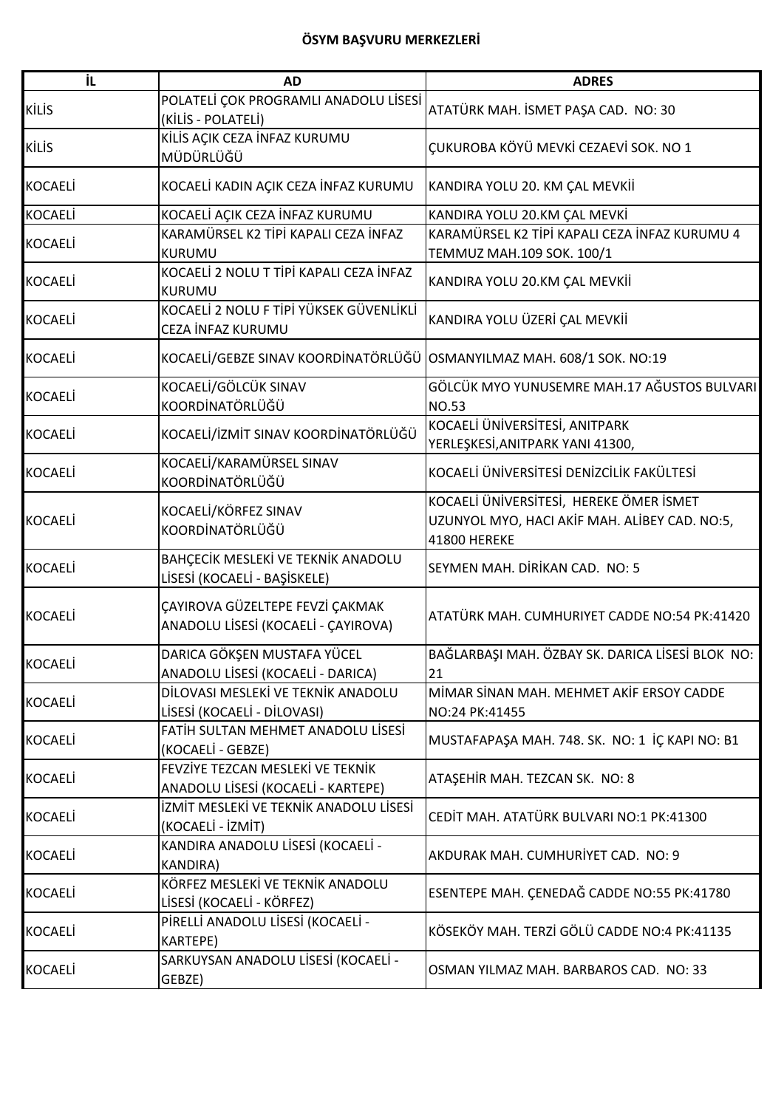| iL             | <b>AD</b>                                                              | <b>ADRES</b>                                                                                                    |
|----------------|------------------------------------------------------------------------|-----------------------------------------------------------------------------------------------------------------|
| <b>KİLİS</b>   | POLATELİ ÇOK PROGRAMLI ANADOLU LİSESİ<br>(KİLİS - POLATELİ)            | ATATÜRK MAH. İSMET PAŞA CAD. NO: 30                                                                             |
| <b>KİLİS</b>   | KİLİS AÇIK CEZA İNFAZ KURUMU<br>MÜDÜRLÜĞÜ                              | ÇUKUROBA KÖYÜ MEVKİ CEZAEVİ SOK. NO 1                                                                           |
| <b>KOCAELİ</b> | KOCAELİ KADIN AÇIK CEZA İNFAZ KURUMU                                   | KANDIRA YOLU 20. KM ÇAL MEVKİİ                                                                                  |
| <b>KOCAELİ</b> | KOCAELİ AÇIK CEZA İNFAZ KURUMU                                         | KANDIRA YOLU 20.KM ÇAL MEVKİ                                                                                    |
| <b>KOCAELİ</b> | KARAMÜRSEL K2 TİPİ KAPALI CEZA İNFAZ<br>KURUMU                         | KARAMÜRSEL K2 TİPİ KAPALI CEZA İNFAZ KURUMU 4<br>TEMMUZ MAH.109 SOK. 100/1                                      |
| <b>KOCAELİ</b> | KOCAELİ 2 NOLU T TİPİ KAPALI CEZA İNFAZ<br>KURUMU                      | KANDIRA YOLU 20.KM ÇAL MEVKİİ                                                                                   |
| <b>KOCAELİ</b> | KOCAELİ 2 NOLU F TİPİ YÜKSEK GÜVENLİKLİ<br>CEZA İNFAZ KURUMU           | KANDIRA YOLU ÜZERİ ÇAL MEVKİİ                                                                                   |
| <b>KOCAELİ</b> | KOCAELİ/GEBZE SINAV KOORDİNATÖRLÜĞÜ OSMANYILMAZ MAH. 608/1 SOK. NO:19  |                                                                                                                 |
| <b>KOCAELI</b> | KOCAELİ/GÖLCÜK SINAV<br>KOORDİNATÖRLÜĞÜ                                | GÖLCÜK MYO YUNUSEMRE MAH.17 AĞUSTOS BULVARI<br><b>NO.53</b>                                                     |
| <b>KOCAELİ</b> | KOCAELİ/İZMİT SINAV KOORDİNATÖRLÜĞÜ                                    | KOCAELİ ÜNİVERSİTESİ, ANITPARK<br>YERLEŞKESİ, ANITPARK YANI 41300,                                              |
| <b>KOCAELİ</b> | KOCAELİ/KARAMÜRSEL SINAV<br>KOORDİNATÖRLÜĞÜ                            | KOCAELİ ÜNİVERSİTESİ DENİZCİLİK FAKÜLTESİ                                                                       |
| <b>KOCAELİ</b> | KOCAELİ/KÖRFEZ SINAV<br>KOORDİNATÖRLÜĞÜ                                | KOCAELİ ÜNİVERSİTESİ, HEREKE ÖMER İSMET<br>UZUNYOL MYO, HACI AKİF MAH. ALİBEY CAD. NO:5,<br><b>41800 HEREKE</b> |
| <b>KOCAELİ</b> | BAHÇECİK MESLEKİ VE TEKNİK ANADOLU<br>LİSESİ (KOCAELİ - BAŞİSKELE)     | SEYMEN MAH. DİRİKAN CAD. NO: 5                                                                                  |
| <b>KOCAELİ</b> | ÇAYIROVA GÜZELTEPE FEVZİ ÇAKMAK<br>ANADOLU LİSESİ (KOCAELİ - ÇAYIROVA) | ATATÜRK MAH. CUMHURIYET CADDE NO:54 PK:41420                                                                    |
| KOCAELİ        | DARICA GÖKŞEN MUSTAFA YÜCEL<br>ANADOLU LİSESİ (KOCAELİ - DARICA)       | BAĞLARBAŞI MAH. ÖZBAY SK. DARICA LİSESİ BLOK NO:<br>21                                                          |
| <b>KOCAELI</b> | DİLOVASI MESLEKİ VE TEKNİK ANADOLU<br>LİSESİ (KOCAELİ - DİLOVASI)      | MİMAR SİNAN MAH. MEHMET AKİF ERSOY CADDE<br>NO:24 PK:41455                                                      |
| <b>KOCAELI</b> | FATİH SULTAN MEHMET ANADOLU LİSESİ<br>(KOCAELİ - GEBZE)                | MUSTAFAPAŞA MAH. 748. SK. NO: 1 İÇ KAPI NO: B1                                                                  |
| <b>KOCAELI</b> | FEVZİYE TEZCAN MESLEKİ VE TEKNİK<br>ANADOLU LİSESİ (KOCAELİ - KARTEPE) | ATAŞEHİR MAH. TEZCAN SK. NO: 8                                                                                  |
| <b>KOCAELİ</b> | İZMİT MESLEKİ VE TEKNİK ANADOLU LİSESİ<br>(KOCAELİ - İZMİT)            | CEDİT MAH. ATATÜRK BULVARI NO:1 PK:41300                                                                        |
| <b>KOCAELI</b> | KANDIRA ANADOLU LİSESİ (KOCAELİ -<br><b>KANDIRA)</b>                   | AKDURAK MAH. CUMHURİYET CAD. NO: 9                                                                              |
| <b>KOCAELI</b> | KÖRFEZ MESLEKİ VE TEKNİK ANADOLU<br>LİSESİ (KOCAELİ - KÖRFEZ)          | ESENTEPE MAH. ÇENEDAĞ CADDE NO:55 PK:41780                                                                      |
| <b>KOCAELI</b> | PİRELLİ ANADOLU LİSESİ (KOCAELİ -<br>KARTEPE)                          | KÖSEKÖY MAH. TERZİ GÖLÜ CADDE NO:4 PK:41135                                                                     |
| <b>KOCAELI</b> | SARKUYSAN ANADOLU LİSESİ (KOCAELİ -<br>GEBZE)                          | OSMAN YILMAZ MAH. BARBAROS CAD. NO: 33                                                                          |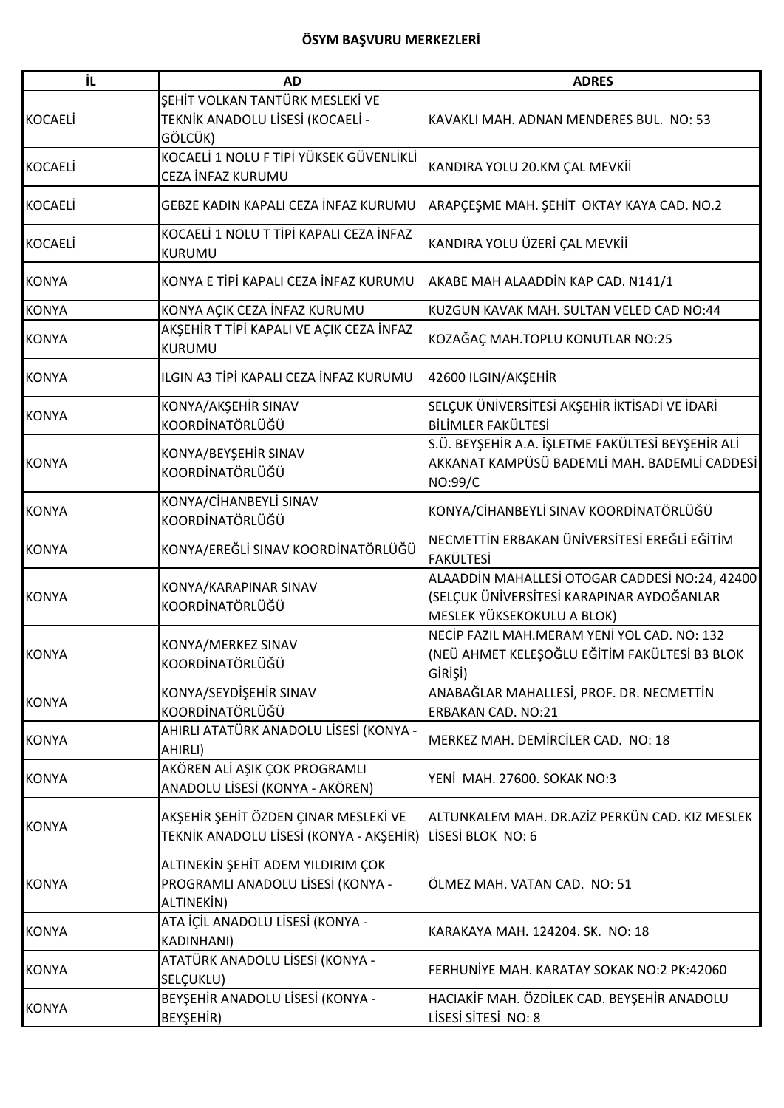| İL             | <b>AD</b>                                                                            | <b>ADRES</b>                                                                                                              |
|----------------|--------------------------------------------------------------------------------------|---------------------------------------------------------------------------------------------------------------------------|
| <b>KOCAELİ</b> | ŞEHİT VOLKAN TANTÜRK MESLEKİ VE<br>TEKNİK ANADOLU LİSESİ (KOCAELİ -<br>GÖLCÜK)       | KAVAKLI MAH. ADNAN MENDERES BUL. NO: 53                                                                                   |
| <b>KOCAELİ</b> | KOCAELİ 1 NOLU F TİPİ YÜKSEK GÜVENLİKLİ<br>CEZA İNFAZ KURUMU                         | KANDIRA YOLU 20.KM ÇAL MEVKİİ                                                                                             |
| <b>KOCAELİ</b> | GEBZE KADIN KAPALI CEZA İNFAZ KURUMU                                                 | ARAPÇEŞME MAH. ŞEHİT OKTAY KAYA CAD. NO.2                                                                                 |
| <b>KOCAELİ</b> | KOCAELİ 1 NOLU T TİPİ KAPALI CEZA İNFAZ<br>KURUMU                                    | KANDIRA YOLU ÜZERİ ÇAL MEVKİİ                                                                                             |
| <b>KONYA</b>   | KONYA E TİPİ KAPALI CEZA İNFAZ KURUMU                                                | AKABE MAH ALAADDİN KAP CAD. N141/1                                                                                        |
| <b>KONYA</b>   | KONYA AÇIK CEZA İNFAZ KURUMU                                                         | KUZGUN KAVAK MAH. SULTAN VELED CAD NO:44                                                                                  |
| <b>KONYA</b>   | AKŞEHİR T TİPİ KAPALI VE AÇIK CEZA İNFAZ<br><b>KURUMU</b>                            | KOZAĞAÇ MAH.TOPLU KONUTLAR NO:25                                                                                          |
| <b>KONYA</b>   | ILGIN A3 TİPİ KAPALI CEZA İNFAZ KURUMU                                               | 42600 ILGIN/AKŞEHİR                                                                                                       |
| <b>KONYA</b>   | KONYA/AKŞEHİR SINAV<br>KOORDİNATÖRLÜĞÜ                                               | SELÇUK ÜNİVERSİTESİ AKŞEHİR İKTİSADİ VE İDARİ<br>BİLİMLER FAKÜLTESİ                                                       |
| <b>KONYA</b>   | KONYA/BEYŞEHİR SINAV<br>KOORDİNATÖRLÜĞÜ                                              | S.Ü. BEYŞEHİR A.A. İŞLETME FAKÜLTESİ BEYŞEHİR ALİ<br>AKKANAT KAMPÜSÜ BADEMLİ MAH. BADEMLİ CADDESİ<br>NO:99/C              |
| <b>KONYA</b>   | KONYA/CİHANBEYLİ SINAV<br>KOORDİNATÖRLÜĞÜ                                            | KONYA/CİHANBEYLİ SINAV KOORDİNATÖRLÜĞÜ                                                                                    |
| <b>KONYA</b>   | KONYA/EREĞLİ SINAV KOORDİNATÖRLÜĞÜ                                                   | NECMETTİN ERBAKAN ÜNİVERSİTESİ EREĞLİ EĞİTİM<br><b>FAKÜLTESİ</b>                                                          |
| <b>KONYA</b>   | KONYA/KARAPINAR SINAV<br>KOORDİNATÖRLÜĞÜ                                             | ALAADDİN MAHALLESİ OTOGAR CADDESİ NO:24, 42400<br>(SELÇUK ÜNİVERSİTESİ KARAPINAR AYDOĞANLAR<br>MESLEK YÜKSEKOKULU A BLOK) |
| <b>KONYA</b>   | KONYA/MERKEZ SINAV<br>KOORDİNATÖRLÜĞÜ                                                | NECİP FAZIL MAH.MERAM YENİ YOL CAD. NO: 132<br>(NEÜ AHMET KELEŞOĞLU EĞİTİM FAKÜLTESİ B3 BLOK<br>GİRİŞİ)                   |
| <b>KONYA</b>   | KONYA/SEYDİŞEHİR SINAV<br>KOORDİNATÖRLÜĞÜ                                            | ANABAĞLAR MAHALLESİ, PROF. DR. NECMETTİN<br>ERBAKAN CAD. NO:21                                                            |
| <b>KONYA</b>   | AHIRLI ATATÜRK ANADOLU LİSESİ (KONYA -<br>AHIRLI)                                    | MERKEZ MAH. DEMIRCILER CAD. NO: 18                                                                                        |
| <b>KONYA</b>   | AKÖREN ALİ AŞIK ÇOK PROGRAMLI<br>ANADOLU LİSESİ (KONYA - AKÖREN)                     | YENİ MAH. 27600. SOKAK NO:3                                                                                               |
| <b>KONYA</b>   | AKŞEHİR ŞEHİT ÖZDEN ÇINAR MESLEKİ VE<br>TEKNİK ANADOLU LİSESİ (KONYA - AKŞEHİR)      | ALTUNKALEM MAH. DR.AZİZ PERKÜN CAD. KIZ MESLEK<br>LISESI BLOK NO: 6                                                       |
| <b>KONYA</b>   | ALTINEKİN ŞEHİT ADEM YILDIRIM ÇOK<br>PROGRAMLI ANADOLU LİSESİ (KONYA -<br>ALTINEKIN) | ÖLMEZ MAH. VATAN CAD. NO: 51                                                                                              |
| <b>KONYA</b>   | ATA İÇİL ANADOLU LİSESİ (KONYA -<br><b>KADINHANI)</b>                                | KARAKAYA MAH. 124204. SK. NO: 18                                                                                          |
| <b>KONYA</b>   | ATATÜRK ANADOLU LİSESİ (KONYA -<br>SELÇUKLU)                                         | FERHUNİYE MAH. KARATAY SOKAK NO:2 PK:42060                                                                                |
| <b>KONYA</b>   | BEYŞEHİR ANADOLU LİSESİ (KONYA -<br>BEYŞEHİR)                                        | HACIAKİF MAH. ÖZDİLEK CAD. BEYŞEHİR ANADOLU<br>LİSESİ SİTESİ NO: 8                                                        |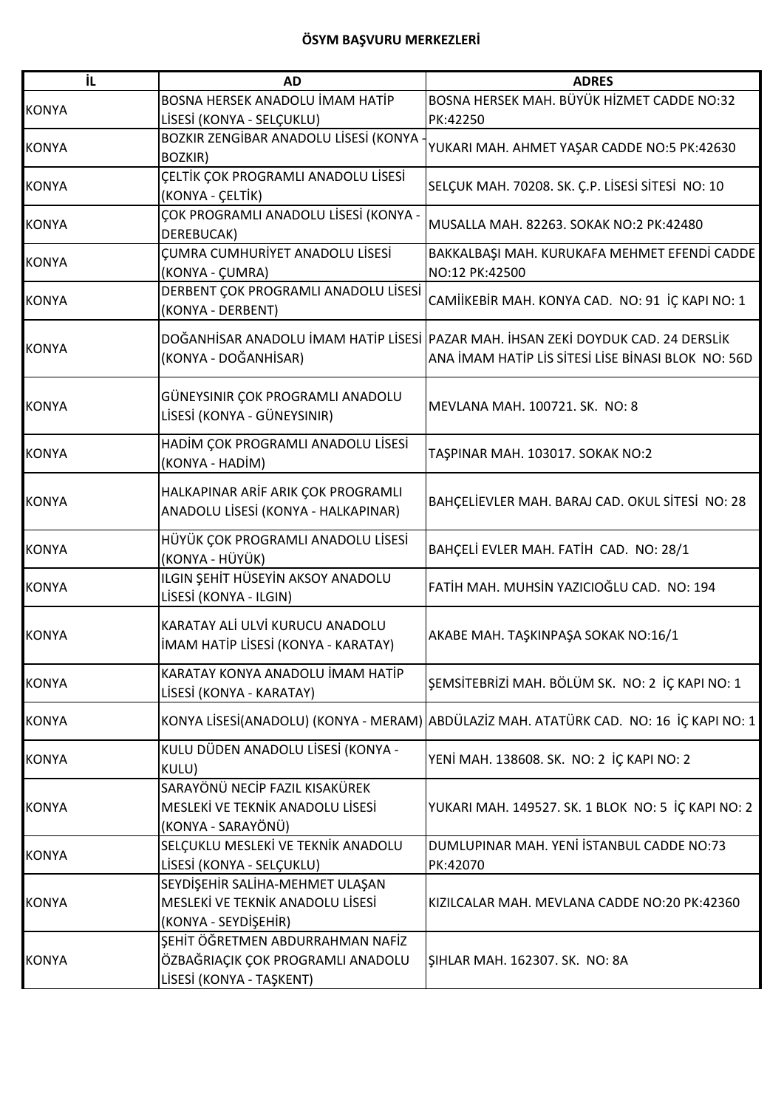| İL           | <b>AD</b>                                  | <b>ADRES</b>                                                                           |
|--------------|--------------------------------------------|----------------------------------------------------------------------------------------|
| <b>KONYA</b> | BOSNA HERSEK ANADOLU İMAM HATİP            | BOSNA HERSEK MAH. BÜYÜK HİZMET CADDE NO:32                                             |
|              | LİSESİ (KONYA - SELÇUKLU)                  | PK:42250                                                                               |
| <b>KONYA</b> | BOZKIR ZENGİBAR ANADOLU LİSESİ (KONYA      |                                                                                        |
|              | <b>BOZKIR)</b>                             | YUKARI MAH. AHMET YAŞAR CADDE NO:5 PK:42630                                            |
| <b>KONYA</b> | <b>CELTİK ÇOK PROGRAMLI ANADOLU LİSESİ</b> | SELÇUK MAH. 70208. SK. Ç.P. LİSESİ SİTESİ NO: 10                                       |
|              | (KONYA - ÇELTİK)                           |                                                                                        |
| <b>KONYA</b> | ÇOK PROGRAMLI ANADOLU LİSESİ (KONYA -      | MUSALLA MAH. 82263. SOKAK NO:2 PK:42480                                                |
|              | DEREBUCAK)                                 |                                                                                        |
| <b>KONYA</b> | <b>CUMRA CUMHURİYET ANADOLU LİSESİ</b>     | BAKKALBAŞI MAH. KURUKAFA MEHMET EFENDİ CADDE                                           |
|              | (KONYA - ÇUMRA)                            | NO:12 PK:42500                                                                         |
| <b>KONYA</b> | DERBENT ÇOK PROGRAMLI ANADOLU LİSESİ       | CAMIİKEBİR MAH. KONYA CAD. NO: 91 İÇ KAPI NO: 1                                        |
|              | (KONYA - DERBENT)                          |                                                                                        |
|              |                                            | DOĞANHİSAR ANADOLU İMAM HATİP LİSESİ PAZAR MAH. İHSAN ZEKİ DOYDUK CAD. 24 DERSLİK      |
| <b>KONYA</b> | (KONYA - DOĞANHİSAR)                       | ANA İMAM HATİP LİS SİTESİ LİSE BİNASI BLOK NO: 56D                                     |
|              |                                            |                                                                                        |
|              | GÜNEYSINIR ÇOK PROGRAMLI ANADOLU           |                                                                                        |
| <b>KONYA</b> | LİSESİ (KONYA - GÜNEYSINIR)                | MEVLANA MAH. 100721. SK. NO: 8                                                         |
|              |                                            |                                                                                        |
| <b>KONYA</b> | HADİM ÇOK PROGRAMLI ANADOLU LİSESİ         | TAŞPINAR MAH. 103017. SOKAK NO:2                                                       |
|              | (KONYA - HADİM)                            |                                                                                        |
|              | HALKAPINAR ARİF ARIK ÇOK PROGRAMLI         |                                                                                        |
| <b>KONYA</b> | ANADOLU LİSESİ (KONYA - HALKAPINAR)        | BAHÇELİEVLER MAH. BARAJ CAD. OKUL SİTESİ NO: 28                                        |
|              |                                            |                                                                                        |
| <b>KONYA</b> | HÜYÜK ÇOK PROGRAMLI ANADOLU LİSESİ         | BAHÇELİ EVLER MAH. FATİH CAD. NO: 28/1                                                 |
|              | (KONYA - HÜYÜK)                            |                                                                                        |
| <b>KONYA</b> | ILGIN ŞEHİT HÜSEYİN AKSOY ANADOLU          | FATİH MAH. MUHSİN YAZICIOĞLU CAD. NO: 194                                              |
|              | LİSESİ (KONYA - ILGIN)                     |                                                                                        |
|              | KARATAY ALI ULVI KURUCU ANADOLU            |                                                                                        |
| <b>KONYA</b> | İMAM HATİP LİSESİ (KONYA - KARATAY)        | AKABE MAH. TAŞKINPAŞA SOKAK NO:16/1                                                    |
|              |                                            |                                                                                        |
| <b>KONYA</b> | KARATAY KONYA ANADOLU İMAM HATİP           | ŞEMSİTEBRİZİ MAH. BÖLÜM SK. NO: 2 İÇ KAPI NO: 1                                        |
|              | LİSESİ (KONYA - KARATAY)                   |                                                                                        |
| <b>KONYA</b> |                                            | KONYA LİSESİ(ANADOLU) (KONYA - MERAM) ABDÜLAZİZ MAH. ATATÜRK CAD. NO: 16 İÇ KAPI NO: 1 |
|              |                                            |                                                                                        |
| <b>KONYA</b> | KULU DÜDEN ANADOLU LİSESİ (KONYA -         | YENİ MAH. 138608. SK. NO: 2 İÇ KAPI NO: 2                                              |
|              | KULU)                                      |                                                                                        |
|              | SARAYÖNÜ NECİP FAZIL KISAKÜREK             |                                                                                        |
| <b>KONYA</b> | MESLEKİ VE TEKNİK ANADOLU LİSESİ           | YUKARI MAH. 149527. SK. 1 BLOK NO: 5 İÇ KAPI NO: 2                                     |
|              | (KONYA - SARAYÖNÜ)                         |                                                                                        |
| <b>KONYA</b> | SELÇUKLU MESLEKİ VE TEKNİK ANADOLU         | DUMLUPINAR MAH. YENİ İSTANBUL CADDE NO:73                                              |
|              | LİSESİ (KONYA - SELÇUKLU)                  | PK:42070                                                                               |
|              | SEYDİŞEHİR SALİHA-MEHMET ULAŞAN            |                                                                                        |
| <b>KONYA</b> | MESLEKİ VE TEKNİK ANADOLU LİSESİ           | KIZILCALAR MAH. MEVLANA CADDE NO:20 PK:42360                                           |
|              | (KONYA - SEYDİŞEHİR)                       |                                                                                        |
|              | ŞEHİT ÖĞRETMEN ABDURRAHMAN NAFİZ           |                                                                                        |
| <b>KONYA</b> | ÖZBAĞRIAÇIK ÇOK PROGRAMLI ANADOLU          | SIHLAR MAH. 162307. SK. NO: 8A                                                         |
|              | LİSESİ (KONYA - TAŞKENT)                   |                                                                                        |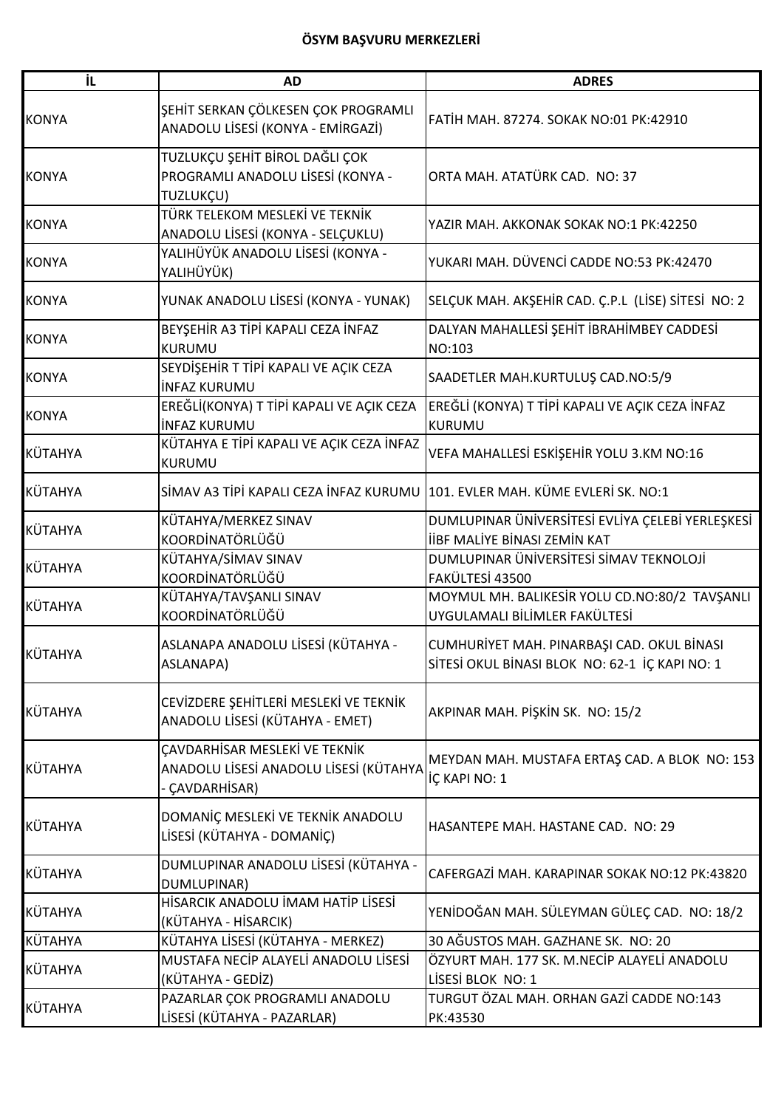| İL           | <b>AD</b>                                                                               | <b>ADRES</b>                                                                                 |
|--------------|-----------------------------------------------------------------------------------------|----------------------------------------------------------------------------------------------|
| <b>KONYA</b> | ŞEHİT SERKAN ÇÖLKESEN ÇOK PROGRAMLI<br>ANADOLU LİSESİ (KONYA - EMİRGAZİ)                | FATİH MAH. 87274. SOKAK NO:01 PK:42910                                                       |
| <b>KONYA</b> | TUZLUKÇU ŞEHİT BİROL DAĞLI ÇOK<br>PROGRAMLI ANADOLU LİSESİ (KONYA -<br>TUZLUKÇU)        | ORTA MAH. ATATÜRK CAD. NO: 37                                                                |
| <b>KONYA</b> | TÜRK TELEKOM MESLEKİ VE TEKNİK<br>ANADOLU LİSESİ (KONYA - SELÇUKLU)                     | YAZIR MAH. AKKONAK SOKAK NO:1 PK:42250                                                       |
| <b>KONYA</b> | YALIHÜYÜK ANADOLU LİSESİ (KONYA -<br>YALIHÜYÜK)                                         | YUKARI MAH. DÜVENCİ CADDE NO:53 PK:42470                                                     |
| <b>KONYA</b> | YUNAK ANADOLU LİSESİ (KONYA - YUNAK)                                                    | SELÇUK MAH. AKŞEHİR CAD. Ç.P.L (LİSE) SİTESİ NO: 2                                           |
| <b>KONYA</b> | BEYŞEHİR A3 TİPİ KAPALI CEZA İNFAZ<br><b>KURUMU</b>                                     | DALYAN MAHALLESİ ŞEHİT İBRAHİMBEY CADDESİ<br>NO:103                                          |
| <b>KONYA</b> | SEYDİŞEHİR T TİPİ KAPALI VE AÇIK CEZA<br><b>INFAZ KURUMU</b>                            | SAADETLER MAH.KURTULUŞ CAD.NO:5/9                                                            |
| <b>KONYA</b> | EREĞLİ(KONYA) T TİPİ KAPALI VE AÇIK CEZA<br><b>İNFAZ KURUMU</b>                         | EREĞLİ (KONYA) T TİPİ KAPALI VE AÇIK CEZA İNFAZ<br><b>KURUMU</b>                             |
| KÜTAHYA      | KÜTAHYA E TİPİ KAPALI VE AÇIK CEZA İNFAZ<br><b>KURUMU</b>                               | VEFA MAHALLESİ ESKİŞEHİR YOLU 3.KM NO:16                                                     |
| KÜTAHYA      | SİMAV A3 TİPİ KAPALI CEZA İNFAZ KURUMU 101. EVLER MAH. KÜME EVLERİ SK. NO:1             |                                                                                              |
| KÜTAHYA      | KÜTAHYA/MERKEZ SINAV<br>KOORDİNATÖRLÜĞÜ                                                 | DUMLUPINAR ÜNIVERSITESI EVLIYA ÇELEBI YERLEŞKESI<br><b>İİBF MALİYE BİNASI ZEMİN KAT</b>      |
| KÜTAHYA      | KÜTAHYA/SİMAV SINAV<br>KOORDİNATÖRLÜĞÜ                                                  | DUMLUPINAR ÜNIVERSITESI SİMAV TEKNOLOJİ<br>FAKÜLTESİ 43500                                   |
| KÜTAHYA      | KÜTAHYA/TAVŞANLI SINAV<br>KOORDİNATÖRLÜĞÜ                                               | MOYMUL MH. BALIKESİR YOLU CD.NO:80/2 TAVŞANLI<br>UYGULAMALI BİLİMLER FAKÜLTESİ               |
| KÜTAHYA      | ASLANAPA ANADOLU LİSESİ (KÜTAHYA -<br>ASLANAPA)                                         | CUMHURİYET MAH. PINARBAŞI CAD. OKUL BİNASI<br>SİTESİ OKUL BİNASI BLOK NO: 62-1 İÇ KAPI NO: 1 |
| KÜTAHYA      | CEVİZDERE ŞEHİTLERİ MESLEKİ VE TEKNİK<br>ANADOLU LİSESİ (KÜTAHYA - EMET)                | AKPINAR MAH. PİŞKİN SK. NO: 15/2                                                             |
| KÜTAHYA      | ÇAVDARHİSAR MESLEKİ VE TEKNİK<br>ANADOLU LİSESİ ANADOLU LİSESİ (KÜTAHYA<br>CAVDARHISAR) | MEYDAN MAH. MUSTAFA ERTAŞ CAD. A BLOK NO: 153<br>İÇ KAPI NO: 1                               |
| KÜTAHYA      | DOMANIÇ MESLEKİ VE TEKNİK ANADOLU<br>LİSESİ (KÜTAHYA - DOMANİÇ)                         | HASANTEPE MAH. HASTANE CAD. NO: 29                                                           |
| KÜTAHYA      | DUMLUPINAR ANADOLU LİSESİ (KÜTAHYA -<br>DUMLUPINAR)                                     | CAFERGAZİ MAH. KARAPINAR SOKAK NO:12 PK:43820                                                |
| KÜTAHYA      | HİSARCIK ANADOLU İMAM HATİP LİSESİ<br>(KÜTAHYA - HİSARCIK)                              | YENİDOĞAN MAH. SÜLEYMAN GÜLEÇ CAD. NO: 18/2                                                  |
| KÜTAHYA      | KÜTAHYA LİSESİ (KÜTAHYA - MERKEZ)                                                       | 30 AĞUSTOS MAH. GAZHANE SK. NO: 20                                                           |
| KÜTAHYA      | MUSTAFA NECIP ALAYELI ANADOLU LISESI<br>(KÜTAHYA - GEDİZ)                               | ÖZYURT MAH. 177 SK. M.NECİP ALAYELİ ANADOLU<br>LİSESİ BLOK NO: 1                             |
| KÜTAHYA      | PAZARLAR ÇOK PROGRAMLI ANADOLU<br>LİSESİ (KÜTAHYA - PAZARLAR)                           | TURGUT ÖZAL MAH. ORHAN GAZİ CADDE NO:143<br>PK:43530                                         |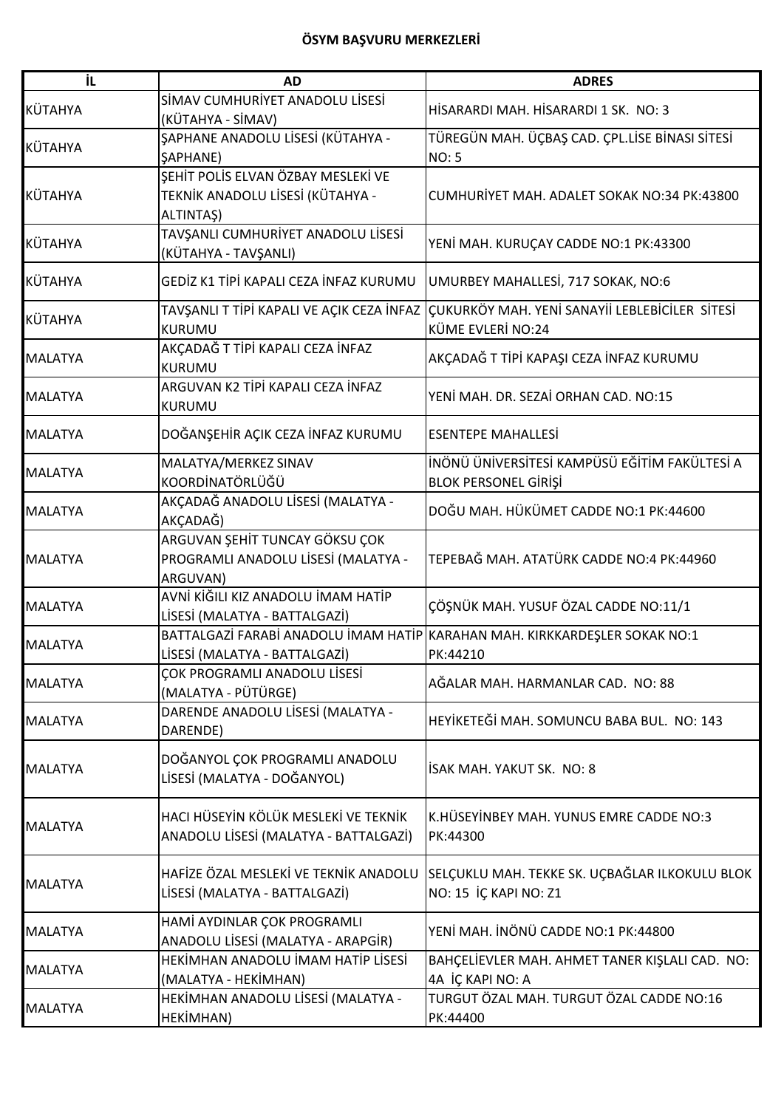| İL.            | <b>AD</b>                                                                           | <b>ADRES</b>                                                                                                  |
|----------------|-------------------------------------------------------------------------------------|---------------------------------------------------------------------------------------------------------------|
| KÜTAHYA        | SİMAV CUMHURİYET ANADOLU LİSESİ<br>(KÜTAHYA - SİMAV)                                | HİSARARDI MAH, HİSARARDI 1 SK. NO: 3                                                                          |
| KÜTAHYA        | ŞAPHANE ANADOLU LİSESİ (KÜTAHYA -<br><b><i>SAPHANE</i></b> )                        | TÜREGÜN MAH. ÜÇBAŞ CAD. ÇPL.LİSE BİNASI SİTESİ<br><b>NO: 5</b>                                                |
| KÜTAHYA        | SEHİT POLİS ELVAN ÖZBAY MESLEKİ VE<br>TEKNİK ANADOLU LİSESİ (KÜTAHYA -<br>ALTINTAŞ) | CUMHURİYET MAH. ADALET SOKAK NO:34 PK:43800                                                                   |
| KÜTAHYA        | TAVŞANLI CUMHURİYET ANADOLU LİSESİ<br>(KÜTAHYA - TAVŞANLI)                          | YENİ MAH. KURUÇAY CADDE NO:1 PK:43300                                                                         |
| KÜTAHYA        | GEDİZ K1 TİPİ KAPALI CEZA İNFAZ KURUMU                                              | UMURBEY MAHALLESİ, 717 SOKAK, NO:6                                                                            |
| KÜTAHYA        | <b>KURUMU</b>                                                                       | TAVŞANLI T TİPİ KAPALI VE AÇIK CEZA İNFAZ ÇUKURKÖY MAH. YENİ SANAYİİ LEBLEBİCİLER SİTESİ<br>KÜME EVLERİ NO:24 |
| <b>MALATYA</b> | AKÇADAĞ T TİPİ KAPALI CEZA İNFAZ<br>KURUMU                                          | AKÇADAĞ T TİPİ KAPAŞI CEZA İNFAZ KURUMU                                                                       |
| <b>MALATYA</b> | ARGUVAN K2 TİPİ KAPALI CEZA İNFAZ<br>KURUMU                                         | YENİ MAH. DR. SEZAİ ORHAN CAD. NO:15                                                                          |
| <b>MALATYA</b> | DOĞANŞEHİR AÇIK CEZA İNFAZ KURUMU                                                   | <b>ESENTEPE MAHALLESİ</b>                                                                                     |
| <b>MALATYA</b> | MALATYA/MERKEZ SINAV<br>KOORDİNATÖRLÜĞÜ                                             | İNÖNÜ ÜNİVERSİTESİ KAMPÜSÜ EĞİTİM FAKÜLTESİ A<br><b>BLOK PERSONEL GİRİŞİ</b>                                  |
| <b>MALATYA</b> | AKÇADAĞ ANADOLU LİSESİ (MALATYA -<br>AKÇADAĞ)                                       | DOĞU MAH. HÜKÜMET CADDE NO:1 PK:44600                                                                         |
| <b>MALATYA</b> | ARGUVAN ŞEHİT TUNCAY GÖKSU ÇOK<br>PROGRAMLI ANADOLU LİSESİ (MALATYA -<br>ARGUVAN)   | TEPEBAĞ MAH. ATATÜRK CADDE NO:4 PK:44960                                                                      |
| <b>MALATYA</b> | AVNİ KİĞILI KIZ ANADOLU İMAM HATİP<br>LİSESİ (MALATYA - BATTALGAZİ)                 | ÇÖŞNÜK MAH. YUSUF ÖZAL CADDE NO:11/1                                                                          |
| <b>MALATYA</b> | BATTALGAZİ FARABİ ANADOLU İMAM HATİP<br>LİSESİ (MALATYA - BATTALGAZİ)               | KARAHAN MAH. KIRKKARDEŞLER SOKAK NO:1<br>PK:44210                                                             |
| <b>MALATYA</b> | ÇOK PROGRAMLI ANADOLU LİSESİ<br>(MALATYA - PÜTÜRGE)                                 | AĞALAR MAH. HARMANLAR CAD. NO: 88                                                                             |
| <b>MALATYA</b> | DARENDE ANADOLU LİSESİ (MALATYA -<br>DARENDE)                                       | HEYİKETEĞİ MAH. SOMUNCU BABA BUL. NO: 143                                                                     |
| <b>MALATYA</b> | DOĞANYOL ÇOK PROGRAMLI ANADOLU<br>LİSESİ (MALATYA - DOĞANYOL)                       | İSAK MAH. YAKUT SK. NO: 8                                                                                     |
| <b>MALATYA</b> | HACI HÜSEYİN KÖLÜK MESLEKİ VE TEKNİK<br>ANADOLU LISESI (MALATYA - BATTALGAZI)       | K.HÜSEYİNBEY MAH. YUNUS EMRE CADDE NO:3<br>PK:44300                                                           |
| <b>MALATYA</b> | HAFİZE ÖZAL MESLEKİ VE TEKNİK ANADOLU<br>LİSESİ (MALATYA - BATTALGAZİ)              | SELÇUKLU MAH. TEKKE SK. UÇBAĞLAR ILKOKULU BLOK<br>NO: 15 İÇ KAPI NO: Z1                                       |
| <b>MALATYA</b> | HAMİ AYDINLAR ÇOK PROGRAMLI<br>ANADOLU LİSESİ (MALATYA - ARAPGİR)                   | YENİ MAH. İNÖNÜ CADDE NO:1 PK:44800                                                                           |
| <b>MALATYA</b> | HEKİMHAN ANADOLU İMAM HATİP LİSESİ<br>(MALATYA - HEKİMHAN)                          | BAHÇELİEVLER MAH. AHMET TANER KIŞLALI CAD. NO:<br>4A İÇ KAPI NO: A                                            |
| <b>MALATYA</b> | HEKİMHAN ANADOLU LİSESİ (MALATYA -<br>HEKİMHAN)                                     | TURGUT ÖZAL MAH. TURGUT ÖZAL CADDE NO:16<br>PK:44400                                                          |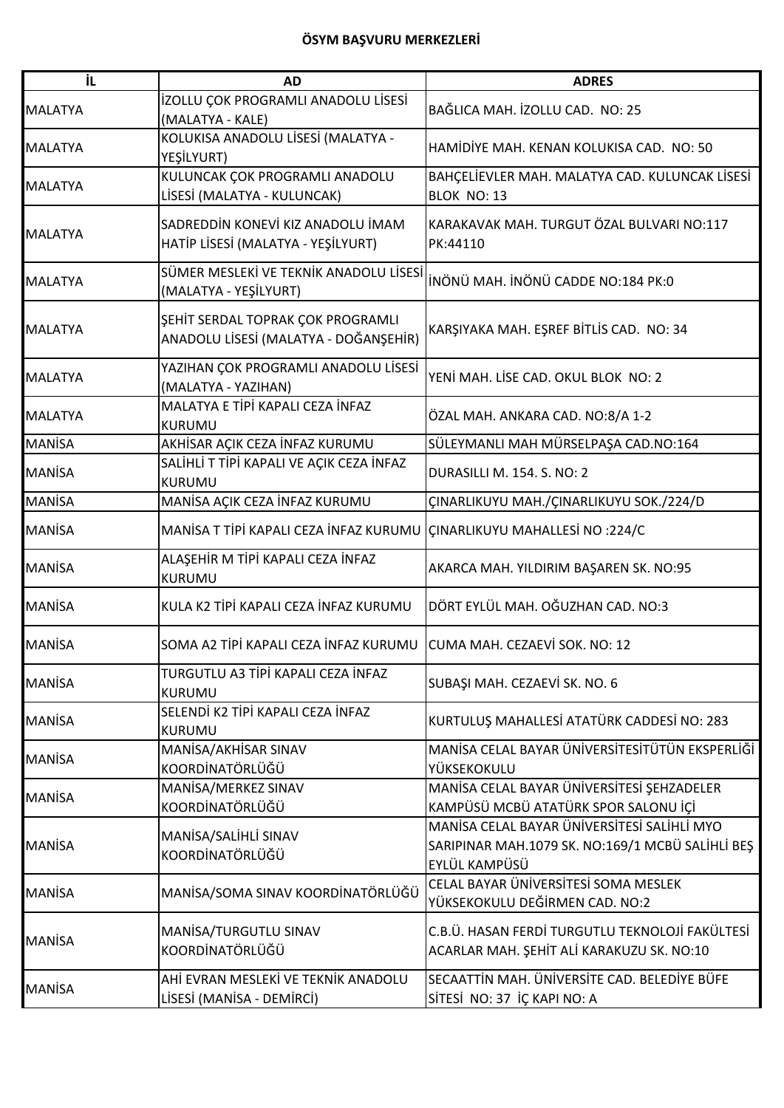| İL             | <b>AD</b>                                                           | <b>ADRES</b>                                                                       |
|----------------|---------------------------------------------------------------------|------------------------------------------------------------------------------------|
|                | İZOLLU ÇOK PROGRAMLI ANADOLU LİSESİ                                 |                                                                                    |
| <b>MALATYA</b> | (MALATYA - KALE)                                                    | BAĞLICA MAH. İZOLLU CAD. NO: 25                                                    |
| <b>MALATYA</b> | KOLUKISA ANADOLU LİSESİ (MALATYA -                                  | HAMİDİYE MAH. KENAN KOLUKISA CAD. NO: 50                                           |
|                | YEŞİLYURT)                                                          |                                                                                    |
| <b>MALATYA</b> | KULUNCAK ÇOK PROGRAMLI ANADOLU                                      | BAHÇELİEVLER MAH. MALATYA CAD. KULUNCAK LİSESİ                                     |
|                | LİSESİ (MALATYA - KULUNCAK)                                         | BLOK NO: 13                                                                        |
|                | SADREDDİN KONEVİ KIZ ANADOLU İMAM                                   | KARAKAVAK MAH. TURGUT ÖZAL BULVARI NO:117                                          |
| <b>MALATYA</b> | HATİP LİSESİ (MALATYA - YEŞİLYURT)                                  | PK:44110                                                                           |
|                |                                                                     |                                                                                    |
| <b>MALATYA</b> | SÜMER MESLEKİ VE TEKNİK ANADOLU LİSESİ                              | İNÖNÜ MAH. İNÖNÜ CADDE NO:184 PK:0                                                 |
|                | (MALATYA - YEŞİLYURT)                                               |                                                                                    |
|                | ŞEHİT SERDAL TOPRAK ÇOK PROGRAMLI                                   |                                                                                    |
| <b>MALATYA</b> | ANADOLU LİSESİ (MALATYA - DOĞANŞEHİR)                               | KARŞIYAKA MAH. EŞREF BİTLİS CAD. NO: 34                                            |
|                |                                                                     |                                                                                    |
| <b>MALATYA</b> | YAZIHAN ÇOK PROGRAMLI ANADOLU LİSESİ                                | YENİ MAH. LİSE CAD. OKUL BLOK NO: 2                                                |
|                | (MALATYA - YAZIHAN)<br>MALATYA E TİPİ KAPALI CEZA İNFAZ             |                                                                                    |
| <b>MALATYA</b> | KURUMU                                                              | ÖZAL MAH. ANKARA CAD. NO:8/A 1-2                                                   |
| <b>MANISA</b>  | AKHISAR AÇIK CEZA İNFAZ KURUMU                                      | SÜLEYMANLI MAH MÜRSELPAŞA CAD.NO:164                                               |
|                | SALİHLİ T TİPİ KAPALI VE AÇIK CEZA İNFAZ                            |                                                                                    |
| <b>MANISA</b>  | KURUMU                                                              | DURASILLI M. 154. S. NO: 2                                                         |
| <b>MANISA</b>  | MANISA AÇIK CEZA İNFAZ KURUMU                                       | ÇINARLIKUYU MAH./ÇINARLIKUYU SOK./224/D                                            |
|                |                                                                     |                                                                                    |
| <b>MANISA</b>  | MANISA T TIPI KAPALI CEZA İNFAZ KURUMU                              | <b>CINARLIKUYU MAHALLESİ NO :224/C</b>                                             |
|                | ALAŞEHİR M TİPİ KAPALI CEZA İNFAZ                                   |                                                                                    |
| <b>MANISA</b>  | <b>KURUMU</b>                                                       | AKARCA MAH. YILDIRIM BAŞAREN SK. NO:95                                             |
| <b>MANISA</b>  | KULA K2 TİPİ KAPALI CEZA İNFAZ KURUMU                               | DÖRT EYLÜL MAH, OĞUZHAN CAD, NO:3                                                  |
|                |                                                                     |                                                                                    |
| <b>MANISA</b>  | SOMA A2 TİPİ KAPALI CEZA İNFAZ KURUMU CUMA MAH. CEZAEVİ SOK. NO: 12 |                                                                                    |
|                |                                                                     |                                                                                    |
| <b>MANİSA</b>  | TURGUTLU A3 TİPİ KAPALI CEZA İNFAZ                                  | SUBAŞI MAH. CEZAEVİ SK. NO. 6                                                      |
|                | <b>KURUMU</b>                                                       |                                                                                    |
| <b>MANISA</b>  | SELENDİ K2 TİPİ KAPALI CEZA İNFAZ                                   | KURTULUŞ MAHALLESİ ATATÜRK CADDESİ NO: 283                                         |
|                | <b>KURUMU</b>                                                       |                                                                                    |
| <b>MANISA</b>  | MANISA/AKHISAR SINAV<br>KOORDİNATÖRLÜĞÜ                             | MANİSA CELAL BAYAR ÜNİVERSİTESİTÜTÜN EKSPERLİĞİ<br>YÜKSEKOKULU                     |
|                | MANISA/MERKEZ SINAV                                                 |                                                                                    |
| <b>MANISA</b>  | KOORDİNATÖRLÜĞÜ                                                     | MANİSA CELAL BAYAR ÜNİVERSİTESİ ŞEHZADELER<br>KAMPÜSÜ MCBÜ ATATÜRK SPOR SALONU İÇİ |
|                |                                                                     | MANİSA CELAL BAYAR ÜNİVERSİTESİ SALİHLİ MYO                                        |
| <b>MANISA</b>  | MANISA/SALIHLI SINAV                                                | SARIPINAR MAH.1079 SK. NO:169/1 MCBÜ SALİHLİ BEŞ                                   |
|                | KOORDİNATÖRLÜĞÜ                                                     | EYLÜL KAMPÜSÜ                                                                      |
|                |                                                                     | CELAL BAYAR ÜNİVERSİTESİ SOMA MESLEK                                               |
| <b>MANISA</b>  | MANİSA/SOMA SINAV KOORDİNATÖRLÜĞÜ                                   | YÜKSEKOKULU DEĞİRMEN CAD. NO:2                                                     |
|                |                                                                     |                                                                                    |
| <b>MANISA</b>  | MANISA/TURGUTLU SINAV                                               | C.B.Ü. HASAN FERDİ TURGUTLU TEKNOLOJİ FAKÜLTESİ                                    |
|                | KOORDİNATÖRLÜĞÜ                                                     | ACARLAR MAH. ŞEHİT ALİ KARAKUZU SK. NO:10                                          |
|                | AHİ EVRAN MESLEKİ VE TEKNİK ANADOLU                                 | SECAATTİN MAH. ÜNİVERSİTE CAD. BELEDİYE BÜFE                                       |
| <b>MANISA</b>  | LİSESİ (MANİSA - DEMİRCİ)                                           | SİTESİ NO: 37 İÇ KAPI NO: A                                                        |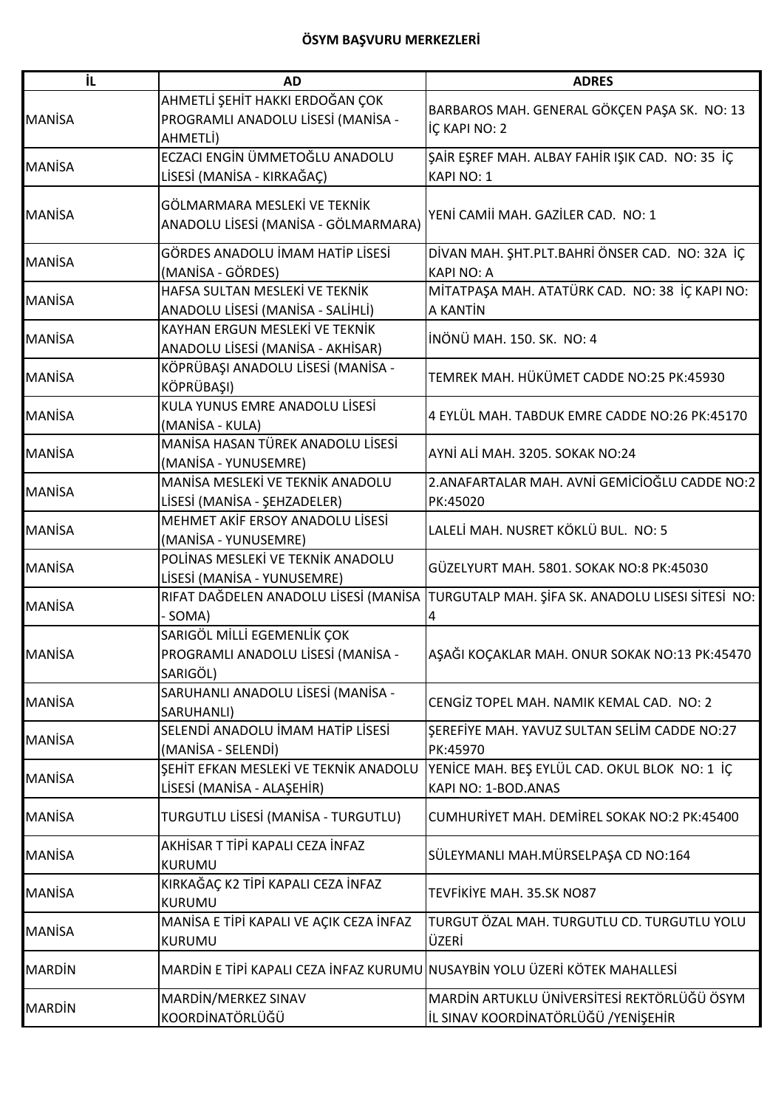| İL.           | <b>AD</b>                                                                         | <b>ADRES</b>                                                                                 |
|---------------|-----------------------------------------------------------------------------------|----------------------------------------------------------------------------------------------|
| <b>MANISA</b> | AHMETLİ ŞEHİT HAKKI ERDOĞAN ÇOK<br>PROGRAMLI ANADOLU LİSESİ (MANİSA -<br>AHMETLİ) | BARBAROS MAH. GENERAL GÖKÇEN PAŞA SK. NO: 13<br>İÇ KAPI NO: 2                                |
| <b>MANISA</b> | ECZACI ENGİN ÜMMETOĞLU ANADOLU<br>LİSESİ (MANİSA - KIRKAĞAÇ)                      | ŞAİR EŞREF MAH. ALBAY FAHİR IŞIK CAD. NO: 35 İÇ<br>KAPI NO: 1                                |
| <b>MANISA</b> | GÖLMARMARA MESLEKİ VE TEKNİK<br>ANADOLU LİSESİ (MANİSA - GÖLMARMARA)              | YENİ CAMİİ MAH. GAZİLER CAD. NO: 1                                                           |
| <b>MANISA</b> | GÖRDES ANADOLU İMAM HATİP LİSESİ<br>(MANISA - GÖRDES)                             | DİVAN MAH. ŞHT.PLT.BAHRİ ÖNSER CAD. NO: 32A İÇ<br><b>KAPI NO: A</b>                          |
| <b>MANISA</b> | HAFSA SULTAN MESLEKİ VE TEKNİK<br>ANADOLU LİSESİ (MANİSA - SALİHLİ)               | MİTATPAŞA MAH. ATATÜRK CAD. NO: 38 İÇ KAPI NO:<br>A KANTİN                                   |
| <b>MANISA</b> | KAYHAN ERGUN MESLEKİ VE TEKNİK<br>ANADOLU LİSESİ (MANİSA - AKHİSAR)               | İNÖNÜ MAH, 150, SK. NO: 4                                                                    |
| <b>MANISA</b> | KÖPRÜBAŞI ANADOLU LİSESİ (MANİSA -<br>KÖPRÜBAŞI)                                  | TEMREK MAH. HÜKÜMET CADDE NO:25 PK:45930                                                     |
| <b>MANISA</b> | KULA YUNUS EMRE ANADOLU LİSESİ<br>(MANISA - KULA)                                 | 4 EYLÜL MAH. TABDUK EMRE CADDE NO:26 PK:45170                                                |
| <b>MANISA</b> | MANISA HASAN TÜREK ANADOLU LISESI<br>(MANISA - YUNUSEMRE)                         | AYNİ ALİ MAH. 3205. SOKAK NO:24                                                              |
| <b>MANISA</b> | MANISA MESLEKI VE TEKNIK ANADOLU<br>LİSESİ (MANİSA - ŞEHZADELER)                  | 2.ANAFARTALAR MAH. AVNİ GEMİCİOĞLU CADDE NO:2<br>PK:45020                                    |
| <b>MANISA</b> | MEHMET AKİF ERSOY ANADOLU LİSESİ<br>(MANISA - YUNUSEMRE)                          | LALELİ MAH. NUSRET KÖKLÜ BUL. NO: 5                                                          |
| <b>MANISA</b> | POLINAS MESLEKİ VE TEKNİK ANADOLU<br>LİSESİ (MANİSA - YUNUSEMRE)                  | GÜZELYURT MAH. 5801. SOKAK NO:8 PK:45030                                                     |
| <b>MANISA</b> | - SOMA)                                                                           | RIFAT DAĞDELEN ANADOLU LİSESİ (MANİSA TURGUTALP MAH. ŞİFA SK. ANADOLU LISESI SİTESİ NO:<br>4 |
| <b>MANISA</b> | SARIGÖL MİLLİ EGEMENLİK ÇOK<br>PROGRAMLI ANADOLU LISESI (MANISA -<br>SARIGÖL)     | AŞAĞI KOÇAKLAR MAH. ONUR SOKAK NO:13 PK:45470                                                |
| <b>MANISA</b> | SARUHANLI ANADOLU LİSESİ (MANİSA -<br>SARUHANLI)                                  | CENGIZ TOPEL MAH. NAMIK KEMAL CAD. NO: 2                                                     |
| <b>MANISA</b> | SELENDİ ANADOLU İMAM HATİP LİSESİ<br>(MANISA - SELENDI)                           | ŞEREFİYE MAH. YAVUZ SULTAN SELİM CADDE NO:27<br>PK:45970                                     |
| <b>MANISA</b> | ŞEHİT EFKAN MESLEKİ VE TEKNİK ANADOLU<br>LİSESİ (MANİSA - ALAŞEHİR)               | YENİCE MAH. BEŞ EYLÜL CAD. OKUL BLOK NO: 1 İÇ<br>KAPI NO: 1-BOD.ANAS                         |
| <b>MANISA</b> | TURGUTLU LISESI (MANISA - TURGUTLU)                                               | CUMHURİYET MAH. DEMİREL SOKAK NO:2 PK:45400                                                  |
| <b>MANISA</b> | AKHİSAR T TİPİ KAPALI CEZA İNFAZ<br>KURUMU                                        | SÜLEYMANLI MAH.MÜRSELPAŞA CD NO:164                                                          |
| <b>MANISA</b> | KIRKAĞAÇ K2 TİPİ KAPALI CEZA İNFAZ<br><b>KURUMU</b>                               | TEVFİKİYE MAH. 35.SK NO87                                                                    |
| <b>MANİSA</b> | MANISA E TIPI KAPALI VE AÇIK CEZA İNFAZ<br><b>KURUMU</b>                          | TURGUT ÖZAL MAH. TURGUTLU CD. TURGUTLU YOLU<br>ÜZERİ                                         |
| <b>MARDIN</b> | MARDİN E TİPİ KAPALI CEZA İNFAZ KURUMU NUSAYBİN YOLU ÜZERİ KÖTEK MAHALLESİ        |                                                                                              |
| <b>MARDIN</b> | MARDİN/MERKEZ SINAV<br>KOORDİNATÖRLÜĞÜ                                            | MARDİN ARTUKLU ÜNİVERSİTESİ REKTÖRLÜĞÜ ÖSYM<br>İL SINAV KOORDİNATÖRLÜĞÜ /YENİŞEHİR           |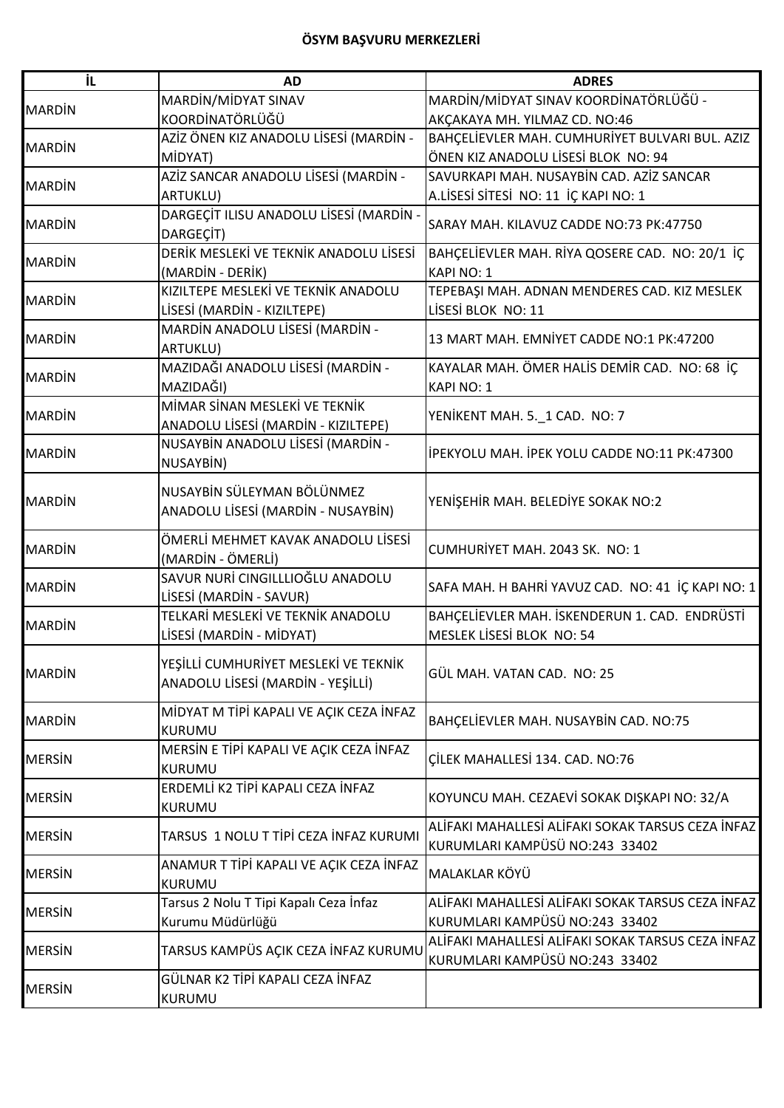| İL            | <b>AD</b>                               | <b>ADRES</b>                                      |
|---------------|-----------------------------------------|---------------------------------------------------|
| <b>MARDIN</b> | MARDİN/MİDYAT SINAV                     | MARDİN/MİDYAT SINAV KOORDİNATÖRLÜĞÜ -             |
|               | KOORDİNATÖRLÜĞÜ                         | AKÇAKAYA MH. YILMAZ CD. NO:46                     |
|               | AZİZ ÖNEN KIZ ANADOLU LİSESİ (MARDİN -  | BAHÇELİEVLER MAH. CUMHURİYET BULVARI BUL. AZIZ    |
| <b>MARDIN</b> | MİDYAT)                                 | ÖNEN KIZ ANADOLU LİSESİ BLOK NO: 94               |
|               | AZİZ SANCAR ANADOLU LİSESİ (MARDİN -    | SAVURKAPI MAH. NUSAYBİN CAD. AZİZ SANCAR          |
| <b>MARDIN</b> | ARTUKLU)                                | A.LİSESİ SİTESİ NO: 11 İÇ KAPI NO: 1              |
|               | DARGEÇİT ILISU ANADOLU LİSESİ (MARDİN - |                                                   |
| <b>MARDIN</b> | DARGEÇİT)                               | SARAY MAH. KILAVUZ CADDE NO:73 PK:47750           |
|               | DERİK MESLEKİ VE TEKNİK ANADOLU LİSESİ  | BAHÇELİEVLER MAH. RİYA QOSERE CAD. NO: 20/1 İÇ    |
| <b>MARDIN</b> | (MARDİN - DERİK)                        | KAPI NO: 1                                        |
|               | KIZILTEPE MESLEKİ VE TEKNİK ANADOLU     | TEPEBAŞI MAH. ADNAN MENDERES CAD. KIZ MESLEK      |
| <b>MARDIN</b> | LİSESİ (MARDİN - KIZILTEPE)             | LİSESİ BLOK NO: 11                                |
|               | MARDİN ANADOLU LİSESİ (MARDİN -         |                                                   |
| <b>MARDIN</b> | ARTUKLU)                                | 13 MART MAH. EMNİYET CADDE NO:1 PK:47200          |
|               | MAZIDAĞI ANADOLU LİSESİ (MARDİN -       | KAYALAR MAH. ÖMER HALİS DEMİR CAD. NO: 68 İÇ      |
| <b>MARDIN</b> | MAZIDAĞI)                               | <b>KAPI NO: 1</b>                                 |
|               | MİMAR SİNAN MESLEKİ VE TEKNİK           |                                                   |
| <b>MARDIN</b> | ANADOLU LİSESİ (MARDİN - KIZILTEPE)     | YENİKENT MAH. 5._1 CAD. NO: 7                     |
|               | NUSAYBİN ANADOLU LİSESİ (MARDİN -       |                                                   |
| <b>MARDIN</b> | NUSAYBİN)                               | IPEKYOLU MAH. IPEK YOLU CADDE NO:11 PK:47300      |
|               |                                         |                                                   |
| <b>MARDIN</b> | NUSAYBİN SÜLEYMAN BÖLÜNMEZ              | YENİŞEHİR MAH. BELEDİYE SOKAK NO:2                |
|               | ANADOLU LİSESİ (MARDİN - NUSAYBİN)      |                                                   |
|               | ÖMERLİ MEHMET KAVAK ANADOLU LİSESİ      |                                                   |
| <b>MARDIN</b> | (MARDİN - ÖMERLİ)                       | CUMHURİYET MAH. 2043 SK. NO: 1                    |
|               | SAVUR NURİ CINGILLLIOĞLU ANADOLU        |                                                   |
| <b>MARDIN</b> | LİSESİ (MARDİN - SAVUR)                 | SAFA MAH. H BAHRİ YAVUZ CAD. NO: 41 İÇ KAPI NO: 1 |
|               | TELKARİ MESLEKİ VE TEKNİK ANADOLU       | BAHÇELİEVLER MAH. İSKENDERUN 1. CAD. ENDRÜSTİ     |
| <b>MARDIN</b> | LİSESİ (MARDİN - MİDYAT)                | MESLEK LİSESİ BLOK NO: 54                         |
|               |                                         |                                                   |
| <b>MARDIN</b> | YEŞİLLİ CUMHURİYET MESLEKİ VE TEKNİK    | GÜL MAH. VATAN CAD. NO: 25                        |
|               | ANADOLU LİSESİ (MARDİN - YEŞİLLİ)       |                                                   |
|               | MİDYAT M TİPİ KAPALI VE AÇIK CEZA İNFAZ |                                                   |
| <b>MARDIN</b> | <b>KURUMU</b>                           | BAHÇELİEVLER MAH. NUSAYBİN CAD. NO:75             |
|               | MERSIN E TIPI KAPALI VE AÇIK CEZA İNFAZ |                                                   |
| <b>MERSIN</b> | <b>KURUMU</b>                           | CILEK MAHALLESI 134. CAD. NO:76                   |
|               | ERDEMLİ K2 TİPİ KAPALI CEZA İNFAZ       |                                                   |
| <b>MERSIN</b> | KURUMU                                  | KOYUNCU MAH. CEZAEVİ SOKAK DIŞKAPI NO: 32/A       |
|               |                                         | ALİFAKI MAHALLESİ ALİFAKI SOKAK TARSUS CEZA İNFAZ |
| <b>MERSIN</b> | TARSUS 1 NOLU T TİPİ CEZA İNFAZ KURUMI  | KURUMLARI KAMPÜSÜ NO:243 33402                    |
| <b>MERSIN</b> | ANAMUR T TİPİ KAPALI VE AÇIK CEZA İNFAZ |                                                   |
|               | <b>KURUMU</b>                           | MALAKLAR KÖYÜ                                     |
|               | Tarsus 2 Nolu T Tipi Kapalı Ceza İnfaz  | ALİFAKI MAHALLESİ ALİFAKI SOKAK TARSUS CEZA İNFAZ |
| <b>MERSIN</b> | Kurumu Müdürlüğü                        | KURUMLARI KAMPÜSÜ NO:243 33402                    |
|               |                                         | ALİFAKI MAHALLESİ ALİFAKI SOKAK TARSUS CEZA İNFAZ |
| <b>MERSIN</b> | TARSUS KAMPÜS AÇIK CEZA İNFAZ KURUMU    | KURUMLARI KAMPÜSÜ NO:243 33402                    |
|               | GÜLNAR K2 TİPİ KAPALI CEZA İNFAZ        |                                                   |
| <b>MERSIN</b> | <b>KURUMU</b>                           |                                                   |
|               |                                         |                                                   |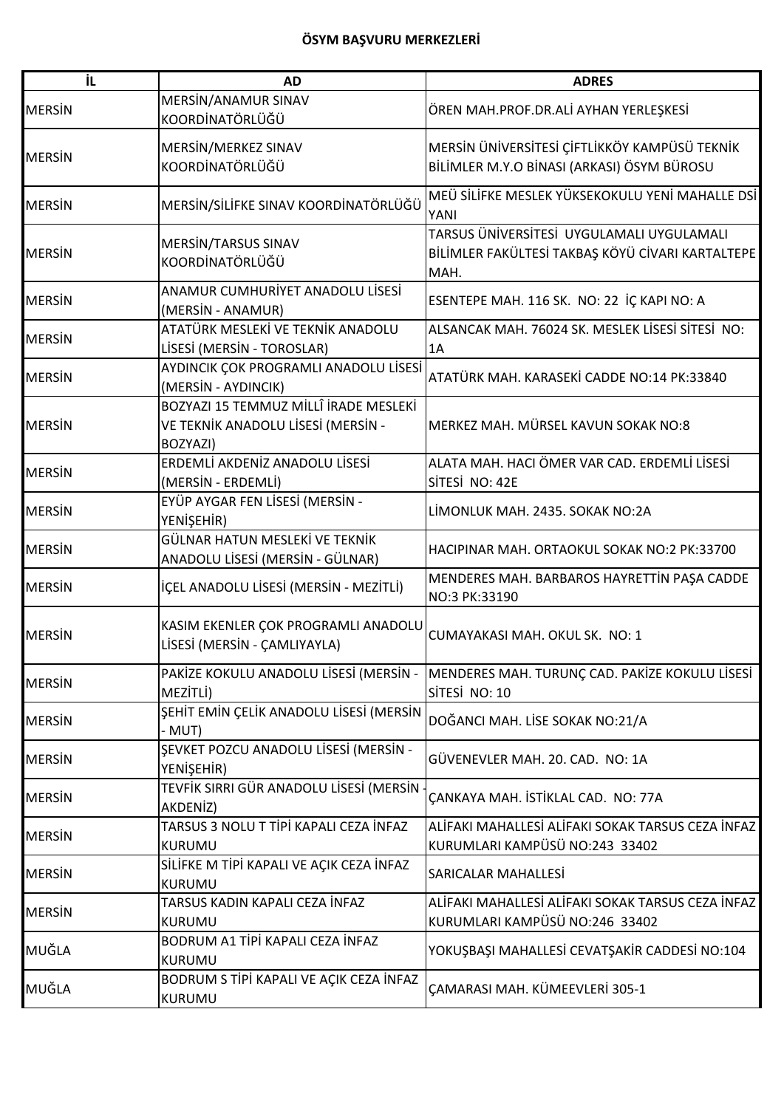| iL            | <b>AD</b>                                                                               | <b>ADRES</b>                                                                                          |
|---------------|-----------------------------------------------------------------------------------------|-------------------------------------------------------------------------------------------------------|
| <b>MERSIN</b> | MERSIN/ANAMUR SINAV<br>KOORDİNATÖRLÜĞÜ                                                  | ÖREN MAH.PROF.DR.ALİ AYHAN YERLEŞKESİ                                                                 |
| <b>MERSIN</b> | MERSIN/MERKEZ SINAV<br>KOORDİNATÖRLÜĞÜ                                                  | MERSİN ÜNİVERSİTESİ ÇİFTLİKKÖY KAMPÜSÜ TEKNİK<br>BİLİMLER M.Y.O BİNASI (ARKASI) ÖSYM BÜROSU           |
| <b>MERSIN</b> | MERSİN/SİLİFKE SINAV KOORDİNATÖRLÜĞÜ                                                    | MEÜ SİLİFKE MESLEK YÜKSEKOKULU YENİ MAHALLE DSİ<br>YANI                                               |
| <b>MERSIN</b> | MERSIN/TARSUS SINAV<br>KOORDİNATÖRLÜĞÜ                                                  | TARSUS ÜNIVERSITESI UYGULAMALI UYGULAMALI<br>BİLİMLER FAKÜLTESİ TAKBAŞ KÖYÜ CİVARI KARTALTEPE<br>MAH. |
| <b>MERSIN</b> | ANAMUR CUMHURİYET ANADOLU LİSESİ<br>(MERSIN - ANAMUR)                                   | ESENTEPE MAH. 116 SK. NO: 22 İÇ KAPI NO: A                                                            |
| <b>MERSIN</b> | ATATÜRK MESLEKİ VE TEKNİK ANADOLU<br>LİSESİ (MERSİN - TOROSLAR)                         | ALSANCAK MAH. 76024 SK. MESLEK LİSESİ SİTESİ NO:<br>1A                                                |
| <b>MERSIN</b> | AYDINCIK ÇOK PROGRAMLI ANADOLU LİSESİ<br>(MERSIN - AYDINCIK)                            | ATATÜRK MAH. KARASEKİ CADDE NO:14 PK:33840                                                            |
| <b>MERSIN</b> | BOZYAZI 15 TEMMUZ MİLLÎ İRADE MESLEKİ<br>VE TEKNİK ANADOLU LİSESİ (MERSİN -<br>BOZYAZI) | MERKEZ MAH. MÜRSEL KAVUN SOKAK NO:8                                                                   |
| <b>MERSIN</b> | ERDEMLİ AKDENİZ ANADOLU LİSESİ<br>(MERSİN - ERDEMLİ)                                    | ALATA MAH. HACI ÖMER VAR CAD. ERDEMLİ LİSESİ<br>SİTESİ NO: 42E                                        |
| <b>MERSIN</b> | EYÜP AYGAR FEN LİSESİ (MERSİN -<br>YENİŞEHİR)                                           | LİMONLUK MAH. 2435. SOKAK NO:2A                                                                       |
| <b>MERSIN</b> | GÜLNAR HATUN MESLEKİ VE TEKNİK<br>ANADOLU LİSESİ (MERSİN - GÜLNAR)                      | HACIPINAR MAH. ORTAOKUL SOKAK NO:2 PK:33700                                                           |
| <b>MERSIN</b> | İÇEL ANADOLU LİSESİ (MERSİN - MEZİTLİ)                                                  | MENDERES MAH. BARBAROS HAYRETTIN PAŞA CADDE<br>NO:3 PK:33190                                          |
| <b>MERSIN</b> | KASIM EKENLER ÇOK PROGRAMLI ANADOLU<br>LİSESİ (MERSİN - ÇAMLIYAYLA)                     | CUMAYAKASI MAH. OKUL SK. NO: 1                                                                        |
| <b>MERSIN</b> | PAKİZE KOKULU ANADOLU LİSESİ (MERSİN -<br>MEZİTLİ)                                      | MENDERES MAH. TURUNÇ CAD. PAKİZE KOKULU LİSESİ<br>SİTESİ NO: 10                                       |
| <b>MERSIN</b> | ŞEHİT EMİN ÇELİK ANADOLU LİSESİ (MERSİN<br>- MUT)                                       | DOĞANCI MAH. LİSE SOKAK NO:21/A                                                                       |
| <b>MERSIN</b> | ŞEVKET POZCU ANADOLU LİSESİ (MERSİN -<br>YENİŞEHİR)                                     | GÜVENEVLER MAH. 20. CAD. NO: 1A                                                                       |
| <b>MERSIN</b> | TEVFİK SIRRI GÜR ANADOLU LİSESİ (MERSİN<br>AKDENİZ)                                     | ÇANKAYA MAH. İSTİKLAL CAD. NO: 77A                                                                    |
| <b>MERSIN</b> | TARSUS 3 NOLU T TİPİ KAPALI CEZA İNFAZ<br><b>KURUMU</b>                                 | ALİFAKI MAHALLESİ ALİFAKI SOKAK TARSUS CEZA İNFAZ<br>KURUMLARI KAMPÜSÜ NO:243 33402                   |
| <b>MERSIN</b> | SİLİFKE M TİPİ KAPALI VE AÇIK CEZA İNFAZ<br><b>KURUMU</b>                               | SARICALAR MAHALLESİ                                                                                   |
| <b>MERSIN</b> | TARSUS KADIN KAPALI CEZA İNFAZ<br><b>KURUMU</b>                                         | ALİFAKI MAHALLESİ ALİFAKI SOKAK TARSUS CEZA İNFAZ<br>KURUMLARI KAMPÜSÜ NO:246 33402                   |
| MUĞLA         | BODRUM A1 TİPİ KAPALI CEZA İNFAZ<br>KURUMU                                              | YOKUŞBAŞI MAHALLESİ CEVATŞAKİR CADDESİ NO:104                                                         |
| MUĞLA         | BODRUM S TİPİ KAPALI VE AÇIK CEZA İNFAZ<br>KURUMU                                       | ÇAMARASI MAH. KÜMEEVLERİ 305-1                                                                        |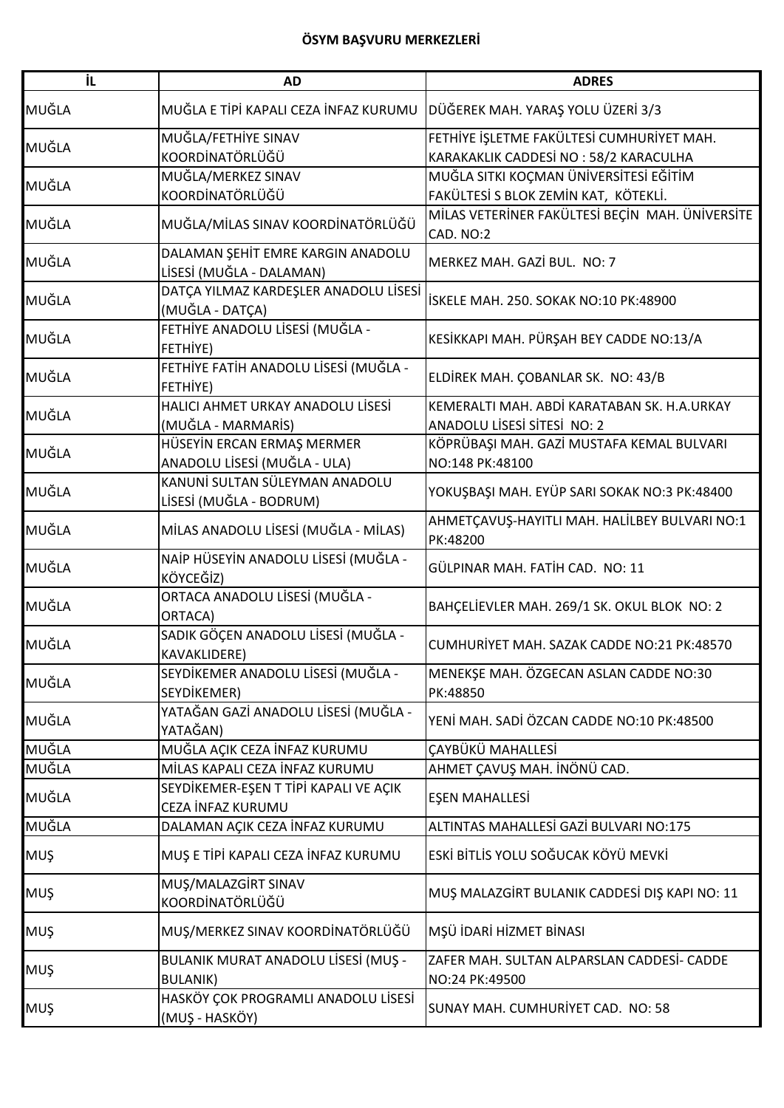| İL         | AD                                                            | <b>ADRES</b>                                                                       |
|------------|---------------------------------------------------------------|------------------------------------------------------------------------------------|
| MUĞLA      | MUĞLA E TİPİ KAPALI CEZA İNFAZ KURUMU                         | DÜĞEREK MAH. YARAŞ YOLU ÜZERİ 3/3                                                  |
| MUĞLA      | MUĞLA/FETHİYE SINAV<br>KOORDİNATÖRLÜĞÜ                        | FETHİYE İŞLETME FAKÜLTESİ CUMHURİYET MAH.<br>KARAKAKLIK CADDESİ NO: 58/2 KARACULHA |
| MUĞLA      | MUĞLA/MERKEZ SINAV<br>KOORDİNATÖRLÜĞÜ                         | MUĞLA SITKI KOÇMAN ÜNİVERSİTESİ EĞİTİM<br>FAKÜLTESİ S BLOK ZEMİN KAT, KÖTEKLİ.     |
| MUĞLA      | MUĞLA/MİLAS SINAV KOORDİNATÖRLÜĞÜ                             | MİLAS VETERİNER FAKÜLTESİ BEÇİN MAH. ÜNİVERSİTE<br>CAD. NO:2                       |
| MUĞLA      | DALAMAN ŞEHİT EMRE KARGIN ANADOLU<br>LİSESİ (MUĞLA - DALAMAN) | MERKEZ MAH, GAZİ BUL, NO: 7                                                        |
| MUĞLA      | DATÇA YILMAZ KARDEŞLER ANADOLU LİSESİ<br>(MUĞLA - DATÇA)      | İSKELE MAH. 250. SOKAK NO:10 PK:48900                                              |
| MUĞLA      | FETHİYE ANADOLU LİSESİ (MUĞLA -<br>FETHIYE)                   | KESİKKAPI MAH. PÜRŞAH BEY CADDE NO:13/A                                            |
| MUĞLA      | FETHİYE FATİH ANADOLU LİSESİ (MUĞLA -<br>FETHİYE)             | ELDİREK MAH. ÇOBANLAR SK. NO: 43/B                                                 |
| MUĞLA      | HALICI AHMET URKAY ANADOLU LİSESİ<br>(MUĞLA - MARMARİS)       | KEMERALTI MAH. ABDİ KARATABAN SK. H.A.URKAY<br>ANADOLU LİSESİ SİTESİ NO: 2         |
| MUĞLA      | HÜSEYİN ERCAN ERMAŞ MERMER<br>ANADOLU LİSESİ (MUĞLA - ULA)    | KÖPRÜBAŞI MAH. GAZİ MUSTAFA KEMAL BULVARI<br>NO:148 PK:48100                       |
| MUĞLA      | KANUNİ SULTAN SÜLEYMAN ANADOLU<br>LİSESİ (MUĞLA - BODRUM)     | YOKUŞBAŞI MAH. EYÜP SARI SOKAK NO:3 PK:48400                                       |
| MUĞLA      | MİLAS ANADOLU LİSESİ (MUĞLA - MİLAS)                          | AHMETÇAVUŞ-HAYITLI MAH. HALİLBEY BULVARI NO:1<br>PK:48200                          |
| MUĞLA      | NAİP HÜSEYİN ANADOLU LİSESİ (MUĞLA -<br>KÖYCEĞİZ)             | GÜLPINAR MAH. FATİH CAD. NO: 11                                                    |
| MUĞLA      | ORTACA ANADOLU LİSESİ (MUĞLA -<br>ORTACA)                     | BAHÇELİEVLER MAH. 269/1 SK. OKUL BLOK NO: 2                                        |
| MUĞLA      | SADIK GÖÇEN ANADOLU LİSESİ (MUĞLA -<br><b>KAVAKLIDERE)</b>    | CUMHURİYET MAH. SAZAK CADDE NO:21 PK:48570                                         |
| MUĞLA      | SEYDİKEMER ANADOLU LİSESİ (MUĞLA -<br>SEYDİKEMER)             | MENEKŞE MAH. ÖZGECAN ASLAN CADDE NO:30<br>PK:48850                                 |
| MUĞLA      | YATAĞAN GAZİ ANADOLU LİSESİ (MUĞLA -<br>YATAĞAN)              | YENİ MAH. SADİ ÖZCAN CADDE NO:10 PK:48500                                          |
| MUĞLA      | MUĞLA AÇIK CEZA İNFAZ KURUMU                                  | ÇAYBÜKÜ MAHALLESİ                                                                  |
| MUĞLA      | MİLAS KAPALI CEZA İNFAZ KURUMU                                | AHMET ÇAVUŞ MAH. İNÖNÜ CAD.                                                        |
| MUĞLA      | SEYDİKEMER-EŞEN T TİPİ KAPALI VE AÇIK<br>CEZA İNFAZ KURUMU    | EŞEN MAHALLESİ                                                                     |
| MUĞLA      | DALAMAN AÇIK CEZA İNFAZ KURUMU                                | ALTINTAS MAHALLESİ GAZİ BULVARI NO:175                                             |
| <b>MUŞ</b> | MUŞ E TİPİ KAPALI CEZA İNFAZ KURUMU                           | ESKİ BİTLİS YOLU SOĞUCAK KÖYÜ MEVKİ                                                |
| <b>MUŞ</b> | MUŞ/MALAZGİRT SINAV<br>KOORDİNATÖRLÜĞÜ                        | MUŞ MALAZGİRT BULANIK CADDESİ DIŞ KAPI NO: 11                                      |
| <b>MUŞ</b> | MUŞ/MERKEZ SINAV KOORDİNATÖRLÜĞÜ                              | MŞÜ İDARİ HİZMET BİNASI                                                            |
| <b>MUŞ</b> | BULANIK MURAT ANADOLU LİSESİ (MUŞ -<br><b>BULANIK)</b>        | ZAFER MAH. SULTAN ALPARSLAN CADDESİ- CADDE<br>NO:24 PK:49500                       |
| <b>MUŞ</b> | HASKÖY ÇOK PROGRAMLI ANADOLU LİSESİ<br>(MUŞ - HASKÖY)         | SUNAY MAH. CUMHURİYET CAD. NO: 58                                                  |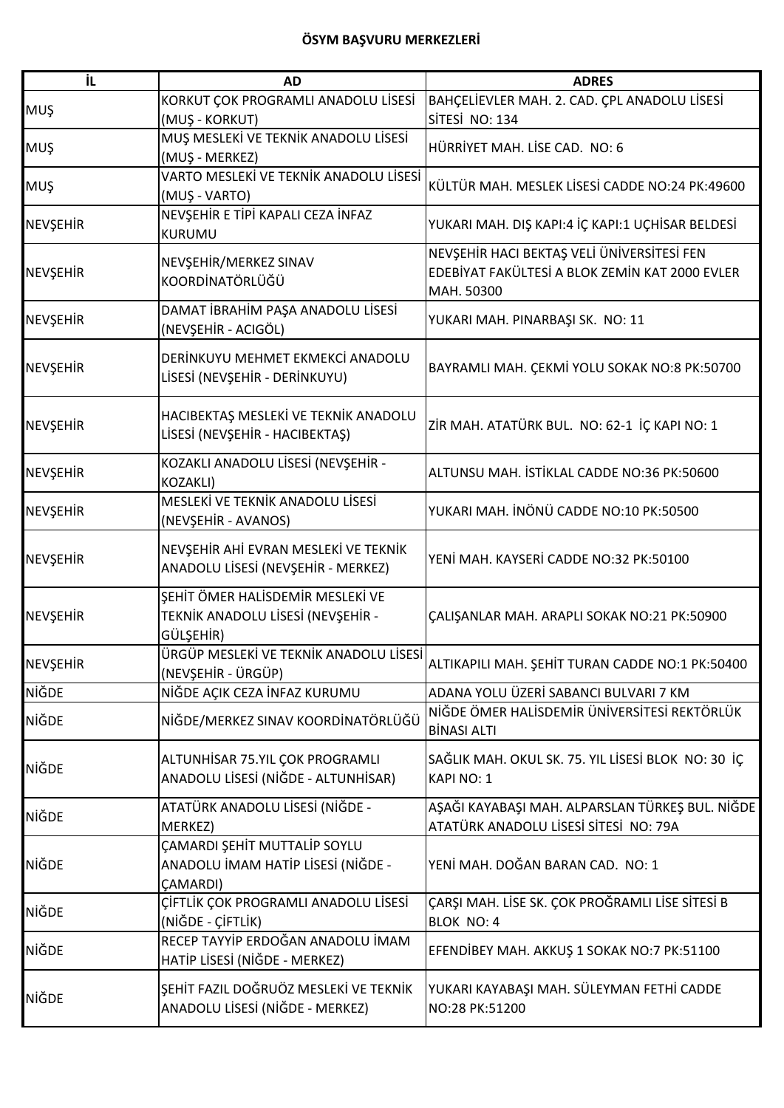| İL              | <b>AD</b>                                                                             | <b>ADRES</b>                                                                                               |
|-----------------|---------------------------------------------------------------------------------------|------------------------------------------------------------------------------------------------------------|
| <b>MUŞ</b>      | KORKUT ÇOK PROGRAMLI ANADOLU LİSESİ<br>(MUŞ - KORKUT)                                 | BAHÇELİEVLER MAH. 2. CAD. ÇPL ANADOLU LİSESİ<br>SİTESİ NO: 134                                             |
| MUŞ             | MUŞ MESLEKİ VE TEKNİK ANADOLU LİSESİ<br>(MUŞ - MERKEZ)                                | HÜRRİYET MAH. LİSE CAD. NO: 6                                                                              |
| <b>MUŞ</b>      | VARTO MESLEKİ VE TEKNİK ANADOLU LİSESİ<br>(MUŞ - VARTO)                               | KÜLTÜR MAH. MESLEK LİSESİ CADDE NO:24 PK:49600                                                             |
| NEVŞEHİR        | NEVŞEHİR E TİPİ KAPALI CEZA İNFAZ<br><b>KURUMU</b>                                    | YUKARI MAH. DIŞ KAPI:4 İÇ KAPI:1 UÇHİSAR BELDESİ                                                           |
| <b>NEVŞEHİR</b> | NEVŞEHİR/MERKEZ SINAV<br>KOORDİNATÖRLÜĞÜ                                              | NEVŞEHİR HACI BEKTAŞ VELİ ÜNİVERSİTESİ FEN<br>EDEBİYAT FAKÜLTESİ A BLOK ZEMİN KAT 2000 EVLER<br>MAH. 50300 |
| <b>NEVŞEHİR</b> | DAMAT İBRAHİM PAŞA ANADOLU LİSESİ<br>(NEVŞEHİR - ACIGÖL)                              | YUKARI MAH. PINARBAŞI SK. NO: 11                                                                           |
| <b>NEVŞEHİR</b> | DERİNKUYU MEHMET EKMEKCİ ANADOLU<br>LİSESİ (NEVŞEHİR - DERİNKUYU)                     | BAYRAMLI MAH. ÇEKMİ YOLU SOKAK NO:8 PK:50700                                                               |
| <b>NEVŞEHİR</b> | HACIBEKTAŞ MESLEKİ VE TEKNİK ANADOLU<br>LİSESİ (NEVŞEHİR - HACIBEKTAŞ)                | ZİR MAH. ATATÜRK BUL. NO: 62-1 İÇ KAPI NO: 1                                                               |
| <b>NEVŞEHİR</b> | KOZAKLI ANADOLU LİSESİ (NEVŞEHİR -<br>KOZAKLI)                                        | ALTUNSU MAH. İSTİKLAL CADDE NO:36 PK:50600                                                                 |
| <b>NEVŞEHİR</b> | MESLEKİ VE TEKNİK ANADOLU LİSESİ<br>(NEVŞEHİR - AVANOS)                               | YUKARI MAH. İNÖNÜ CADDE NO:10 PK:50500                                                                     |
| <b>NEVŞEHİR</b> | NEVŞEHİR AHİ EVRAN MESLEKİ VE TEKNİK<br>ANADOLU LİSESİ (NEVŞEHİR - MERKEZ)            | YENİ MAH. KAYSERİ CADDE NO:32 PK:50100                                                                     |
| <b>NEVŞEHİR</b> | SEHİT ÖMER HALİSDEMİR MESLEKİ VE<br>TEKNİK ANADOLU LİSESİ (NEVŞEHİR -<br>GÜLŞEHİR)    | ÇALIŞANLAR MAH. ARAPLI SOKAK NO:21 PK:50900                                                                |
| <b>NEVŞEHİR</b> | ÜRGÜP MESLEKİ VE TEKNİK ANADOLU LİSESİ<br>(NEVŞEHİR - ÜRGÜP)                          | ALTIKAPILI MAH. ŞEHİT TURAN CADDE NO:1 PK:50400                                                            |
| NİĞDE           | NİĞDE AÇIK CEZA İNFAZ KURUMU                                                          | ADANA YOLU ÜZERİ SABANCI BULVARI 7 KM                                                                      |
| NİĞDE           | NİĞDE/MERKEZ SINAV KOORDİNATÖRLÜĞÜ                                                    | NİĞDE ÖMER HALİSDEMİR ÜNİVERSİTESİ REKTÖRLÜK<br><b>BİNASI ALTI</b>                                         |
| <b>NİĞDE</b>    | ALTUNHİSAR 75.YIL ÇOK PROGRAMLI<br>ANADOLU LİSESİ (NİĞDE - ALTUNHİSAR)                | SAĞLIK MAH. OKUL SK. 75. YIL LİSESİ BLOK NO: 30 İÇ<br>KAPI NO: 1                                           |
| NİĞDE           | ATATÜRK ANADOLU LİSESİ (NİĞDE -<br>MERKEZ)                                            | AŞAĞI KAYABAŞI MAH. ALPARSLAN TÜRKEŞ BUL. NİĞDE<br>ATATÜRK ANADOLU LİSESİ SİTESİ NO: 79A                   |
| <b>NIĞDE</b>    | ÇAMARDI ŞEHİT MUTTALİP SOYLU<br>ANADOLU İMAM HATİP LİSESİ (NİĞDE -<br><b>ÇAMARDI)</b> | YENİ MAH. DOĞAN BARAN CAD. NO: 1                                                                           |
| NİĞDE           | ÇİFTLİK ÇOK PROGRAMLI ANADOLU LİSESİ<br>(NİĞDE - ÇİFTLİK)                             | ÇARŞI MAH. LİSE SK. ÇOK PROĞRAMLI LİSE SİTESİ B<br><b>BLOK NO: 4</b>                                       |
| NİĞDE           | RECEP TAYYİP ERDOĞAN ANADOLU İMAM<br>HATİP LİSESİ (NİĞDE - MERKEZ)                    | EFENDIBEY MAH. AKKUŞ 1 SOKAK NO:7 PK:51100                                                                 |
| NİĞDE           | SEHİT FAZIL DOĞRUÖZ MESLEKİ VE TEKNİK<br>ANADOLU LİSESİ (NİĞDE - MERKEZ)              | YUKARI KAYABAŞI MAH. SÜLEYMAN FETHİ CADDE<br>NO:28 PK:51200                                                |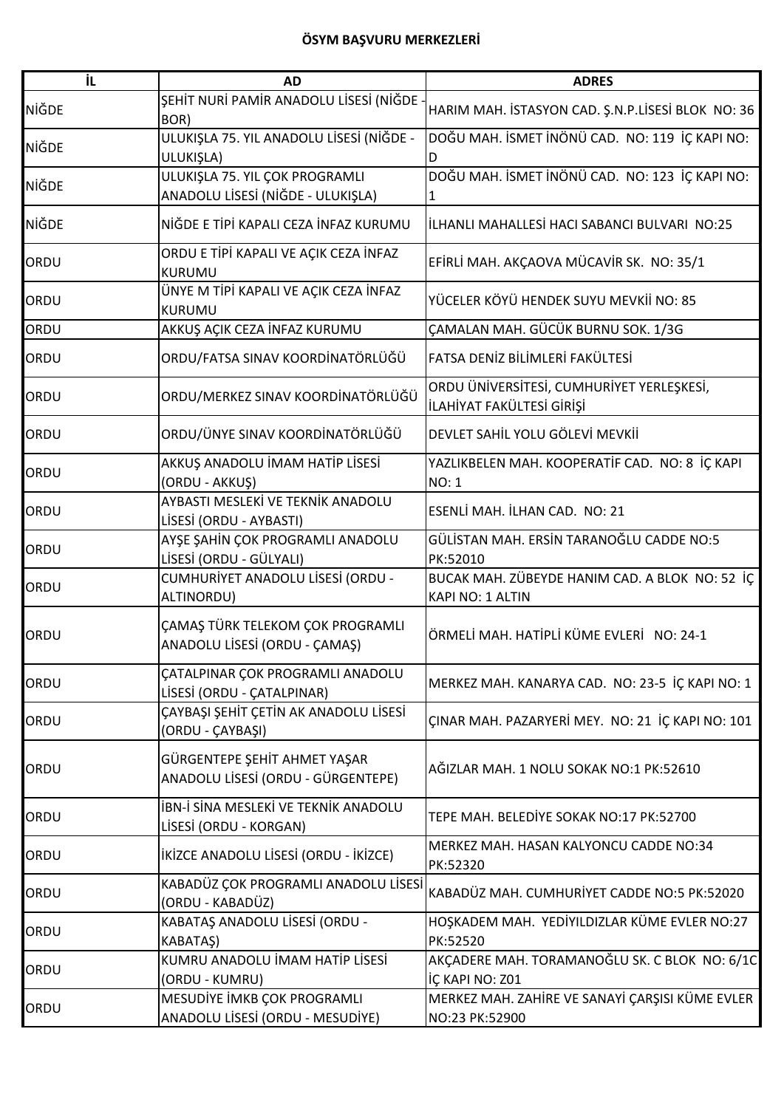| İL           | <b>AD</b>                                                                | <b>ADRES</b>                                                           |
|--------------|--------------------------------------------------------------------------|------------------------------------------------------------------------|
| <b>NİĞDE</b> | SEHİT NURİ PAMİR ANADOLU LİSESİ (NİĞDE<br>BOR)                           | HARIM MAH. İSTASYON CAD. Ş.N.P.LİSESİ BLOK NO: 36                      |
| <b>NİĞDE</b> | ULUKIŞLA 75. YIL ANADOLU LİSESİ (NİĞDE -<br>ULUKIŞLA)                    | DOĞU MAH. İSMET İNÖNÜ CAD. NO: 119 İÇ KAPI NO:<br>D                    |
| <b>NIGDE</b> | ULUKIŞLA 75. YIL ÇOK PROGRAMLI<br>ANADOLU LİSESİ (NİĞDE - ULUKIŞLA)      | DOĞU MAH. İSMET İNÖNÜ CAD. NO: 123 İÇ KAPI NO:                         |
| <b>NİĞDE</b> | NİĞDE E TİPİ KAPALI CEZA İNFAZ KURUMU                                    | İLHANLI MAHALLESİ HACI SABANCI BULVARI NO:25                           |
| ORDU         | ORDU E TİPİ KAPALI VE AÇIK CEZA İNFAZ<br><b>KURUMU</b>                   | EFİRLİ MAH. AKÇAOVA MÜCAVİR SK. NO: 35/1                               |
| ORDU         | ÜNYE M TİPİ KAPALI VE AÇIK CEZA İNFAZ<br><b>KURUMU</b>                   | YÜCELER KÖYÜ HENDEK SUYU MEVKİİ NO: 85                                 |
| ORDU         | AKKUŞ AÇIK CEZA İNFAZ KURUMU                                             | ÇAMALAN MAH. GÜCÜK BURNU SOK. 1/3G                                     |
| ORDU         | ORDU/FATSA SINAV KOORDİNATÖRLÜĞÜ                                         | FATSA DENİZ BİLİMLERİ FAKÜLTESİ                                        |
| ORDU         | ORDU/MERKEZ SINAV KOORDİNATÖRLÜĞÜ                                        | ORDU ÜNİVERSİTESİ, CUMHURİYET YERLEŞKESİ,<br>İLAHİYAT FAKÜLTESİ GİRİŞİ |
| ORDU         | ORDU/ÜNYE SINAV KOORDİNATÖRLÜĞÜ                                          | DEVLET SAHİL YOLU GÖLEVİ MEVKİİ                                        |
| ORDU         | AKKUŞ ANADOLU İMAM HATİP LİSESİ<br>(ORDU - AKKUŞ)                        | YAZLIKBELEN MAH. KOOPERATİF CAD. NO: 8 İÇ KAPI<br><b>NO: 1</b>         |
| ORDU         | AYBASTI MESLEKİ VE TEKNİK ANADOLU<br>LİSESİ (ORDU - AYBASTI)             | ESENLİ MAH. İLHAN CAD. NO: 21                                          |
| ORDU         | AYŞE ŞAHİN ÇOK PROGRAMLI ANADOLU<br>LİSESİ (ORDU - GÜLYALI)              | GÜLİSTAN MAH. ERSİN TARANOĞLU CADDE NO:5<br>PK:52010                   |
| ORDU         | CUMHURİYET ANADOLU LİSESİ (ORDU -<br>ALTINORDU)                          | BUCAK MAH. ZÜBEYDE HANIM CAD. A BLOK NO: 52 İÇ<br>KAPI NO: 1 ALTIN     |
| ORDU         | <b>ÇAMAŞ TÜRK TELEKOM ÇOK PROGRAMLI</b><br>ANADOLU LİSESİ (ORDU - ÇAMAŞ) | ÖRMELİ MAH. HATİPLİ KÜME EVLERİ NO: 24-1                               |
| ORDU         | <b>CATALPINAR COK PROGRAMLI ANADOLU</b><br>LİSESİ (ORDU - ÇATALPINAR)    | MERKEZ MAH. KANARYA CAD. NO: 23-5 İÇ KAPI NO: 1                        |
| ORDU         | ÇAYBAŞI ŞEHİT ÇETİN AK ANADOLU LİSESİ<br>(ORDU - ÇAYBAŞI)                | ÇINAR MAH. PAZARYERİ MEY. NO: 21 İÇ KAPI NO: 101                       |
| ORDU         | GÜRGENTEPE ŞEHİT AHMET YAŞAR<br>ANADOLU LİSESİ (ORDU - GÜRGENTEPE)       | AĞIZLAR MAH. 1 NOLU SOKAK NO:1 PK:52610                                |
| ORDU         | İBN-İ SİNA MESLEKİ VE TEKNİK ANADOLU<br>LİSESİ (ORDU - KORGAN)           | TEPE MAH. BELEDİYE SOKAK NO:17 PK:52700                                |
| ORDU         | IKIZCE ANADOLU LISESI (ORDU - IKIZCE)                                    | MERKEZ MAH. HASAN KALYONCU CADDE NO:34<br>PK:52320                     |
| ORDU         | KABADÜZ ÇOK PROGRAMLI ANADOLU LİSESİ<br>(ORDU - KABADÜZ)                 | KABADÜZ MAH. CUMHURİYET CADDE NO:5 PK:52020                            |
| ORDU         | KABATAŞ ANADOLU LİSESİ (ORDU -<br>KABATAŞ)                               | HOŞKADEM MAH. YEDİYILDIZLAR KÜME EVLER NO:27<br>PK:52520               |
| ORDU         | KUMRU ANADOLU İMAM HATİP LİSESİ<br>(ORDU - KUMRU)                        | AKÇADERE MAH. TORAMANOĞLU SK. C BLOK NO: 6/1C<br>İÇ KAPI NO: Z01       |
| ORDU         | MESUDIYE İMKB ÇOK PROGRAMLI<br>ANADOLU LİSESİ (ORDU - MESUDİYE)          | MERKEZ MAH. ZAHİRE VE SANAYİ ÇARŞISI KÜME EVLER<br>NO:23 PK:52900      |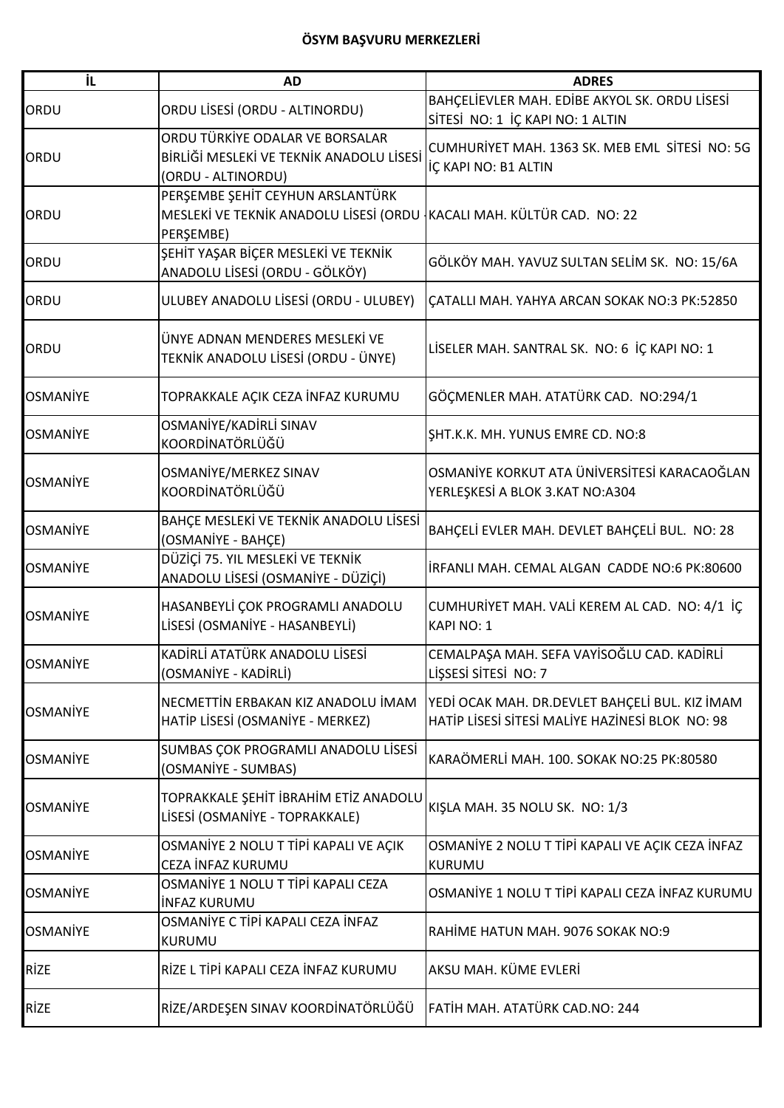| iL              | <b>AD</b>                                                                                                              | <b>ADRES</b>                                                                                      |
|-----------------|------------------------------------------------------------------------------------------------------------------------|---------------------------------------------------------------------------------------------------|
| ORDU            | ORDU LİSESİ (ORDU - ALTINORDU)                                                                                         | BAHÇELİEVLER MAH. EDİBE AKYOL SK. ORDU LİSESİ<br>SİTESİ NO: 1 İÇ KAPI NO: 1 ALTIN                 |
| ORDU            | ORDU TÜRKİYE ODALAR VE BORSALAR<br>BİRLİĞİ MESLEKİ VE TEKNİK ANADOLU LİSESİ<br>(ORDU - ALTINORDU)                      | CUMHURİYET MAH. 1363 SK. MEB EML SİTESİ NO: 5G<br>İÇ KAPI NO: B1 ALTIN                            |
| ORDU            | PERŞEMBE ŞEHİT CEYHUN ARSLANTÜRK<br>MESLEKİ VE TEKNİK ANADOLU LİSESİ (ORDU KACALI MAH. KÜLTÜR CAD. NO: 22<br>PERŞEMBE) |                                                                                                   |
| ORDU            | ŞEHİT YAŞAR BİÇER MESLEKİ VE TEKNİK<br>ANADOLU LİSESİ (ORDU - GÖLKÖY)                                                  | GÖLKÖY MAH. YAVUZ SULTAN SELİM SK. NO: 15/6A                                                      |
| ORDU            | ULUBEY ANADOLU LİSESİ (ORDU - ULUBEY)                                                                                  | ÇATALLI MAH. YAHYA ARCAN SOKAK NO:3 PK:52850                                                      |
| ORDU            | ÜNYE ADNAN MENDERES MESLEKİ VE<br>TEKNİK ANADOLU LİSESİ (ORDU - ÜNYE)                                                  | LİSELER MAH. SANTRAL SK. NO: 6 İÇ KAPI NO: 1                                                      |
| <b>OSMANIYE</b> | TOPRAKKALE AÇIK CEZA İNFAZ KURUMU                                                                                      | GÖÇMENLER MAH. ATATÜRK CAD. NO:294/1                                                              |
| <b>OSMANIYE</b> | OSMANİYE/KADİRLİ SINAV<br>KOORDİNATÖRLÜĞÜ                                                                              | SHT.K.K. MH. YUNUS EMRE CD. NO:8                                                                  |
| <b>OSMANIYE</b> | OSMANİYE/MERKEZ SINAV<br>KOORDİNATÖRLÜĞÜ                                                                               | OSMANİYE KORKUT ATA ÜNİVERSİTESİ KARACAOĞLAN<br>YERLEŞKESİ A BLOK 3.KAT NO:A304                   |
| <b>OSMANİYE</b> | BAHÇE MESLEKİ VE TEKNİK ANADOLU LİSESİ<br>(OSMANİYE - BAHÇE)                                                           | BAHÇELİ EVLER MAH. DEVLET BAHÇELİ BUL. NO: 28                                                     |
| <b>OSMANİYE</b> | DÜZİÇİ 75. YIL MESLEKİ VE TEKNİK<br>ANADOLU LİSESİ (OSMANİYE - DÜZİÇİ)                                                 | IRFANLI MAH. CEMAL ALGAN CADDE NO:6 PK:80600                                                      |
| <b>OSMANIYE</b> | HASANBEYLİ ÇOK PROGRAMLI ANADOLU<br>LİSESİ (OSMANİYE - HASANBEYLİ)                                                     | CUMHURİYET MAH. VALİ KEREM AL CAD. NO: 4/1 İÇ<br><b>KAPI NO: 1</b>                                |
| <b>OSMANIYE</b> | KADİRLİ ATATÜRK ANADOLU LİSESİ<br>(OSMANİYE - KADİRLİ)                                                                 | CEMALPAŞA MAH. SEFA VAYİSOĞLU CAD. KADİRLİ<br>LİŞSESİ SİTESİ NO: 7                                |
| <b>OSMANİYE</b> | NECMETTIN ERBAKAN KIZ ANADOLU İMAM<br>HATİP LİSESİ (OSMANİYE - MERKEZ)                                                 | YEDİ OCAK MAH. DR.DEVLET BAHÇELİ BUL. KIZ İMAM<br>HATIP LISESI SITESI MALIYE HAZINESI BLOK NO: 98 |
| <b>OSMANİYE</b> | SUMBAS ÇOK PROGRAMLI ANADOLU LİSESİ<br>(OSMANİYE - SUMBAS)                                                             | KARAÖMERLİ MAH. 100. SOKAK NO:25 PK:80580                                                         |
| <b>OSMANİYE</b> | TOPRAKKALE ŞEHİT İBRAHİM ETİZ ANADOLU<br>LİSESİ (OSMANİYE - TOPRAKKALE)                                                | KIŞLA MAH. 35 NOLU SK. NO: 1/3                                                                    |
| <b>OSMANİYE</b> | OSMANIYE 2 NOLU T TİPİ KAPALI VE AÇIK<br>CEZA İNFAZ KURUMU                                                             | OSMANİYE 2 NOLU T TİPİ KAPALI VE AÇIK CEZA İNFAZ<br><b>KURUMU</b>                                 |
| <b>OSMANİYE</b> | OSMANİYE 1 NOLU T TİPİ KAPALI CEZA<br><b>INFAZ KURUMU</b>                                                              | OSMANİYE 1 NOLU T TİPİ KAPALI CEZA İNFAZ KURUMU                                                   |
| <b>OSMANİYE</b> | OSMANİYE C TİPİ KAPALI CEZA İNFAZ<br><b>KURUMU</b>                                                                     | RAHİME HATUN MAH. 9076 SOKAK NO:9                                                                 |
| <b>RİZE</b>     | RİZE L TİPİ KAPALI CEZA İNFAZ KURUMU                                                                                   | AKSU MAH. KÜME EVLERİ                                                                             |
| <b>RİZE</b>     | RİZE/ARDEŞEN SINAV KOORDİNATÖRLÜĞÜ                                                                                     | FATİH MAH. ATATÜRK CAD.NO: 244                                                                    |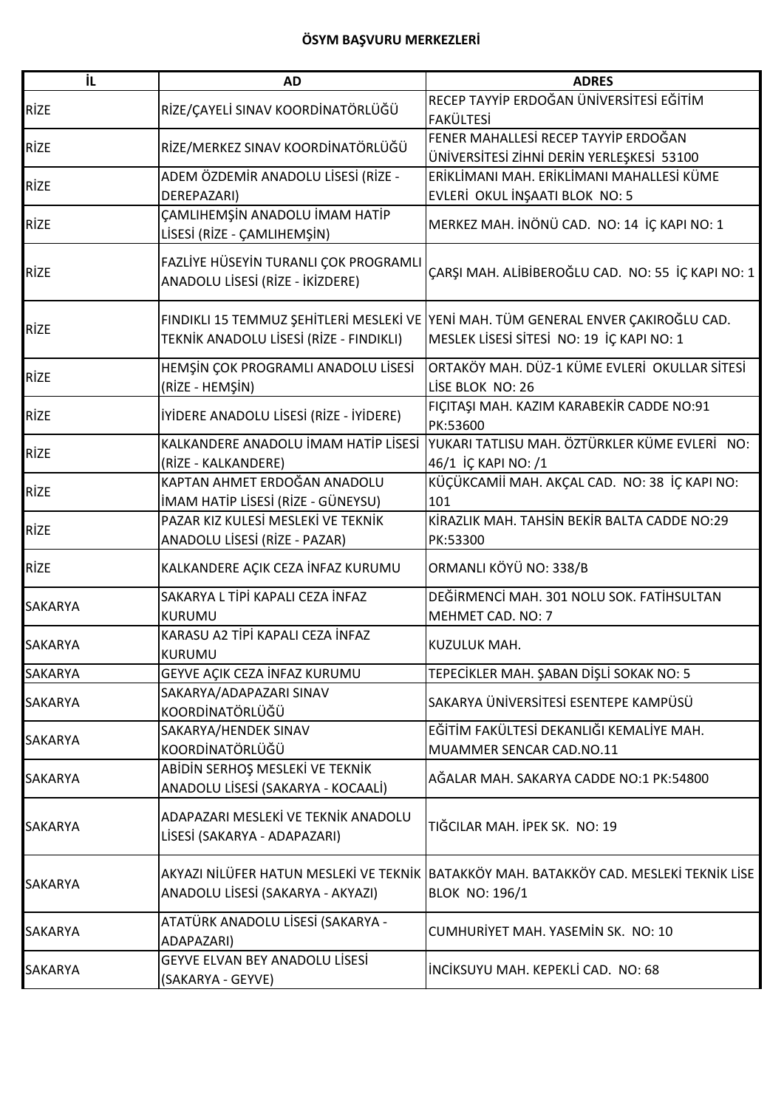| İL             | <b>AD</b>                               | <b>ADRES</b>                                                                       |
|----------------|-----------------------------------------|------------------------------------------------------------------------------------|
| <b>RİZE</b>    | RİZE/ÇAYELİ SINAV KOORDİNATÖRLÜĞÜ       | RECEP TAYYİP ERDOĞAN ÜNİVERSİTESİ EĞİTİM                                           |
|                |                                         | <b>FAKÜLTESİ</b>                                                                   |
| <b>RİZE</b>    | RİZE/MERKEZ SINAV KOORDİNATÖRLÜĞÜ       | FENER MAHALLESİ RECEP TAYYİP ERDOĞAN                                               |
|                |                                         | ÜNİVERSİTESİ ZİHNİ DERİN YERLEŞKESİ 53100                                          |
| <b>RİZE</b>    | ADEM ÖZDEMİR ANADOLU LİSESİ (RİZE -     | ERİKLİMANI MAH. ERİKLİMANI MAHALLESİ KÜME                                          |
|                | DEREPAZARI)                             | EVLERİ OKUL İNŞAATI BLOK NO: 5                                                     |
| <b>RİZE</b>    | CAMLIHEMȘIN ANADOLU IMAM HATIP          | MERKEZ MAH. İNÖNÜ CAD. NO: 14 İÇ KAPI NO: 1                                        |
|                | LİSESİ (RİZE - ÇAMLIHEMŞİN)             |                                                                                    |
|                | FAZLİYE HÜSEYİN TURANLI ÇOK PROGRAMLI   |                                                                                    |
| <b>RİZE</b>    | ANADOLU LİSESİ (RİZE - İKİZDERE)        | ÇARŞI MAH. ALİBİBEROĞLU CAD. NO: 55 İÇ KAPI NO: 1                                  |
|                |                                         |                                                                                    |
|                |                                         | FINDIKLI 15 TEMMUZ ŞEHİTLERİ MESLEKİ VE YENİ MAH. TÜM GENERAL ENVER ÇAKIROĞLU CAD. |
| <b>RİZE</b>    | TEKNİK ANADOLU LİSESİ (RİZE - FINDIKLI) | MESLEK LİSESİ SİTESİ NO: 19 İÇ KAPI NO: 1                                          |
|                | HEMŞİN ÇOK PROGRAMLI ANADOLU LİSESİ     | ORTAKÖY MAH. DÜZ-1 KÜME EVLERİ OKULLAR SİTESİ                                      |
| <b>RİZE</b>    | (RİZE - HEMŞİN)                         | LİSE BLOK NO: 26                                                                   |
|                |                                         | FIÇITAŞI MAH. KAZIM KARABEKİR CADDE NO:91                                          |
| <b>RİZE</b>    | İYİDERE ANADOLU LİSESİ (RİZE - İYİDERE) | PK:53600                                                                           |
|                | KALKANDERE ANADOLU İMAM HATİP LİSESİ    | YUKARI TATLISU MAH. ÖZTÜRKLER KÜME EVLERİ NO:                                      |
| <b>RİZE</b>    | (RİZE - KALKANDERE)                     | 46/1 İÇ KAPI NO: /1                                                                |
|                | KAPTAN AHMET ERDOĞAN ANADOLU            | KÜÇÜKCAMİİ MAH. AKÇAL CAD. NO: 38 İÇ KAPI NO:                                      |
| <b>RİZE</b>    | İMAM HATİP LİSESİ (RİZE - GÜNEYSU)      | 101                                                                                |
|                | PAZAR KIZ KULESİ MESLEKİ VE TEKNİK      | KİRAZLIK MAH. TAHSİN BEKİR BALTA CADDE NO:29                                       |
| <b>RİZE</b>    | ANADOLU LİSESİ (RİZE - PAZAR)           | PK:53300                                                                           |
| <b>RİZE</b>    | KALKANDERE AÇIK CEZA İNFAZ KURUMU       | ORMANLI KÖYÜ NO: 338/B                                                             |
|                | SAKARYA L TİPİ KAPALI CEZA İNFAZ        | DEĞİRMENCİ MAH. 301 NOLU SOK. FATİHSULTAN                                          |
| <b>SAKARYA</b> | <b>KURUMU</b>                           | MEHMET CAD. NO: 7                                                                  |
| <b>SAKARYA</b> | KARASU A2 TİPİ KAPALI CEZA İNFAZ        | KUZULUK MAH.                                                                       |
|                | <b>KURUMU</b>                           |                                                                                    |
| <b>SAKARYA</b> | GEYVE AÇIK CEZA İNFAZ KURUMU            | TEPECİKLER MAH. ŞABAN DİŞLİ SOKAK NO: 5                                            |
| <b>SAKARYA</b> | SAKARYA/ADAPAZARI SINAV                 | SAKARYA ÜNİVERSİTESİ ESENTEPE KAMPÜSÜ                                              |
|                | KOORDİNATÖRLÜĞÜ                         |                                                                                    |
| <b>SAKARYA</b> | SAKARYA/HENDEK SINAV                    | EĞİTİM FAKÜLTESİ DEKANLIĞI KEMALİYE MAH.                                           |
|                | KOORDİNATÖRLÜĞÜ                         | MUAMMER SENCAR CAD.NO.11                                                           |
| <b>SAKARYA</b> | ABİDİN SERHOŞ MESLEKİ VE TEKNİK         | AĞALAR MAH. SAKARYA CADDE NO:1 PK:54800                                            |
|                | ANADOLU LİSESİ (SAKARYA - KOCAALİ)      |                                                                                    |
|                | ADAPAZARI MESLEKİ VE TEKNİK ANADOLU     |                                                                                    |
| <b>SAKARYA</b> | LİSESİ (SAKARYA - ADAPAZARI)            | TIĞCILAR MAH. İPEK SK. NO: 19                                                      |
|                |                                         |                                                                                    |
| <b>SAKARYA</b> | AKYAZI NİLÜFER HATUN MESLEKİ VE TEKNİK  | BATAKKÖY MAH. BATAKKÖY CAD. MESLEKİ TEKNİK LİSE                                    |
|                | ANADOLU LİSESİ (SAKARYA - AKYAZI)       | <b>BLOK NO: 196/1</b>                                                              |
|                | ATATÜRK ANADOLU LİSESİ (SAKARYA -       |                                                                                    |
| <b>SAKARYA</b> | ADAPAZARI)                              | CUMHURİYET MAH. YASEMİN SK. NO: 10                                                 |
|                | <b>GEYVE ELVAN BEY ANADOLU LİSESİ</b>   |                                                                                    |
| <b>SAKARYA</b> | (SAKARYA - GEYVE)                       | INCIKSUYU MAH. KEPEKLI CAD. NO: 68                                                 |
|                |                                         |                                                                                    |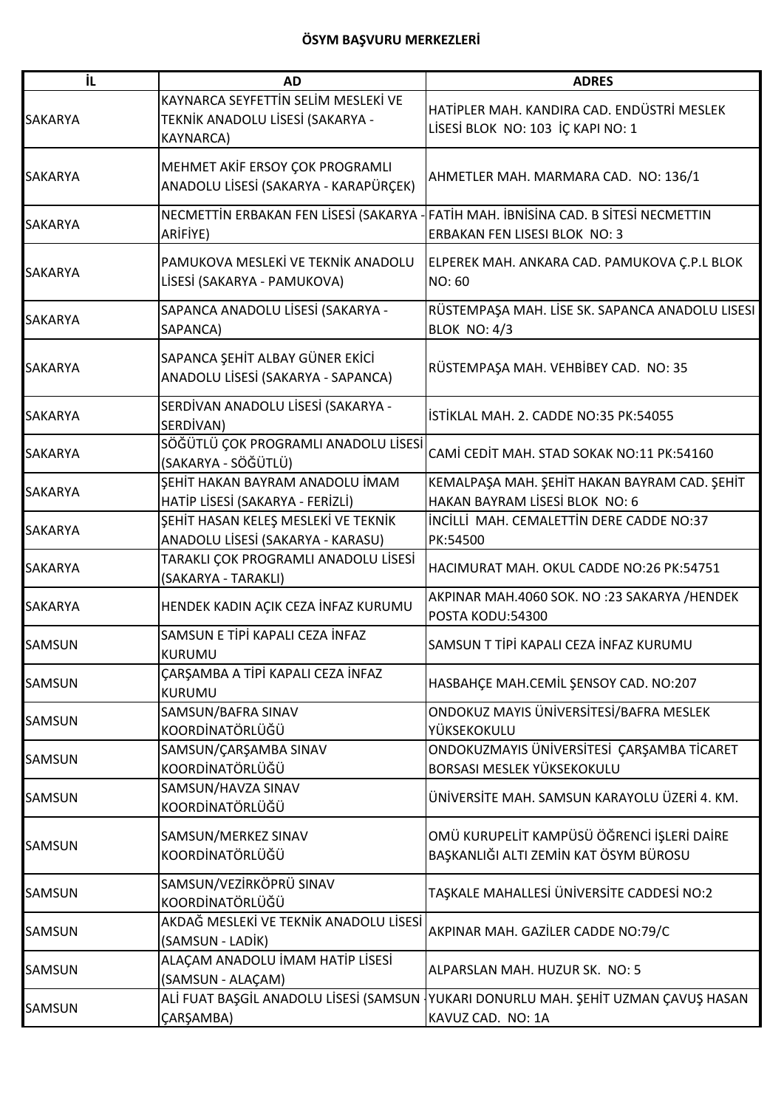| İL             | <b>AD</b>                                                                                   | <b>ADRES</b>                                                                        |
|----------------|---------------------------------------------------------------------------------------------|-------------------------------------------------------------------------------------|
| <b>SAKARYA</b> | KAYNARCA SEYFETTİN SELİM MESLEKİ VE<br>TEKNİK ANADOLU LİSESİ (SAKARYA -<br><b>KAYNARCA)</b> | HATİPLER MAH. KANDIRA CAD. ENDÜSTRİ MESLEK<br>LİSESİ BLOK NO: 103 İÇ KAPI NO: 1     |
| <b>SAKARYA</b> | MEHMET AKİF ERSOY ÇOK PROGRAMLI<br>ANADOLU LİSESİ (SAKARYA - KARAPÜRÇEK)                    | AHMETLER MAH. MARMARA CAD. NO: 136/1                                                |
| <b>SAKARYA</b> | NECMETTIN ERBAKAN FEN LISESI (SAKARYA<br>ARİFİYE)                                           | FATIH MAH. IBNISINA CAD. B SITESI NECMETTIN<br>ERBAKAN FEN LISESI BLOK NO: 3        |
| <b>SAKARYA</b> | PAMUKOVA MESLEKÍ VE TEKNÍK ANADOLU<br>LİSESİ (SAKARYA - PAMUKOVA)                           | ELPEREK MAH. ANKARA CAD. PAMUKOVA Ç.P.L BLOK<br><b>NO: 60</b>                       |
| <b>SAKARYA</b> | SAPANCA ANADOLU LİSESİ (SAKARYA -<br>SAPANCA)                                               | RÜSTEMPAŞA MAH. LİSE SK. SAPANCA ANADOLU LISESI<br>BLOK NO: 4/3                     |
| <b>SAKARYA</b> | SAPANCA ŞEHİT ALBAY GÜNER EKİCİ<br>ANADOLU LİSESİ (SAKARYA - SAPANCA)                       | RÜSTEMPAŞA MAH. VEHBİBEY CAD. NO: 35                                                |
| <b>SAKARYA</b> | SERDİVAN ANADOLU LİSESİ (SAKARYA -<br>SERDİVAN)                                             | İSTİKLAL MAH. 2. CADDE NO:35 PK:54055                                               |
| <b>SAKARYA</b> | SÖĞÜTLÜ ÇOK PROGRAMLI ANADOLU LİSESİ<br>(SAKARYA - SÖĞÜTLÜ)                                 | CAMİ CEDİT MAH. STAD SOKAK NO:11 PK:54160                                           |
| <b>SAKARYA</b> | ŞEHİT HAKAN BAYRAM ANADOLU İMAM<br>HATİP LİSESİ (SAKARYA - FERİZLİ)                         | KEMALPAŞA MAH. ŞEHİT HAKAN BAYRAM CAD. ŞEHİT<br>HAKAN BAYRAM LİSESİ BLOK NO: 6      |
| <b>SAKARYA</b> | ŞEHİT HASAN KELEŞ MESLEKİ VE TEKNİK<br>ANADOLU LİSESİ (SAKARYA - KARASU)                    | INCILLI MAH. CEMALETTIN DERE CADDE NO:37<br>PK:54500                                |
| <b>SAKARYA</b> | TARAKLI ÇOK PROGRAMLI ANADOLU LİSESİ<br>(SAKARYA - TARAKLI)                                 | HACIMURAT MAH. OKUL CADDE NO:26 PK:54751                                            |
| <b>SAKARYA</b> | HENDEK KADIN AÇIK CEZA İNFAZ KURUMU                                                         | AKPINAR MAH.4060 SOK. NO :23 SAKARYA /HENDEK<br>POSTA KODU:54300                    |
| <b>SAMSUN</b>  | SAMSUN E TİPİ KAPALI CEZA İNFAZ<br><b>KURUMU</b>                                            | SAMSUN T TİPİ KAPALI CEZA İNFAZ KURUMU                                              |
| <b>SAMSUN</b>  | <b>CARŞAMBA A TİPİ KAPALI CEZA İNFAZ</b><br>KURUMU                                          | HASBAHÇE MAH.CEMİL ŞENSOY CAD. NO:207                                               |
| <b>SAMSUN</b>  | SAMSUN/BAFRA SINAV<br>KOORDİNATÖRLÜĞÜ                                                       | ONDOKUZ MAYIS ÜNİVERSİTESİ/BAFRA MESLEK<br>YÜKSEKOKULU                              |
| <b>SAMSUN</b>  | SAMSUN/ÇARŞAMBA SINAV<br>KOORDİNATÖRLÜĞÜ                                                    | ONDOKUZMAYIS ÜNİVERSİTESİ ÇARŞAMBA TİCARET<br>BORSASI MESLEK YÜKSEKOKULU            |
| <b>SAMSUN</b>  | SAMSUN/HAVZA SINAV<br>KOORDİNATÖRLÜĞÜ                                                       | ÜNİVERSİTE MAH. SAMSUN KARAYOLU ÜZERİ 4. KM.                                        |
| <b>SAMSUN</b>  | SAMSUN/MERKEZ SINAV<br>KOORDİNATÖRLÜĞÜ                                                      | OMÜ KURUPELİT KAMPÜSÜ ÖĞRENCİ İŞLERİ DAİRE<br>BAŞKANLIĞI ALTI ZEMİN KAT ÖSYM BÜROSU |
| <b>SAMSUN</b>  | SAMSUN/VEZİRKÖPRÜ SINAV<br>KOORDİNATÖRLÜĞÜ                                                  | TAŞKALE MAHALLESİ ÜNİVERSİTE CADDESİ NO:2                                           |
| <b>SAMSUN</b>  | AKDAĞ MESLEKİ VE TEKNİK ANADOLU LİSESİ<br>(SAMSUN - LADİK)                                  | AKPINAR MAH. GAZİLER CADDE NO:79/C                                                  |
| <b>SAMSUN</b>  | ALAÇAM ANADOLU İMAM HATİP LİSESİ<br>(SAMSUN - ALAÇAM)                                       | ALPARSLAN MAH. HUZUR SK. NO: 5                                                      |
| <b>SAMSUN</b>  | ALİ FUAT BAŞGİL ANADOLU LİSESİ (SAMSUN<br>ÇARŞAMBA)                                         | YUKARI DONURLU MAH. ŞEHİT UZMAN ÇAVUŞ HASAN<br>KAVUZ CAD. NO: 1A                    |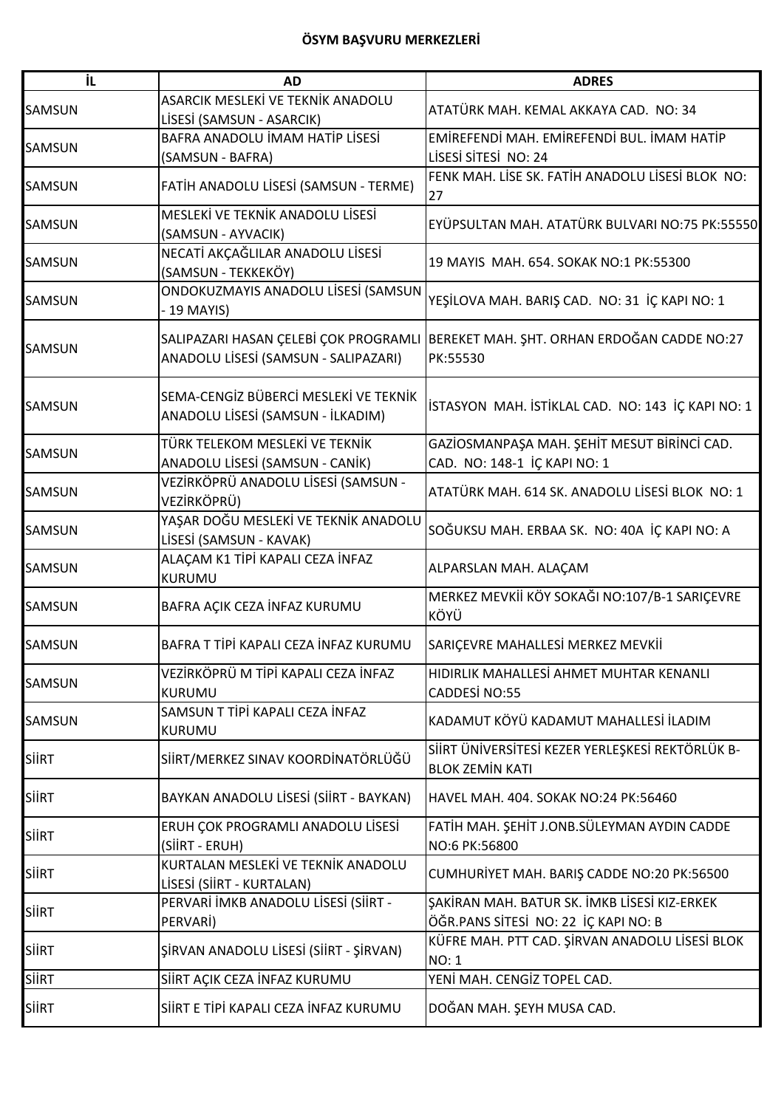| İL            | <b>AD</b>                                                                    | <b>ADRES</b>                                                                         |
|---------------|------------------------------------------------------------------------------|--------------------------------------------------------------------------------------|
| <b>SAMSUN</b> | ASARCIK MESLEKİ VE TEKNİK ANADOLU<br>LİSESİ (SAMSUN - ASARCIK)               | ATATÜRK MAH. KEMAL AKKAYA CAD. NO: 34                                                |
| <b>SAMSUN</b> | BAFRA ANADOLU İMAM HATİP LİSESİ<br>(SAMSUN - BAFRA)                          | EMİREFENDİ MAH. EMİREFENDİ BUL. İMAM HATİP<br>LISESI SITESI NO: 24                   |
| <b>SAMSUN</b> | FATİH ANADOLU LİSESİ (SAMSUN - TERME)                                        | FENK MAH. LİSE SK. FATİH ANADOLU LİSESİ BLOK NO:<br>27                               |
| <b>SAMSUN</b> | MESLEKİ VE TEKNİK ANADOLU LİSESİ<br>(SAMSUN - AYVACIK)                       | EYÜPSULTAN MAH. ATATÜRK BULVARI NO:75 PK:55550                                       |
| <b>SAMSUN</b> | NECATİ AKÇAĞLILAR ANADOLU LİSESİ<br>(SAMSUN - TEKKEKÖY)                      | 19 MAYIS MAH. 654. SOKAK NO:1 PK:55300                                               |
| <b>SAMSUN</b> | ONDOKUZMAYIS ANADOLU LİSESİ (SAMSUN<br>$-19$ MAYIS)                          | YEŞİLOVA MAH. BARIŞ CAD. NO: 31 İÇ KAPI NO: 1                                        |
| <b>SAMSUN</b> | SALIPAZARI HASAN ÇELEBİ ÇOK PROGRAML<br>ANADOLU LİSESİ (SAMSUN - SALIPAZARI) | BEREKET MAH. ŞHT. ORHAN ERDOĞAN CADDE NO:27<br>PK:55530                              |
| <b>SAMSUN</b> | SEMA-CENGİZ BÜBERCİ MESLEKİ VE TEKNİK<br>ANADOLU LİSESİ (SAMSUN - İLKADIM)   | İSTASYON MAH. İSTİKLAL CAD. NO: 143 İÇ KAPI NO: 1                                    |
| <b>SAMSUN</b> | TÜRK TELEKOM MESLEKİ VE TEKNİK<br>ANADOLU LİSESİ (SAMSUN - CANİK)            | GAZİOSMANPAŞA MAH. ŞEHİT MESUT BİRİNCİ CAD.<br>CAD. NO: 148-1 İÇ KAPI NO: 1          |
| <b>SAMSUN</b> | VEZİRKÖPRÜ ANADOLU LİSESİ (SAMSUN -<br>VEZİRKÖPRÜ)                           | ATATÜRK MAH. 614 SK. ANADOLU LİSESİ BLOK NO: 1                                       |
| <b>SAMSUN</b> | YAŞAR DOĞU MESLEKİ VE TEKNİK ANADOLU<br>LİSESİ (SAMSUN - KAVAK)              | SOĞUKSU MAH. ERBAA SK. NO: 40A İÇ KAPI NO: A                                         |
| <b>SAMSUN</b> | ALAÇAM K1 TİPİ KAPALI CEZA İNFAZ<br><b>KURUMU</b>                            | ALPARSLAN MAH. ALAÇAM                                                                |
| <b>SAMSUN</b> | BAFRA AÇIK CEZA İNFAZ KURUMU                                                 | MERKEZ MEVKİİ KÖY SOKAĞI NO:107/B-1 SARIÇEVRE<br>KÖYÜ                                |
| <b>SAMSUN</b> | BAFRA T TİPİ KAPALI CEZA İNFAZ KURUMU                                        | SARIÇEVRE MAHALLESİ MERKEZ MEVKİİ                                                    |
| <b>SAMSUN</b> | VEZİRKÖPRÜ M TİPİ KAPALI CEZA İNFAZ<br>KURUMU                                | HIDIRLIK MAHALLESİ AHMET MUHTAR KENANLI<br>CADDESİ NO:55                             |
| <b>SAMSUN</b> | SAMSUN T TİPİ KAPALI CEZA İNFAZ<br>KURUMU                                    | KADAMUT KÖYÜ KADAMUT MAHALLESİ İLADIM                                                |
| <b>SIIRT</b>  | SIIRT/MERKEZ SINAV KOORDINATÖRLÜĞÜ                                           | SİİRT ÜNİVERSİTESİ KEZER YERLEŞKESİ REKTÖRLÜK B-<br><b>BLOK ZEMİN KATI</b>           |
| <b>SIIRT</b>  | BAYKAN ANADOLU LİSESİ (SİİRT - BAYKAN)                                       | HAVEL MAH. 404. SOKAK NO:24 PK:56460                                                 |
| <b>SIIRT</b>  | ERUH ÇOK PROGRAMLI ANADOLU LİSESİ<br>(SİİRT - ERUH)                          | FATİH MAH. ŞEHİT J.ONB.SÜLEYMAN AYDIN CADDE<br>NO:6 PK:56800                         |
| <b>SIIRT</b>  | KURTALAN MESLEKİ VE TEKNİK ANADOLU<br>LİSESİ (SİİRT - KURTALAN)              | CUMHURİYET MAH. BARIŞ CADDE NO:20 PK:56500                                           |
| <b>SIIRT</b>  | PERVARİ İMKB ANADOLU LİSESİ (SİİRT -<br>PERVARI)                             | ŞAKİRAN MAH. BATUR SK. İMKB LİSESİ KIZ-ERKEK<br>ÖĞR.PANS SİTESİ NO: 22 İÇ KAPI NO: B |
| <b>SIIRT</b>  | ŞİRVAN ANADOLU LİSESİ (SİİRT - ŞİRVAN)                                       | KÜFRE MAH. PTT CAD. ŞİRVAN ANADOLU LİSESİ BLOK<br><b>NO: 1</b>                       |
| <b>SIIRT</b>  | SİİRT AÇIK CEZA İNFAZ KURUMU                                                 | YENİ MAH. CENGİZ TOPEL CAD.                                                          |
| <b>SIIRT</b>  | SIIRT E TIPI KAPALI CEZA İNFAZ KURUMU                                        | DOĞAN MAH. ŞEYH MUSA CAD.                                                            |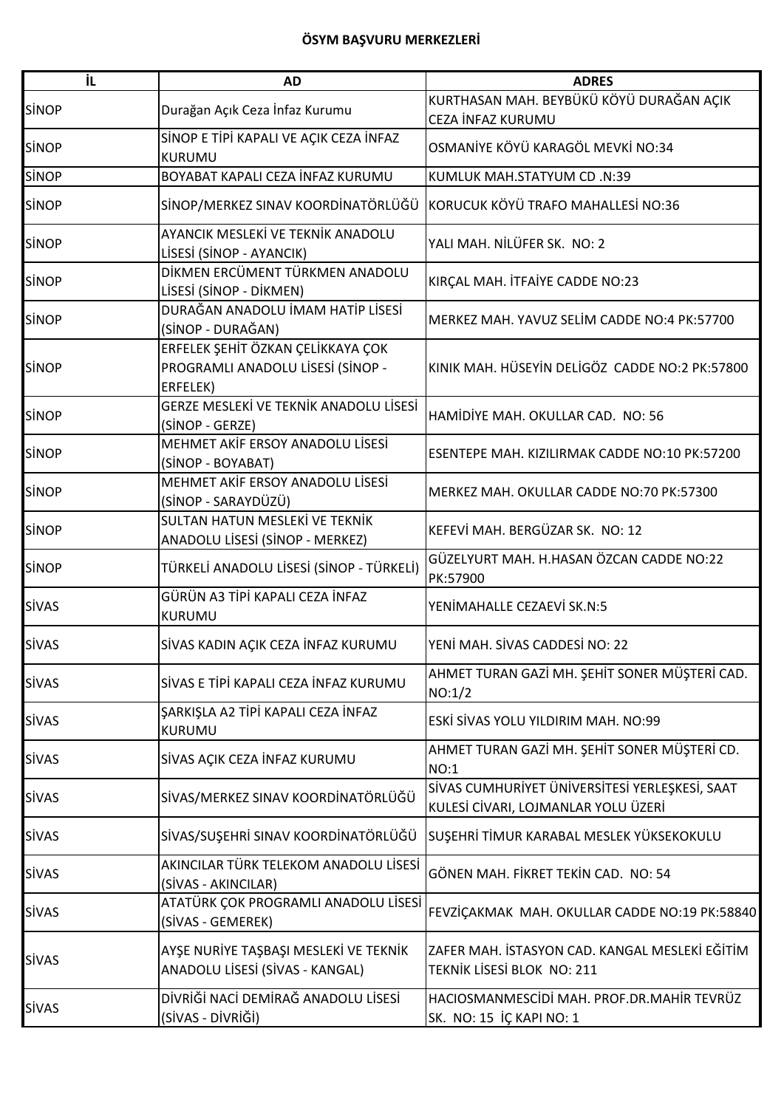| İL           | <b>AD</b>                                                                          | <b>ADRES</b>                                                                          |
|--------------|------------------------------------------------------------------------------------|---------------------------------------------------------------------------------------|
| <b>SİNOP</b> | Durağan Açık Ceza İnfaz Kurumu                                                     | KURTHASAN MAH. BEYBÜKÜ KÖYÜ DURAĞAN AÇIK<br>CEZA İNFAZ KURUMU                         |
| <b>SINOP</b> | SİNOP E TİPİ KAPALI VE AÇIK CEZA İNFAZ<br><b>KURUMU</b>                            | OSMANİYE KÖYÜ KARAGÖL MEVKİ NO:34                                                     |
| <b>SİNOP</b> | BOYABAT KAPALI CEZA İNFAZ KURUMU                                                   | KUMLUK MAH.STATYUM CD .N:39                                                           |
| <b>SINOP</b> | SİNOP/MERKEZ SINAV KOORDİNATÖRLÜĞÜ                                                 | KORUCUK KÖYÜ TRAFO MAHALLESİ NO:36                                                    |
| <b>SINOP</b> | AYANCIK MESLEKİ VE TEKNİK ANADOLU<br>LİSESİ (SİNOP - AYANCIK)                      | YALI MAH. NİLÜFER SK. NO: 2                                                           |
| <b>SİNOP</b> | DİKMEN ERCÜMENT TÜRKMEN ANADOLU<br>LİSESİ (SİNOP - DİKMEN)                         | KIRÇAL MAH. İTFAİYE CADDE NO:23                                                       |
| <b>SINOP</b> | DURAĞAN ANADOLU İMAM HATİP LİSESİ<br>(SİNOP - DURAĞAN)                             | MERKEZ MAH. YAVUZ SELİM CADDE NO:4 PK:57700                                           |
| <b>SİNOP</b> | ERFELEK ŞEHİT ÖZKAN ÇELİKKAYA ÇOK<br>PROGRAMLI ANADOLU LİSESİ (SİNOP -<br>ERFELEK) | KINIK MAH. HÜSEYİN DELİGÖZ CADDE NO:2 PK:57800                                        |
| <b>SİNOP</b> | GERZE MESLEKİ VE TEKNİK ANADOLU LİSESİ<br>(SİNOP - GERZE)                          | HAMİDİYE MAH. OKULLAR CAD. NO: 56                                                     |
| <b>SİNOP</b> | MEHMET AKİF ERSOY ANADOLU LİSESİ<br>(SİNOP - BOYABAT)                              | ESENTEPE MAH. KIZILIRMAK CADDE NO:10 PK:57200                                         |
| <b>SİNOP</b> | MEHMET AKİF ERSOY ANADOLU LİSESİ<br>(SİNOP - SARAYDÜZÜ)                            | MERKEZ MAH. OKULLAR CADDE NO:70 PK:57300                                              |
| <b>SİNOP</b> | SULTAN HATUN MESLEKİ VE TEKNİK<br>ANADOLU LİSESİ (SİNOP - MERKEZ)                  | KEFEVİ MAH. BERGÜZAR SK. NO: 12                                                       |
| <b>SINOP</b> | TÜRKELİ ANADOLU LİSESİ (SİNOP - TÜRKELİ)                                           | GÜZELYURT MAH. H.HASAN ÖZCAN CADDE NO:22<br>PK:57900                                  |
| <b>SİVAS</b> | GÜRÜN A3 TİPİ KAPALI CEZA İNFAZ<br><b>KURUMU</b>                                   | YENİMAHALLE CEZAEVİ SK.N:5                                                            |
| <b>SİVAS</b> | SİVAS KADIN AÇIK CEZA İNFAZ KURUMU                                                 | YENİ MAH. SİVAS CADDESİ NO: 22                                                        |
| <b>SİVAS</b> | SİVAS E TİPİ KAPALI CEZA İNFAZ KURUMU                                              | AHMET TURAN GAZİ MH. ŞEHİT SONER MÜŞTERİ CAD.<br>NO:1/2                               |
| <b>SİVAS</b> | ŞARKIŞLA A2 TİPİ KAPALI CEZA İNFAZ<br>KURUMU                                       | ESKİ SİVAS YOLU YILDIRIM MAH. NO:99                                                   |
| <b>SİVAS</b> | SİVAS AÇIK CEZA İNFAZ KURUMU                                                       | AHMET TURAN GAZİ MH. ŞEHİT SONER MÜŞTERİ CD.<br>NO:1                                  |
| <b>SİVAS</b> | SİVAS/MERKEZ SINAV KOORDİNATÖRLÜĞÜ                                                 | SİVAS CUMHURİYET ÜNİVERSİTESİ YERLEŞKESİ, SAAT<br>KULESİ CİVARI, LOJMANLAR YOLU ÜZERİ |
| <b>SİVAS</b> | SİVAS/SUŞEHRİ SINAV KOORDİNATÖRLÜĞÜ                                                | SUŞEHRİ TİMUR KARABAL MESLEK YÜKSEKOKULU                                              |
| <b>SİVAS</b> | AKINCILAR TÜRK TELEKOM ANADOLU LİSESİ<br>(SİVAS - AKINCILAR)                       | GÖNEN MAH. FİKRET TEKİN CAD. NO: 54                                                   |
| <b>SİVAS</b> | ATATÜRK ÇOK PROGRAMLI ANADOLU LİSESİ<br>(SİVAS - GEMEREK)                          | FEVZİÇAKMAK MAH. OKULLAR CADDE NO:19 PK:58840                                         |
| <b>SİVAS</b> | AYŞE NURİYE TAŞBAŞI MESLEKİ VE TEKNİK<br>ANADOLU LİSESİ (SİVAS - KANGAL)           | ZAFER MAH. İSTASYON CAD. KANGAL MESLEKİ EĞİTİM<br>TEKNIK LISESI BLOK NO: 211          |
| <b>SİVAS</b> | DİVRİĞİ NACİ DEMİRAĞ ANADOLU LİSESİ<br>(SİVAS - DİVRİĞİ)                           | HACIOSMANMESCIDI MAH. PROF.DR.MAHIR TEVRÜZ<br>SK. NO: 15 İÇ KAPI NO: 1                |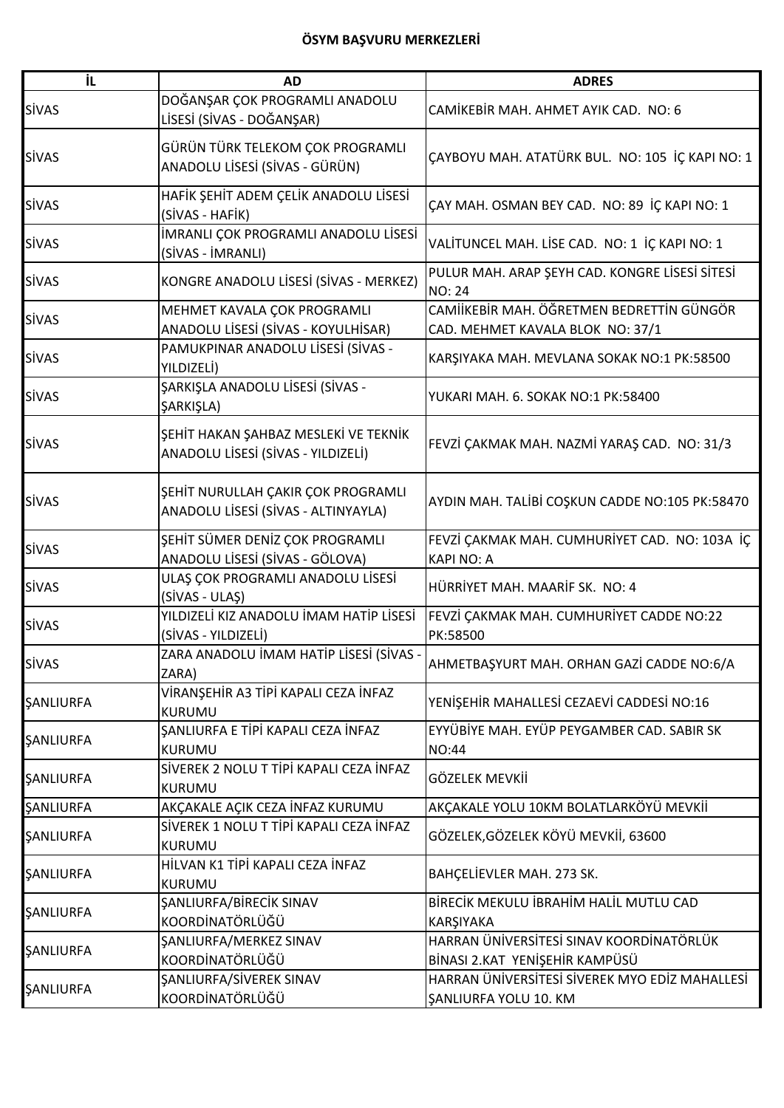| iL.                     | <b>AD</b>                                                                  | <b>ADRES</b>                                                                  |
|-------------------------|----------------------------------------------------------------------------|-------------------------------------------------------------------------------|
| <b>SİVAS</b>            | DOĞANŞAR ÇOK PROGRAMLI ANADOLU<br>LİSESİ (SİVAS - DOĞANŞAR)                | CAMİKEBİR MAH. AHMET AYIK CAD. NO: 6                                          |
| <b>SİVAS</b>            | GÜRÜN TÜRK TELEKOM ÇOK PROGRAMLI<br>ANADOLU LİSESİ (SİVAS - GÜRÜN)         | ÇAYBOYU MAH. ATATÜRK BUL. NO: 105 İÇ KAPI NO: 1                               |
| <b>SİVAS</b>            | HAFİK ŞEHİT ADEM ÇELİK ANADOLU LİSESİ<br>(SİVAS - HAFİK)                   | ÇAY MAH. OSMAN BEY CAD. NO: 89 İÇ KAPI NO: 1                                  |
| <b>SİVAS</b>            | İMRANLI ÇOK PROGRAMLI ANADOLU LİSESİ<br>(SİVAS - İMRANLI)                  | VALITUNCEL MAH. LISE CAD. NO: 1 IÇ KAPI NO: 1                                 |
| <b>SİVAS</b>            | KONGRE ANADOLU LİSESİ (SİVAS - MERKEZ)                                     | PULUR MAH. ARAP ŞEYH CAD. KONGRE LİSESİ SİTESİ<br><b>NO: 24</b>               |
| <b>SİVAS</b>            | MEHMET KAVALA ÇOK PROGRAMLI<br>ANADOLU LİSESİ (SİVAS - KOYULHİSAR)         | CAMIİKEBİR MAH. ÖĞRETMEN BEDRETTİN GÜNGÖR<br>CAD. MEHMET KAVALA BLOK NO: 37/1 |
| <b>SİVAS</b>            | PAMUKPINAR ANADOLU LİSESİ (SİVAS -<br>YILDIZELİ)                           | KARŞIYAKA MAH. MEVLANA SOKAK NO:1 PK:58500                                    |
| <b>SİVAS</b>            | ŞARKIŞLA ANADOLU LİSESİ (SİVAS -<br>ŞARKIŞLA)                              | YUKARI MAH. 6. SOKAK NO:1 PK:58400                                            |
| <b>SİVAS</b>            | ŞEHİT HAKAN ŞAHBAZ MESLEKİ VE TEKNİK<br>ANADOLU LİSESİ (SİVAS - YILDIZELİ) | FEVZİ ÇAKMAK MAH. NAZMİ YARAŞ CAD. NO: 31/3                                   |
| <b>SİVAS</b>            | ŞEHİT NURULLAH ÇAKIR ÇOK PROGRAMLI<br>ANADOLU LİSESİ (SİVAS - ALTINYAYLA)  | AYDIN MAH. TALİBİ COŞKUN CADDE NO:105 PK:58470                                |
| <b>SİVAS</b>            | ŞEHİT SÜMER DENİZ ÇOK PROGRAMLI<br>ANADOLU LİSESİ (SİVAS - GÖLOVA)         | FEVZİ ÇAKMAK MAH. CUMHURİYET CAD. NO: 103A İÇ<br><b>KAPI NO: A</b>            |
| <b>SİVAS</b>            | ULAŞ ÇOK PROGRAMLI ANADOLU LİSESİ<br>(SİVAS - ULAŞ)                        | HÜRRİYET MAH, MAARİF SK. NO: 4                                                |
| <b>SİVAS</b>            | YILDIZELİ KIZ ANADOLU İMAM HATİP LİSESİ<br>(SİVAS - YILDIZELİ)             | FEVZİ ÇAKMAK MAH. CUMHURİYET CADDE NO:22<br>PK:58500                          |
| <b>SİVAS</b>            | ZARA ANADOLU İMAM HATİP LİSESİ (SİVAS -<br>ZARA)                           | AHMETBAŞYURT MAH. ORHAN GAZİ CADDE NO:6/A                                     |
| ŞANLIURFA               | VİRANŞEHİR A3 TİPİ KAPALI CEZA İNFAZ<br><b>KURUMU</b>                      | YENİŞEHİR MAHALLESİ CEZAEVİ CADDESİ NO:16                                     |
| <b><i>SANLIURFA</i></b> | ŞANLIURFA E TİPİ KAPALI CEZA İNFAZ<br><b>KURUMU</b>                        | EYYÜBİYE MAH. EYÜP PEYGAMBER CAD. SABIR SK<br>NO:44                           |
| <b>ŞANLIURFA</b>        | SİVEREK 2 NOLU T TİPİ KAPALI CEZA İNFAZ<br><b>KURUMU</b>                   | GÖZELEK MEVKİİ                                                                |
| <b><i>SANLIURFA</i></b> | AKÇAKALE AÇIK CEZA İNFAZ KURUMU                                            | AKÇAKALE YOLU 10KM BOLATLARKÖYÜ MEVKİİ                                        |
| <b>ŞANLIURFA</b>        | SİVEREK 1 NOLU T TİPİ KAPALI CEZA İNFAZ<br><b>KURUMU</b>                   | GÖZELEK, GÖZELEK KÖYÜ MEVKİİ, 63600                                           |
| <b>ŞANLIURFA</b>        | HİLVAN K1 TİPİ KAPALI CEZA İNFAZ<br>KURUMU                                 | BAHÇELİEVLER MAH. 273 SK.                                                     |
| <b><i>SANLIURFA</i></b> | <b><i>ŞANLIURFA/BİRECİK SINAV</i></b><br>KOORDİNATÖRLÜĞÜ                   | BİRECİK MEKULU İBRAHİM HALİL MUTLU CAD<br>KARŞIYAKA                           |
| <b>ŞANLIURFA</b>        | <b>ŞANLIURFA/MERKEZ SINAV</b><br>KOORDİNATÖRLÜĞÜ                           | HARRAN ÜNIVERSITESI SINAV KOORDINATÖRLÜK<br>BİNASI 2.KAT YENİŞEHİR KAMPÜSÜ    |
| <b>ŞANLIURFA</b>        | <b>ŞANLIURFA/SİVEREK SINAV</b><br>KOORDİNATÖRLÜĞÜ                          | HARRAN ÜNIVERSITESI SIVEREK MYO EDIZ MAHALLESI<br>ŞANLIURFA YOLU 10. KM       |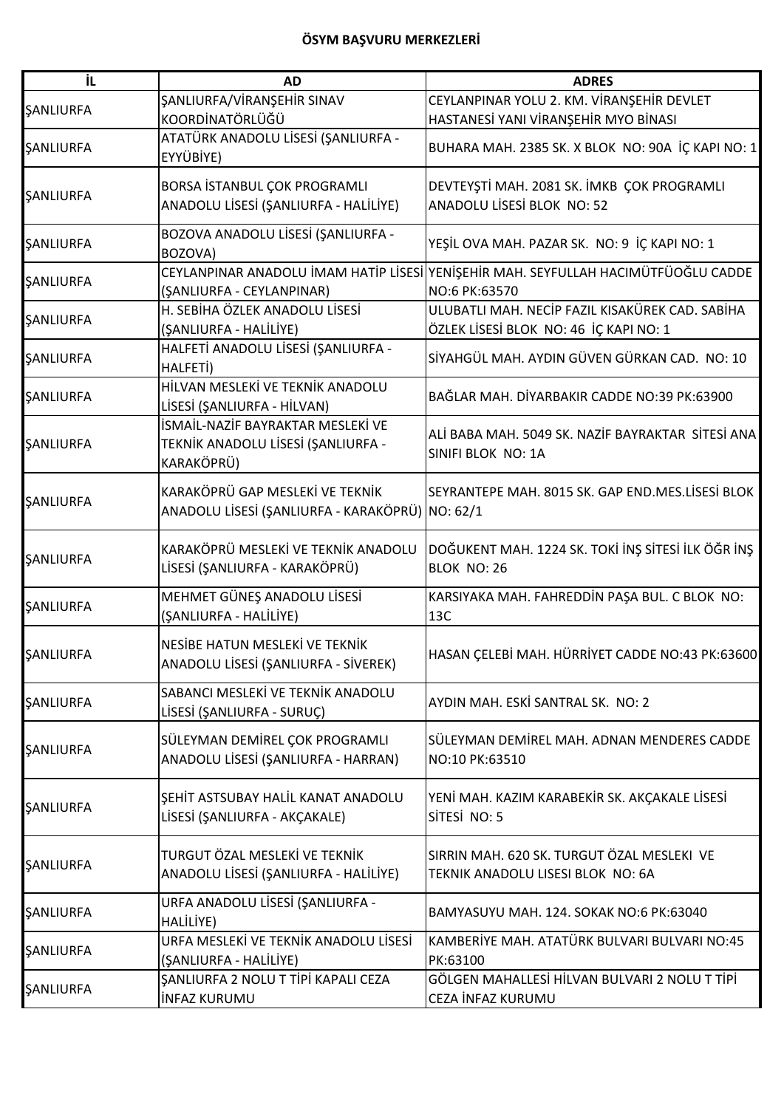| İL                      | <b>AD</b>                                                                             | <b>ADRES</b>                                                                                        |
|-------------------------|---------------------------------------------------------------------------------------|-----------------------------------------------------------------------------------------------------|
|                         | ŞANLIURFA/VİRANŞEHİR SINAV                                                            | CEYLANPINAR YOLU 2. KM. VİRANŞEHİR DEVLET                                                           |
| <b><i>SANLIURFA</i></b> | KOORDİNATÖRLÜĞÜ                                                                       | HASTANESİ YANI VİRANŞEHİR MYO BİNASI                                                                |
| SANLIURFA               | ATATÜRK ANADOLU LİSESİ (ŞANLIURFA -<br>EYYÜBİYE)                                      | BUHARA MAH. 2385 SK. X BLOK NO: 90A İÇ KAPI NO: 1                                                   |
| <b><i>ŞANLIURFA</i></b> | BORSA İSTANBUL ÇOK PROGRAMLI<br>ANADOLU LİSESİ (ŞANLIURFA - HALİLİYE)                 | DEVTEYŞTİ MAH. 2081 SK. İMKB ÇOK PROGRAMLI<br>ANADOLU LİSESİ BLOK NO: 52                            |
| <b><i>SANLIURFA</i></b> | BOZOVA ANADOLU LİSESİ (ŞANLIURFA -<br>BOZOVA)                                         | YEŞİL OVA MAH. PAZAR SK. NO: 9 İÇ KAPI NO: 1                                                        |
| SANLIURFA               | (ŞANLIURFA - CEYLANPINAR)                                                             | CEYLANPINAR ANADOLU İMAM HATİP LİSESİ YENİŞEHİR MAH. SEYFULLAH HACIMÜTFÜOĞLU CADDE<br>NO:6 PK:63570 |
| <b>ŞANLIURFA</b>        | H. SEBİHA ÖZLEK ANADOLU LİSESİ<br>(ŞANLIURFA - HALİLİYE)                              | ULUBATLI MAH. NECİP FAZIL KISAKÜREK CAD. SABİHA<br>ÖZLEK LİSESİ BLOK NO: 46 İÇ KAPI NO: 1           |
| <b><i>ŞANLIURFA</i></b> | HALFETİ ANADOLU LİSESİ (ŞANLIURFA -<br>HALFETI)                                       | SİYAHGÜL MAH. AYDIN GÜVEN GÜRKAN CAD. NO: 10                                                        |
| SANLIURFA               | HİLVAN MESLEKİ VE TEKNİK ANADOLU<br>LİSESİ (ŞANLIURFA - HİLVAN)                       | BAĞLAR MAH. DİYARBAKIR CADDE NO:39 PK:63900                                                         |
| <b><i>ŞANLIURFA</i></b> | İSMAİL-NAZİF BAYRAKTAR MESLEKİ VE<br>TEKNİK ANADOLU LİSESİ (ŞANLIURFA -<br>KARAKÖPRÜ) | ALİ BABA MAH. 5049 SK. NAZİF BAYRAKTAR SİTESİ ANA<br>SINIFI BLOK NO: 1A                             |
| ŞANLIURFA               | KARAKÖPRÜ GAP MESLEKİ VE TEKNİK<br>ANADOLU LİSESİ (ŞANLIURFA - KARAKÖPRÜ) NO: 62/1    | SEYRANTEPE MAH. 8015 SK. GAP END.MES.LISESI BLOK                                                    |
| <b><i>ŞANLIURFA</i></b> | KARAKÖPRÜ MESLEKİ VE TEKNİK ANADOLU<br>LİSESİ (ŞANLIURFA - KARAKÖPRÜ)                 | DOĞUKENT MAH. 1224 SK. TOKİ İNŞ SİTESİ İLK ÖĞR İNŞ<br>BLOK NO: 26                                   |
| <b><i>ŞANLIURFA</i></b> | MEHMET GÜNEŞ ANADOLU LİSESİ<br>(ŞANLIURFA - HALİLİYE)                                 | KARSIYAKA MAH. FAHREDDİN PAŞA BUL. C BLOK NO:<br>13C                                                |
| <b><i>ŞANLIURFA</i></b> | NESİBE HATUN MESLEKİ VE TEKNİK<br>ANADOLU LİSESİ (ŞANLIURFA - SİVEREK)                | HASAN ÇELEBİ MAH. HÜRRİYET CADDE NO:43 PK:63600                                                     |
| SANLIURFA               | SABANCI MESLEKİ VE TEKNİK ANADOLU<br>LİSESİ (ŞANLIURFA - SURUÇ)                       | AYDIN MAH. ESKİ SANTRAL SK. NO: 2                                                                   |
| <b>ŞANLIURFA</b>        | SÜLEYMAN DEMİREL ÇOK PROGRAMLI<br>ANADOLU LİSESİ (ŞANLIURFA - HARRAN)                 | SÜLEYMAN DEMİREL MAH. ADNAN MENDERES CADDE<br>NO:10 PK:63510                                        |
| <b><i>ŞANLIURFA</i></b> | ŞEHİT ASTSUBAY HALİL KANAT ANADOLU<br>LİSESİ (ŞANLIURFA - AKÇAKALE)                   | YENİ MAH. KAZIM KARABEKİR SK. AKÇAKALE LİSESİ<br>SİTESİ NO: 5                                       |
| <b><i>ŞANLIURFA</i></b> | TURGUT ÖZAL MESLEKİ VE TEKNİK<br>ANADOLU LİSESİ (ŞANLIURFA - HALİLİYE)                | SIRRIN MAH. 620 SK. TURGUT ÖZAL MESLEKI VE<br>TEKNIK ANADOLU LISESI BLOK NO: 6A                     |
| <b><i>SANLIURFA</i></b> | URFA ANADOLU LİSESİ (ŞANLIURFA -<br>HALİLİYE)                                         | BAMYASUYU MAH. 124. SOKAK NO:6 PK:63040                                                             |
| <b><i>ŞANLIURFA</i></b> | URFA MESLEKİ VE TEKNİK ANADOLU LİSESİ<br>(ŞANLIURFA - HALİLİYE)                       | KAMBERİYE MAH. ATATÜRK BULVARI BULVARI NO:45<br>PK:63100                                            |
| ŞANLIURFA               | ŞANLIURFA 2 NOLU T TİPİ KAPALI CEZA<br><b>INFAZ KURUMU</b>                            | GÖLGEN MAHALLESİ HİLVAN BULVARI 2 NOLU T TİPİ<br>CEZA İNFAZ KURUMU                                  |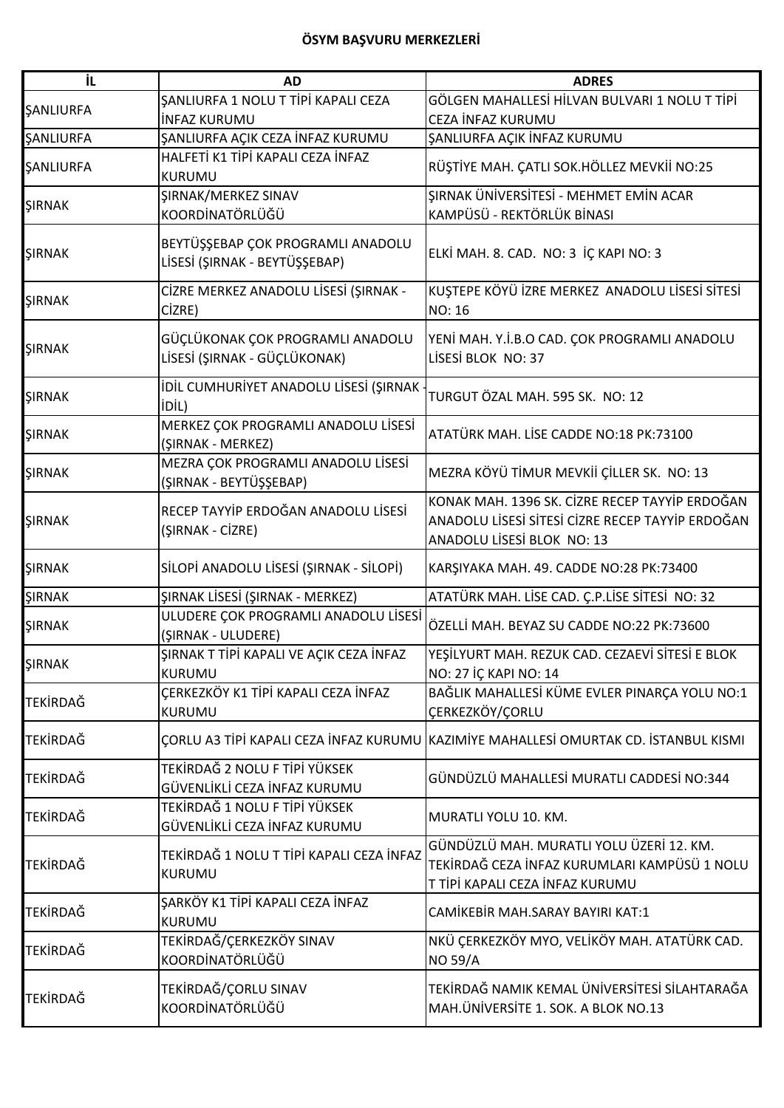| İL.              | <b>AD</b>                                                          | <b>ADRES</b>                                                                                                                     |
|------------------|--------------------------------------------------------------------|----------------------------------------------------------------------------------------------------------------------------------|
| <b>ŞANLIURFA</b> | ŞANLIURFA 1 NOLU T TİPİ KAPALI CEZA                                | GÖLGEN MAHALLESİ HİLVAN BULVARI 1 NOLU T TİPİ                                                                                    |
|                  | <b>INFAZ KURUMU</b>                                                | CEZA İNFAZ KURUMU                                                                                                                |
| <b>ŞANLIURFA</b> | ŞANLIURFA AÇIK CEZA İNFAZ KURUMU                                   | ŞANLIURFA AÇIK İNFAZ KURUMU                                                                                                      |
| <b>ŞANLIURFA</b> | HALFETİ K1 TİPİ KAPALI CEZA İNFAZ<br><b>KURUMU</b>                 | RÜŞTİYE MAH. ÇATLI SOK.HÖLLEZ MEVKİİ NO:25                                                                                       |
| <b>ŞIRNAK</b>    | ŞIRNAK/MERKEZ SINAV<br>KOORDİNATÖRLÜĞÜ                             | ŞIRNAK ÜNİVERSİTESİ - MEHMET EMİN ACAR<br>KAMPÜSÜ - REKTÖRLÜK BİNASI                                                             |
| <b>ŞIRNAK</b>    | BEYTÜŞŞEBAP ÇOK PROGRAMLI ANADOLU<br>LİSESİ (ŞIRNAK - BEYTÜŞŞEBAP) | ELKİ MAH. 8. CAD. NO: 3 İÇ KAPI NO: 3                                                                                            |
| <b>ŞIRNAK</b>    | CİZRE MERKEZ ANADOLU LİSESİ (ŞIRNAK -<br>CİZRE)                    | KUŞTEPE KÖYÜ İZRE MERKEZ ANADOLU LİSESİ SİTESİ<br><b>NO: 16</b>                                                                  |
| <b>ŞIRNAK</b>    | GÜÇLÜKONAK ÇOK PROGRAMLI ANADOLU<br>LİSESİ (ŞIRNAK - GÜÇLÜKONAK)   | YENİ MAH. Y.İ.B.O CAD. ÇOK PROGRAMLI ANADOLU<br>LİSESİ BLOK NO: 37                                                               |
| <b>ŞIRNAK</b>    | İDİL CUMHURİYET ANADOLU LİSESİ (ŞIRNAK<br><b>iDİL)</b>             | TURGUT ÖZAL MAH. 595 SK. NO: 12                                                                                                  |
| <b>ŞIRNAK</b>    | MERKEZ ÇOK PROGRAMLI ANADOLU LİSESİ<br>(ŞIRNAK - MERKEZ)           | ATATÜRK MAH. LİSE CADDE NO:18 PK:73100                                                                                           |
| ŞIRNAK           | MEZRA ÇOK PROGRAMLI ANADOLU LİSESİ<br>(ŞIRNAK - BEYTÜŞŞEBAP)       | MEZRA KÖYÜ TİMUR MEVKİİ ÇİLLER SK. NO: 13                                                                                        |
| <b>ŞIRNAK</b>    | RECEP TAYYİP ERDOĞAN ANADOLU LİSESİ<br>(ŞIRNAK - CİZRE)            | KONAK MAH. 1396 SK. CİZRE RECEP TAYYİP ERDOĞAN<br>ANADOLU LİSESİ SİTESİ CİZRE RECEP TAYYİP ERDOĞAN<br>ANADOLU LİSESİ BLOK NO: 13 |
| <b>ŞIRNAK</b>    | SİLOPİ ANADOLU LİSESİ (ŞIRNAK - SİLOPİ)                            | KARŞIYAKA MAH. 49. CADDE NO:28 PK:73400                                                                                          |
| <b>ŞIRNAK</b>    | ŞIRNAK LİSESİ (ŞIRNAK - MERKEZ)                                    | ATATÜRK MAH. LİSE CAD. Ç.P.LİSE SİTESİ NO: 32                                                                                    |
| <b>ŞIRNAK</b>    | ULUDERE ÇOK PROGRAMLI ANADOLU LİSESİ<br>(ŞIRNAK - ULUDERE)         | ÖZELLİ MAH. BEYAZ SU CADDE NO:22 PK:73600                                                                                        |
| ŞIRNAK           | ŞIRNAK T TİPİ KAPALI VE AÇIK CEZA İNFAZ<br><b>KURUMU</b>           | YEŞİLYURT MAH. REZUK CAD. CEZAEVİ SİTESİ E BLOK<br>NO: 27 İÇ KAPI NO: 14                                                         |
| <b>TEKİRDAĞ</b>  | ÇERKEZKÖY K1 TİPİ KAPALI CEZA İNFAZ<br><b>KURUMU</b>               | BAĞLIK MAHALLESİ KÜME EVLER PINARÇA YOLU NO:1<br>ÇERKEZKÖY/ÇORLU                                                                 |
| TEKİRDAĞ         |                                                                    | CORLU A3 TİPİ KAPALI CEZA İNFAZ KURUMU KAZIMİYE MAHALLESİ OMURTAK CD. İSTANBUL KISMI                                             |
| TEKİRDAĞ         | TEKİRDAĞ 2 NOLU F TİPİ YÜKSEK<br>GÜVENLİKLİ CEZA İNFAZ KURUMU      | GÜNDÜZLÜ MAHALLESİ MURATLI CADDESİ NO:344                                                                                        |
| <b>TEKİRDAĞ</b>  | TEKİRDAĞ 1 NOLU F TİPİ YÜKSEK<br>GÜVENLİKLİ CEZA İNFAZ KURUMU      | MURATLI YOLU 10. KM.                                                                                                             |
| <b>TEKIRDAĞ</b>  | TEKİRDAĞ 1 NOLU T TİPİ KAPALI CEZA İNFAZ<br><b>KURUMU</b>          | GÜNDÜZLÜ MAH. MURATLI YOLU ÜZERİ 12. KM.<br>TEKİRDAĞ CEZA İNFAZ KURUMLARI KAMPÜSÜ 1 NOLU<br>T TİPİ KAPALI CEZA İNFAZ KURUMU      |
| TEKİRDAĞ         | ŞARKÖY K1 TİPİ KAPALI CEZA İNFAZ<br>KURUMU                         | CAMİKEBİR MAH.SARAY BAYIRI KAT:1                                                                                                 |
| TEKİRDAĞ         | TEKİRDAĞ/ÇERKEZKÖY SINAV<br>KOORDİNATÖRLÜĞÜ                        | NKÜ ÇERKEZKÖY MYO, VELİKÖY MAH. ATATÜRK CAD.<br><b>NO 59/A</b>                                                                   |
| <b>TEKİRDAĞ</b>  | TEKİRDAĞ/ÇORLU SINAV<br>KOORDİNATÖRLÜĞÜ                            | TEKİRDAĞ NAMIK KEMAL ÜNİVERSİTESİ SİLAHTARAĞA<br>MAH.ÜNİVERSİTE 1. SOK. A BLOK NO.13                                             |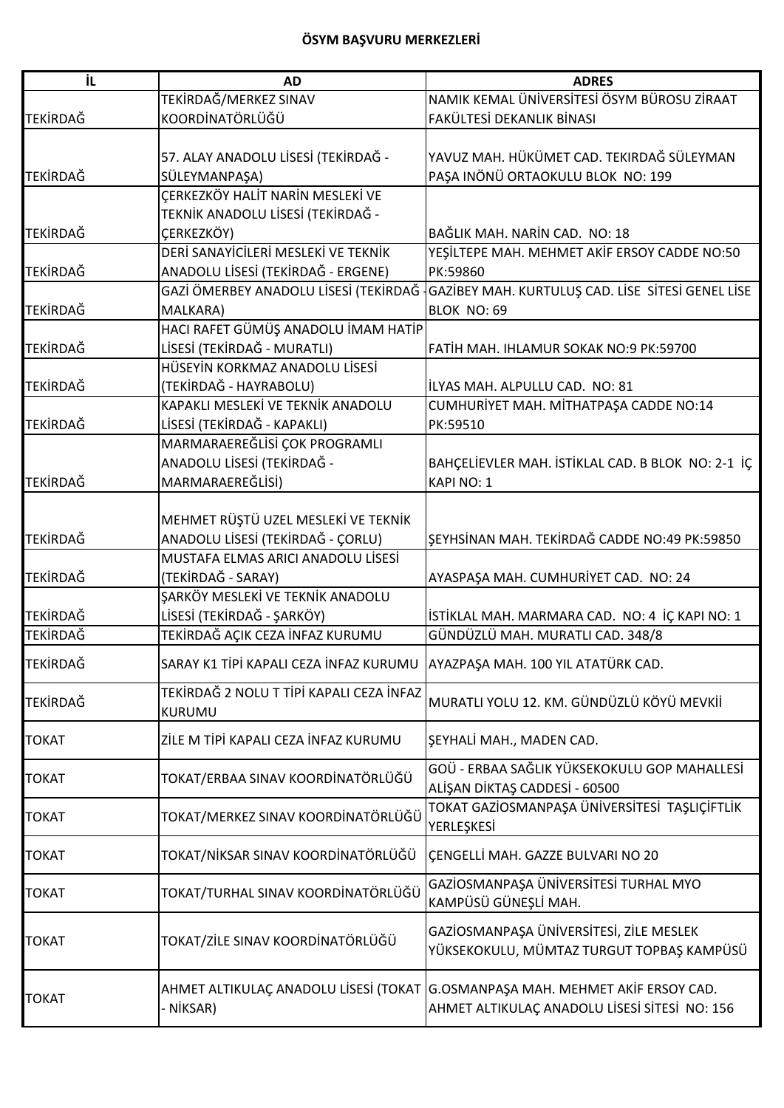| iL              | <b>AD</b>                                                      | <b>ADRES</b>                                                                                                                   |
|-----------------|----------------------------------------------------------------|--------------------------------------------------------------------------------------------------------------------------------|
|                 | TEKİRDAĞ/MERKEZ SINAV                                          | NAMIK KEMAL ÜNİVERSİTESİ ÖSYM BÜROSU ZİRAAT                                                                                    |
| <b>TEKİRDAĞ</b> | KOORDİNATÖRLÜĞÜ                                                | FAKÜLTESİ DEKANLIK BİNASI                                                                                                      |
|                 |                                                                |                                                                                                                                |
|                 | 57. ALAY ANADOLU LİSESİ (TEKİRDAĞ -                            | YAVUZ MAH. HÜKÜMET CAD. TEKIRDAĞ SÜLEYMAN                                                                                      |
| <b>TEKİRDAĞ</b> | SÜLEYMANPAŞA)                                                  | PAŞA INÖNÜ ORTAOKULU BLOK NO: 199                                                                                              |
|                 | ÇERKEZKÖY HALİT NARİN MESLEKİ VE                               |                                                                                                                                |
|                 | TEKNİK ANADOLU LİSESİ (TEKİRDAĞ -                              |                                                                                                                                |
| <b>TEKİRDAĞ</b> | <b>ÇERKEZKÖY)</b>                                              | BAĞLIK MAH. NARİN CAD. NO: 18                                                                                                  |
|                 | DERİ SANAYİCİLERİ MESLEKİ VE TEKNİK                            | YEŞİLTEPE MAH. MEHMET AKİF ERSOY CADDE NO:50                                                                                   |
| <b>TEKİRDAĞ</b> | ANADOLU LİSESİ (TEKİRDAĞ - ERGENE)                             | PK:59860                                                                                                                       |
|                 |                                                                | GAZİ ÖMERBEY ANADOLU LİSESİ (TEKİRDAĞ GAZİBEY MAH. KURTULUŞ CAD. LİSE SİTESİ GENEL LİSE                                        |
| <b>TEKİRDAĞ</b> | MALKARA)                                                       | BLOK NO: 69                                                                                                                    |
|                 | HACI RAFET GÜMÜŞ ANADOLU İMAM HATİP                            |                                                                                                                                |
| <b>TEKİRDAĞ</b> | LİSESİ (TEKİRDAĞ - MURATLI)                                    | FATİH MAH. IHLAMUR SOKAK NO:9 PK:59700                                                                                         |
|                 | HÜSEYİN KORKMAZ ANADOLU LİSESİ                                 |                                                                                                                                |
| <b>TEKIRDAĞ</b> | (TEKİRDAĞ - HAYRABOLU)                                         | ILYAS MAH. ALPULLU CAD. NO: 81                                                                                                 |
|                 | KAPAKLI MESLEKİ VE TEKNİK ANADOLU                              | CUMHURİYET MAH. MİTHATPAŞA CADDE NO:14                                                                                         |
| <b>TEKİRDAĞ</b> | LİSESİ (TEKİRDAĞ - KAPAKLI)                                    | PK:59510                                                                                                                       |
|                 | MARMARAEREĞLİSİ ÇOK PROGRAMLI                                  |                                                                                                                                |
|                 | ANADOLU LİSESİ (TEKİRDAĞ -                                     | BAHÇELİEVLER MAH. İSTİKLAL CAD. B BLOK NO: 2-1 İÇ                                                                              |
| <b>TEKİRDAĞ</b> | MARMARAEREĞLİSİ)                                               | KAPI NO: 1                                                                                                                     |
|                 |                                                                |                                                                                                                                |
|                 | MEHMET RÜŞTÜ UZEL MESLEKİ VE TEKNİK                            |                                                                                                                                |
| <b>TEKİRDAĞ</b> | ANADOLU LİSESİ (TEKİRDAĞ - ÇORLU)                              | ŞEYHSİNAN MAH. TEKİRDAĞ CADDE NO:49 PK:59850                                                                                   |
| <b>TEKİRDAĞ</b> | MUSTAFA ELMAS ARICI ANADOLU LİSESİ                             |                                                                                                                                |
|                 | (TEKİRDAĞ - SARAY)                                             | AYASPAŞA MAH. CUMHURİYET CAD. NO: 24                                                                                           |
| <b>TEKİRDAĞ</b> | ŞARKÖY MESLEKİ VE TEKNİK ANADOLU<br>LİSESİ (TEKİRDAĞ - ŞARKÖY) |                                                                                                                                |
| <b>TEKİRDAĞ</b> |                                                                | İSTİKLAL MAH. MARMARA CAD. NO: 4 İÇ KAPI NO: 1<br>GÜNDÜZLÜ MAH. MURATLI CAD. 348/8                                             |
|                 | TEKİRDAĞ AÇIK CEZA İNFAZ KURUMU                                |                                                                                                                                |
| <b>TEKİRDAĞ</b> | SARAY K1 TİPİ KAPALI CEZA İNFAZ KURUMU                         | AYAZPAŞA MAH. 100 YIL ATATÜRK CAD.                                                                                             |
| <b>TEKIRDAĞ</b> | TEKİRDAĞ 2 NOLU T TİPİ KAPALI CEZA İNFAZ                       | MURATLI YOLU 12. KM. GÜNDÜZLÜ KÖYÜ MEVKİİ                                                                                      |
|                 | <b>KURUMU</b>                                                  |                                                                                                                                |
| <b>TOKAT</b>    | ZİLE M TİPİ KAPALI CEZA İNFAZ KURUMU                           | ŞEYHALİ MAH., MADEN CAD.                                                                                                       |
|                 |                                                                |                                                                                                                                |
| <b>TOKAT</b>    | TOKAT/ERBAA SINAV KOORDİNATÖRLÜĞÜ                              | GOÜ - ERBAA SAĞLIK YÜKSEKOKULU GOP MAHALLESİ                                                                                   |
|                 |                                                                | ALIŞAN DİKTAŞ CADDESİ - 60500                                                                                                  |
| <b>TOKAT</b>    | TOKAT/MERKEZ SINAV KOORDİNATÖRLÜĞÜ                             | TOKAT GAZİOSMANPAŞA ÜNİVERSİTESİ TAŞLIÇİFTLİK<br>YERLEŞKESİ                                                                    |
| <b>TOKAT</b>    | TOKAT/NİKSAR SINAV KOORDİNATÖRLÜĞÜ                             | ÇENGELLİ MAH. GAZZE BULVARI NO 20                                                                                              |
| <b>TOKAT</b>    | TOKAT/TURHAL SINAV KOORDİNATÖRLÜĞÜ                             | GAZİOSMANPAŞA ÜNİVERSİTESİ TURHAL MYO                                                                                          |
|                 |                                                                | KAMPÜSÜ GÜNEŞLİ MAH.                                                                                                           |
| <b>TOKAT</b>    | TOKAT/ZİLE SINAV KOORDİNATÖRLÜĞÜ                               | GAZİOSMANPAŞA ÜNİVERSİTESİ, ZİLE MESLEK<br>YÜKSEKOKULU, MÜMTAZ TURGUT TOPBAŞ KAMPÜSÜ                                           |
| <b>TOKAT</b>    | NİKSAR)                                                        | AHMET ALTIKULAÇ ANADOLU LİSESİ (TOKAT G.OSMANPAŞA MAH. MEHMET AKİF ERSOY CAD.<br>AHMET ALTIKULAÇ ANADOLU LİSESİ SİTESİ NO: 156 |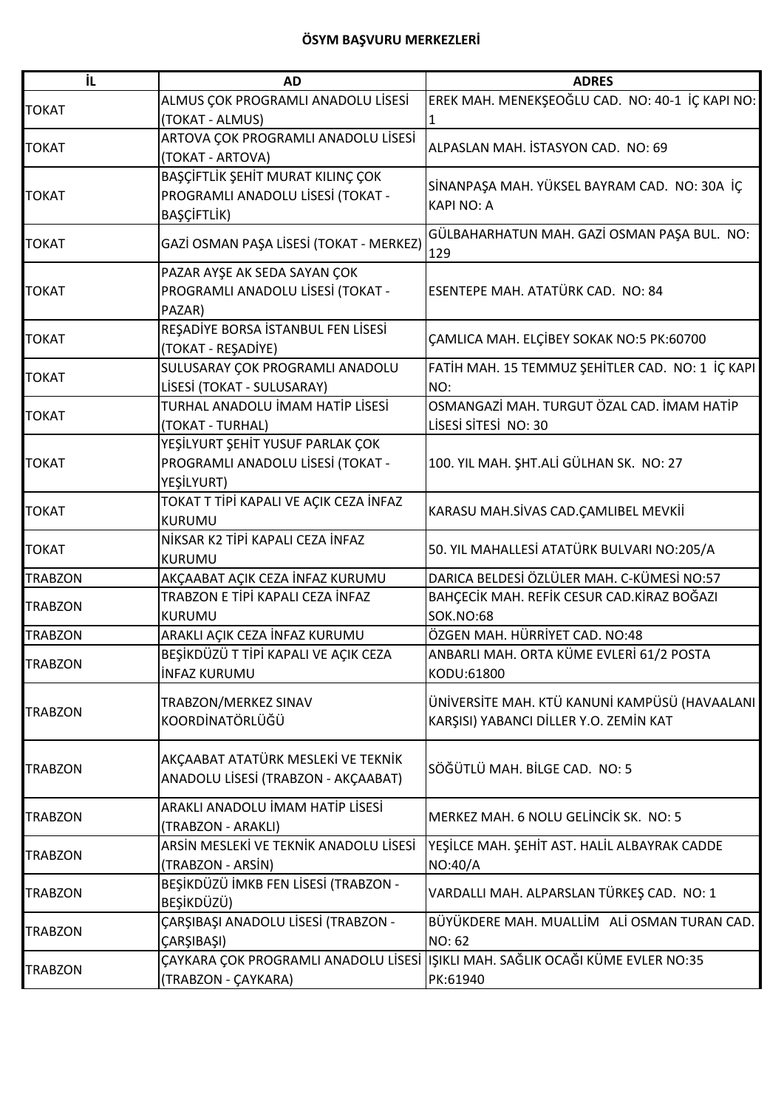## **ÖSYM BAŞVURU MERKEZLERİ**

| İL.            | <b>AD</b>                               | <b>ADRES</b>                                                                   |
|----------------|-----------------------------------------|--------------------------------------------------------------------------------|
|                | ALMUS ÇOK PROGRAMLI ANADOLU LİSESİ      | EREK MAH. MENEKŞEOĞLU CAD. NO: 40-1 İÇ KAPI NO:                                |
| <b>TOKAT</b>   | (TOKAT - ALMUS)                         |                                                                                |
|                | ARTOVA ÇOK PROGRAMLI ANADOLU LİSESİ     |                                                                                |
| <b>TOKAT</b>   | (TOKAT - ARTOVA)                        | ALPASLAN MAH. İSTASYON CAD. NO: 69                                             |
|                | BAŞÇİFTLİK ŞEHİT MURAT KILINÇ ÇOK       |                                                                                |
| <b>TOKAT</b>   | PROGRAMLI ANADOLU LİSESİ (TOKAT -       | SİNANPAŞA MAH. YÜKSEL BAYRAM CAD. NO: 30A İÇ                                   |
|                | BAŞÇİFTLİK)                             | <b>KAPI NO: A</b>                                                              |
| <b>TOKAT</b>   | GAZİ OSMAN PAŞA LİSESİ (TOKAT - MERKEZ) | GÜLBAHARHATUN MAH. GAZİ OSMAN PAŞA BUL. NO:<br>129                             |
|                | PAZAR AYŞE AK SEDA SAYAN ÇOK            |                                                                                |
| <b>TOKAT</b>   | PROGRAMLI ANADOLU LİSESİ (TOKAT -       | ESENTEPE MAH. ATATÜRK CAD. NO: 84                                              |
|                | PAZAR)                                  |                                                                                |
|                | REŞADİYE BORSA İSTANBUL FEN LİSESİ      |                                                                                |
| <b>TOKAT</b>   | (TOKAT - RESADİYE)                      | ÇAMLICA MAH. ELÇİBEY SOKAK NO:5 PK:60700                                       |
|                | SULUSARAY ÇOK PROGRAMLI ANADOLU         | FATİH MAH. 15 TEMMUZ ŞEHİTLER CAD. NO: 1 İÇ KAPI                               |
| <b>TOKAT</b>   | LİSESİ (TOKAT - SULUSARAY)              | NO:                                                                            |
|                | TURHAL ANADOLU İMAM HATİP LİSESİ        | OSMANGAZİ MAH. TURGUT ÖZAL CAD. İMAM HATİP                                     |
| <b>TOKAT</b>   | (TOKAT - TURHAL)                        | LISESI SITESI NO: 30                                                           |
|                | YEŞİLYURT ŞEHİT YUSUF PARLAK ÇOK        |                                                                                |
| <b>TOKAT</b>   | PROGRAMLI ANADOLU LİSESİ (TOKAT -       | 100. YIL MAH. ŞHT.ALİ GÜLHAN SK. NO: 27                                        |
|                | YEŞİLYURT)                              |                                                                                |
|                | TOKAT T TİPİ KAPALI VE AÇIK CEZA İNFAZ  |                                                                                |
| <b>TOKAT</b>   | <b>KURUMU</b>                           | KARASU MAH.SİVAS CAD.ÇAMLIBEL MEVKİİ                                           |
|                | NİKSAR K2 TİPİ KAPALI CEZA İNFAZ        |                                                                                |
| <b>TOKAT</b>   | <b>KURUMU</b>                           | 50. YIL MAHALLESİ ATATÜRK BULVARI NO:205/A                                     |
| <b>TRABZON</b> | AKÇAABAT AÇIK CEZA İNFAZ KURUMU         | DARICA BELDESİ ÖZLÜLER MAH. C-KÜMESİ NO:57                                     |
|                | TRABZON E TİPİ KAPALI CEZA İNFAZ        | BAHÇECİK MAH. REFİK CESUR CAD.KİRAZ BOĞAZI                                     |
| <b>TRABZON</b> | KURUMU                                  | <b>SOK.NO:68</b>                                                               |
| <b>TRABZON</b> | ARAKLI AÇIK CEZA İNFAZ KURUMU           | ÖZGEN MAH. HÜRRİYET CAD. NO:48                                                 |
|                | BEŞİKDÜZÜ T TİPİ KAPALI VE AÇIK CEZA    | ANBARLI MAH. ORTA KÜME EVLERİ 61/2 POSTA                                       |
| TRABZON        | <b>INFAZ KURUMU</b>                     | KODU:61800                                                                     |
|                |                                         |                                                                                |
| <b>TRABZON</b> | TRABZON/MERKEZ SINAV<br>KOORDİNATÖRLÜĞÜ | ÜNİVERSİTE MAH. KTÜ KANUNİ KAMPÜSÜ (HAVAALANI                                  |
|                |                                         | KARŞISI) YABANCI DİLLER Y.O. ZEMİN KAT                                         |
|                | AKÇAABAT ATATÜRK MESLEKİ VE TEKNİK      |                                                                                |
| <b>TRABZON</b> | ANADOLU LİSESİ (TRABZON - AKÇAABAT)     | SÖĞÜTLÜ MAH. BİLGE CAD. NO: 5                                                  |
|                |                                         |                                                                                |
| <b>TRABZON</b> | ARAKLI ANADOLU İMAM HATİP LİSESİ        | MERKEZ MAH. 6 NOLU GELİNCİK SK. NO: 5                                          |
|                | (TRABZON - ARAKLI)                      |                                                                                |
| TRABZON        | ARSİN MESLEKİ VE TEKNİK ANADOLU LİSESİ  | YEŞİLCE MAH. ŞEHİT AST. HALİL ALBAYRAK CADDE                                   |
|                | (TRABZON - ARSİN)                       | NO:40/A                                                                        |
| <b>TRABZON</b> | BEŞİKDÜZÜ İMKB FEN LİSESİ (TRABZON -    |                                                                                |
|                | BEŞİKDÜZÜ)                              | VARDALLI MAH. ALPARSLAN TÜRKEŞ CAD. NO: 1                                      |
| <b>TRABZON</b> | ÇARŞIBAŞI ANADOLU LİSESİ (TRABZON -     | BÜYÜKDERE MAH. MUALLİM ALİ OSMAN TURAN CAD.                                    |
|                | ÇARŞIBAŞI)                              | <b>NO: 62</b>                                                                  |
| <b>TRABZON</b> |                                         | ÇAYKARA ÇOK PROGRAMLI ANADOLU LİSESİ IŞIKLI MAH. SAĞLIK OCAĞI KÜME EVLER NO:35 |
|                | (TRABZON - ÇAYKARA)                     | PK:61940                                                                       |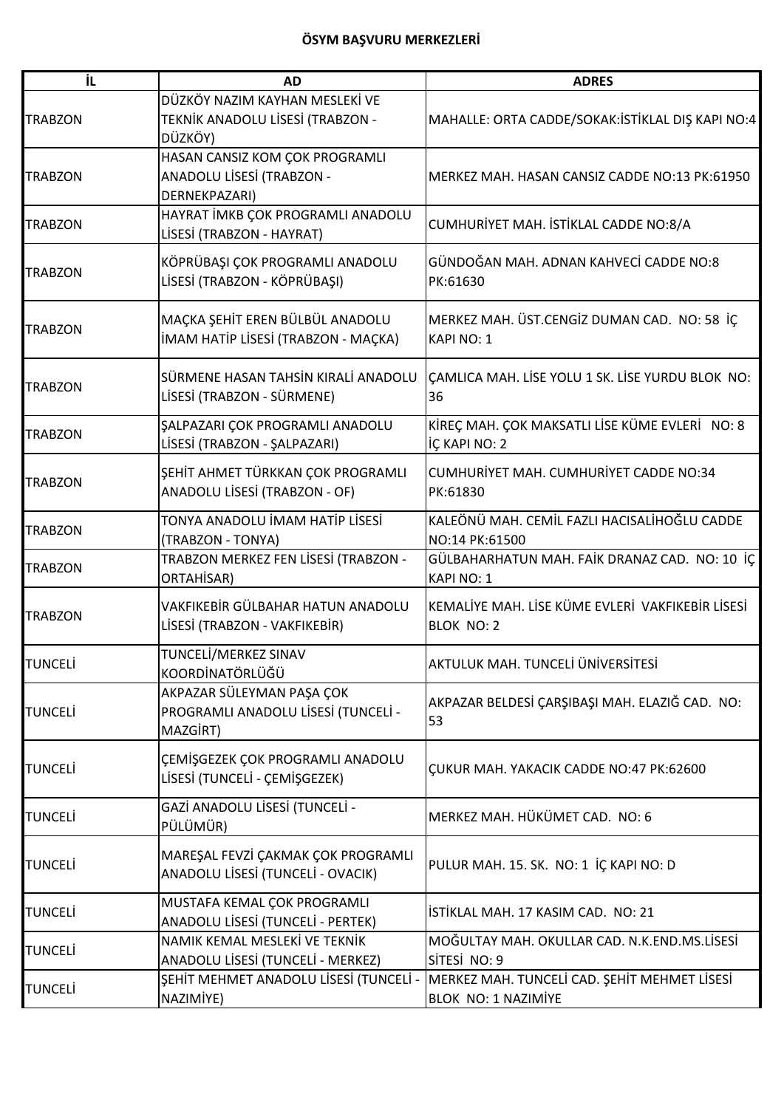| İL             | <b>AD</b>                                                                     | <b>ADRES</b>                                                          |
|----------------|-------------------------------------------------------------------------------|-----------------------------------------------------------------------|
| <b>TRABZON</b> | DÜZKÖY NAZIM KAYHAN MESLEKİ VE<br>TEKNİK ANADOLU LİSESİ (TRABZON -<br>DÜZKÖY) | MAHALLE: ORTA CADDE/SOKAK: İSTİKLAL DIŞ KAPI NO:4                     |
| <b>TRABZON</b> | HASAN CANSIZ KOM ÇOK PROGRAMLI<br>ANADOLU LİSESİ (TRABZON -<br>DERNEKPAZARI)  | MERKEZ MAH. HASAN CANSIZ CADDE NO:13 PK:61950                         |
| <b>TRABZON</b> | HAYRAT İMKB ÇOK PROGRAMLI ANADOLU<br>LİSESİ (TRABZON - HAYRAT)                | CUMHURİYET MAH. İSTİKLAL CADDE NO:8/A                                 |
| <b>TRABZON</b> | KÖPRÜBAŞI ÇOK PROGRAMLI ANADOLU<br>LİSESİ (TRABZON - KÖPRÜBAŞI)               | GÜNDOĞAN MAH. ADNAN KAHVECİ CADDE NO:8<br>PK:61630                    |
| <b>TRABZON</b> | MAÇKA ŞEHİT EREN BÜLBÜL ANADOLU<br>İMAM HATİP LİSESİ (TRABZON - MAÇKA)        | MERKEZ MAH. ÜST.CENGİZ DUMAN CAD. NO: 58 İÇ<br><b>KAPI NO: 1</b>      |
| <b>TRABZON</b> | SÜRMENE HASAN TAHSİN KIRALİ ANADOLU<br>LİSESİ (TRABZON - SÜRMENE)             | CAMLICA MAH. LİSE YOLU 1 SK. LİSE YURDU BLOK NO:<br>36                |
| <b>TRABZON</b> | ŞALPAZARI ÇOK PROGRAMLI ANADOLU<br>LİSESİ (TRABZON - ŞALPAZARI)               | KİREÇ MAH. ÇOK MAKSATLI LİSE KÜME EVLERİ NO: 8<br>İÇ KAPI NO: 2       |
| <b>TRABZON</b> | ŞEHİT AHMET TÜRKKAN ÇOK PROGRAMLI<br>ANADOLU LİSESİ (TRABZON - OF)            | CUMHURIYET MAH. CUMHURIYET CADDE NO:34<br>PK:61830                    |
| <b>TRABZON</b> | TONYA ANADOLU İMAM HATİP LİSESİ<br>(TRABZON - TONYA)                          | KALEÖNÜ MAH. CEMİL FAZLI HACISALİHOĞLU CADDE<br>NO:14 PK:61500        |
| <b>TRABZON</b> | TRABZON MERKEZ FEN LİSESİ (TRABZON -<br>ORTAHISAR)                            | GÜLBAHARHATUN MAH. FAİK DRANAZ CAD. NO: 10 İÇ<br>KAPI NO: 1           |
| <b>TRABZON</b> | VAKFIKEBİR GÜLBAHAR HATUN ANADOLU<br>LİSESİ (TRABZON - VAKFIKEBİR)            | KEMALİYE MAH. LİSE KÜME EVLERİ VAKFIKEBİR LİSESİ<br><b>BLOK NO: 2</b> |
| <b>TUNCELI</b> | TUNCELİ/MERKEZ SINAV<br>KOORDİNATÖRLÜĞÜ                                       | AKTULUK MAH. TUNCELİ ÜNİVERSİTESİ                                     |
| <b>TUNCELI</b> | AKPAZAR SÜLEYMAN PAŞA ÇOK<br>PROGRAMLI ANADOLU LİSESİ (TUNCELİ -<br>MAZGIRT)  | AKPAZAR BELDESİ ÇARŞIBAŞI MAH. ELAZIĞ CAD. NO:<br>53                  |
| <b>TUNCELI</b> | CEMISGEZEK ÇOK PROGRAMLI ANADOLU<br>LİSESİ (TUNCELİ - ÇEMİŞGEZEK)             | ÇUKUR MAH. YAKACIK CADDE NO:47 PK:62600                               |
| <b>TUNCELI</b> | GAZİ ANADOLU LİSESİ (TUNCELİ -<br>PÜLÜMÜR)                                    | MERKEZ MAH. HÜKÜMET CAD. NO: 6                                        |
| <b>TUNCELI</b> | MAREŞAL FEVZİ ÇAKMAK ÇOK PROGRAMLI<br>ANADOLU LİSESİ (TUNCELİ - OVACIK)       | PULUR MAH. 15. SK. NO: 1 İÇ KAPI NO: D                                |
| <b>TUNCELI</b> | MUSTAFA KEMAL ÇOK PROGRAMLI<br>ANADOLU LİSESİ (TUNCELİ - PERTEK)              | İSTİKLAL MAH. 17 KASIM CAD. NO: 21                                    |
| <b>TUNCELI</b> | NAMIK KEMAL MESLEKİ VE TEKNİK<br>ANADOLU LİSESİ (TUNCELİ - MERKEZ)            | MOĞULTAY MAH. OKULLAR CAD. N.K.END.MS.LİSESİ<br>SİTESİ NO: 9          |
| <b>TUNCELI</b> | ŞEHİT MEHMET ANADOLU LİSESİ (TUNCELİ -<br>NAZIMİYE)                           | MERKEZ MAH. TUNCELİ CAD. ŞEHİT MEHMET LİSESİ<br>BLOK NO: 1 NAZIMİYE   |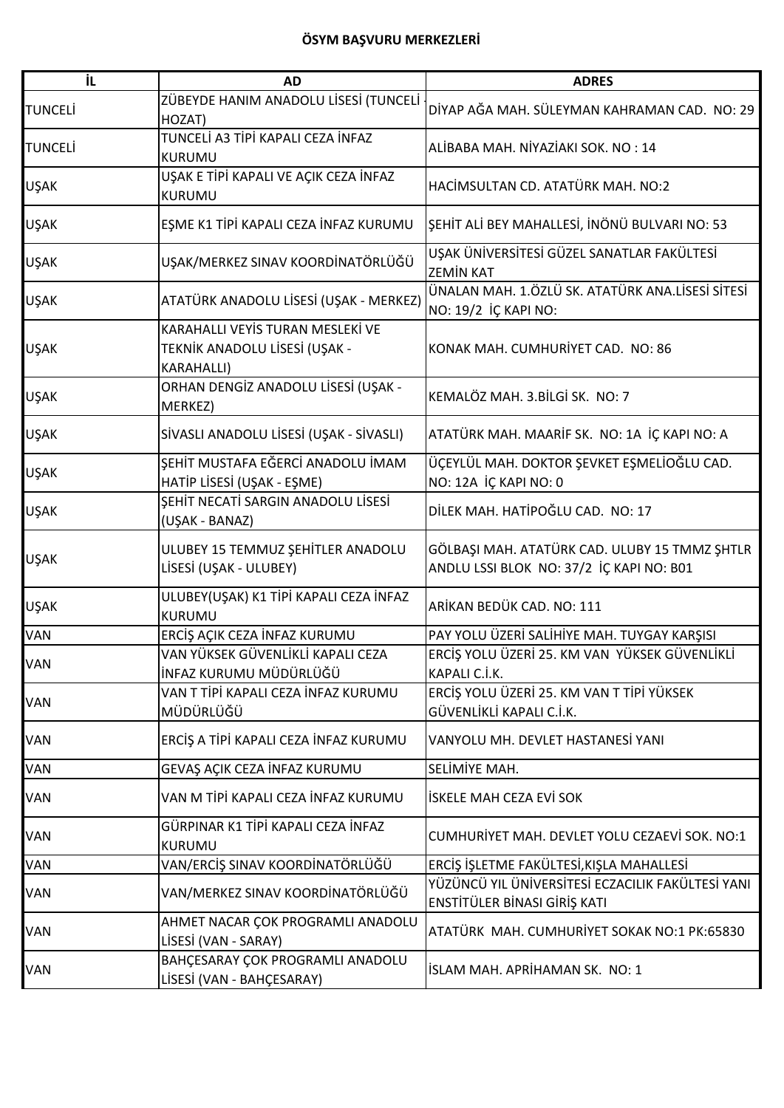## **ÖSYM BAŞVURU MERKEZLERİ**

| İL             | <b>AD</b>                                                 | <b>ADRES</b>                                                             |
|----------------|-----------------------------------------------------------|--------------------------------------------------------------------------|
| <b>TUNCELİ</b> | ZÜBEYDE HANIM ANADOLU LİSESİ (TUNCELİ<br>HOZAT)           | DİYAP AĞA MAH. SÜLEYMAN KAHRAMAN CAD. NO: 29                             |
| <b>TUNCELİ</b> | TUNCELİ A3 TİPİ KAPALI CEZA İNFAZ<br><b>KURUMU</b>        | ALİBABA MAH. NİYAZİAKI SOK. NO : 14                                      |
| <b>UŞAK</b>    | UŞAK E TİPİ KAPALI VE AÇIK CEZA İNFAZ<br>KURUMU           | HACİMSULTAN CD. ATATÜRK MAH. NO:2                                        |
| <b>UŞAK</b>    | EŞME K1 TİPİ KAPALI CEZA İNFAZ KURUMU                     | ŞEHİT ALİ BEY MAHALLESİ, İNÖNÜ BULVARI NO: 53                            |
| <b>UŞAK</b>    | UŞAK/MERKEZ SINAV KOORDİNATÖRLÜĞÜ                         | UŞAK ÜNİVERSİTESİ GÜZEL SANATLAR FAKÜLTESİ<br><b>ZEMİN KAT</b>           |
| <b>UŞAK</b>    | ATATÜRK ANADOLU LİSESİ (UŞAK - MERKEZ)                    | ÜNALAN MAH. 1.ÖZLÜ SK. ATATÜRK ANA.LİSESİ SİTESİ<br>NO: 19/2 İÇ KAPI NO: |
|                | KARAHALLI VEYİS TURAN MESLEKİ VE                          |                                                                          |
| <b>UŞAK</b>    | TEKNİK ANADOLU LİSESİ (UŞAK -<br><b>KARAHALLI)</b>        | KONAK MAH. CUMHURİYET CAD. NO: 86                                        |
| <b>UŞAK</b>    | ORHAN DENGİZ ANADOLU LİSESİ (UŞAK -<br>MERKEZ)            | KEMALÖZ MAH. 3.BİLGİ SK. NO: 7                                           |
| <b>UŞAK</b>    | SİVASLI ANADOLU LİSESİ (UŞAK - SİVASLI)                   | ATATÜRK MAH. MAARİF SK. NO: 1A İÇ KAPI NO: A                             |
|                | ŞEHİT MUSTAFA EĞERCİ ANADOLU İMAM                         | ÜÇEYLÜL MAH. DOKTOR ŞEVKET EŞMELİOĞLU CAD.                               |
| <b>UŞAK</b>    | HATİP LİSESİ (UŞAK - EŞME)                                | NO: 12A İÇ KAPI NO: 0                                                    |
| <b>UŞAK</b>    | SEHIT NECATI SARGIN ANADOLU LISESI<br>(UŞAK - BANAZ)      | DİLEK MAH. HATİPOĞLU CAD. NO: 17                                         |
|                |                                                           |                                                                          |
| <b>UŞAK</b>    | ULUBEY 15 TEMMUZ ŞEHİTLER ANADOLU                         | GÖLBAŞI MAH. ATATÜRK CAD. ULUBY 15 TMMZ ŞHTLR                            |
|                | LİSESİ (UŞAK - ULUBEY)                                    | ANDLU LSSI BLOK NO: 37/2 İÇ KAPI NO: B01                                 |
|                | ULUBEY(UŞAK) K1 TİPİ KAPALI CEZA İNFAZ                    |                                                                          |
| <b>UŞAK</b>    | KURUMU                                                    | ARİKAN BEDÜK CAD. NO: 111                                                |
| VAN            | ERCİŞ AÇIK CEZA İNFAZ KURUMU                              | PAY YOLU ÜZERİ SALİHİYE MAH. TUYGAY KARŞISI                              |
|                | VAN YÜKSEK GÜVENLİKLİ KAPALI CEZA                         | ERCİŞ YOLU ÜZERİ 25. KM VAN YÜKSEK GÜVENLİKLİ                            |
| <b>VAN</b>     | İNFAZ KURUMU MÜDÜRLÜĞÜ                                    | KAPALI C.İ.K.                                                            |
|                | VAN T TİPİ KAPALI CEZA İNFAZ KURUMU                       | ERCİŞ YOLU ÜZERİ 25. KM VAN T TİPİ YÜKSEK                                |
| <b>VAN</b>     | MÜDÜRLÜĞÜ                                                 | GÜVENLİKLİ KAPALI C.İ.K.                                                 |
| VAN            | ERCİŞ A TİPİ KAPALI CEZA İNFAZ KURUMU                     | VANYOLU MH. DEVLET HASTANESİ YANI                                        |
| VAN            | GEVAŞ AÇIK CEZA İNFAZ KURUMU                              | SELİMİYE MAH.                                                            |
| <b>VAN</b>     | VAN M TİPİ KAPALI CEZA İNFAZ KURUMU                       | İSKELE MAH CEZA EVİ SOK                                                  |
| <b>VAN</b>     | GÜRPINAR K1 TİPİ KAPALI CEZA İNFAZ                        |                                                                          |
|                | <b>KURUMU</b>                                             | CUMHURİYET MAH. DEVLET YOLU CEZAEVİ SOK. NO:1                            |
| VAN            | VAN/ERCİŞ SINAV KOORDİNATÖRLÜĞÜ                           | ERCİŞ İŞLETME FAKÜLTESİ, KIŞLA MAHALLESİ                                 |
|                |                                                           | YÜZÜNCÜ YIL ÜNİVERSİTESİ ECZACILIK FAKÜLTESİ YANI                        |
| <b>VAN</b>     | VAN/MERKEZ SINAV KOORDİNATÖRLÜĞÜ                          | ENSTİTÜLER BİNASI GİRİŞ KATI                                             |
| <b>VAN</b>     | AHMET NACAR ÇOK PROGRAMLI ANADOLU<br>LİSESİ (VAN - SARAY) | ATATÜRK MAH. CUMHURİYET SOKAK NO:1 PK:65830                              |
| <b>VAN</b>     | BAHÇESARAY ÇOK PROGRAMLI ANADOLU                          | İSLAM MAH. APRİHAMAN SK. NO: 1                                           |
|                | LİSESİ (VAN - BAHÇESARAY)                                 |                                                                          |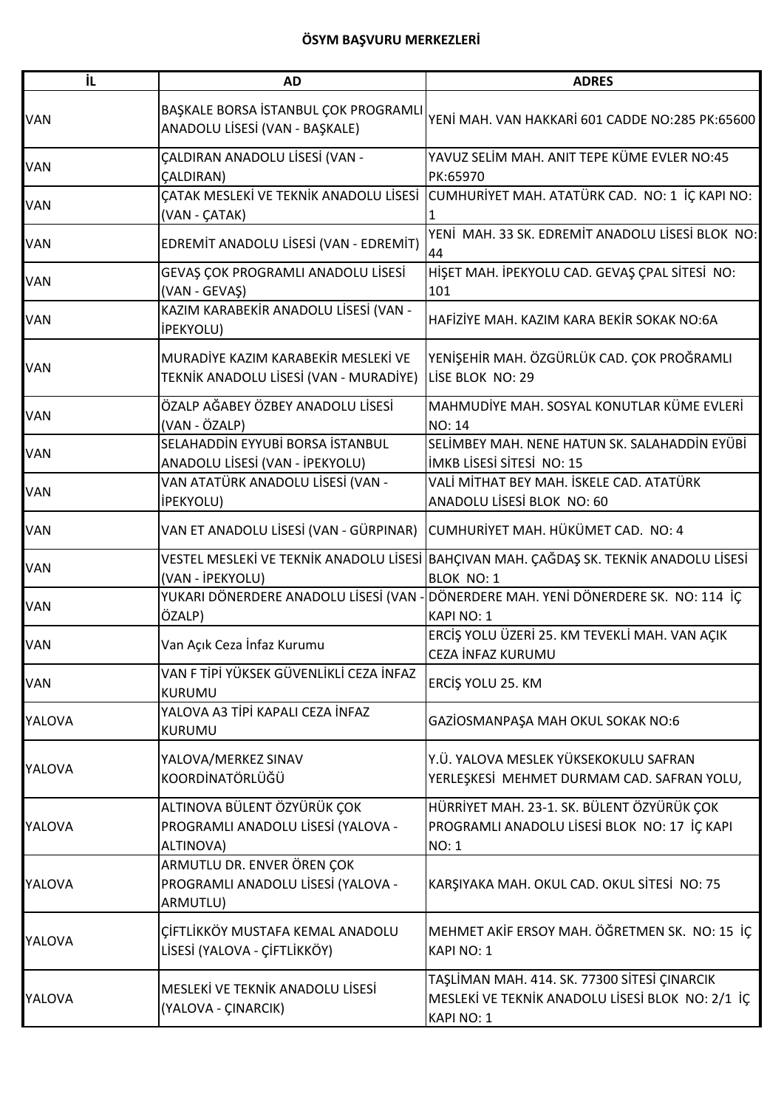## **ÖSYM BAŞVURU MERKEZLERİ**

| İL            | <b>AD</b>                                                                      | <b>ADRES</b>                                                                                                   |
|---------------|--------------------------------------------------------------------------------|----------------------------------------------------------------------------------------------------------------|
| <b>VAN</b>    | BAŞKALE BORSA İSTANBUL ÇOK PROGRAMLI<br>ANADOLU LİSESİ (VAN - BAŞKALE)         | YENİ MAH. VAN HAKKARİ 601 CADDE NO:285 PK:65600                                                                |
| <b>VAN</b>    | ÇALDIRAN ANADOLU LİSESİ (VAN -<br><b>CALDIRAN)</b>                             | YAVUZ SELİM MAH. ANIT TEPE KÜME EVLER NO:45<br>PK:65970                                                        |
| <b>VAN</b>    | ÇATAK MESLEKİ VE TEKNİK ANADOLU LİSESİ<br>(VAN - ÇATAK)                        | CUMHURİYET MAH. ATATÜRK CAD. NO: 1 İÇ KAPI NO:                                                                 |
| <b>VAN</b>    | EDREMİT ANADOLU LİSESİ (VAN - EDREMİT)                                         | YENİ MAH. 33 SK. EDREMİT ANADOLU LİSESİ BLOK NO:<br>44                                                         |
| <b>VAN</b>    | GEVAŞ ÇOK PROGRAMLI ANADOLU LİSESİ<br>(VAN - GEVAŞ)                            | HİŞET MAH. İPEKYOLU CAD. GEVAŞ ÇPAL SİTESİ NO:<br>101                                                          |
| <b>VAN</b>    | KAZIM KARABEKİR ANADOLU LİSESİ (VAN -<br><b>İPEKYOLU)</b>                      | HAFİZİYE MAH. KAZIM KARA BEKİR SOKAK NO:6A                                                                     |
| <b>VAN</b>    | MURADİYE KAZIM KARABEKİR MESLEKİ VE<br>TEKNİK ANADOLU LİSESİ (VAN - MURADİYE)  | YENİŞEHİR MAH. ÖZGÜRLÜK CAD. ÇOK PROĞRAMLI<br>LISE BLOK NO: 29                                                 |
| <b>VAN</b>    | ÖZALP AĞABEY ÖZBEY ANADOLU LİSESİ<br>(VAN - ÖZALP)                             | MAHMUDİYE MAH. SOSYAL KONUTLAR KÜME EVLERİ<br><b>NO: 14</b>                                                    |
| VAN           | SELAHADDİN EYYUBİ BORSA İSTANBUL<br>ANADOLU LİSESİ (VAN - İPEKYOLU)            | SELİMBEY MAH. NENE HATUN SK. SALAHADDİN EYÜBİ<br><b>İMKB LİSESİ SİTESİ NO: 15</b>                              |
| <b>VAN</b>    | VAN ATATÜRK ANADOLU LİSESİ (VAN -<br><b>İPEKYOLU)</b>                          | VALİ MİTHAT BEY MAH. İSKELE CAD. ATATÜRK<br>ANADOLU LİSESİ BLOK NO: 60                                         |
| <b>VAN</b>    | VAN ET ANADOLU LİSESİ (VAN - GÜRPINAR)                                         | CUMHURİYET MAH. HÜKÜMET CAD. NO: 4                                                                             |
| <b>VAN</b>    | (VAN - İPEKYOLU)                                                               | VESTEL MESLEKİ VE TEKNİK ANADOLU LİSESİ BAHÇIVAN MAH. ÇAĞDAŞ SK. TEKNİK ANADOLU LİSESİ<br><b>BLOK NO: 1</b>    |
| <b>VAN</b>    | YUKARI DÖNERDERE ANADOLU LİSESİ (VAN<br>ÖZALP)                                 | DÖNERDERE MAH. YENİ DÖNERDERE SK. NO: 114 İÇ<br><b>KAPI NO: 1</b>                                              |
| VAN           | Van Açık Ceza İnfaz Kurumu                                                     | ERCİŞ YOLU ÜZERİ 25. KM TEVEKLİ MAH. VAN AÇIK<br>CEZA İNFAZ KURUMU                                             |
| VAN           | VAN F TİPİ YÜKSEK GÜVENLİKLİ CEZA İNFAZ<br><b>KURUMU</b>                       | ERCİŞ YOLU 25. KM                                                                                              |
| YALOVA        | YALOVA A3 TİPİ KAPALI CEZA İNFAZ<br>KURUMU                                     | GAZİOSMANPAŞA MAH OKUL SOKAK NO:6                                                                              |
| YALOVA        | YALOVA/MERKEZ SINAV<br>KOORDİNATÖRLÜĞÜ                                         | Y.Ü. YALOVA MESLEK YÜKSEKOKULU SAFRAN<br>YERLEŞKESİ MEHMET DURMAM CAD. SAFRAN YOLU,                            |
| <b>YALOVA</b> | ALTINOVA BÜLENT ÖZYÜRÜK ÇOK<br>PROGRAMLI ANADOLU LİSESİ (YALOVA -<br>ALTINOVA) | HÜRRİYET MAH. 23-1. SK. BÜLENT ÖZYÜRÜK ÇOK<br>PROGRAMLI ANADOLU LİSESİ BLOK NO: 17 İÇ KAPI<br><b>NO: 1</b>     |
| YALOVA        | ARMUTLU DR. ENVER ÖREN ÇOK<br>PROGRAMLI ANADOLU LİSESİ (YALOVA -<br>ARMUTLU)   | KARŞIYAKA MAH. OKUL CAD. OKUL SİTESİ NO: 75                                                                    |
| <b>YALOVA</b> | ÇİFTLİKKÖY MUSTAFA KEMAL ANADOLU<br>LİSESİ (YALOVA - ÇİFTLİKKÖY)               | MEHMET AKİF ERSOY MAH. ÖĞRETMEN SK. NO: 15 İÇ<br>KAPI NO: 1                                                    |
| YALOVA        | MESLEKİ VE TEKNİK ANADOLU LİSESİ<br>(YALOVA - ÇINARCIK)                        | TAŞLİMAN MAH. 414. SK. 77300 SİTESİ ÇINARCIK<br>MESLEKİ VE TEKNİK ANADOLU LİSESİ BLOK NO: 2/1 İÇ<br>KAPI NO: 1 |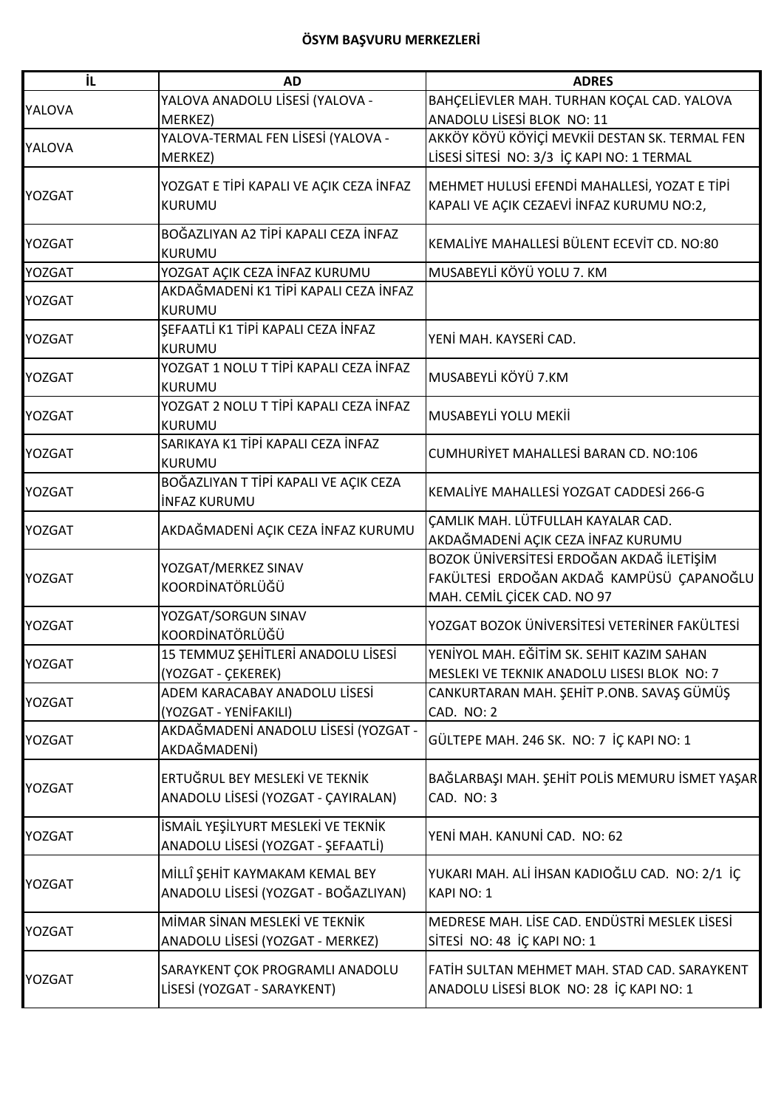| İL            | <b>AD</b>                                           | <b>ADRES</b>                                   |
|---------------|-----------------------------------------------------|------------------------------------------------|
| YALOVA        | YALOVA ANADOLU LİSESİ (YALOVA -                     | BAHÇELİEVLER MAH. TURHAN KOÇAL CAD. YALOVA     |
|               | MERKEZ)                                             | ANADOLU LİSESİ BLOK NO: 11                     |
| <b>YALOVA</b> | YALOVA-TERMAL FEN LİSESİ (YALOVA -                  | AKKÖY KÖYÜ KÖYİÇİ MEVKİİ DESTAN SK. TERMAL FEN |
|               | MERKEZ)                                             | LİSESİ SİTESİ NO: 3/3 İÇ KAPI NO: 1 TERMAL     |
|               | YOZGAT E TİPİ KAPALI VE AÇIK CEZA İNFAZ             | MEHMET HULUSİ EFENDİ MAHALLESİ, YOZAT E TİPİ   |
| <b>YOZGAT</b> | KURUMU                                              | KAPALI VE AÇIK CEZAEVİ İNFAZ KURUMU NO:2,      |
|               |                                                     |                                                |
| <b>YOZGAT</b> | BOĞAZLIYAN A2 TİPİ KAPALI CEZA İNFAZ                | KEMALİYE MAHALLESİ BÜLENT ECEVİT CD. NO:80     |
|               | <b>KURUMU</b>                                       |                                                |
| <b>YOZGAT</b> | YOZGAT AÇIK CEZA İNFAZ KURUMU                       | MUSABEYLİ KÖYÜ YOLU 7. KM                      |
| <b>YOZGAT</b> | AKDAĞMADENİ K1 TİPİ KAPALI CEZA İNFAZ               |                                                |
|               | <b>KURUMU</b>                                       |                                                |
| <b>YOZGAT</b> | SEFAATLİ K1 TİPİ KAPALI CEZA İNFAZ                  | YENİ MAH. KAYSERİ CAD.                         |
|               | KURUMU                                              |                                                |
| <b>YOZGAT</b> | YOZGAT 1 NOLU T TİPİ KAPALI CEZA İNFAZ              | MUSABEYLİ KÖYÜ 7.KM                            |
|               | <b>KURUMU</b>                                       |                                                |
| <b>YOZGAT</b> | YOZGAT 2 NOLU T TİPİ KAPALI CEZA İNFAZ              | MUSABEYLİ YOLU MEKİİ                           |
|               | <b>KURUMU</b>                                       |                                                |
| <b>YOZGAT</b> | SARIKAYA K1 TİPİ KAPALI CEZA İNFAZ                  | <b>CUMHURIYET MAHALLESI BARAN CD. NO:106</b>   |
|               | KURUMU                                              |                                                |
| <b>YOZGAT</b> | BOĞAZLIYAN T TİPİ KAPALI VE AÇIK CEZA               | KEMALIYE MAHALLESİ YOZGAT CADDESİ 266-G        |
|               | <b>INFAZ KURUMU</b>                                 |                                                |
| <b>YOZGAT</b> | AKDAĞMADENİ AÇIK CEZA İNFAZ KURUMU                  | ÇAMLIK MAH. LÜTFULLAH KAYALAR CAD.             |
|               |                                                     | AKDAĞMADENİ AÇIK CEZA İNFAZ KURUMU             |
|               | YOZGAT/MERKEZ SINAV                                 | BOZOK ÜNİVERSİTESİ ERDOĞAN AKDAĞ İLETİŞİM      |
| <b>YOZGAT</b> | KOORDİNATÖRLÜĞÜ                                     | FAKÜLTESİ ERDOĞAN AKDAĞ KAMPÜSÜ ÇAPANOĞLU      |
|               |                                                     | MAH. CEMİL ÇİCEK CAD. NO 97                    |
| <b>YOZGAT</b> | YOZGAT/SORGUN SINAV<br>KOORDİNATÖRLÜĞÜ              | YOZGAT BOZOK ÜNİVERSİTESİ VETERİNER FAKÜLTESİ  |
|               |                                                     | YENİYOL MAH. EĞİTİM SK. SEHIT KAZIM SAHAN      |
| IYOZGAT       | 15 TEMMUZ ŞEHİTLERİ ANADOLU LİSESİ                  | MESLEKI VE TEKNIK ANADOLU LISESI BLOK NO: 7    |
|               | (YOZGAT - ÇEKEREK)<br>ADEM KARACABAY ANADOLU LİSESİ | CANKURTARAN MAH. ŞEHİT P.ONB. SAVAŞ GÜMÜŞ      |
| <b>YOZGAT</b> | (YOZGAT - YENİFAKILI)                               | CAD. NO: 2                                     |
|               | AKDAĞMADENİ ANADOLU LİSESİ (YOZGAT -                |                                                |
| <b>YOZGAT</b> | AKDAĞMADENİ)                                        | GÜLTEPE MAH. 246 SK. NO: 7 İÇ KAPI NO: 1       |
|               |                                                     |                                                |
| <b>YOZGAT</b> | ERTUĞRUL BEY MESLEKİ VE TEKNİK                      | BAĞLARBAŞI MAH. ŞEHİT POLİS MEMURU İSMET YAŞAR |
|               | ANADOLU LİSESİ (YOZGAT - ÇAYIRALAN)                 | CAD. NO: 3                                     |
|               | İSMAİL YEŞİLYURT MESLEKİ VE TEKNİK                  |                                                |
| <b>YOZGAT</b> | ANADOLU LİSESİ (YOZGAT - ŞEFAATLİ)                  | YENİ MAH. KANUNİ CAD. NO: 62                   |
|               |                                                     |                                                |
| <b>YOZGAT</b> | MİLLÎ ŞEHİT KAYMAKAM KEMAL BEY                      | YUKARI MAH. ALİ İHSAN KADIOĞLU CAD. NO: 2/1 İÇ |
|               | ANADOLU LİSESİ (YOZGAT - BOĞAZLIYAN)                | KAPI NO: 1                                     |
|               | MİMAR SİNAN MESLEKİ VE TEKNİK                       | MEDRESE MAH. LİSE CAD. ENDÜSTRİ MESLEK LİSESİ  |
| <b>YOZGAT</b> | ANADOLU LİSESİ (YOZGAT - MERKEZ)                    | SİTESİ NO: 48 İÇ KAPI NO: 1                    |
|               |                                                     |                                                |
| <b>YOZGAT</b> | SARAYKENT ÇOK PROGRAMLI ANADOLU                     | FATİH SULTAN MEHMET MAH. STAD CAD. SARAYKENT   |
|               | LİSESİ (YOZGAT - SARAYKENT)                         | ANADOLU LİSESİ BLOK NO: 28 İÇ KAPI NO: 1       |